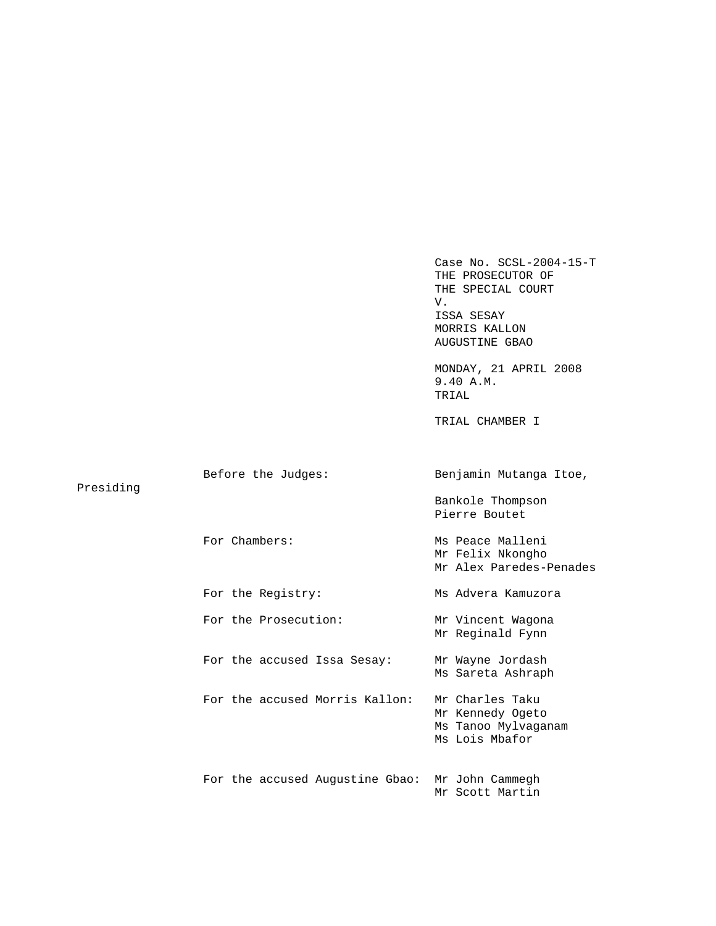|           |                                 | Case No. $SCSL-2004-15-T$<br>THE PROSECUTOR OF<br>THE SPECIAL COURT<br>V.<br>ISSA SESAY<br>MORRIS KALLON<br>AUGUSTINE GBAO |
|-----------|---------------------------------|----------------------------------------------------------------------------------------------------------------------------|
|           |                                 | MONDAY, 21 APRIL 2008<br>9.40 A.M.<br>TRIAL                                                                                |
|           |                                 | TRIAL CHAMBER I                                                                                                            |
|           |                                 |                                                                                                                            |
| Presiding | Before the Judges:              | Benjamin Mutanga Itoe,                                                                                                     |
|           |                                 | Bankole Thompson<br>Pierre Boutet                                                                                          |
|           | For Chambers:                   | Ms Peace Malleni<br>Mr Felix Nkongho<br>Mr Alex Paredes-Penades                                                            |
|           | For the Registry:               | Ms Advera Kamuzora                                                                                                         |
|           | For the Prosecution:            | Mr Vincent Wagona<br>Mr Reginald Fynn                                                                                      |
|           | For the accused Issa Sesay:     | Mr Wayne Jordash<br>Ms Sareta Ashraph                                                                                      |
|           | For the accused Morris Kallon:  | Mr Charles Taku<br>Mr Kennedy Ogeto<br>Ms Tanoo Mylvaganam<br>Ms Lois Mbafor                                               |
|           | For the accused Augustine Gbao: | Mr John Cammegh<br>Mr Scott Martin                                                                                         |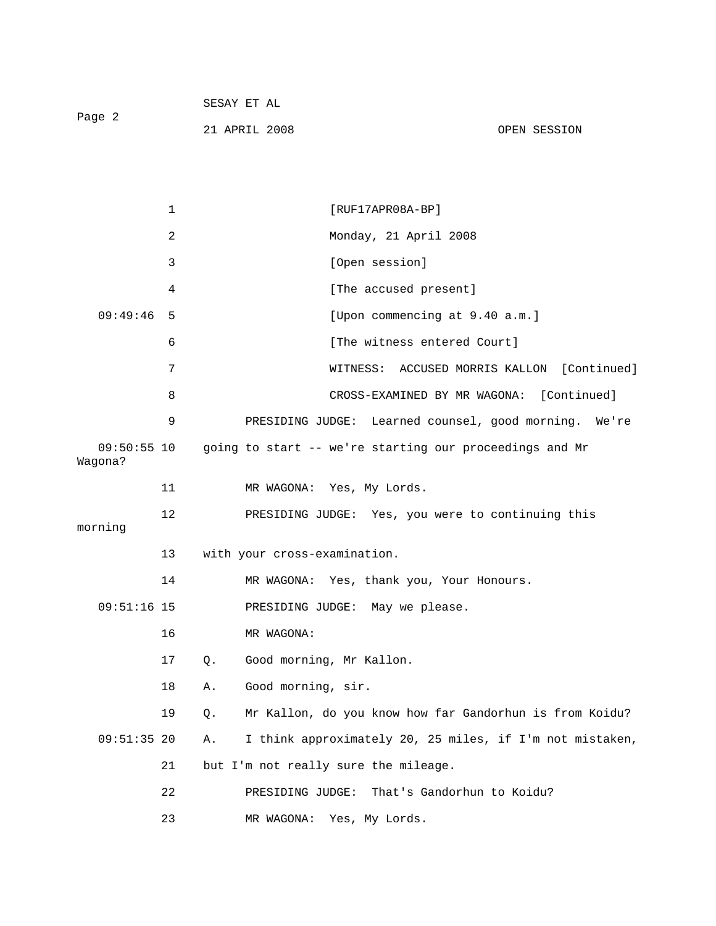|        | SESAY ET AL   |              |
|--------|---------------|--------------|
| Page 2 |               |              |
|        | 21 APRIL 2008 | OPEN SESSION |

|                          | $\mathbf{1}$ |    | $[RUF17APR08A-BP]$                                       |
|--------------------------|--------------|----|----------------------------------------------------------|
|                          | 2            |    | Monday, 21 April 2008                                    |
|                          | 3            |    | [Open session]                                           |
|                          | 4            |    | [The accused present]                                    |
| 09:49:46                 | 5            |    | [Upon commencing at 9.40 a.m.]                           |
|                          | 6            |    | [The witness entered Court]                              |
|                          | 7            |    | WITNESS: ACCUSED MORRIS KALLON<br>[Continued]            |
|                          | 8            |    | CROSS-EXAMINED BY MR WAGONA: [Continued]                 |
|                          | 9            |    | PRESIDING JUDGE: Learned counsel, good morning. We're    |
| $09:50:55$ 10<br>Wagona? |              |    | going to start -- we're starting our proceedings and Mr  |
|                          | 11           |    | MR WAGONA: Yes, My Lords.                                |
| morning                  | 12           |    | PRESIDING JUDGE: Yes, you were to continuing this        |
|                          | 13           |    | with your cross-examination.                             |
|                          | 14           |    | MR WAGONA: Yes, thank you, Your Honours.                 |
| $09:51:16$ 15            |              |    | PRESIDING JUDGE: May we please.                          |
|                          | 16           |    | MR WAGONA:                                               |
|                          | 17           | Q. | Good morning, Mr Kallon.                                 |
|                          | 18           | Α. | Good morning, sir.                                       |
|                          | 19           | Q. | Mr Kallon, do you know how far Gandorhun is from Koidu?  |
| $09:51:35$ 20            |              | Α. | I think approximately 20, 25 miles, if I'm not mistaken, |
|                          | 21           |    | but I'm not really sure the mileage.                     |
|                          | 22           |    | That's Gandorhun to Koidu?<br>PRESIDING JUDGE:           |
|                          | 23           |    | Yes, My Lords.<br>MR WAGONA:                             |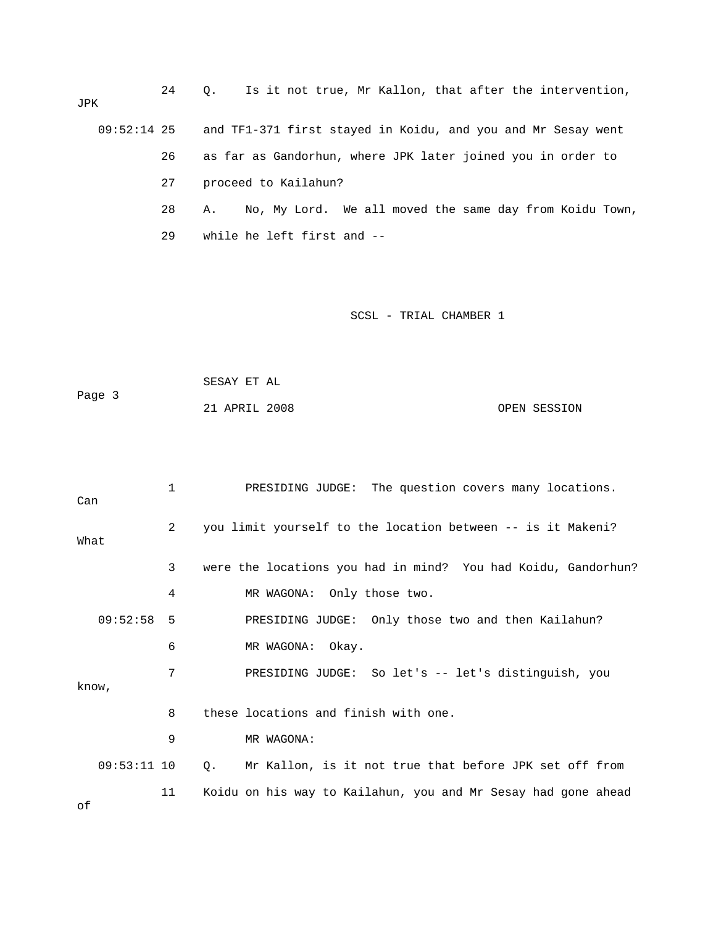24 Q. Is it not true, Mr Kallon, that after the intervention, JPK 09:52:14 25 and TF1-371 first stayed in Koidu, and you and Mr Sesay went 26 as far as Gandorhun, where JPK later joined you in order to 27 proceed to Kailahun? 28 A. No, My Lord. We all moved the same day from Koidu Town, 29 while he left first and --

SCSL - TRIAL CHAMBER 1

 SESAY ET AL Page 3 21 APRIL 2008 OPEN SESSION

 1 PRESIDING JUDGE: The question covers many locations. Can 2 you limit yourself to the location between -- is it Makeni? What 3 were the locations you had in mind? You had Koidu, Gandorhun? 4 MR WAGONA: Only those two. 09:52:58 5 PRESIDING JUDGE: Only those two and then Kailahun? 6 MR WAGONA: Okay. 7 PRESIDING JUDGE: So let's -- let's distinguish, you know, 8 these locations and finish with one. 9 MR WAGONA: 09:53:11 10 Q. Mr Kallon, is it not true that before JPK set off from 11 Koidu on his way to Kailahun, you and Mr Sesay had gone ahead of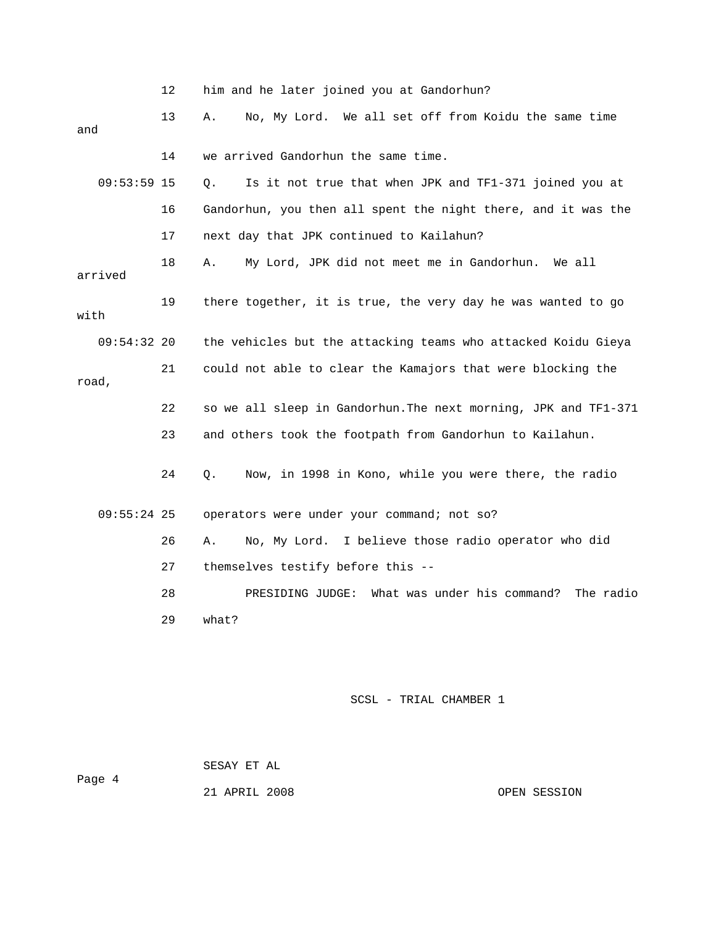|               | 12 | him and he later joined you at Gandorhun?                       |
|---------------|----|-----------------------------------------------------------------|
| and           | 13 | No, My Lord. We all set off from Koidu the same time<br>Α.      |
|               | 14 | we arrived Gandorhun the same time.                             |
| $09:53:59$ 15 |    | О.<br>Is it not true that when JPK and TF1-371 joined you at    |
|               | 16 | Gandorhun, you then all spent the night there, and it was the   |
|               | 17 | next day that JPK continued to Kailahun?                        |
| arrived       | 18 | My Lord, JPK did not meet me in Gandorhun.<br>Α.<br>We all      |
| with          | 19 | there together, it is true, the very day he was wanted to go    |
| $09:54:32$ 20 |    | the vehicles but the attacking teams who attacked Koidu Gieya   |
| road,         | 21 | could not able to clear the Kamajors that were blocking the     |
|               | 22 | so we all sleep in Gandorhun. The next morning, JPK and TF1-371 |
|               | 23 | and others took the footpath from Gandorhun to Kailahun.        |
|               | 24 | Now, in 1998 in Kono, while you were there, the radio<br>Q.     |
| $09:55:24$ 25 |    | operators were under your command; not so?                      |
|               | 26 | No, My Lord. I believe those radio operator who did<br>Α.       |
|               | 27 | themselves testify before this --                               |
|               | 28 | What was under his command?<br>The radio<br>PRESIDING JUDGE:    |
|               | 29 | what?                                                           |
|               |    |                                                                 |
|               |    |                                                                 |

 SESAY ET AL Page 4

21 APRIL 2008 OPEN SESSION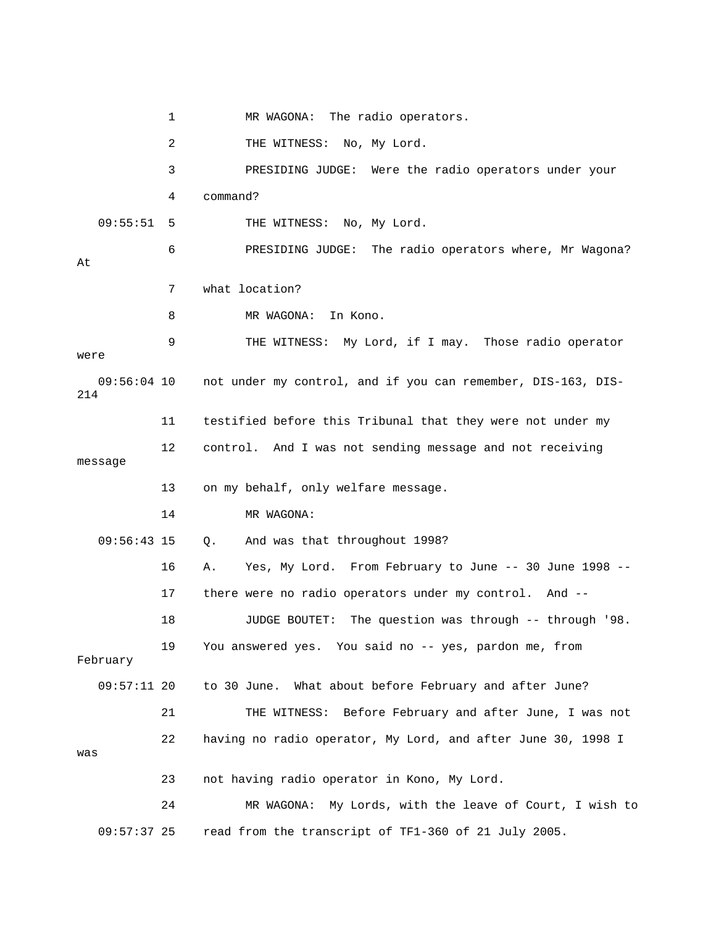1 MR WAGONA: The radio operators. 3 PRESIDING JUDGE: Were the radio operators under your 4 command? 6 PRESIDING JUDGE: The radio operators where, Mr Wagona? 7 what location? 8 MR WAGONA: In Kono. 12 control. And I was not sending message and not receiving 13 on my behalf, only welfare message. 14 MR WAGONA: 09:56:43 15 Q. And was that throughout 1998? 16 A. Yes, My Lord. From February to June -- 30 June 1998 -- 17 there were no radio operators under my control. And -- 18 JUDGE BOUTET: The question was through -- through '98. 19 You answered yes. You said no -- yes, pardon me, from 09:57:11 20 to 30 June. What about before February and after June? 21 THE WITNESS: Before February and after June, I was not 23 not having radio operator in Kono, My Lord. 24 MR WAGONA: My Lords, with the leave of Court, I wish to 09:57:37 25 read from the transcript of TF1-360 of 21 July 2005. 2 THE WITNESS: No, My Lord. 09:55:51 5 THE WITNESS: No, My Lord. At 9 THE WITNESS: My Lord, if I may. Those radio operator were 09:56:04 10 not under my control, and if you can remember, DIS-163, DIS-214 11 testified before this Tribunal that they were not under my message February 22 having no radio operator, My Lord, and after June 30, 1998 I was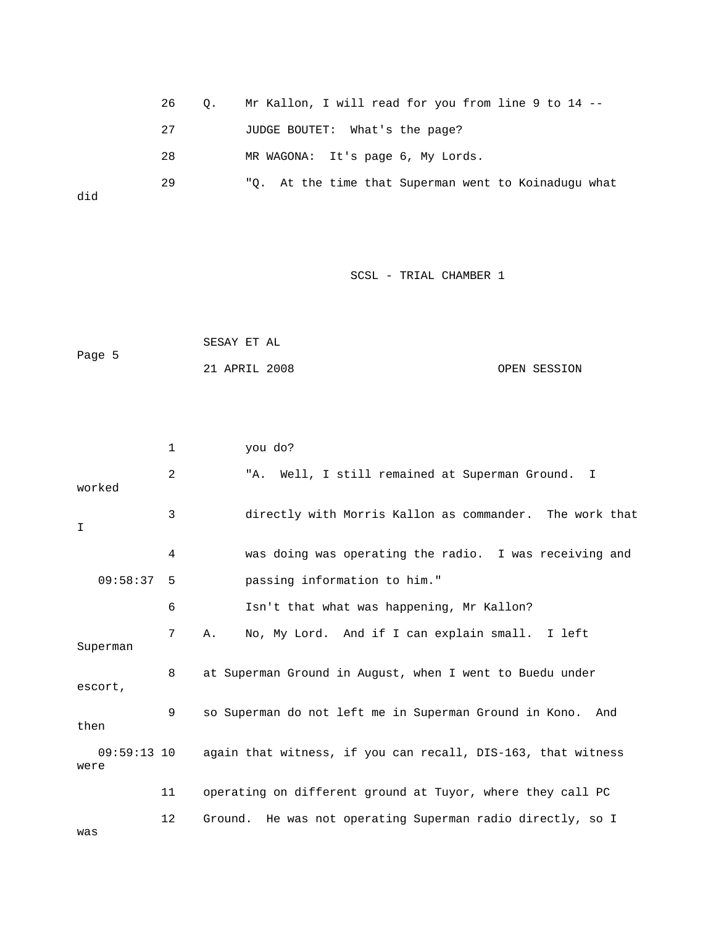|     | 26<br>$\circ$ . | Mr Kallon, I will read for you from line 9 to 14 --  |
|-----|-----------------|------------------------------------------------------|
|     | 27              | JUDGE BOUTET: What's the page?                       |
|     | 28              | MR WAGONA: It's page 6, My Lords.                    |
| did | 29              | "Q. At the time that Superman went to Koinaduqu what |

|        | SESAY ET AL   |  |              |
|--------|---------------|--|--------------|
| Page 5 |               |  |              |
|        | 21 APRIL 2008 |  | OPEN SESSION |

|                       | 1  | you do?                                                       |
|-----------------------|----|---------------------------------------------------------------|
| worked                | 2  | "A. Well, I still remained at Superman Ground. I              |
| $\top$                | 3  | directly with Morris Kallon as commander. The work that       |
|                       | 4  | was doing was operating the radio. I was receiving and        |
| 09:58:37              | 5  | passing information to him."                                  |
|                       | 6  | Isn't that what was happening, Mr Kallon?                     |
| Superman              | 7  | No, My Lord. And if I can explain small. I left<br>Α.         |
| escort,               | 8  | at Superman Ground in August, when I went to Buedu under      |
| then                  | 9  | so Superman do not left me in Superman Ground in Kono.<br>And |
| $09:59:13$ 10<br>were |    | again that witness, if you can recall, DIS-163, that witness  |
|                       | 11 | operating on different ground at Tuyor, where they call PC    |
| was                   | 12 | Ground. He was not operating Superman radio directly, so I    |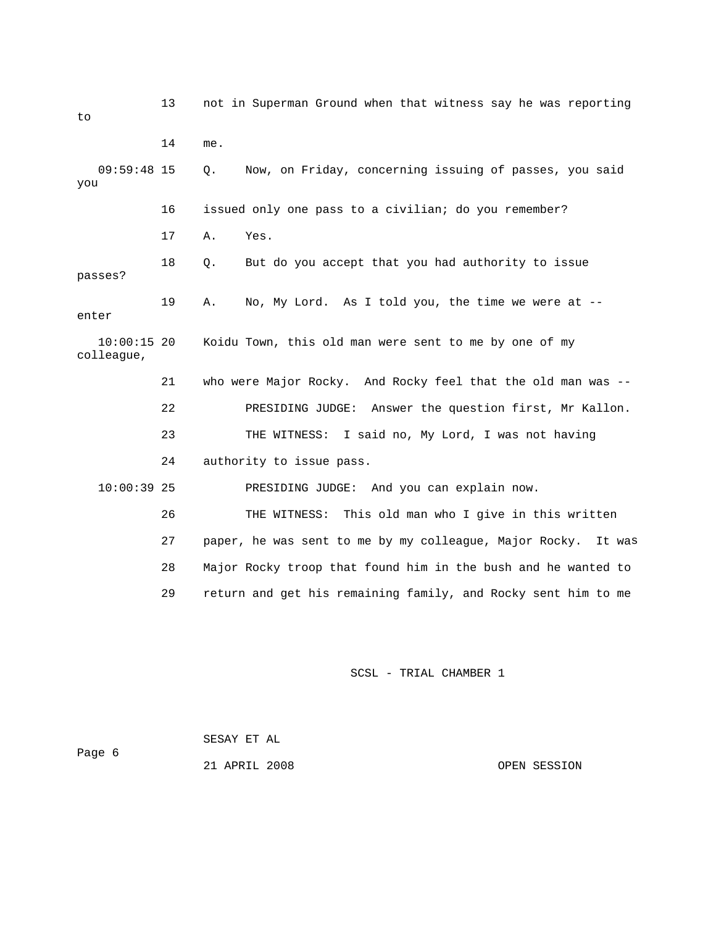13 not in Superman Ground when that witness say he was reporting 14 me. Now, on Friday, concerning issuing of passes, you said 16 issued only one pass to a civilian; do you remember? 18 Q. But do you accept that you had authority to issue passes? 19 A. No, My Lord. As I told you, the time we were at - enter Koidu Town, this old man were sent to me by one of my colleague, 21 who were Major Rocky. And Rocky feel that the old man was -- 10:00:39 25 PRESIDING JUDGE: And you can explain now. s written 26 THE WITNESS: This old man who I give in thi 27 paper, he was sent to me by my colleague, Major Rocky. It was to 09:59:48 15 Q. you 17 A. Yes.  $10:00:15$  20 22 PRESIDING JUDGE: Answer the question first, Mr Kallon. 23 THE WITNESS: I said no, My Lord, I was not having 24 authority to issue pass. 28 Major Rocky troop that found him in the bush and he wanted to 29 return and get his remaining family, and Rocky sent him to me

SCSL - TRIAL CHAMBER 1

 SESAY ET AL Page 6

21 APRIL 2008 OPEN SESSION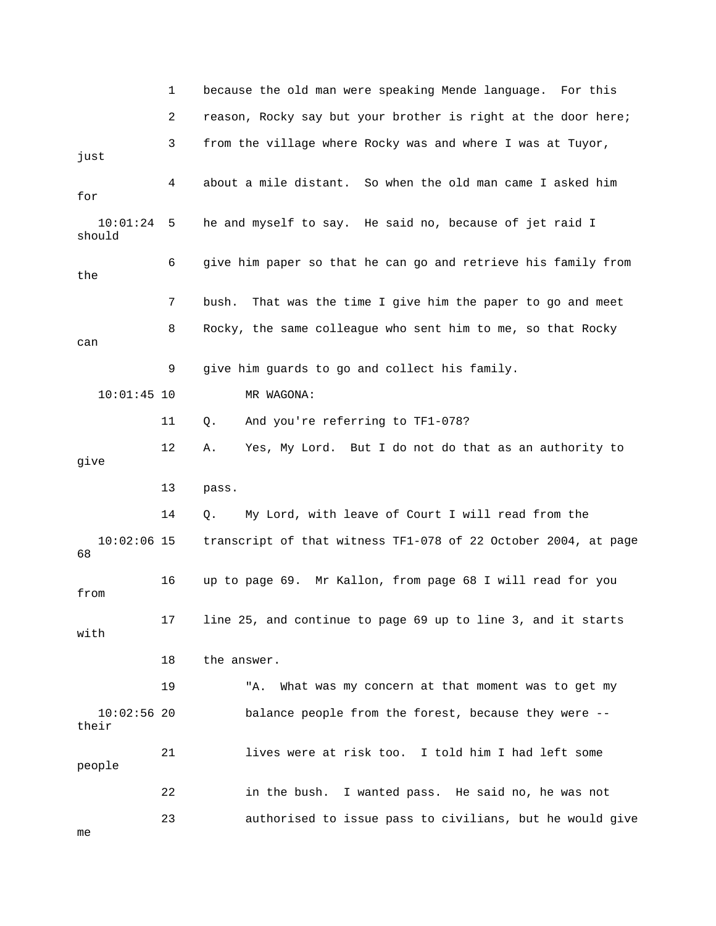1 because the old man were speaking Mende language. For this just 4 about a mile distant. So when the old man came I asked him for he and myself to say. He said no, because of jet raid I should 6 give him paper so that he can go and retrieve his family from the 7 bush. That was the time I give him the paper to go and meet 9 give him guards to go and collect his family. 11 Q. And you're referring to TF1-078? 12 A. Yes, My Lord. But I do not do that as an authority to 13 pass. y Lord, with leave of Court I will read from the  $10:02:06$  15 transcript of that witness TF1-078 of 22 October 2004, at page from with 19 The What was my concern at that moment was to get my their 21 lives were at risk too. I told him I had left some people 22 in the bush. I wanted pass. He said no, he was not 23 authorised to issue pass to civilians, but he would give 2 reason, Rocky say but your brother is right at the door here; 3 from the village where Rocky was and where I was at Tuyor,  $10:01:24$  5 8 Rocky, the same colleague who sent him to me, so that Rocky can 10:01:45 10 MR WAGONA: give 14 Q. M 68 16 up to page 69. Mr Kallon, from page 68 I will read for you 17 line 25, and continue to page 69 up to line 3, and it starts 18 the answer. 10:02:56 20 balance people from the forest, because they were - me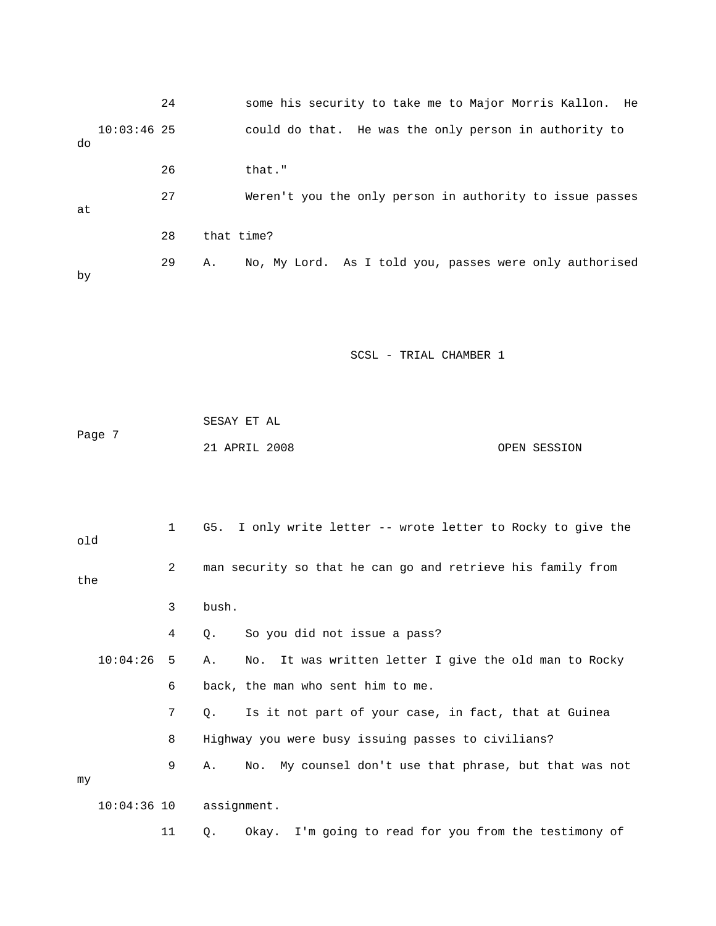|                     | 24 |                                                    | some his security to take me to Major Morris Kallon.<br>He  |
|---------------------|----|----------------------------------------------------|-------------------------------------------------------------|
| $10:03:46$ 25<br>do |    |                                                    | could do that. He was the only person in authority to       |
|                     | 26 | that."                                             |                                                             |
| at                  | 27 |                                                    | Weren't you the only person in authority to issue passes    |
|                     | 28 | that time?                                         |                                                             |
| by                  | 29 | Α.                                                 | No, My Lord. As I told you, passes were only authorised     |
|                     |    |                                                    | SCSL - TRIAL CHAMBER 1                                      |
|                     |    |                                                    |                                                             |
| Page 7              |    | SESAY ET AL<br>21 APRIL 2008                       | OPEN SESSION                                                |
|                     |    |                                                    |                                                             |
| old                 | 1  | G5.                                                | I only write letter -- wrote letter to Rocky to give the    |
| the                 | 2  |                                                    | man security so that he can go and retrieve his family from |
|                     | 3  | bush.                                              |                                                             |
|                     | 4  | So you did not issue a pass?<br>Q.                 |                                                             |
| 10:04:26            | 5  | Α.<br>No.                                          | It was written letter I give the old man to Rocky           |
|                     | 6  | back, the man who sent him to me.                  |                                                             |
|                     | 7  | Q.                                                 | Is it not part of your case, in fact, that at Guinea        |
|                     | 8  | Highway you were busy issuing passes to civilians? |                                                             |
|                     | 9  | Α.<br>No.                                          | My counsel don't use that phrase, but that was not          |

my

10:04:36 10 assignment.

11 Q. Okay. I'm going to read for you from the testimony of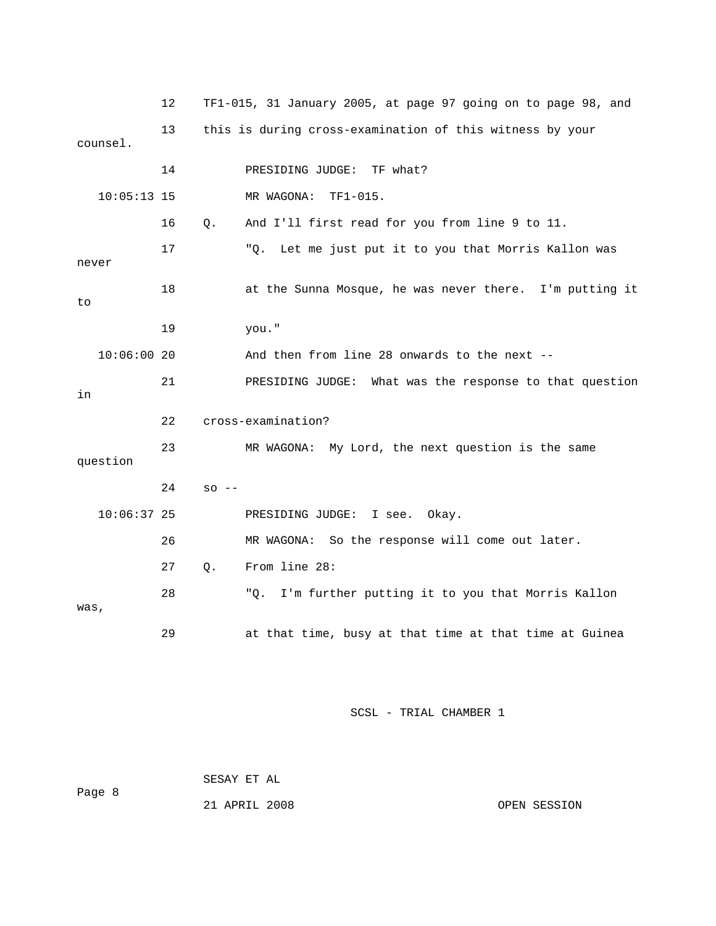|       |               | 12 |          | TF1-015, 31 January 2005, at page 97 going on to page 98, and |
|-------|---------------|----|----------|---------------------------------------------------------------|
|       | counsel.      | 13 |          | this is during cross-examination of this witness by your      |
|       |               | 14 |          | TF what?<br>PRESIDING JUDGE:                                  |
|       | $10:05:13$ 15 |    |          | MR WAGONA:<br>$TF1-015.$                                      |
|       |               | 16 | Q.       | And I'll first read for you from line 9 to 11.                |
| never |               | 17 |          | Let me just put it to you that Morris Kallon was<br>"Q.       |
| to    |               | 18 |          | at the Sunna Mosque, he was never there. I'm putting it       |
|       |               | 19 |          | you."                                                         |
|       | 10:06:0020    |    |          | And then from line 28 onwards to the next --                  |
| in    |               | 21 |          | PRESIDING JUDGE: What was the response to that question       |
|       |               | 22 |          | cross-examination?                                            |
|       | question      | 23 |          | MR WAGONA: My Lord, the next question is the same             |
|       |               | 24 | $SO = -$ |                                                               |
|       | $10:06:37$ 25 |    |          | PRESIDING JUDGE:<br>I see. Okay.                              |
|       |               | 26 |          | MR WAGONA: So the response will come out later.               |
|       |               | 27 | Q.       | From line 28:                                                 |
| was,  |               | 28 |          | I'm further putting it to you that Morris Kallon<br>"Q.       |
|       |               | 29 |          | at that time, busy at that time at that time at Guinea        |

 SESAY ET AL ge 8 21 APRIL 2008 OPEN SESSION Pa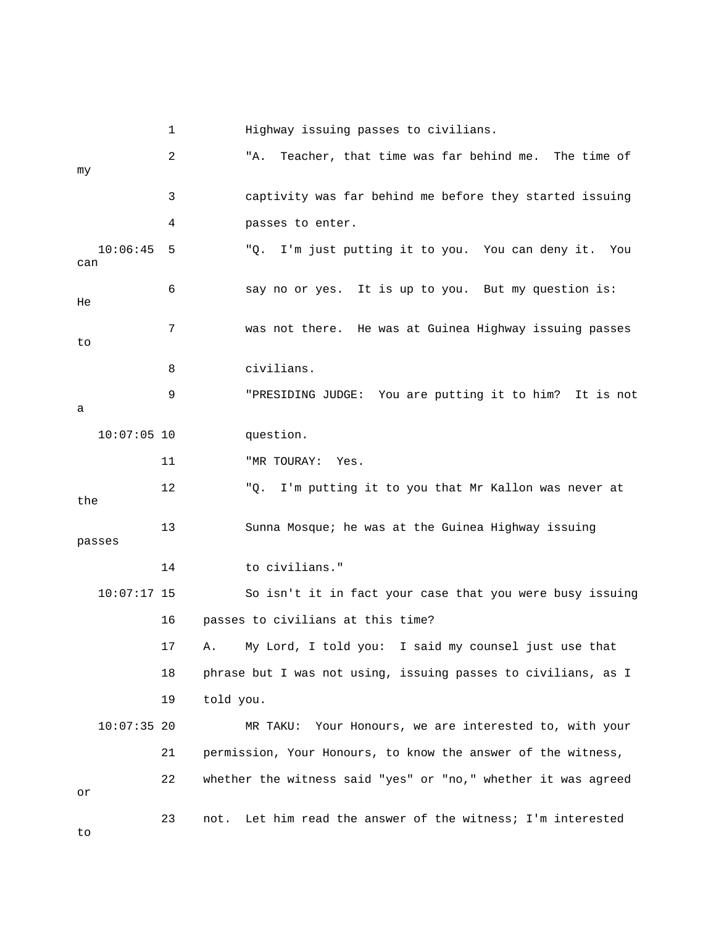|                 | 1  | Highway issuing passes to civilians.                           |
|-----------------|----|----------------------------------------------------------------|
| my              | 2  | Teacher, that time was far behind me. The time of<br>"A.       |
|                 | 3  | captivity was far behind me before they started issuing        |
|                 | 4  | passes to enter.                                               |
| 10:06:45<br>can | 5  | "Q. I'm just putting it to you. You can deny it. You           |
| He              | 6  | say no or yes. It is up to you. But my question is:            |
| to              | 7  | was not there. He was at Guinea Highway issuing passes         |
|                 | 8  | civilians.                                                     |
| а               | 9  | "PRESIDING JUDGE: You are putting it to him? It is not         |
| $10:07:05$ 10   |    | question.                                                      |
|                 | 11 | "MR TOURAY:<br>Yes.                                            |
| the             | 12 | "Q. I'm putting it to you that Mr Kallon was never at          |
| passes          | 13 | Sunna Mosque; he was at the Guinea Highway issuing             |
|                 | 14 | to civilians."                                                 |
| $10:07:17$ 15   |    | So isn't it in fact your case that you were busy issuing       |
|                 | 16 | passes to civilians at this time?                              |
|                 | 17 | A. My Lord, I told you: I said my counsel just use that        |
|                 | 18 | phrase but I was not using, issuing passes to civilians, as I  |
|                 | 19 | told you.                                                      |
| $10:07:35$ 20   |    | Your Honours, we are interested to, with your<br>MR TAKU:      |
|                 | 21 | permission, Your Honours, to know the answer of the witness,   |
| or              | 22 | whether the witness said "yes" or "no," whether it was agreed  |
| to              | 23 | Let him read the answer of the witness; I'm interested<br>not. |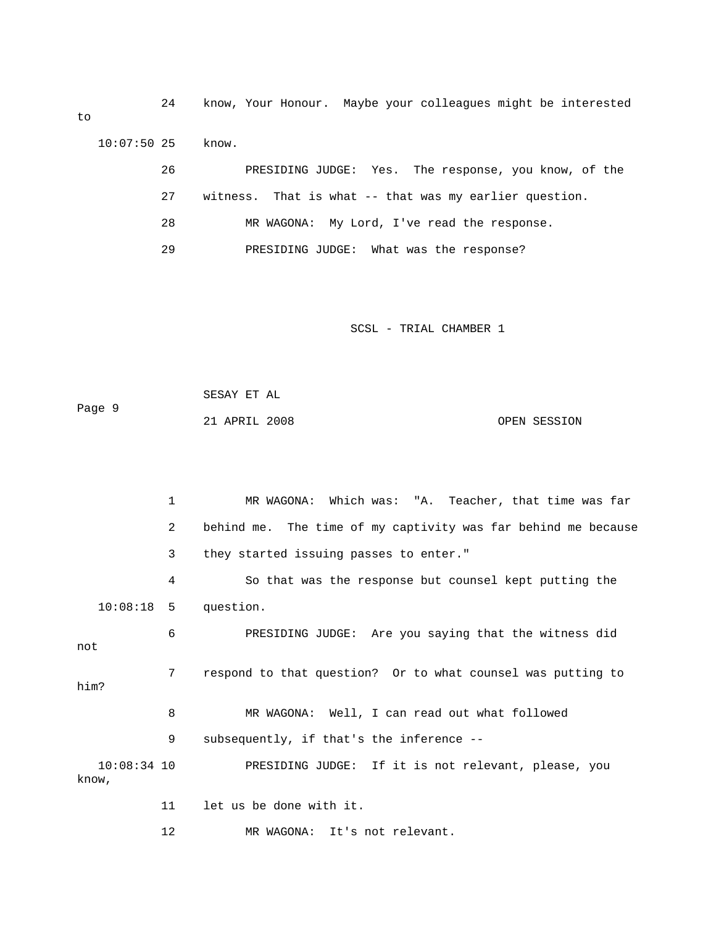24 know, Your Honour. Maybe your colleagues might be interested to 10:07:50 25 know. 26 PRESIDING JUDGE: Yes. The response, you know, of the 27 witness. That is what -- that was my earlier question. 29 PRESIDING JUDGE: What was the response? 28 MR WAGONA: My Lord, I've read the response.

SCSL - TRIAL CHAMBER 1

|        | SESAY ET AL   |  |              |
|--------|---------------|--|--------------|
| Paqe 9 |               |  |              |
|        | 21 APRIL 2008 |  | OPEN SESSION |

|                        | 1              | MR WAGONA: Which was: "A. Teacher, that time was far          |
|------------------------|----------------|---------------------------------------------------------------|
|                        | $\overline{a}$ | behind me. The time of my captivity was far behind me because |
|                        | $\mathbf{3}$   | they started issuing passes to enter."                        |
|                        | 4              | So that was the response but counsel kept putting the         |
|                        |                | $10:08:18$ 5 question.                                        |
| not                    | 6              | PRESIDING JUDGE: Are you saying that the witness did          |
| him?                   | 7              | respond to that question? Or to what counsel was putting to   |
|                        | 8              | MR WAGONA: Well, I can read out what followed                 |
|                        | 9              | subsequently, if that's the inference --                      |
| $10:08:34$ 10<br>know, |                | PRESIDING JUDGE: If it is not relevant, please, you           |
|                        | 11             | let us be done with it.                                       |

12 MR WAGONA: It's not relevant.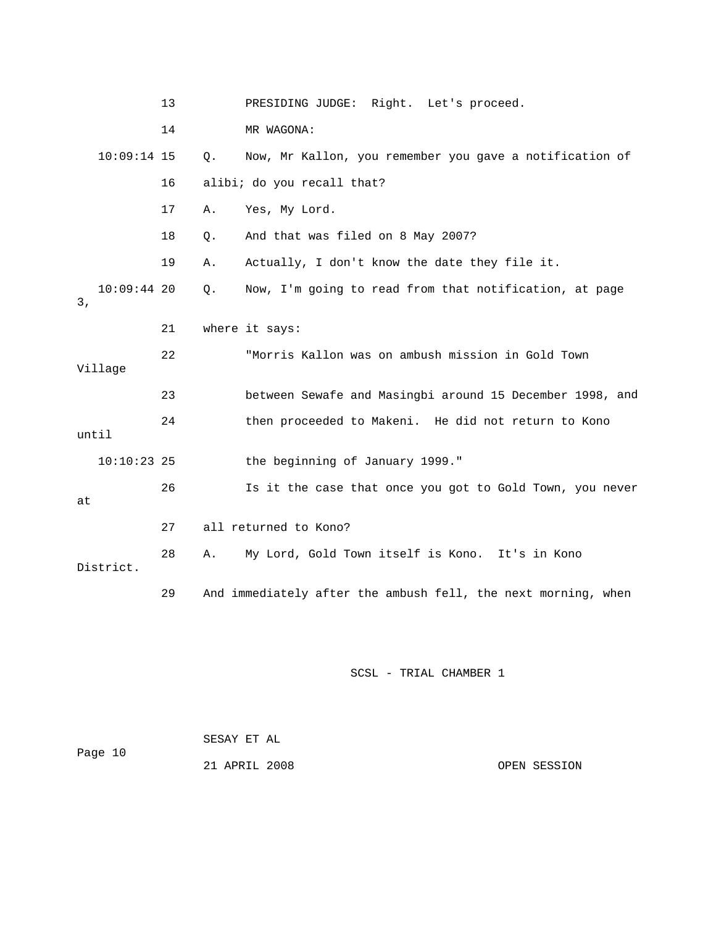|       |               | 13 |    | PRESIDING JUDGE: Right. Let's proceed.                        |
|-------|---------------|----|----|---------------------------------------------------------------|
|       |               | 14 |    | MR WAGONA:                                                    |
|       | $10:09:14$ 15 |    | Q. | Now, Mr Kallon, you remember you gave a notification of       |
|       |               | 16 |    | alibi; do you recall that?                                    |
|       |               | 17 | Α. | Yes, My Lord.                                                 |
|       |               | 18 | Q. | And that was filed on 8 May 2007?                             |
|       |               | 19 | Α. | Actually, I don't know the date they file it.                 |
| 3,    | $10:09:44$ 20 |    | Q. | Now, I'm going to read from that notification, at page        |
|       |               | 21 |    | where it says:                                                |
|       | Village       | 22 |    | "Morris Kallon was on ambush mission in Gold Town             |
|       |               | 23 |    | between Sewafe and Masingbi around 15 December 1998, and      |
| until |               | 24 |    | then proceeded to Makeni. He did not return to Kono           |
|       | $10:10:23$ 25 |    |    | the beginning of January 1999."                               |
| at    |               | 26 |    | Is it the case that once you got to Gold Town, you never      |
|       |               | 27 |    | all returned to Kono?                                         |
|       | District.     | 28 | Α. | My Lord, Gold Town itself is Kono. It's in Kono               |
|       |               | 29 |    | And immediately after the ambush fell, the next morning, when |

| Page 10 | SESAY ET AL   |              |
|---------|---------------|--------------|
|         | 21 APRIL 2008 | OPEN SESSION |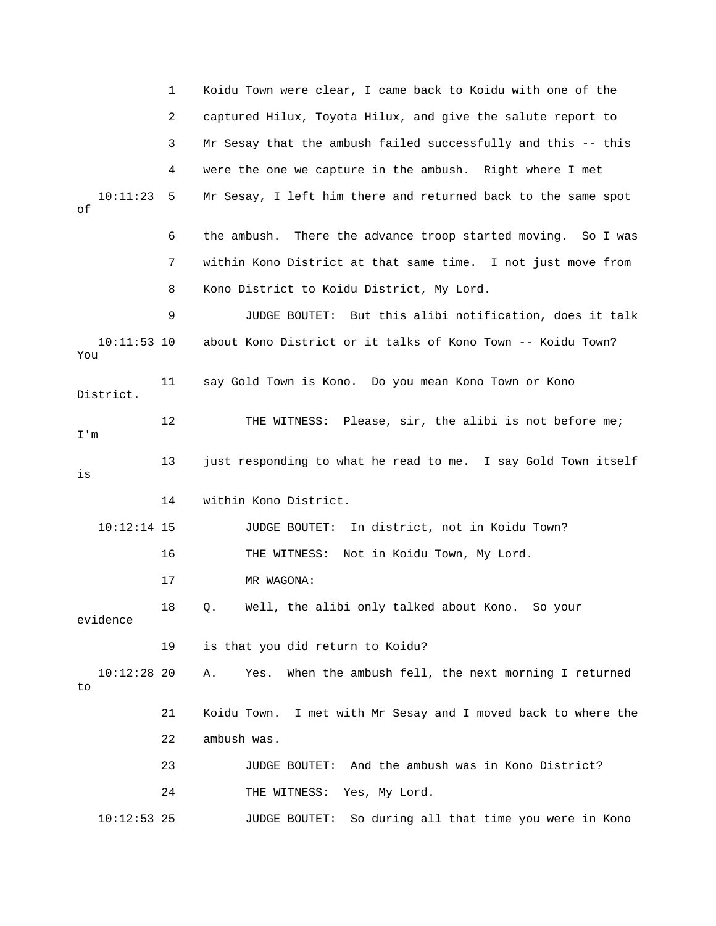|                      | 1  | Koidu Town were clear, I came back to Koidu with one of the     |
|----------------------|----|-----------------------------------------------------------------|
|                      | 2  | captured Hilux, Toyota Hilux, and give the salute report to     |
|                      | 3  | Mr Sesay that the ambush failed successfully and this -- this   |
|                      | 4  | were the one we capture in the ambush. Right where I met        |
| 10:11:23<br>оf       | 5  | Mr Sesay, I left him there and returned back to the same spot   |
|                      | 6  | the ambush. There the advance troop started moving. So I was    |
|                      | 7  | within Kono District at that same time. I not just move from    |
|                      | 8  | Kono District to Koidu District, My Lord.                       |
|                      | 9  | JUDGE BOUTET: But this alibi notification, does it talk         |
| $10:11:53$ 10<br>You |    | about Kono District or it talks of Kono Town -- Koidu Town?     |
| District.            | 11 | say Gold Town is Kono. Do you mean Kono Town or Kono            |
| I'm                  | 12 | THE WITNESS: Please, sir, the alibi is not before me;           |
| is                   | 13 | just responding to what he read to me. I say Gold Town itself   |
|                      | 14 | within Kono District.                                           |
| $10:12:14$ 15        |    | In district, not in Koidu Town?<br>JUDGE BOUTET:                |
|                      | 16 | THE WITNESS: Not in Koidu Town, My Lord.                        |
|                      | 17 | MR WAGONA:                                                      |
| evidence             | 18 | Well, the alibi only talked about Kono. So your<br>Q.           |
|                      | 19 | is that you did return to Koidu?                                |
| $10:12:28$ 20<br>to  |    | When the ambush fell, the next morning I returned<br>Yes.<br>Α. |
|                      | 21 | Koidu Town. I met with Mr Sesay and I moved back to where the   |
|                      | 22 | ambush was.                                                     |
|                      | 23 | And the ambush was in Kono District?<br>JUDGE BOUTET:           |
|                      | 24 | Yes, My Lord.<br>THE WITNESS:                                   |
| $10:12:53$ 25        |    | JUDGE BOUTET:<br>So during all that time you were in Kono       |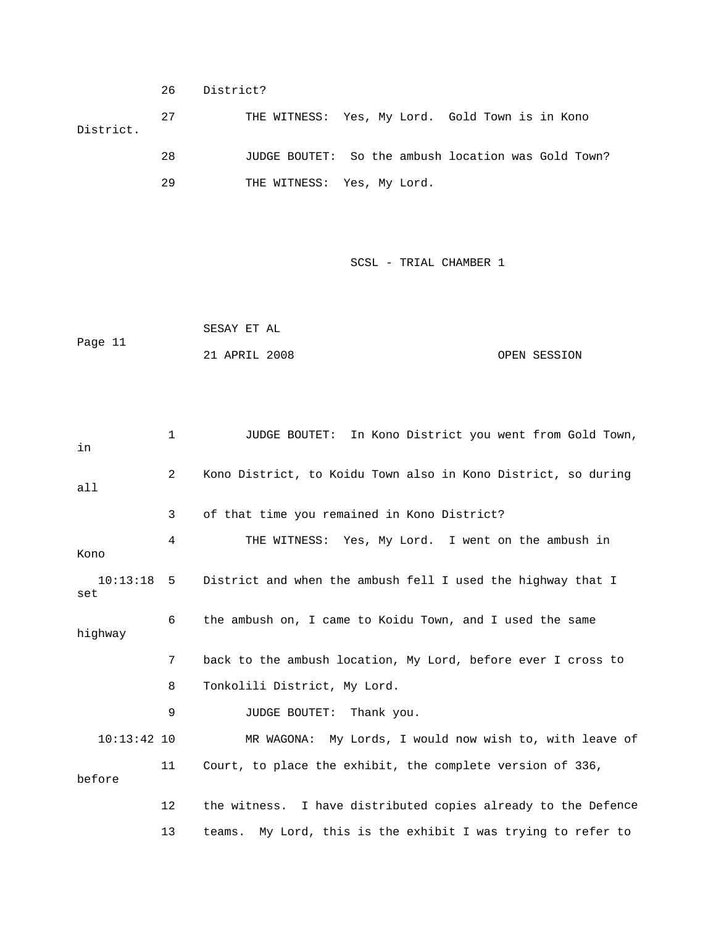26 District?

 27 THE WITNESS: Yes, My Lord. Gold Town is in Kono ? 28 JUDGE BOUTET: So the ambush location was Gold Town District. 29 THE WITNESS: Yes, My Lord.

SCSL - TRIAL CHAMBER 1

 SESAY ET AL Page 11 21 APRIL 2008 OPEN SESSION

 1 JUDGE BOUTET: In Kono District you went from Gold Town, 4 THE WITNESS: Yes, My Lord. I went on the ambush in highway 7 back to the ambush location, My Lord, before ever I cross to 8 Tonkolili District, My Lord. 9 JUDGE BOUTET: Thank you. 10:13:42 10 MR WAGONA: My Lords, I would now wish to, with leave of 11 Court, to place the exhibit, the complete version of 336, 12 the witness. I have distributed copies already to the Defence in 2 Kono District, to Koidu Town also in Kono District, so during all 3 of that time you remained in Kono District? Kono 10:13:18 5 District and when the ambush fell I used the highway that I set 6 the ambush on, I came to Koidu Town, and I used the same before

13 teams. My Lord, this is the exhibit I was trying to refer to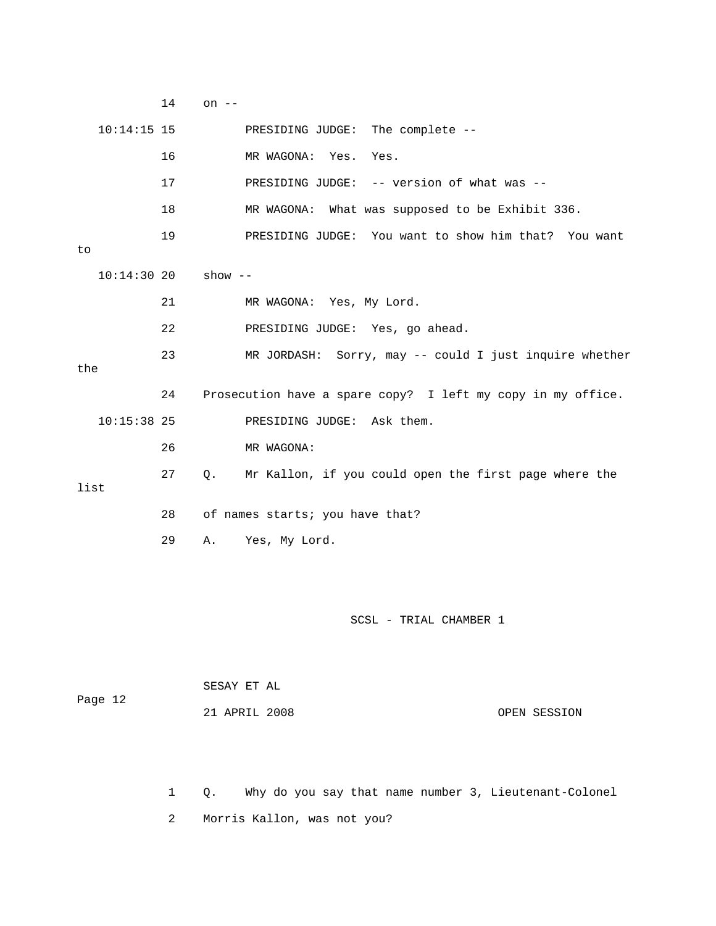|      |               | 14           | on $--$   |                                                             |
|------|---------------|--------------|-----------|-------------------------------------------------------------|
|      | $10:14:15$ 15 |              |           | PRESIDING JUDGE:<br>The complete --                         |
|      |               | 16           |           | MR WAGONA: Yes.<br>Yes.                                     |
|      |               | 17           |           | PRESIDING JUDGE: -- version of what was --                  |
|      |               | 18           |           | MR WAGONA: What was supposed to be Exhibit 336.             |
| to   |               | 19           |           | PRESIDING JUDGE: You want to show him that? You want        |
|      | 10:14:3020    |              | show $--$ |                                                             |
|      |               | 21           |           | MR WAGONA: Yes, My Lord.                                    |
|      |               | 22           |           | PRESIDING JUDGE: Yes, go ahead.                             |
| the  |               | 23           |           | MR JORDASH: Sorry, may -- could I just inquire whether      |
|      |               | 24           |           | Prosecution have a spare copy? I left my copy in my office. |
|      | $10:15:38$ 25 |              |           | PRESIDING JUDGE: Ask them.                                  |
|      |               | 26           |           | MR WAGONA:                                                  |
| list |               | 27           | Q.        | Mr Kallon, if you could open the first page where the       |
|      |               | 28           |           | of names starts; you have that?                             |
|      |               | 29           | Α.        | Yes, My Lord.                                               |
|      |               |              |           |                                                             |
|      |               |              |           | SCSL - TRIAL CHAMBER 1                                      |
|      |               |              |           | SESAY ET AL                                                 |
|      | Page 12       |              |           | 21 APRIL 2008<br>OPEN SESSION                               |
|      |               | $\mathbf{1}$ | Q.        | Why do you say that name number 3, Lieutenant-Colonel       |

2 Morris Kallon, was not you?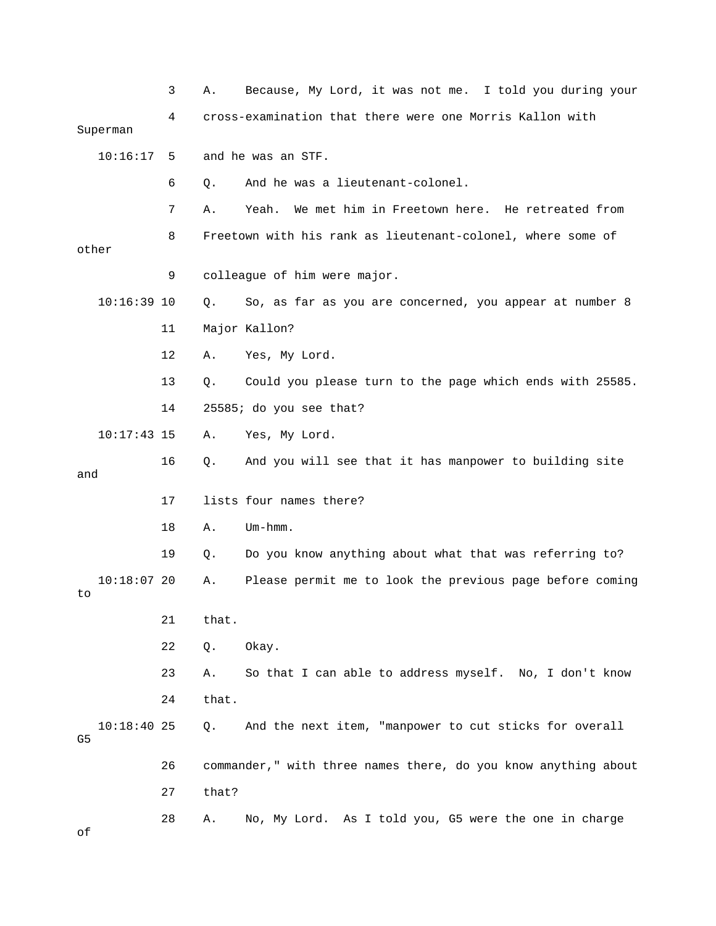|       |               | 3  | Α.    | Because, My Lord, it was not me. I told you during your        |
|-------|---------------|----|-------|----------------------------------------------------------------|
|       | Superman      | 4  |       | cross-examination that there were one Morris Kallon with       |
|       | 10:16:17      | 5  |       | and he was an STF.                                             |
|       |               | 6  | Q.    | And he was a lieutenant-colonel.                               |
|       |               | 7  | Α.    | We met him in Freetown here. He retreated from<br>Yeah.        |
| other |               | 8  |       | Freetown with his rank as lieutenant-colonel, where some of    |
|       |               | 9  |       | colleague of him were major.                                   |
|       | $10:16:39$ 10 |    | Q.    | So, as far as you are concerned, you appear at number 8        |
|       |               | 11 |       | Major Kallon?                                                  |
|       |               | 12 | Α.    | Yes, My Lord.                                                  |
|       |               | 13 | $Q$ . | Could you please turn to the page which ends with 25585.       |
|       |               | 14 |       | 25585; do you see that?                                        |
|       | $10:17:43$ 15 |    | Α.    | Yes, My Lord.                                                  |
| and   |               | 16 | Q.    | And you will see that it has manpower to building site         |
|       |               | 17 |       | lists four names there?                                        |
|       |               | 18 | Α.    | $Um - hmm.$                                                    |
|       |               | 19 | Q.    | Do you know anything about what that was referring to?         |
| to    | $10:18:07$ 20 |    | Α.    | Please permit me to look the previous page before coming       |
|       |               | 21 | that. |                                                                |
|       |               | 22 | Q.    | Okay.                                                          |
|       |               | 23 | Α.    | So that I can able to address myself. No, I don't know         |
|       |               | 24 | that. |                                                                |
| G5    | $10:18:40$ 25 |    | Q.    | And the next item, "manpower to cut sticks for overall         |
|       |               | 26 |       | commander," with three names there, do you know anything about |
|       |               | 27 | that? |                                                                |
| оf    |               | 28 | Α.    | No, My Lord. As I told you, G5 were the one in charge          |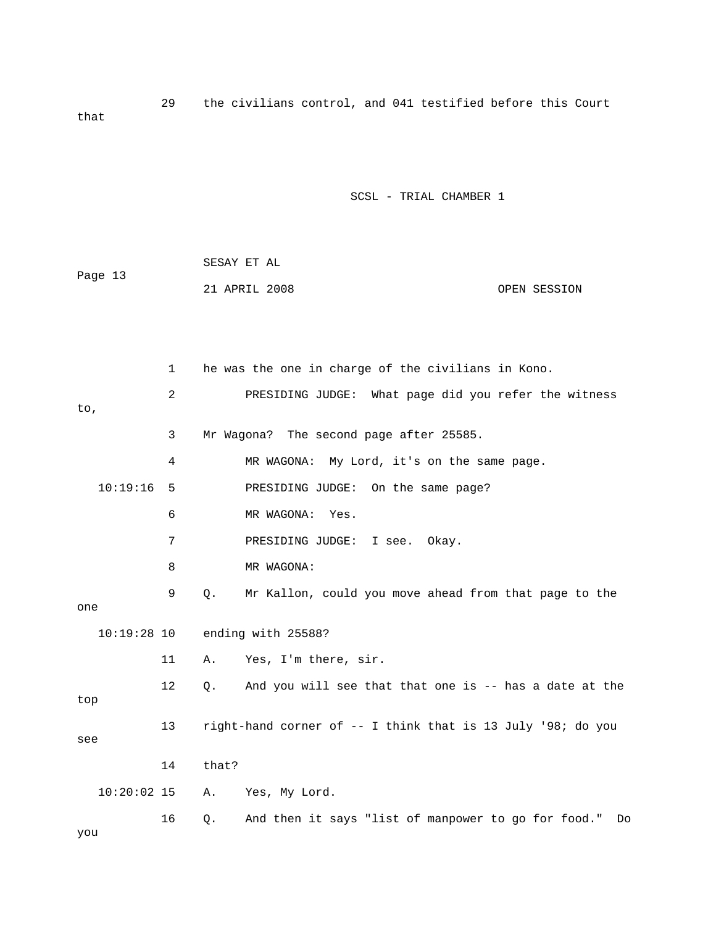29 the civilians control, and 041 testified before this Court that

SCSL - TRIAL CHAMBER 1

|         | SESAY ET AL   |              |
|---------|---------------|--------------|
| Page 13 |               |              |
|         | 21 APRIL 2008 | OPEN SESSION |

 1 he was the one in charge of the civilians in Kono. 2 PRESIDING JUDGE: What page did you refer the witness 4 MR WAGONA: My Lord, it's on the same page. 10:19:16 5 PRESIDING JUDGE: On the same page? 6 MR WAGONA: Yes. 8 MR WAGONA: 9 Q. Mr Kallon, could you move ahead from that page to the 11 A. Yes, I'm there, sir. 12 Q. And you will see that that one is -- has a date at the Yes, My Lord. And then it says "list of manpower to go for food." Do to, 3 Mr Wagona? The second page after 25585. 7 PRESIDING JUDGE: I see. Okay. one 10:19:28 10 ending with 25588? top 13 right-hand corner of -- I think that is 13 July '98; do you see 14 that? 10:20:02 15 A. 16 Q. you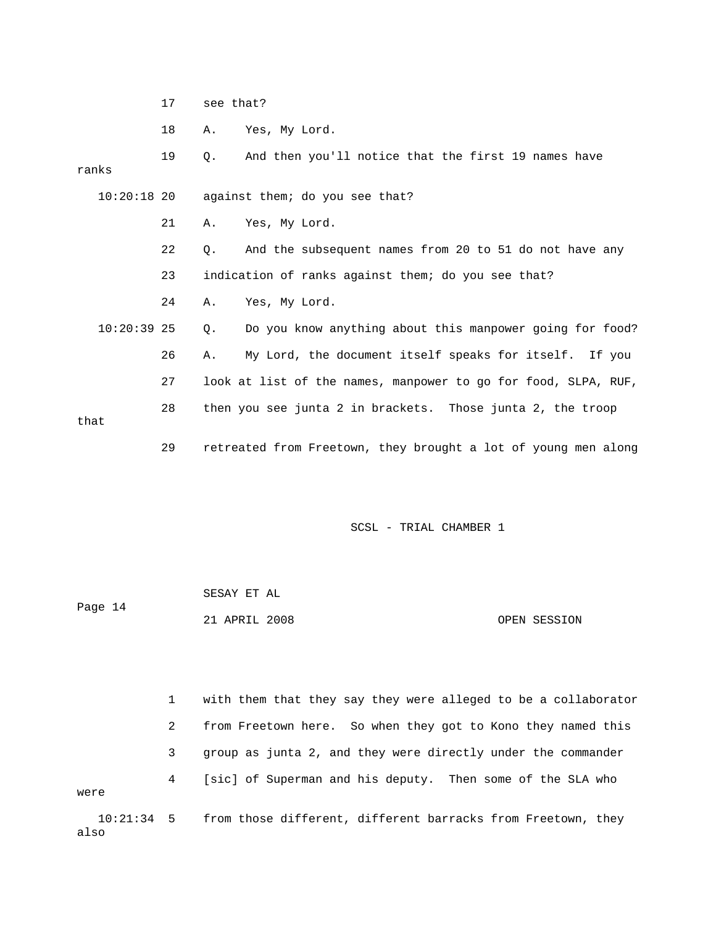17 see that?

also

18 A. Yes, My Lord.

 19 Q. And then you'll notice that the first 19 names have 22 Q. And the subsequent names from 20 to 51 do not have any 23 indication of ranks against them; do you see that? 10:20:39 25 Q. Do you know anything about this manpower going for food? 26 A. My Lord, the document itself speaks for itself. If you 28 then you see junta 2 in brackets. Those junta 2, the troop 29 retreated from Freetown, they brought a lot of young men along ranks 10:20:18 20 against them; do you see that? 21 A. Yes, My Lord. 24 A. Yes, My Lord. 27 look at list of the names, manpower to go for food, SLPA, RUF, that

SCSL - TRIAL CHAMBER 1

|         | SESAY ET AL   |  |              |
|---------|---------------|--|--------------|
| Page 14 |               |  |              |
|         | 21 APRIL 2008 |  | OPEN SESSION |

 1 with them that they say they were alleged to be a collaborator 2 from Freetown here. So when they got to Kono they named this 3 group as junta 2, and they were directly under the commander 4 [sic] of Superman and his deputy. Then some of the SLA who were 10:21:34 5 from those different, different barracks from Freetown, they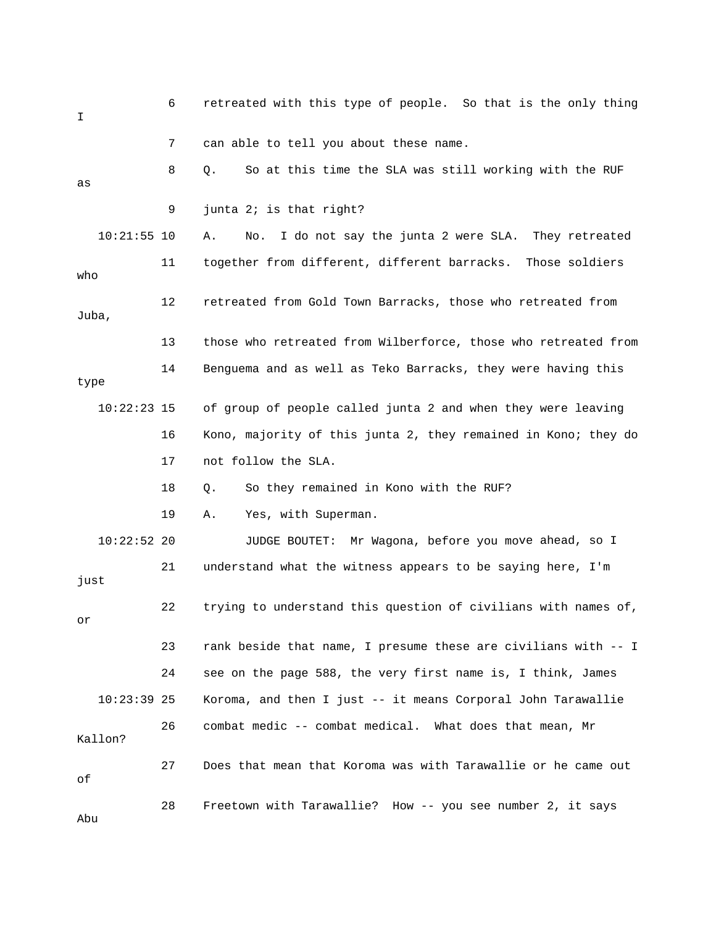6 retreated with this type of people. So that is the only thing I 8 Q. So at this time the SLA was still working with the RUF 10:21:55 10 A. No. I do not say the junta 2 were SLA. They retreated 13 those who retreated from Wilberforce, those who retreated from 14 Benguema and as well as Teko Barracks, they were having this 16 Kono, majority of this junta 2, they remained in Kono; they do 18 0. So they remained in Kono with the RUF? 19 A. Yes, with Superman. 10:22:52 20 JUDGE BOUTET: Mr Wagona, before you move ahead, so I 21 understand what the witness appears to be saying here, I'm 22 trying to understand this question of civilians with names of, 24 see on the page 588, the very first name is, I think, James 26 combat medic -- combat medical. What does that mean, Mr 27 Does that mean that Koroma was with Tarawallie or he came out 7 can able to tell you about these name. as 9 junta 2; is that right? 11 together from different, different barracks. Those soldiers who 12 retreated from Gold Town Barracks, those who retreated from Juba, type 10:22:23 15 of group of people called junta 2 and when they were leaving 17 not follow the SLA. just or 23 rank beside that name, I presume these are civilians with -- I 10:23:39 25 Koroma, and then I just -- it means Corporal John Tarawallie Kallon? of 28 Freetown with Tarawallie? How -- you see number 2, it says Abu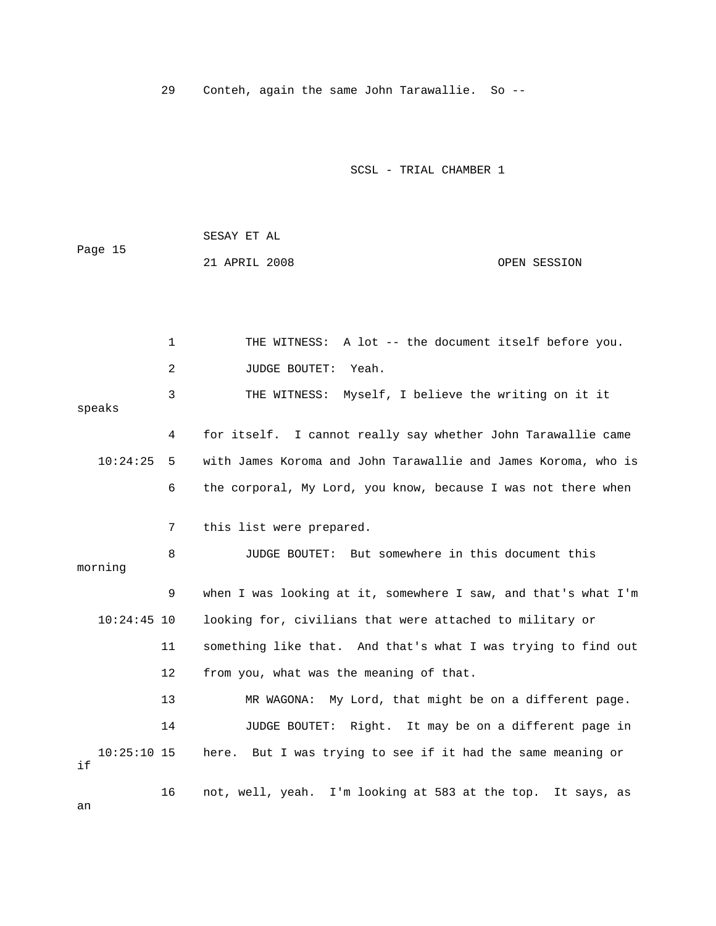29 Conteh, again the same John Tarawallie. So --

SCSL - TRIAL CHAMBER 1

 SESAY ET AL Page 15 21 APRIL 2008 OPEN SESSION

 1 THE WITNESS: A lot -- the document itself before you. 2 JUDGE BOUTET: Yeah. 3 THE WITNESS: Myself, I believe the writing on it it e 4 for itself. I cannot really say whether John Tarawallie cam with James Koroma and John Tarawallie and James Koroma, who is 6 the corporal, My Lord, you know, because I was not there when 8 JUDGE BOUTET: But somewhere in this document this 9 when I was looking at it, somewhere I saw, and that's what I'm looking for, civilians that were attached to military or 11 something like that. And that's what I was trying to find out 12 from you, what was the meaning of that. 14 JUDGE BOUTET: Right. It may be on a different page in 10:25:10 15 here. But I was trying to see if it had the same meaning or speaks  $10:24:25$  5 7 this list were prepared. morning 10:24 13 MR WAGONA: My Lord, that might be on a different page. if 16 not, well, yeah. I'm looking at 583 at the top. It says, as

an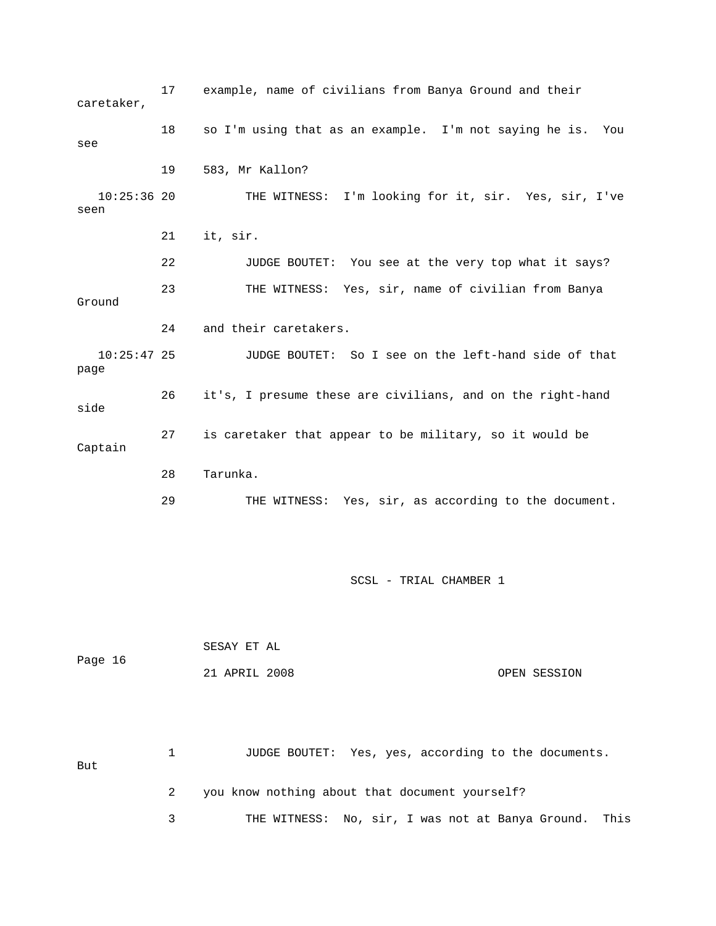17 example, name of civilians from Banya Ground and their caretaker, 18 so I'm using that as an example. I'm not saying he is. You 10:25:36 20 THE WITNESS: I'm looking for it, sir. Yes, sir, I've 22 JUDGE BOUTET: You see at the very top what it says? 23 THE WITNESS: Yes, sir, name of civilian from Banya 10:25:47 25 JUDGE BOUTET: So I see on the left-hand side of that Captain 29 THE WITNESS: Yes, sir, as according to the document. see 19 583, Mr Kallon? seen 21 it, sir. Ground 24 and their caretakers. page 26 it's, I presume these are civilians, and on the right-hand side 27 is caretaker that appear to be military, so it would be 28 Tarunka.

SCSL - TRIAL CHAMBER 1

| Page 16 | SESAY ET AL   |              |
|---------|---------------|--------------|
|         | 21 APRIL 2008 | OPEN SESSION |

 1 JUDGE BOUTET: Yes, yes, according to the documents. But 2 you know nothing about that document yourself?

3 THE WITNESS: No, sir, I was not at Banya Ground. This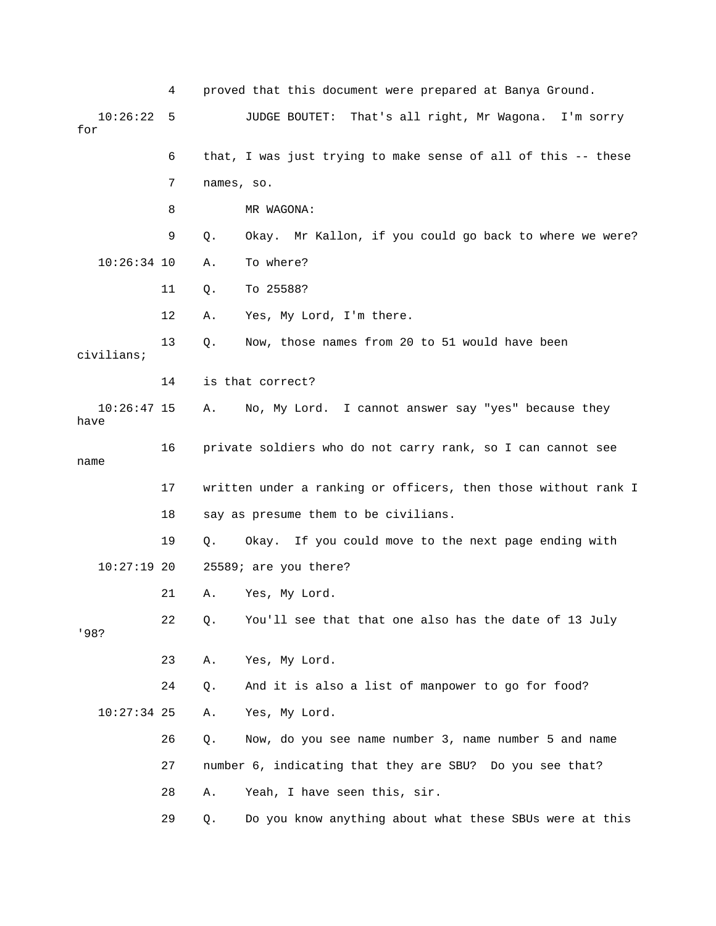|                       | 4  |            | proved that this document were prepared at Banya Ground.       |
|-----------------------|----|------------|----------------------------------------------------------------|
| 10:26:22<br>for       | 5  |            | JUDGE BOUTET:<br>That's all right, Mr Wagona.<br>I'm sorry     |
|                       | 6  |            | that, I was just trying to make sense of all of this -- these  |
|                       | 7  | names, so. |                                                                |
|                       | 8  |            | MR WAGONA:                                                     |
|                       | 9  | Q.         | Okay. Mr Kallon, if you could go back to where we were?        |
| $10:26:34$ 10         |    | Α.         | To where?                                                      |
|                       | 11 | Q.         | To 25588?                                                      |
|                       | 12 | Α.         | Yes, My Lord, I'm there.                                       |
| civilians;            | 13 | Q.         | Now, those names from 20 to 51 would have been                 |
|                       | 14 |            | is that correct?                                               |
| $10:26:47$ 15<br>have |    | Α.         | No, My Lord. I cannot answer say "yes" because they            |
| name                  | 16 |            | private soldiers who do not carry rank, so I can cannot see    |
|                       | 17 |            | written under a ranking or officers, then those without rank I |
|                       | 18 |            | say as presume them to be civilians.                           |
|                       | 19 | Q.         | Okay. If you could move to the next page ending with           |
| $10:27:19$ 20         |    |            | 25589; are you there?                                          |
|                       | 21 | Α.         | Yes, My Lord.                                                  |
| '98?                  | 22 | Q.         | You'll see that that one also has the date of 13 July          |
|                       | 23 | Α.         | Yes, My Lord.                                                  |
|                       | 24 | Q.         | And it is also a list of manpower to go for food?              |
| $10:27:34$ 25         |    | Α.         | Yes, My Lord.                                                  |
|                       | 26 | $Q$ .      | Now, do you see name number 3, name number 5 and name          |
|                       | 27 |            | number 6, indicating that they are SBU? Do you see that?       |
|                       | 28 | Α.         | Yeah, I have seen this, sir.                                   |
|                       | 29 | Q.         | Do you know anything about what these SBUs were at this        |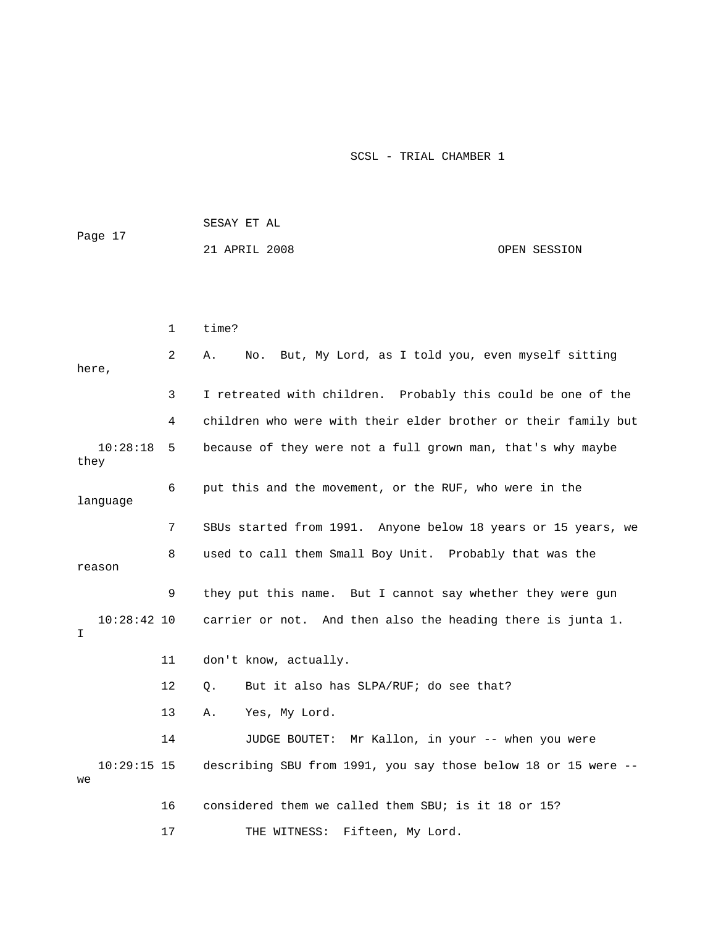| Page 17             |              | SESAY ET AL                                                    |              |  |  |
|---------------------|--------------|----------------------------------------------------------------|--------------|--|--|
|                     |              | 21 APRIL 2008                                                  | OPEN SESSION |  |  |
|                     |              |                                                                |              |  |  |
|                     |              |                                                                |              |  |  |
|                     | $\mathbf{1}$ | time?                                                          |              |  |  |
| here,               | 2            | No. But, My Lord, as I told you, even myself sitting<br>Α.     |              |  |  |
|                     | 3            | I retreated with children. Probably this could be one of the   |              |  |  |
|                     | 4            | children who were with their elder brother or their family but |              |  |  |
| 10:28:18<br>they    | 5            | because of they were not a full grown man, that's why maybe    |              |  |  |
| language            | 6            | put this and the movement, or the RUF, who were in the         |              |  |  |
|                     | 7            | SBUs started from 1991. Anyone below 18 years or 15 years, we  |              |  |  |
| reason              | 8            | used to call them Small Boy Unit. Probably that was the        |              |  |  |
|                     | 9            | they put this name. But I cannot say whether they were gun     |              |  |  |
| $10:28:42$ 10<br>I  |              | carrier or not. And then also the heading there is junta 1.    |              |  |  |
|                     | 11           | don't know, actually.                                          |              |  |  |
|                     | 12           | But it also has SLPA/RUF; do see that?<br>0.                   |              |  |  |
|                     | 13           | Yes, My Lord.<br>Α.                                            |              |  |  |
|                     | 14           | Mr Kallon, in your -- when you were<br>JUDGE BOUTET:           |              |  |  |
| $10:29:15$ 15<br>we |              | describing SBU from 1991, you say those below 18 or 15 were -- |              |  |  |

17 THE WITNESS: Fifteen, My Lord. 16 considered them we called them SBU; is it 18 or 15?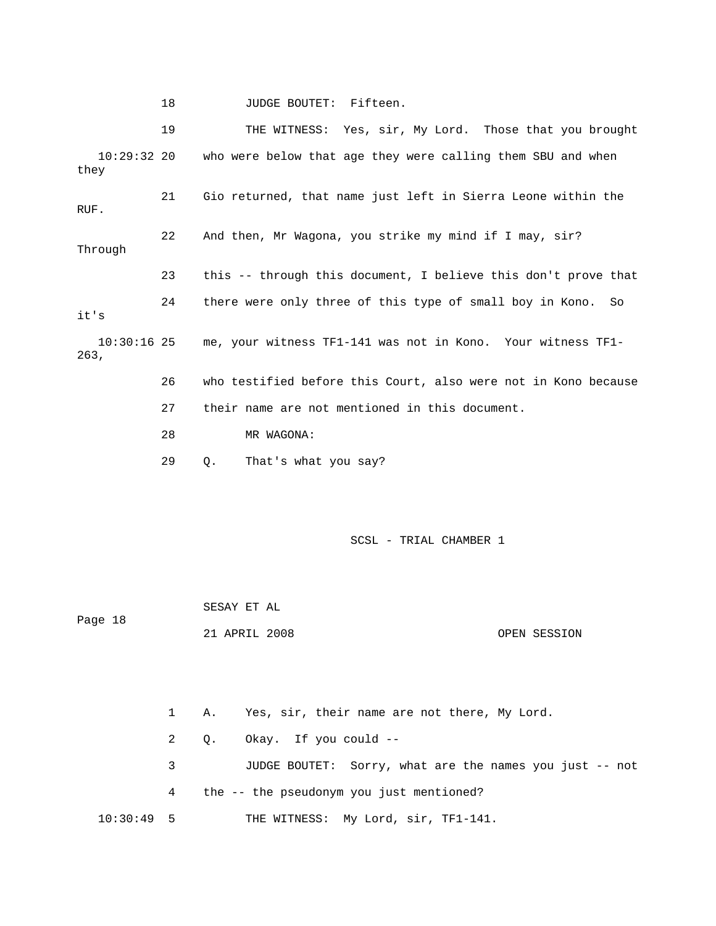18 JUDGE BOUTET: Fifteen.

 19 THE WITNESS: Yes, sir, My Lord. Those that you brought 10:29:32 20 who were below that age they were calling them SBU and when Through 23 this -- through this document, I believe this don't prove that e 26 who testified before this Court, also were not in Kono becaus 27 their name are not mentioned in this document. 28 MR WAGONA: they 21 Gio returned, that name just left in Sierra Leone within the RUF. 22 And then, Mr Wagona, you strike my mind if I may, sir? 24 there were only three of this type of small boy in Kono. So it's 10:30:16 25 me, your witness TF1-141 was not in Kono. Your witness TF1- 263,

29 Q. That's what you say?

SCSL - TRIAL CHAMBER 1

 SESAY ET AL Page 18 21 APRIL 2008 OPEN SESSION

 1 A. Yes, sir, their name are not there, My Lord. 2 Q. Okay. If you could -- 3 JUDGE BOUTET: Sorry, what are the names you just -- not 4 the -- the pseudonym you just mentioned? 10:30:49 5 THE WITNESS: My Lord, sir, TF1-141.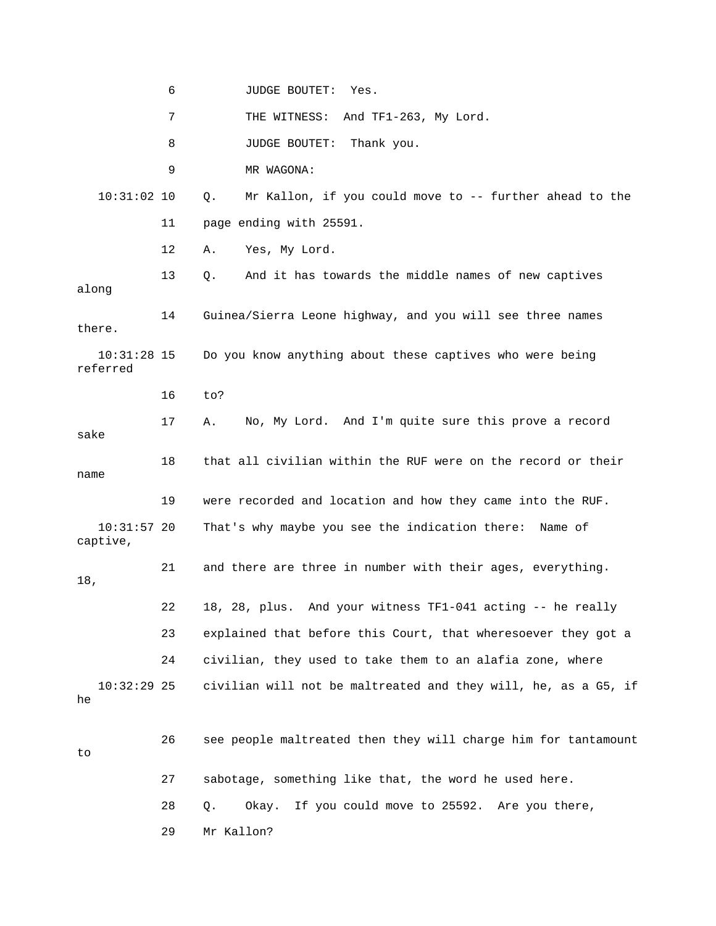6 JUDGE BOUTET: Yes. 7 THE WITNESS: And TF1-263, My Lord. 9 MR WAGONA: 10:31:02 10 Q. Mr Kallon, if you could move to -- further ahead to the 12 A. Yes, My Lord. 13 Q. And it has towards the middle names of new captives No, My Lord. And I'm quite sure this prove a record 10:31:57 20 That's why maybe you see the indication there: Name of . 21 and there are three in number with their ages, everything 23 explained that before this Court, that wheresoever they got a 10:32:29 25 civilian will not be maltreated and they will, he, as a G5, if 28 Q. Okay. If you could move to 25592. Are you there, 29 Mr Kallon? 8 JUDGE BOUTET: Thank you. 11 page ending with 25591. along 14 Guinea/Sierra Leone highway, and you will see three names there. 10:31:28 15 Do you know anything about these captives who were being referred 16 to? 17 A. sake 18 that all civilian within the RUF were on the record or their name 19 were recorded and location and how they came into the RUF. captive, 18, 22 18, 28, plus. And your witness TF1-041 acting -- he really 24 civilian, they used to take them to an alafia zone, where he 26 see people maltreated then they will charge him for tantamount to 27 sabotage, something like that, the word he used here.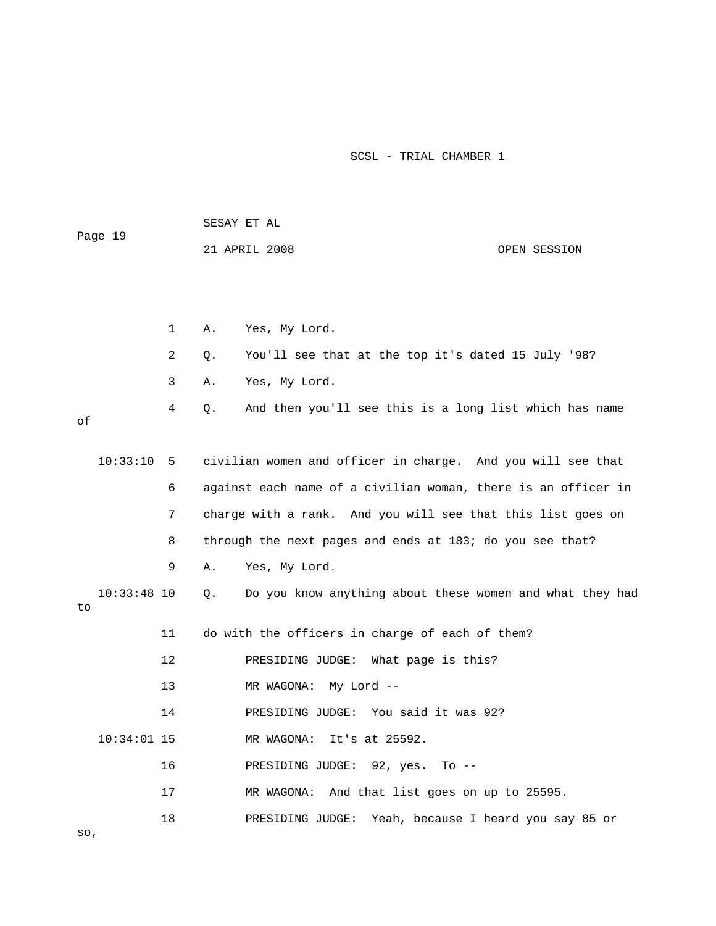|    | Page 19       |    | SESAY ET AL |                                                               |              |  |  |
|----|---------------|----|-------------|---------------------------------------------------------------|--------------|--|--|
|    |               |    |             | 21 APRIL 2008                                                 | OPEN SESSION |  |  |
|    |               |    |             |                                                               |              |  |  |
|    |               |    |             |                                                               |              |  |  |
|    |               | 1  | Α.          | Yes, My Lord.                                                 |              |  |  |
|    |               | 2  | Q.          | You'll see that at the top it's dated 15 July '98?            |              |  |  |
|    |               | 3  | Α.          | Yes, My Lord.                                                 |              |  |  |
| оf |               | 4  | Q.          | And then you'll see this is a long list which has name        |              |  |  |
|    |               |    |             |                                                               |              |  |  |
|    | 10:33:10      | 5  |             | civilian women and officer in charge. And you will see that   |              |  |  |
|    |               | 6  |             | against each name of a civilian woman, there is an officer in |              |  |  |
|    |               | 7  |             | charge with a rank. And you will see that this list goes on   |              |  |  |
|    |               | 8  |             | through the next pages and ends at 183; do you see that?      |              |  |  |
|    |               | 9  | Α.          | Yes, My Lord.                                                 |              |  |  |
| to | $10:33:48$ 10 |    | Q.          | Do you know anything about these women and what they had      |              |  |  |
|    |               | 11 |             | do with the officers in charge of each of them?               |              |  |  |
|    |               | 12 |             | PRESIDING JUDGE:<br>What page is this?                        |              |  |  |
|    |               | 13 |             | My Lord --<br>MR WAGONA:                                      |              |  |  |
|    |               | 14 |             | PRESIDING JUDGE: You said it was 92?                          |              |  |  |
|    | $10:34:01$ 15 |    |             | MR WAGONA:<br>It's at 25592.                                  |              |  |  |
|    |               | 16 |             | PRESIDING JUDGE: 92, yes. To --                               |              |  |  |
|    |               | 17 |             | MR WAGONA: And that list goes on up to 25595.                 |              |  |  |
|    |               | 18 |             | PRESIDING JUDGE: Yeah, because I heard you say 85 or          |              |  |  |

so,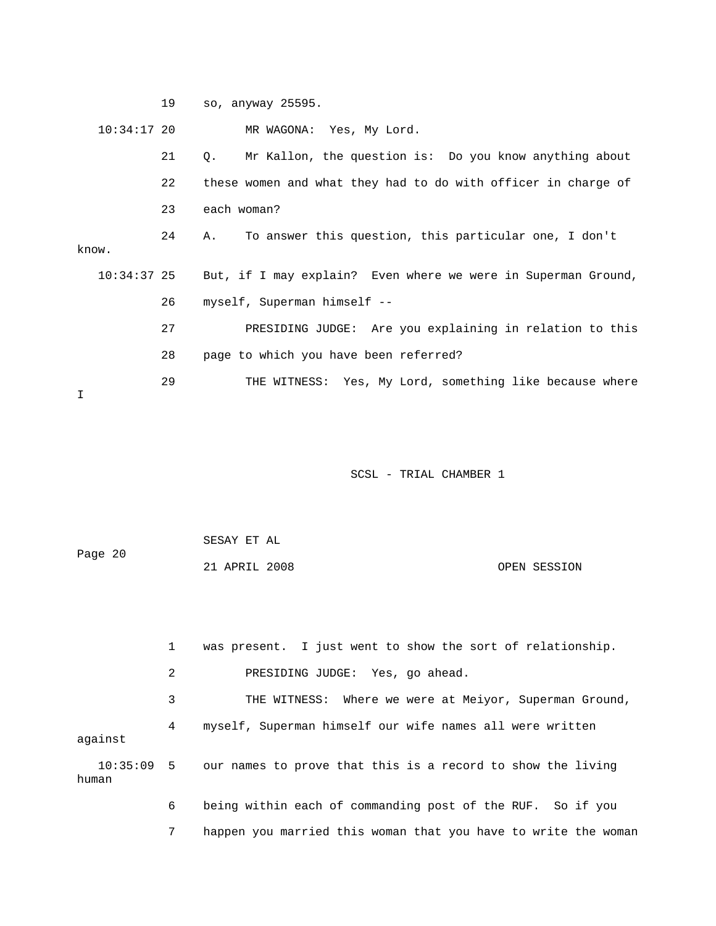19 so, anyway 25595. 10:34:17 20 MR WAGONA: Yes, My Lord. 21 Q. Mr Kallon, the question is: Do you know anything about 23 each woman? 24 A. To answer this question, this particular one, I don't , 10:34:37 25 But, if I may explain? Even where we were in Superman Ground 27 PRESIDING JUDGE: Are you explaining in relation to this 28 page to which you have been referred? thing like because where 29 THE WITNESS: Yes, My Lord, some 22 these women and what they had to do with officer in charge of know. 26 myself, Superman himself -- I

SCSL - TRIAL CHAMBER 1

| Page 20 | SESAY ET AL   |  |              |
|---------|---------------|--|--------------|
|         | 21 APRIL 2008 |  | OPEN SESSION |

 1 was present. I just went to show the sort of relationship. 2 PRESIDING JUDGE: Yes, go ahead. 3 THE WITNESS: Where we were at Meiyor, Superman Ground, 4 myself, Superman himself our wife names all were written 10:35:09 5 our names to prove that this is a record to show the living 7 happen you married this woman that you have to write the woman against human 6 being within each of commanding post of the RUF. So if you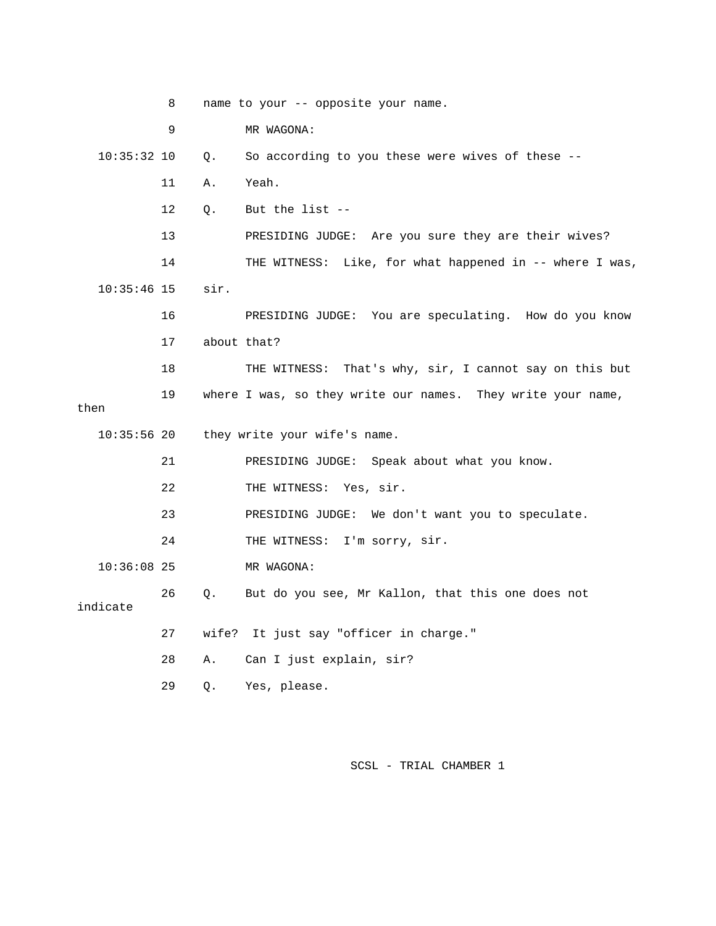|               | 8  | name to your -- opposite your name.                              |
|---------------|----|------------------------------------------------------------------|
|               | 9  | MR WAGONA:                                                       |
| $10:35:32$ 10 |    | So according to you these were wives of these --<br>Q.           |
|               | 11 | Yeah.<br>Α.                                                      |
|               | 12 | But the list --<br>$Q_{\star}$                                   |
|               | 13 | PRESIDING JUDGE: Are you sure they are their wives?              |
|               | 14 | THE WITNESS: Like, for what happened in -- where I was,          |
| $10:35:46$ 15 |    | sir.                                                             |
|               | 16 | PRESIDING JUDGE: You are speculating. How do you know            |
|               | 17 | about that?                                                      |
|               | 18 | THE WITNESS: That's why, sir, I cannot say on this but           |
| then          | 19 | where I was, so they write our names. They write your name,      |
| $10:35:56$ 20 |    | they write your wife's name.                                     |
|               |    |                                                                  |
|               | 21 | PRESIDING JUDGE: Speak about what you know.                      |
|               | 22 | THE WITNESS: Yes, sir.                                           |
|               | 23 | PRESIDING JUDGE: We don't want you to speculate.                 |
|               | 24 | THE WITNESS: I'm sorry, sir.                                     |
| $10:36:08$ 25 |    | MR WAGONA:                                                       |
| indicate      | 26 | $Q_{\star}$<br>But do you see, Mr Kallon, that this one does not |
|               | 27 | wife? It just say "officer in charge."                           |
|               | 28 | Α.<br>Can I just explain, sir?                                   |
|               | 29 | Yes, please.<br>Q.                                               |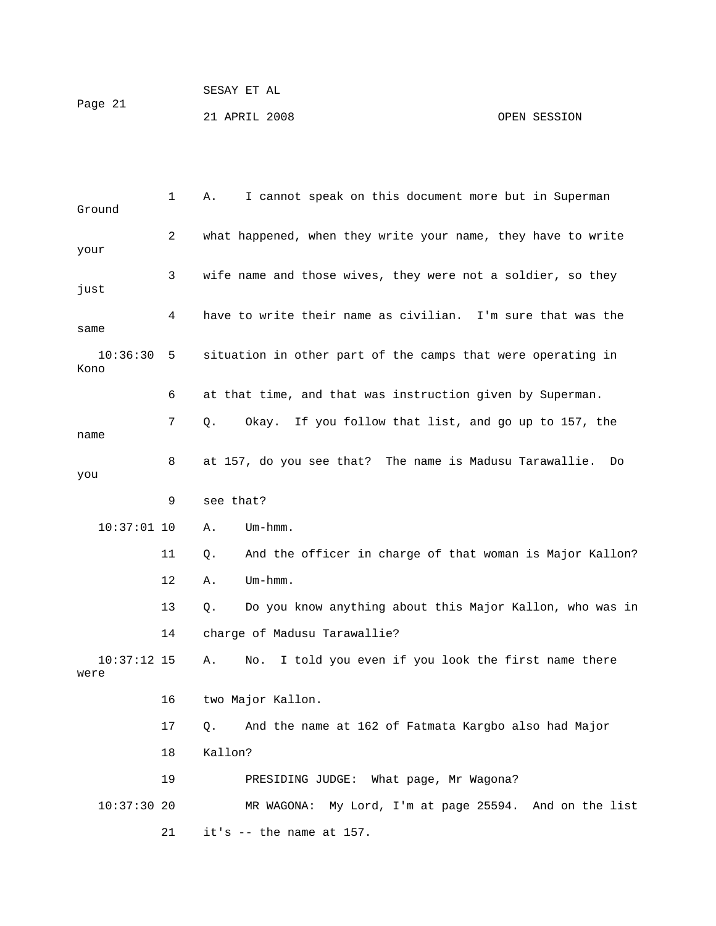21 APRIL 2008 OPEN SESSION

| Ground                | 1  | I cannot speak on this document more but in Superman<br>Α.     |
|-----------------------|----|----------------------------------------------------------------|
| your                  | 2  | what happened, when they write your name, they have to write   |
| just                  | 3  | wife name and those wives, they were not a soldier, so they    |
| same                  | 4  | have to write their name as civilian. I'm sure that was the    |
| 10:36:30<br>Kono      | 5  | situation in other part of the camps that were operating in    |
|                       | 6  | at that time, and that was instruction given by Superman.      |
| name                  | 7  | Okay. If you follow that list, and go up to 157, the<br>Q.     |
| you                   | 8  | at 157, do you see that? The name is Madusu Tarawallie.<br>Do  |
|                       | 9  | see that?                                                      |
| $10:37:01$ 10         |    | $Um - hmm.$<br>Α.                                              |
|                       | 11 | And the officer in charge of that woman is Major Kallon?<br>Q. |
|                       | 12 | Um-hmm.<br>Α.                                                  |
|                       | 13 | Do you know anything about this Major Kallon, who was in<br>Q. |
|                       | 14 | charge of Madusu Tarawallie?                                   |
| $10:37:12$ 15<br>were |    | I told you even if you look the first name there<br>Α.<br>No.  |
|                       | 16 | two Major Kallon.                                              |
|                       | 17 | And the name at 162 of Fatmata Kargbo also had Major<br>Q.     |
|                       | 18 | Kallon?                                                        |
|                       | 19 | PRESIDING JUDGE: What page, Mr Wagona?                         |
| $10:37:30$ 20         |    | MR WAGONA:<br>My Lord, I'm at page 25594. And on the list      |
|                       | 21 | it's $--$ the name at 157.                                     |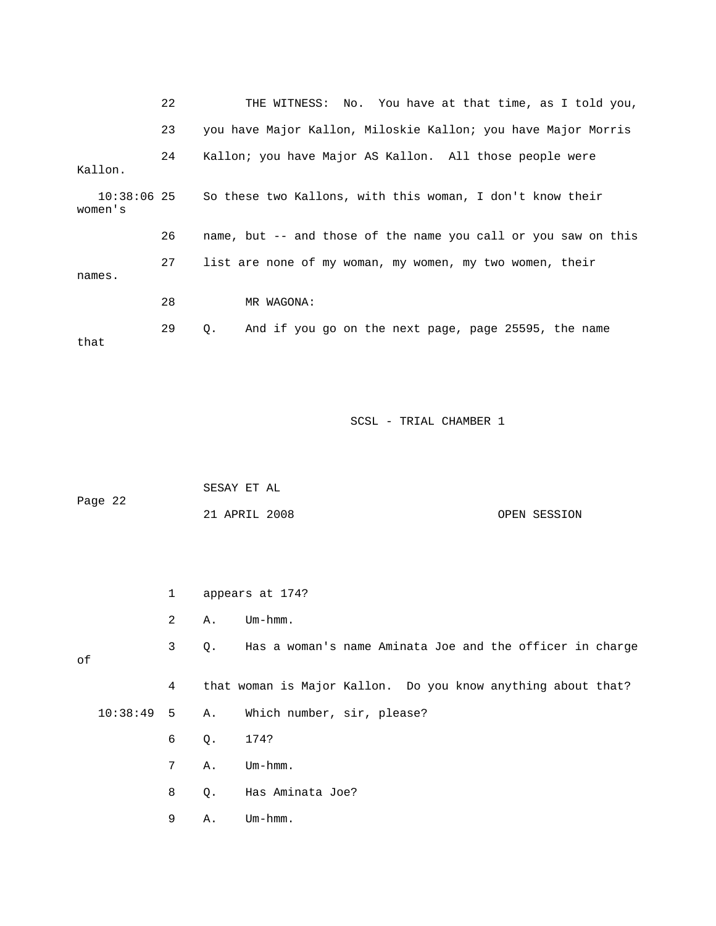|                        | 22 | THE WITNESS: No. You have at that time, as I told you,         |
|------------------------|----|----------------------------------------------------------------|
|                        | 23 | you have Major Kallon, Miloskie Kallon; you have Major Morris  |
| Kallon.                | 24 | Kallon; you have Major AS Kallon. All those people were        |
| 10:38:06 25<br>women's |    | So these two Kallons, with this woman, I don't know their      |
|                        | 26 | name, but -- and those of the name you call or you saw on this |
| names.                 | 27 | list are none of my woman, my women, my two women, their       |
|                        | 28 | MR WAGONA:                                                     |
| that                   | 29 | And if you go on the next page, page 25595, the name<br>Q.     |

| Page 22 | SESAY ET AL   |  |              |
|---------|---------------|--|--------------|
|         | 21 APRIL 2008 |  | OPEN SESSION |

|    | $\mathbf{1}$   |           | appears at 174?                                              |  |
|----|----------------|-----------|--------------------------------------------------------------|--|
|    | 2              | Α.        | $Um - hmm$ .                                                 |  |
| оf | 3              | $\circ$ . | Has a woman's name Aminata Joe and the officer in charge     |  |
|    | $\overline{4}$ |           | that woman is Major Kallon. Do you know anything about that? |  |
|    |                |           | 10:38:49 5 A. Which number, sir, please?                     |  |
|    | 6              | Q.        | 174?                                                         |  |
|    | 7              | Α.        | $Um - hmm.$                                                  |  |

8 Q. Has Aminata Joe?

9 A. Um-hmm.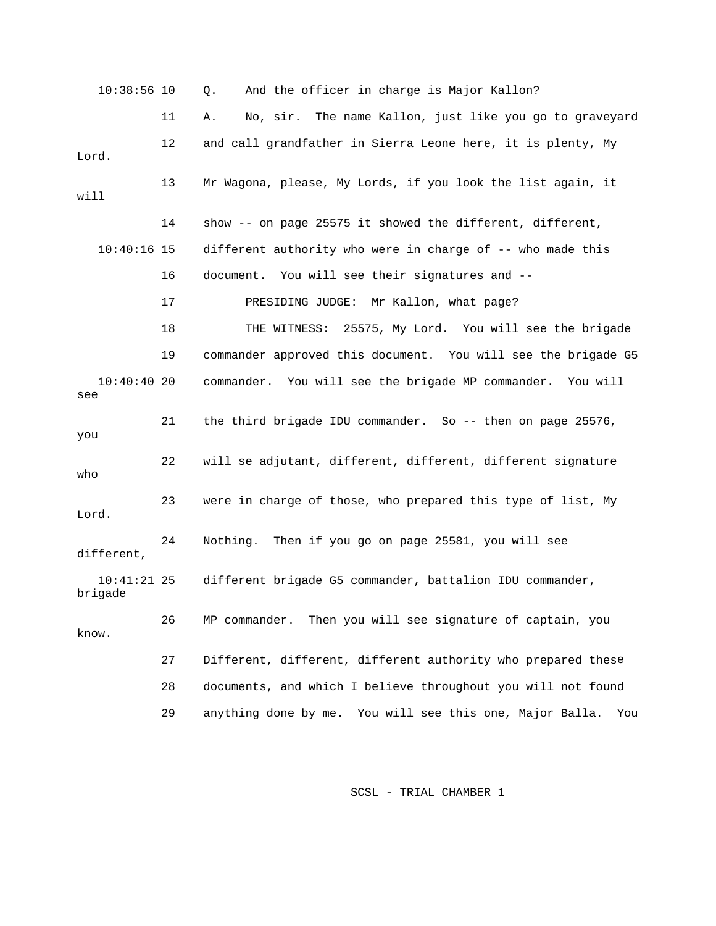10:38:56 10 Q. And the officer in charge is Major Kallon? 11 A. No, sir. The name Kallon, just like you go to graveyard Lord. 13 Mr Wagona, please, My Lords, if you look the list again, it will 14 show -- on page 25575 it showed the different, different, 18 THE WITNESS: 25575, My Lord. You will see the brigade see 21 the third brigade IDU commander. So -- then on page 25576, you o wh Lord. different, 10:41:21 25 different brigade G5 commander, battalion IDU commander, brigade 26 MP commander. Then you will see signature of captain, you know. 27 Different, different, different authority who prepared these 12 and call grandfather in Sierra Leone here, it is plenty, My 10:40:16 15 different authority who were in charge of -- who made this 16 document. You will see their signatures and -- 17 PRESIDING JUDGE: Mr Kallon, what page? 19 commander approved this document. You will see the brigade G5 10:40:40 20 commander. You will see the brigade MP commander. You will 22 will se adjutant, different, different, different signature 23 were in charge of those, who prepared this type of list, My 24 Nothing. Then if you go on page 25581, you will see 28 documents, and which I believe throughout you will not found 29 anything done by me. You will see this one, Major Balla. You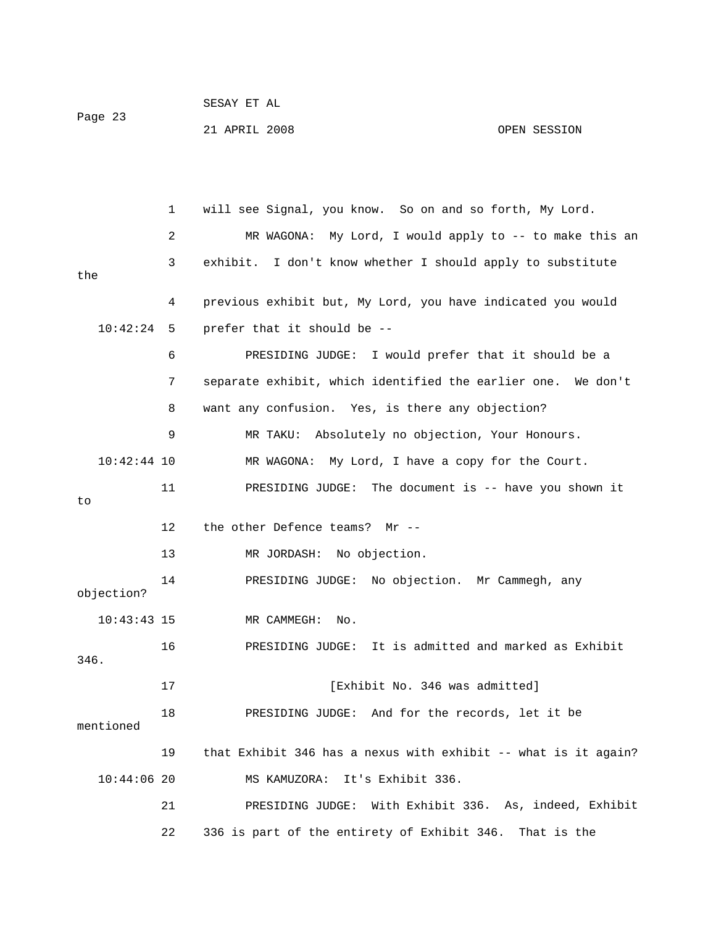| Page 23 | SESAY ET AL   |              |
|---------|---------------|--------------|
|         | 21 APRIL 2008 | OPEN SESSION |

 1 will see Signal, you know. So on and so forth, My Lord. 2 MR WAGONA: My Lord, I would apply to -- to make this an the 4 previous exhibit but, My Lord, you have indicated you would ld prefer that it should be a 6 PRESIDING JUDGE: I wou 7 separate exhibit, which identified the earlier one. We don't 9 19 MR TAKU: Absolutely no objection, Your Honours. 11 PRESIDING JUDGE: The document is -- have you shown it 12 the other Defence teams? Mr - on. Mr Cammegh, any 14 PRESIDING JUDGE: No objecti objection? It is admitted and marked as Exhibit 16 PRESIDING JUDGE: 17 **Interval Exhibit No. 346 was admitted**] 18 PRESIDING JUDGE: And for the records, let it be mentioned 19 that Exhibit 346 has a nexus with exhibit -- what is it again? 6. As, indeed, Exhibit 21 PRESIDING JUDGE: With Exhibit 33 3 exhibit. I don't know whether I should apply to substitute 10:42:24 5 prefer that it should be -- 8 want any confusion. Yes, is there any objection? 10:42:44 10 MR WAGONA: My Lord, I have a copy for the Court. to 13 MR JORDASH: No objection. 10:43:43 15 MR CAMMEGH: No. 346. 10:44:06 20 MS KAMUZORA: It's Exhibit 336. 22 336 is part of the entirety of Exhibit 346. That is the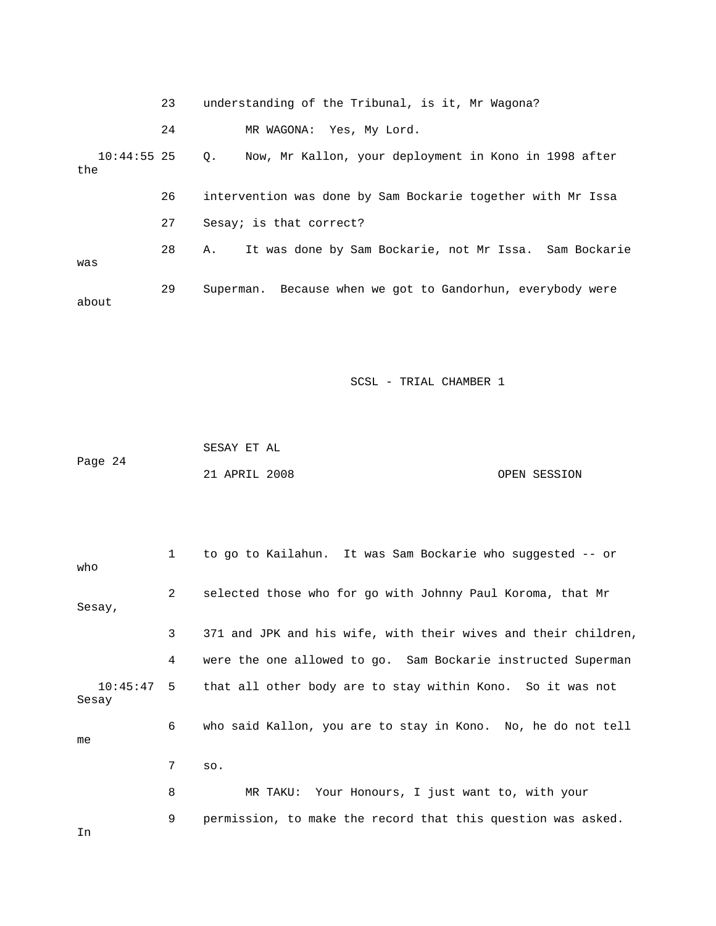|                      | 23 | understanding of the Tribunal, is it, Mr Wagona?                   |
|----------------------|----|--------------------------------------------------------------------|
|                      | 24 | MR WAGONA: Yes, My Lord.                                           |
| $10:44:55$ 25<br>the |    | Now, Mr Kallon, your deployment in Kono in 1998 after<br>$\circ$ . |
|                      | 26 | intervention was done by Sam Bockarie together with Mr Issa        |
|                      | 27 | Sesay; is that correct?                                            |
| was                  | 28 | It was done by Sam Bockarie, not Mr Issa. Sam Bockarie<br>Α.       |
| about                | 29 | Superman. Because when we got to Gandorhun, everybody were         |

|         | SESAY ET AL   |              |
|---------|---------------|--------------|
| Page 24 |               |              |
|         | 21 APRIL 2008 | OPEN SESSION |

| who    | $\mathbf{1}$ | to go to Kailahun. It was Sam Bockarie who suggested -- or            |
|--------|--------------|-----------------------------------------------------------------------|
| Sesay, | $\mathbf{2}$ | selected those who for go with Johnny Paul Koroma, that Mr            |
|        | 3            | 371 and JPK and his wife, with their wives and their children,        |
|        | 4            | were the one allowed to go. Sam Bockarie instructed Superman          |
| Sesay  |              | 10:45:47 5 that all other body are to stay within Kono. So it was not |
| me     | 6            | who said Kallon, you are to stay in Kono. No, he do not tell          |
|        | 7            | SO.                                                                   |
|        | 8            | MR TAKU: Your Honours, I just want to, with your                      |
| In     | 9            | permission, to make the record that this question was asked.          |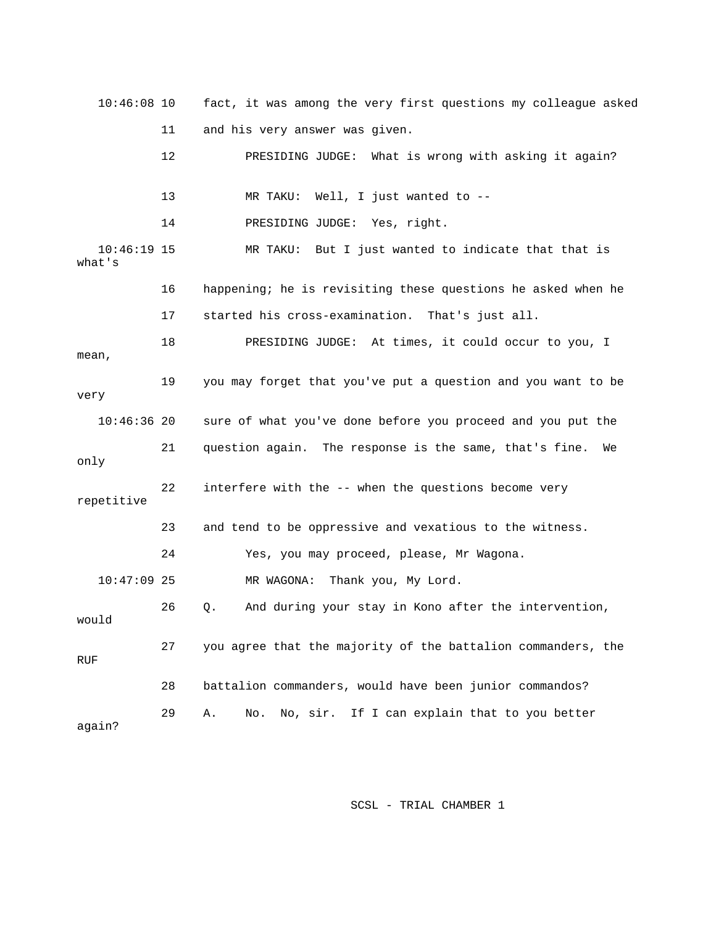10:46:08 10 fact, it was among the very first questions my colleague asked 12 **PRESIDING JUDGE:** What is wrong with asking it again? 13 MR TAKU: Well, I just wanted to -- 10:46:19 15 MR TAKU: But I just wanted to indicate that that is 16 happening; he is revisiting these questions he asked when he 18 PRESIDING JUDGE: At times, it could occur to you, I mean, 19 you may forget that you've put a question and you want to be very sure of what you've done before you proceed and you put the 22 interfere with the -- when the questions become very repetitive 23 and tend to be oppressive and vexatious to the witness. 26 Q. And during your stay in Kono after the intervention, 27 you agree that the majority of the battalion commanders, the 28 battalion commanders, would have been junior commandos? again? 11 and his very answer was given. 14 PRESIDING JUDGE: Yes, right. what's 17 started his cross-examination. That's just all.  $10:46:36$  20 21 question again. The response is the same, that's fine. We only 24 Yes, you may proceed, please, Mr Wagona. 10:47:09 25 MR WAGONA: Thank you, My Lord. would RUF 29 A. No. No, sir. If I can explain that to you better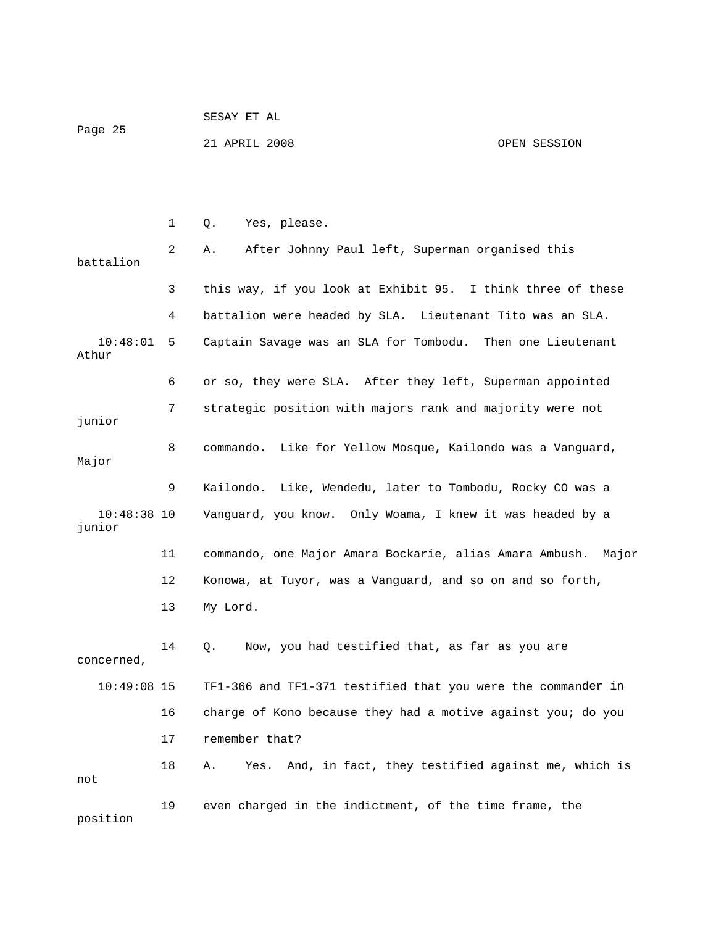| Page 25 | SESAY ET AL   |              |
|---------|---------------|--------------|
|         | 21 APRIL 2008 | OPEN SESSION |

|                         | $\mathbf 1$ | Yes, please.<br>Q.                                            |
|-------------------------|-------------|---------------------------------------------------------------|
| battalion               | 2           | After Johnny Paul left, Superman organised this<br>Α.         |
|                         | 3           | this way, if you look at Exhibit 95. I think three of these   |
|                         | 4           | battalion were headed by SLA. Lieutenant Tito was an SLA.     |
| 10:48:01<br>Athur       | 5           | Captain Savage was an SLA for Tombodu. Then one Lieutenant    |
|                         | 6           | or so, they were SLA. After they left, Superman appointed     |
| junior                  | 7           | strategic position with majors rank and majority were not     |
| Major                   | 8           | commando. Like for Yellow Mosque, Kailondo was a Vanguard,    |
|                         | 9           | Kailondo. Like, Wendedu, later to Tombodu, Rocky CO was a     |
| $10:48:38$ 10<br>junior |             | Vanguard, you know. Only Woama, I knew it was headed by a     |
|                         | 11          | commando, one Major Amara Bockarie, alias Amara Ambush. Major |
|                         | 12          | Konowa, at Tuyor, was a Vanguard, and so on and so forth,     |
|                         | 13          | My Lord.                                                      |
| concerned,              | 14          | Now, you had testified that, as far as you are<br>Q.          |
| $10:49:08$ 15           |             | TF1-366 and TF1-371 testified that you were the commander in  |
|                         | 16          | charge of Kono because they had a motive against you; do you  |
|                         | 17          | remember that?                                                |
| not                     | 18          | Yes. And, in fact, they testified against me, which is<br>Α.  |
| position                | 19          | even charged in the indictment, of the time frame, the        |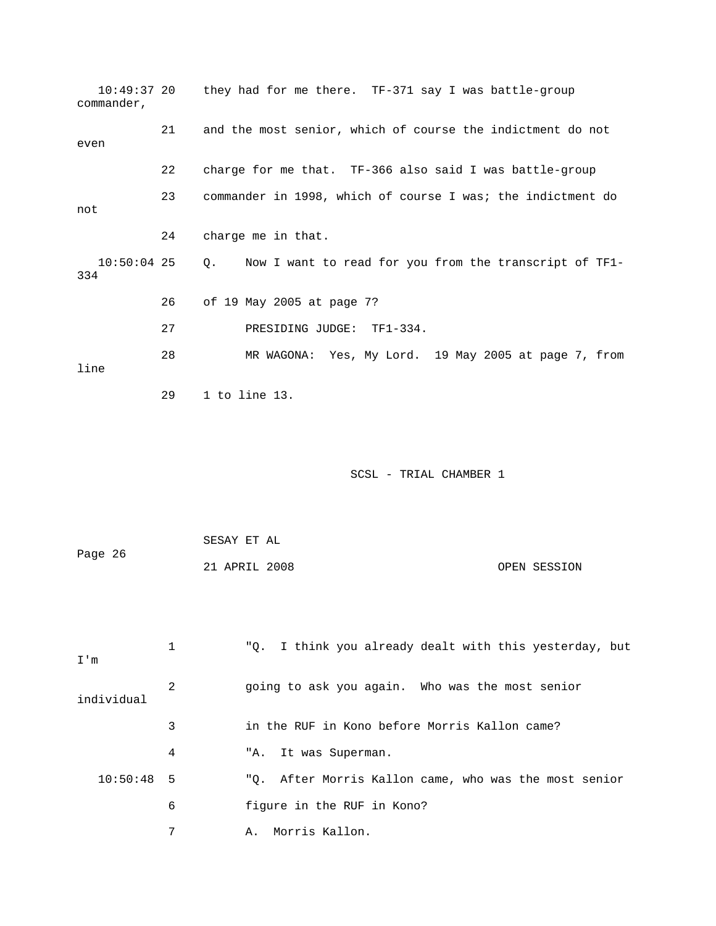| $10:49:37$ 20<br>commander, |    | they had for me there. TF-371 say I was battle-group         |
|-----------------------------|----|--------------------------------------------------------------|
| even                        | 21 | and the most senior, which of course the indictment do not   |
|                             | 22 | charge for me that. TF-366 also said I was battle-group      |
| not                         | 23 | commander in 1998, which of course I was; the indictment do  |
|                             | 24 | charge me in that.                                           |
| $10:50:04$ 25<br>334        |    | Now I want to read for you from the transcript of TF1-<br>Q. |
|                             | 26 | of 19 May 2005 at page 7?                                    |
|                             | 27 | PRESIDING JUDGE: TF1-334.                                    |
| line                        | 28 | MR WAGONA: Yes, My Lord. 19 May 2005 at page 7, from         |
|                             | 29 | $1$ to line $13$ .                                           |
|                             |    | SCSL - TRIAL CHAMBER 1                                       |
|                             |    | SESAY ET AL                                                  |
| Page 26                     |    | 21 APRIL 2008<br>OPEN SESSION                                |
| I'm                         | 1  | "Q. I think you already dealt with this yesterday, but       |
| individual                  | 2  | going to ask you again. Who was the most senior              |
|                             | 3  | in the RUF in Kono before Morris Kallon came?                |
|                             | 4  | It was Superman.<br>"A.                                      |
| 10:50:48                    | 5  | After Morris Kallon came, who was the most senior<br>"Q.     |
|                             | 6  | figure in the RUF in Kono?                                   |
|                             | 7  | Morris Kallon.<br>Α.                                         |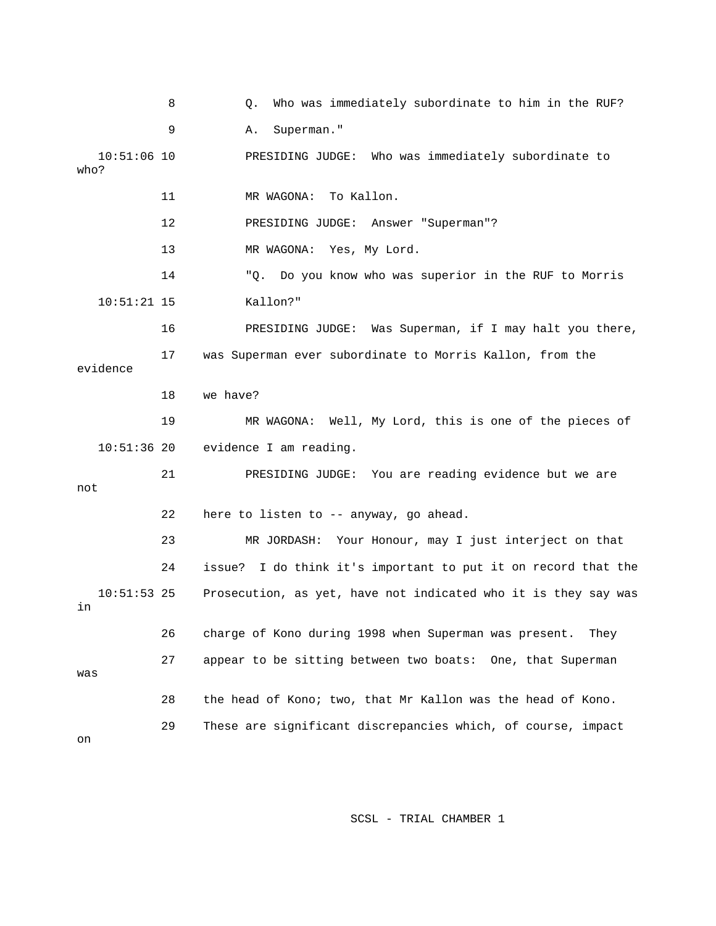8 G. Who was immediately subordinate to him in the RUF? 9 A. Superman." 10:51:06 10 PRESIDING JUDGE: Who was immediately subordinate to r "Superman"? 12 PRESIDING JUDGE: Answe 13 MR WAGONA: Yes, My Lord. 14 "Q. Do you know who was superior in the RUF to Morris 16 PRESIDING JUDGE: Was Superman, if I may halt you there, 17 was Superman ever subordinate to Morris Kallon, from the WAGONA: Well, My Lord, this is one of the pieces of 19 MR 10:51:36 20 evidence I am reading. 21 PRESIDING JUDGE: You are reading evidence but we are 23 MR JORDASH: Your Honour, may I just interject on that 24 issue? I do think it's important to put it on record that the 26 charge of Kono during 1998 when Superman was present. They was 29 These are significant discrepancies which, of course, impact who? 11 MR WAGONA: To Kallon. 10:51:21 15 Kallon?" evidence 18 we have? not 22 here to listen to -- anyway, go ahead. 10:51:53 25 Prosecution, as yet, have not indicated who it is they say was in 27 appear to be sitting between two boats: One, that Superman 28 the head of Kono; two, that Mr Kallon was the head of Kono. on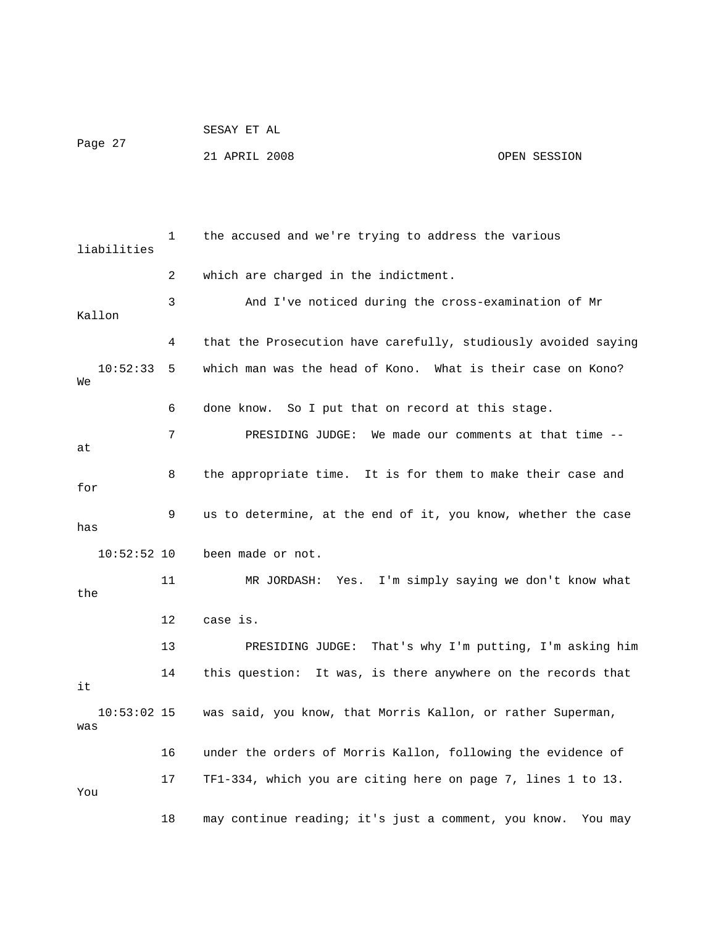| Page 27 | SESAY ET AL   |  |              |
|---------|---------------|--|--------------|
|         | 21 APRIL 2008 |  | OPEN SESSION |

 1 the accused and we're trying to address the various liabilities 2 which are charged in the indictment. 3 And I've noticed during the cross-examination of Mr Kallon 4 that the Prosecution have carefully, studiously avoided saying which man was the head of Kono. What is their case on Kono? 6 done know. So I put that on record at this stage. 7 PRESIDING JUDGE: We made our comments at that time -- 8 the appropriate time. It is for them to make their case and 9 us to determine, at the end of it, you know, whether the case 10:52:52 10 been made or not. the 13 PRESIDING JUDGE: That's why I'm putting, I'm asking him 14 this question: It was, is there anywhere on the records that 10:53:02 15 was said, you know, that Morris Kallon, or rather Superman, 16 under the orders of Morris Kallon, following the evidence of  $10:52:33 5$ We at for has 11 MR JORDASH: Yes. I'm simply saying we don't know what 12 case is. it was 17 TF1-334, which you are citing here on page 7, lines 1 to 13. You 18 may continue reading; it's just a comment, you know. You may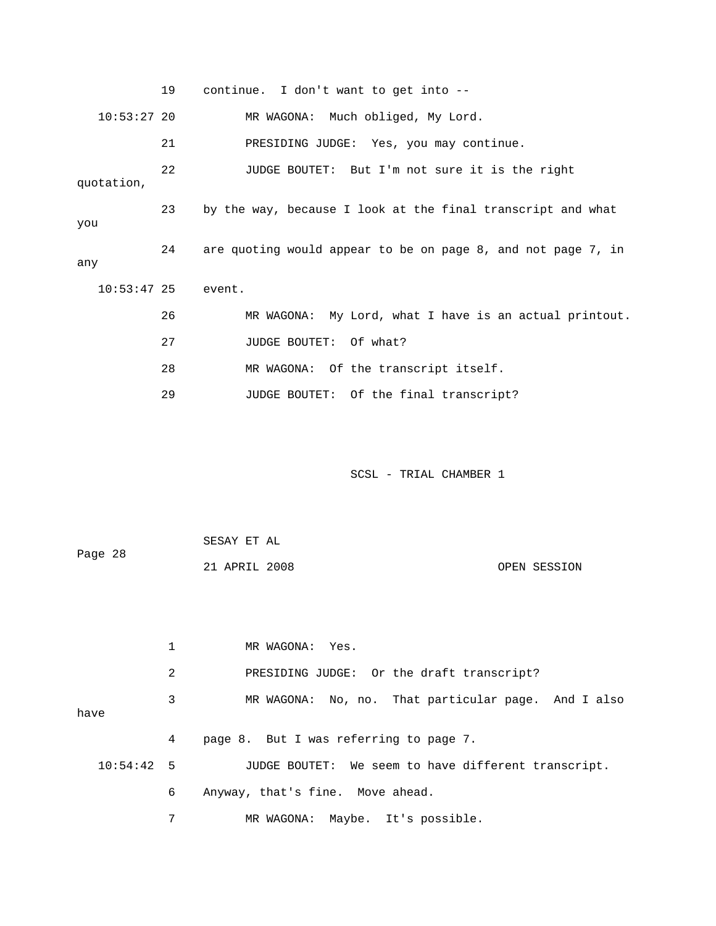|               | 19             | continue. I don't want to get into --                                  |
|---------------|----------------|------------------------------------------------------------------------|
| $10:53:27$ 20 |                | MR WAGONA: Much obliged, My Lord.                                      |
|               | 21             | PRESIDING JUDGE: Yes, you may continue.                                |
| quotation,    | 22             | JUDGE BOUTET: But I'm not sure it is the right                         |
| you           | 23             | by the way, because I look at the final transcript and what            |
| any           | 24             | are quoting would appear to be on page 8, and not page 7, in           |
| $10:53:47$ 25 |                | event.                                                                 |
|               | 26             | MR WAGONA: My Lord, what I have is an actual printout.                 |
|               | 27             | JUDGE BOUTET: Of what?                                                 |
|               | 28             | MR WAGONA: Of the transcript itself.                                   |
|               | 29             | JUDGE BOUTET: Of the final transcript?                                 |
| Page 28       |                | SCSL - TRIAL CHAMBER 1<br>SESAY ET AL<br>21 APRIL 2008<br>OPEN SESSION |
|               | $\mathbf 1$    | MR WAGONA: Yes.                                                        |
|               | $\overline{a}$ | PRESIDING JUDGE: Or the draft transcript?                              |
|               | 3              | MR WAGONA: No, no. That particular page. And I also                    |
| have          |                |                                                                        |
|               | 4              | page 8. But I was referring to page 7.                                 |
| 10:54:42 5    |                | JUDGE BOUTET: We seem to have different transcript.                    |
|               | 6              | Anyway, that's fine. Move ahead.                                       |
|               | 7              | Maybe. It's possible.<br>MR WAGONA:                                    |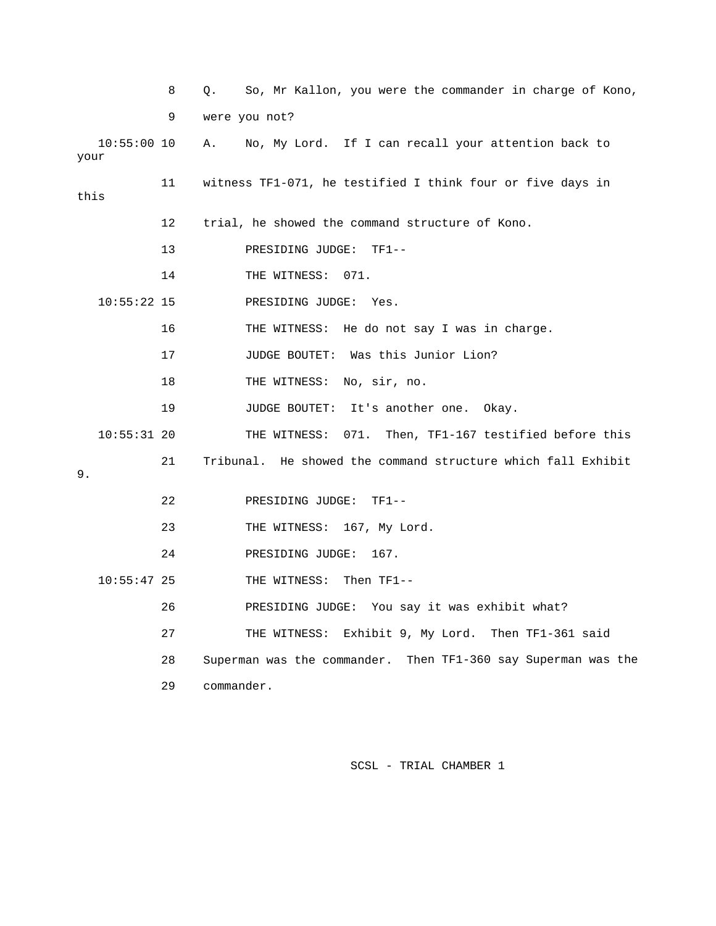|      | 8  | So, Mr Kallon, you were the commander in charge of Kono,<br>Q.   |
|------|----|------------------------------------------------------------------|
|      | 9  | were you not?                                                    |
| your |    | Α.<br>No, My Lord. If I can recall your attention back to        |
| this | 11 | witness TF1-071, he testified I think four or five days in       |
|      | 12 | trial, he showed the command structure of Kono.                  |
|      | 13 | PRESIDING JUDGE:<br>$TF1--$                                      |
|      | 14 | THE WITNESS: 071.                                                |
|      |    | PRESIDING JUDGE: Yes.                                            |
|      | 16 | THE WITNESS: He do not say I was in charge.                      |
|      | 17 | JUDGE BOUTET: Was this Junior Lion?                              |
|      | 18 | THE WITNESS: No, sir, no.                                        |
|      | 19 | JUDGE BOUTET: It's another one. Okay.                            |
|      |    | THE WITNESS: 071. Then, TF1-167 testified before this            |
|      | 21 | Tribunal. He showed the command structure which fall Exhibit     |
|      | 22 | PRESIDING JUDGE: TF1--                                           |
|      | 23 | THE WITNESS: 167, My Lord.                                       |
|      | 24 | PRESIDING JUDGE:<br>167.                                         |
|      |    | THE WITNESS: Then TF1--                                          |
|      | 26 | PRESIDING JUDGE: You say it was exhibit what?                    |
|      | 27 | Exhibit 9, My Lord. Then TF1-361 said<br>THE WITNESS:            |
|      | 28 | Superman was the commander. Then TF1-360 say Superman was the    |
|      | 29 | commander.                                                       |
|      |    | $10:55:00$ 10<br>$10:55:22$ 15<br>$10:55:31$ 20<br>$10:55:47$ 25 |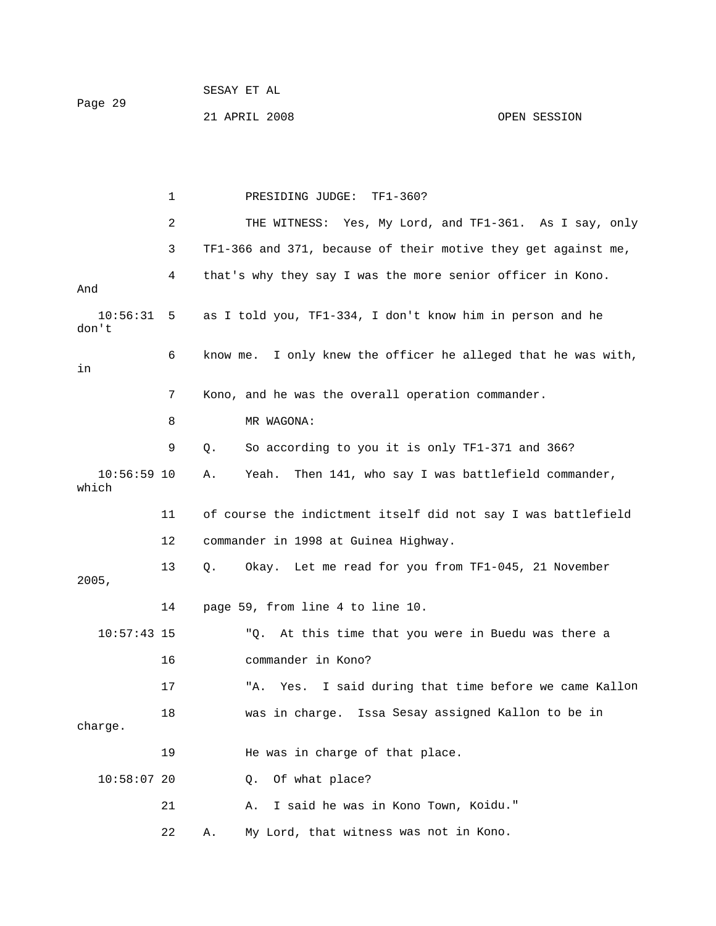21 APRIL 2008 OPEN SESSION

 1 PRESIDING JUDGE: TF1-360? 2 THE WITNESS: Yes, My Lord, and TF1-361. As I say, only 3 TF1-366 and 371, because of their motive they get against me, And 10:56:31 5 as I told you, TF1-334, I don't know him in person and he 6 know me. I only knew the officer he alleged that he was with, 7 Kono, and he was the overall operation commander. 8 MR WAGONA: 9 Q. So according to you it is only TF1-371 and 366? 10:56:59 10 A. Yeah. Then 141, who say I was battlefield commander, which 11 of course the indictment itself did not say I was battlefield 14 page 59, from line 4 to line 10. "Q. At this time that you were in Buedu was there a 17 The Mes. I said during that time before we came Kallon Sesay assigned Kallon to be in 18 was in charge. Issa charge. 19 He was in charge of that place. 21 A. I said he was in Kono Town, Koidu." 22 A. My Lord, that witness was not in Kono. 4 that's why they say I was the more senior officer in Kono. don't in 12 commander in 1998 at Guinea Highway. 13 Q. Okay. Let me read for you from TF1-045, 21 November 2005, 10:57:43 15 16 commander in Kono? 10:58:07 20 Q. Of what place?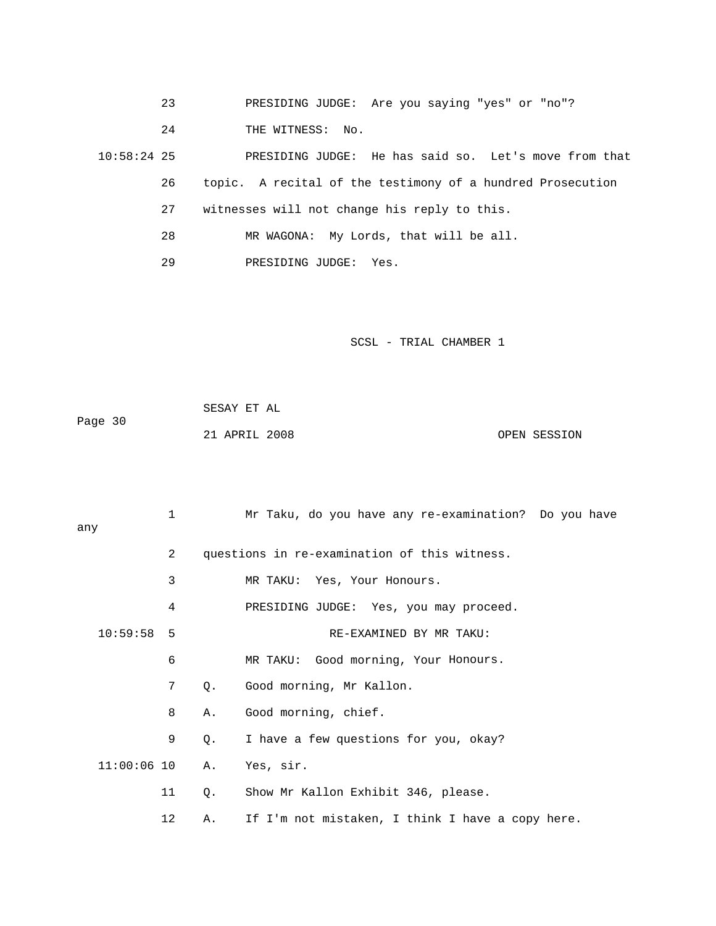- 23 PRESIDING JUDGE: Are you saying "yes" or "no"?
- 24 THE WITNESS: No.

10:58:24 25 PRESIDING JUDGE: He has said so. Let's move from that 26 topic. A recital of the testimony of a hundred Prosecution 27 witnesses will not change his reply to this.

- 28 MR WAGONA: My Lords, that will be all.
- 29 PRESIDING JUDGE: Yes.

| Page 30 | SESAY ET AL   |              |
|---------|---------------|--------------|
|         | 21 APRIL 2008 | OPEN SESSION |

|     |               | $\mathbf{1}$    |    | Mr Taku, do you have any re-examination? Do you have |  |
|-----|---------------|-----------------|----|------------------------------------------------------|--|
| any |               |                 |    |                                                      |  |
|     |               | 2               |    | questions in re-examination of this witness.         |  |
|     |               | 3               |    | MR TAKU: Yes, Your Honours.                          |  |
|     |               | 4               |    | PRESIDING JUDGE: Yes, you may proceed.               |  |
|     | $10:59:58$ 5  |                 |    | RE-EXAMINED BY MR TAKU:                              |  |
|     |               | 6               |    | MR TAKU: Good morning, Your Honours.                 |  |
|     |               | $7\overline{ }$ | Q. | Good morning, Mr Kallon.                             |  |
|     |               | 8               | Α. | Good morning, chief.                                 |  |
|     |               | 9               | Q. | I have a few questions for you, okay?                |  |
|     | $11:00:06$ 10 |                 | Α. | Yes, sir.                                            |  |
|     |               | 11              | Q. | Show Mr Kallon Exhibit 346, please.                  |  |
|     |               | 12              | Α. | If I'm not mistaken, I think I have a copy here.     |  |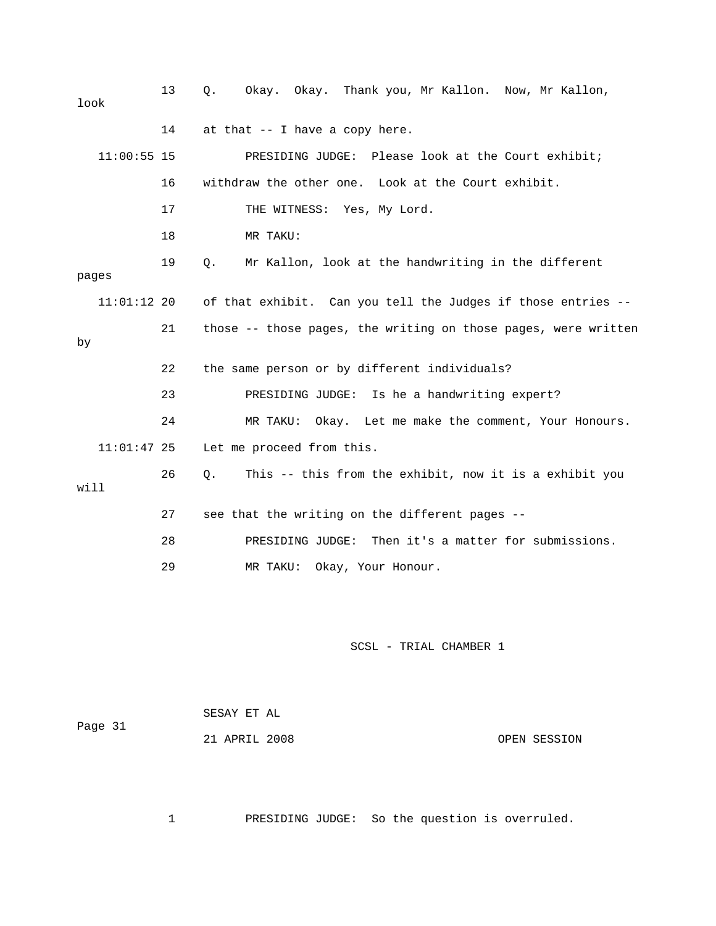13 Q. Okay. Okay. Thank you, Mr Kallon. Now, Mr Kallon, 16 withdraw the other one. Look at the Court exhibit. 17 THE WITNESS: Yes, My Lord. 18 MR TAKU: 19 Q. Mr Kallon, look at the handwriting in the different 11:01:12 20 of that exhibit. Can you tell the Judges if those entries --21 those -- those pages, the writing on those pages, were written 24 MR TAKU: Okay. Let me make the comment, Your Honours. 11:01:47 25 Let me proceed from this. 26 Q. This -- this from the exhibit, now it is a exhibit you 27 see that the writing on the different pages -- 29 MR TAKU: Okay, Your Honour. look 14 at that -- I have a copy here. 11:00:55 15 PRESIDING JUDGE: Please look at the Court exhibit; pages by 22 the same person or by different individuals? 23 PRESIDING JUDGE: Is he a handwriting expert? will 28 PRESIDING JUDGE: Then it's a matter for submissions.

## SCSL - TRIAL CHAMBER 1

| Page 31 | SESAY ET AL   |              |
|---------|---------------|--------------|
|         | 21 APRIL 2008 | OPEN SESSION |

1 PRESIDING JUDGE: So the question is overruled.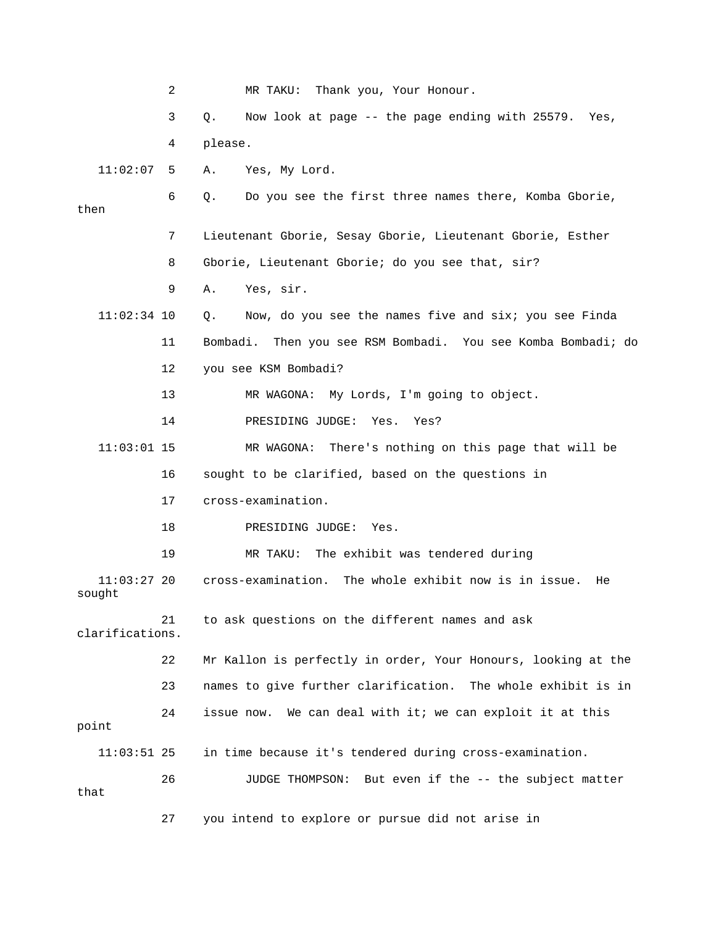2 MR TAKU: Thank you, Your Honour. 3 Q. Now look at page -- the page ending with 25579. Yes, 11:02:07 5 A. Yes, My Lord. 6 Q. Do you see the first three names there, Komba Gborie, 7 Lieutenant Gborie, Sesay Gborie, Lieutenant Gborie, Esther 9 A. Yes, sir. 11 Bombadi. Then you see RSM Bombadi. You see Komba Bombadi; do 12 you see KSM Bombadi? 11:03:01 15 MR WAGONA: There's nothing on this page that will be 11:03:27 20 cross-examination. The whole exhibit now is in issue. He sought 21 to ask questions on the different names and ask e 22 Mr Kallon is perfectly in order, Your Honours, looking at th 23 names to give further clarification. The whole exhibit is in issue now. We can deal with it; we can exploit it at this point 11:03:51 25 in time because it's tendered during cross-examination. 27 you intend to explore or pursue did not arise in 4 please. then 8 Gborie, Lieutenant Gborie; do you see that, sir? 11:02:34 10 Q. Now, do you see the names five and six; you see Finda 13 MR WAGONA: My Lords, I'm going to object. 14 PRESIDING JUDGE: Yes. Yes? 16 sought to be clarified, based on the questions in 17 cross-examination. 18 PRESIDING JUDGE: Yes. 19 MR TAKU: The exhibit was tendered during clarifications. 24 26 JUDGE THOMPSON: But even if the -- the subject matter that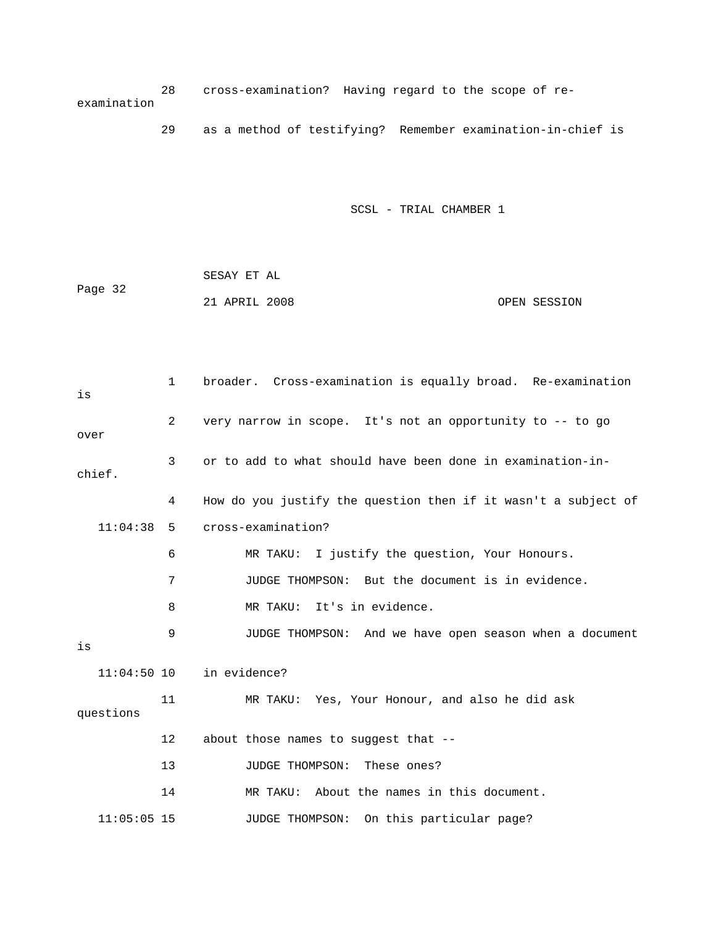28 cross-examination? Having regard to the scope of re examination

29 as a method of testifying? Remember examination-in-chief is

SCSL - TRIAL CHAMBER 1

 SESAY ET AL 21 APRIL 2008 OPEN SESSION Page 32

1 broader. Cross-examination is equally broad. Re-examination 2 very narrow in scope. It's not an opportunity to -- to go over chief. 4 How do you justify the question then if it wasn't a subject of 11:04:38 5 cross-examination? 6 MR TAKU: I justify the question, Your Honours. 8 MR TAKU: It's in evidence. 9 JUDGE THOMPSON: And we have open season when a document 11:04:50 10 in evidence? 11 MR TAKU: Yes, Your Honour, and also he did ask 12 about those names to suggest that -- 13 JUDGE THOMPSON: These ones? 14 MR TAKU: About the names in this document. 11:05:05 15 JUDGE THOMPSON: On this particular page? is 3 or to add to what should have been done in examination-in- 7 JUDGE THOMPSON: But the document is in evidence. is questions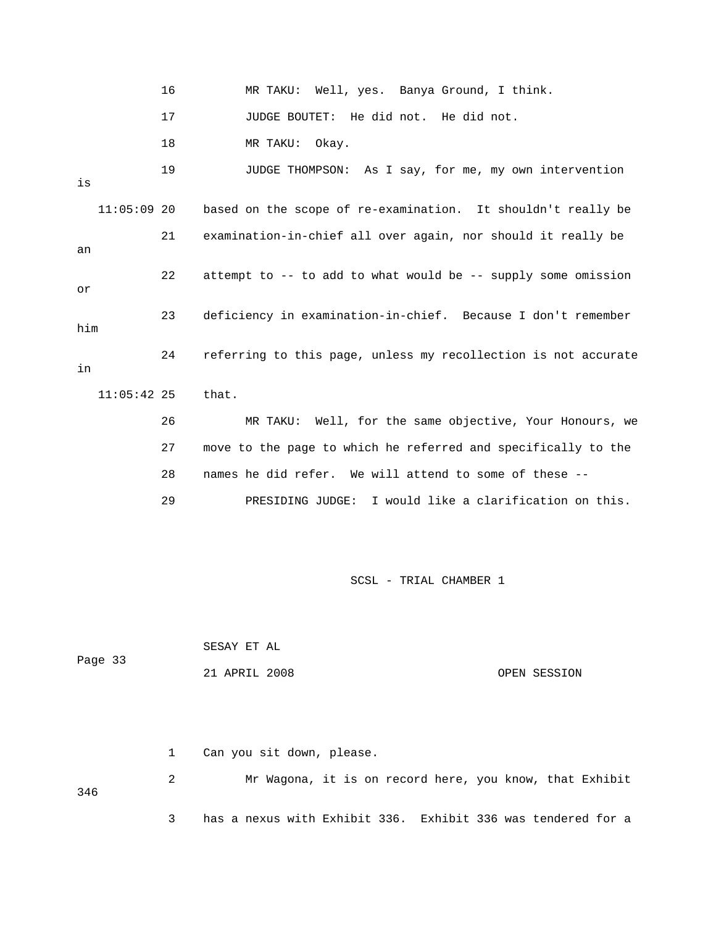|               | 16 | MR TAKU: Well, yes. Banya Ground, I think.                     |
|---------------|----|----------------------------------------------------------------|
|               | 17 | JUDGE BOUTET: He did not. He did not.                          |
|               | 18 | MR TAKU: Okay.                                                 |
| is            | 19 | JUDGE THOMPSON: As I say, for me, my own intervention          |
| $11:05:09$ 20 |    | based on the scope of re-examination. It shouldn't really be   |
| an            | 21 | examination-in-chief all over again, nor should it really be   |
| or            | 22 | attempt to -- to add to what would be -- supply some omission  |
| him           | 23 | deficiency in examination-in-chief. Because I don't remember   |
| in            | 24 | referring to this page, unless my recollection is not accurate |
| $11:05:42$ 25 |    | that.                                                          |
|               | 26 | MR TAKU: Well, for the same objective, Your Honours, we        |
|               | 27 | move to the page to which he referred and specifically to the  |
|               | 28 | names he did refer. We will attend to some of these --         |
|               | 29 | PRESIDING JUDGE: I would like a clarification on this.         |

|         | SESAY ET AL   |              |
|---------|---------------|--------------|
| Page 33 |               |              |
|         | 21 APRIL 2008 | OPEN SESSION |

|     | 1 Can you sit down, please.                                  |
|-----|--------------------------------------------------------------|
| 346 | Mr Wagona, it is on record here, you know, that Exhibit      |
|     | has a nexus with Exhibit 336. Exhibit 336 was tendered for a |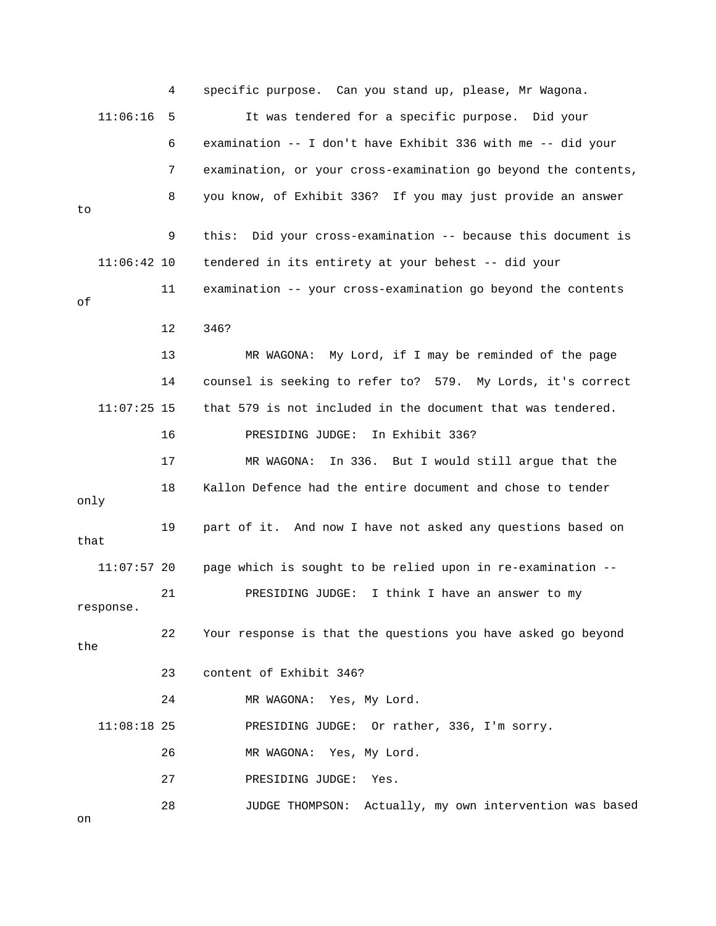4 specific purpose. Can you stand up, please, Mr Wagona. It was tendered for a specific purpose. Did your 7 examination, or your cross-examination go beyond the contents, 8 you know, of Exhibit 336? If you may just provide an answer 9 this: Did your cross-examination -- because this document is 11 examination -- your cross-examination go beyond the contents 12 346? 13 MR WAGONA: My Lord, if I may be reminded of the page 14 counsel is seeking to refer to? 579. My Lords, it's correct that 579 is not included in the document that was tendered. 19 part of it. And now I have not asked any questions based on 21 PRESIDING JUDGE: I think I have an answer to my 22 Your response is that the questions you have asked go beyond 24 MR WAGONA: Yes, My Lord. PRESIDING JUDGE: Or rather, 336, I'm sorry. 26 MR WAGONA: Yes, My Lord. 28 JUDGE THOMPSON: Actually, my own intervention was based  $11:06:16$  5 6 examination -- I don't have Exhibit 336 with me -- did your to 11:06:42 10 tendered in its entirety at your behest -- did your of  $11:07:25$  15 16 PRESIDING JUDGE: In Exhibit 336? 17 MR WAGONA: In 336. But I would still argue that the 18 Kallon Defence had the entire document and chose to tender only that 11:07:57 20 page which is sought to be relied upon in re-examination - response. the 23 content of Exhibit 346?  $11:08:18$  25 27 PRESIDING JUDGE: Yes.

on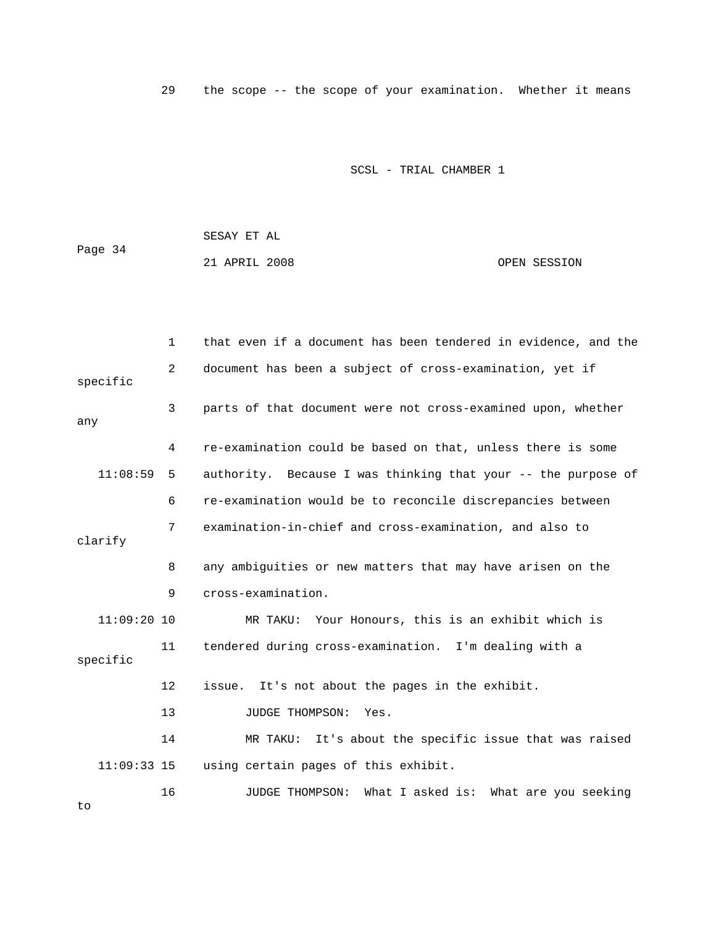29 the scope -- the scope of your examination. Whether it means

SCSL - TRIAL CHAMBER 1

|         | SESAY ET AL   |              |
|---------|---------------|--------------|
| Page 34 |               |              |
|         | 21 APRIL 2008 | OPEN SESSION |

|               | $\mathbf 1$ | that even if a document has been tendered in evidence, and the  |
|---------------|-------------|-----------------------------------------------------------------|
| specific      | 2           | document has been a subject of cross-examination, yet if        |
| any           | 3           | parts of that document were not cross-examined upon, whether    |
|               | 4           | re-examination could be based on that, unless there is some     |
| 11:08:59      | 5           | authority. Because I was thinking that your -- the purpose of   |
|               | 6           | re-examination would be to reconcile discrepancies between      |
| clarify       | 7           | examination-in-chief and cross-examination, and also to         |
|               | 8           | any ambiguities or new matters that may have arisen on the      |
|               | 9           | cross-examination.                                              |
| $11:09:20$ 10 |             | MR TAKU: Your Honours, this is an exhibit which is              |
| specific      | 11          | tendered during cross-examination. I'm dealing with a           |
|               | 12          | issue. It's not about the pages in the exhibit.                 |
|               | 13          | JUDGE THOMPSON:<br>Yes.                                         |
|               | 14          | It's about the specific issue that was raised<br>MR TAKU:       |
| $11:09:33$ 15 |             | using certain pages of this exhibit.                            |
|               | 16          | What I asked is: What are you seeking<br><b>JUDGE THOMPSON:</b> |

to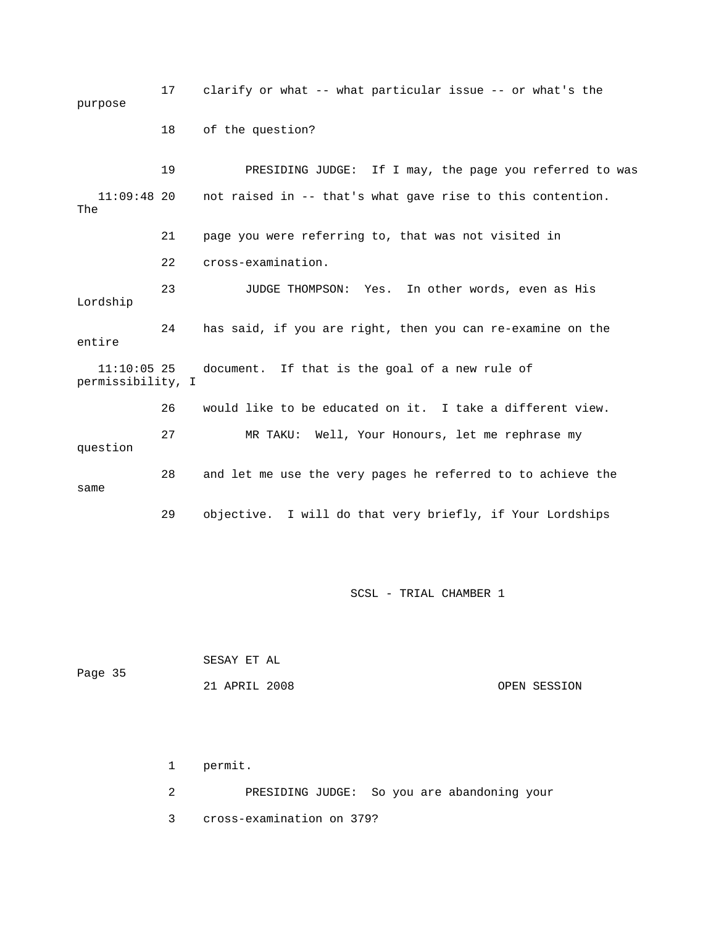17 clarify or what -- what particular issue -- or what's the 19 PRESIDING JUDGE: If I may, the page you referred to was  $11:09:48$  20 not raised in -- that's what gave rise to this contention. The 23 JUDGE THOMPSON: Yes. In other words, even as His 24 has said, if you are right, then you can re-examine on the document. If that is the goal of a new rule of 26 would like to be educated on it. I take a different view. 27 MR TAKU: Well, Your Honours, let me rephrase my same 29 objective. I will do that very briefly, if Your Lordships purpose 18 of the question? 21 page you were referring to, that was not visited in 22 cross-examination. Lordship entire 11:10:0 permissibility, I question 28 and let me use the very pages he referred to to achieve the

SCSL - TRIAL CHAMBER 1

| Page 35 | SESAY ET AL   |              |
|---------|---------------|--------------|
|         | 21 APRIL 2008 | OPEN SESSION |

 1 permit. 2 PRESIDING JUDGE: So you are abandoning your 3 cross-examination on 379?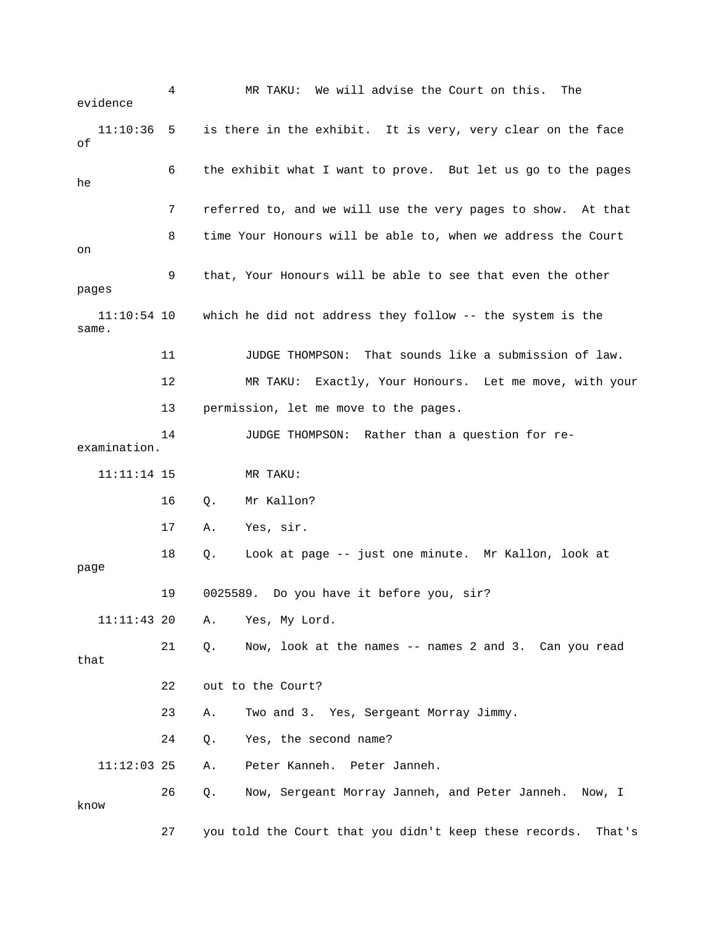4 MR TAKU: We will advise the Court on this. The 11:10:36 5 is there in the exhibit. It is very, very clear on the face 6 the exhibit what I want to prove. But let us go to the pages 8 time Your Honours will be able to, when we address the Court 9 that, Your Honours will be able to see that even the other . same 12 MR TAKU: Exactly, Your Honours. Let me move, with your 13 permission, let me move to the pages. examination. 11:11:14 15 MR TAKU: A. Yes, sir. 18 Q. Look at page -- just one minute. Mr Kallon, look at page 19 0025589. Do you have it before you, sir? 11:11:43 20 A. Yes, My Lord. 21 Q. Now, look at the names -- names 2 and 3. Can you read 22 out to the Court? 23 A. Two and 3. Yes, Sergeant Morray Jimmy. 11:12:03 25 A. Peter Kanneh. Peter Janneh. 26 Q. Now, Sergeant Morray Janneh, and Peter Janneh. Now, I know 27 you told the Court that you didn't keep these records. That's evidence of he 7 referred to, and we will use the very pages to show. At that on pages 11:10:54 10 which he did not address they follow -- the system is the 11 JUDGE THOMPSON: That sounds like a submission of law. 14 JUDGE THOMPSON: Rather than a question for re- 16 Q. Mr Kallon? 17 that 24 Q. Yes, the second name?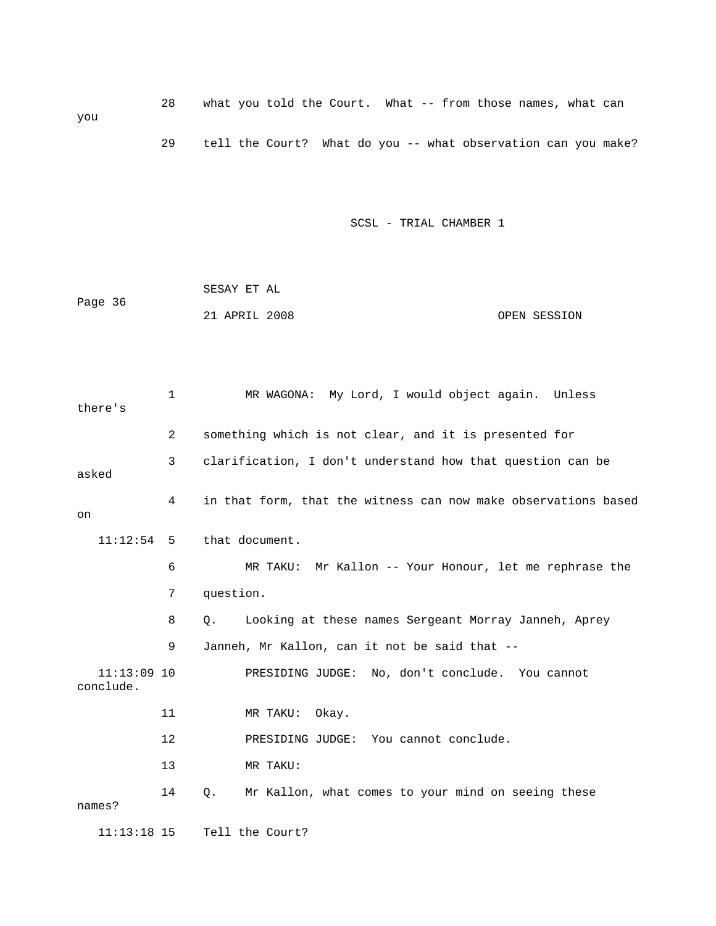28 what you told the Court. What -- from those names, what can you 29 tell the Court? What do you -- what observation can you make?

|         | SESAY ET AL   |  |              |
|---------|---------------|--|--------------|
| Page 36 |               |  |              |
|         | 21 APRIL 2008 |  | OPEN SESSION |

| there's                    | $\mathbf 1$ | MR WAGONA: My Lord, I would object again. Unless               |
|----------------------------|-------------|----------------------------------------------------------------|
|                            | 2           | something which is not clear, and it is presented for          |
| asked                      | 3           | clarification, I don't understand how that question can be     |
| on                         | 4           | in that form, that the witness can now make observations based |
| 11:12:54                   | -5          | that document.                                                 |
|                            | 6           | MR TAKU: Mr Kallon -- Your Honour, let me rephrase the         |
|                            | 7           | question.                                                      |
|                            | 8           | Q.<br>Looking at these names Sergeant Morray Janneh, Aprey     |
|                            | 9           | Janneh, Mr Kallon, can it not be said that --                  |
| $11:13:09$ 10<br>conclude. |             | PRESIDING JUDGE: No, don't conclude. You cannot                |
|                            | 11          | MR TAKU: Okay.                                                 |
|                            | 12          | PRESIDING JUDGE: You cannot conclude.                          |
|                            | 13          | MR TAKU:                                                       |
| names?                     | 14          | Mr Kallon, what comes to your mind on seeing these<br>О.       |
| $11:13:18$ 15              |             | Tell the Court?                                                |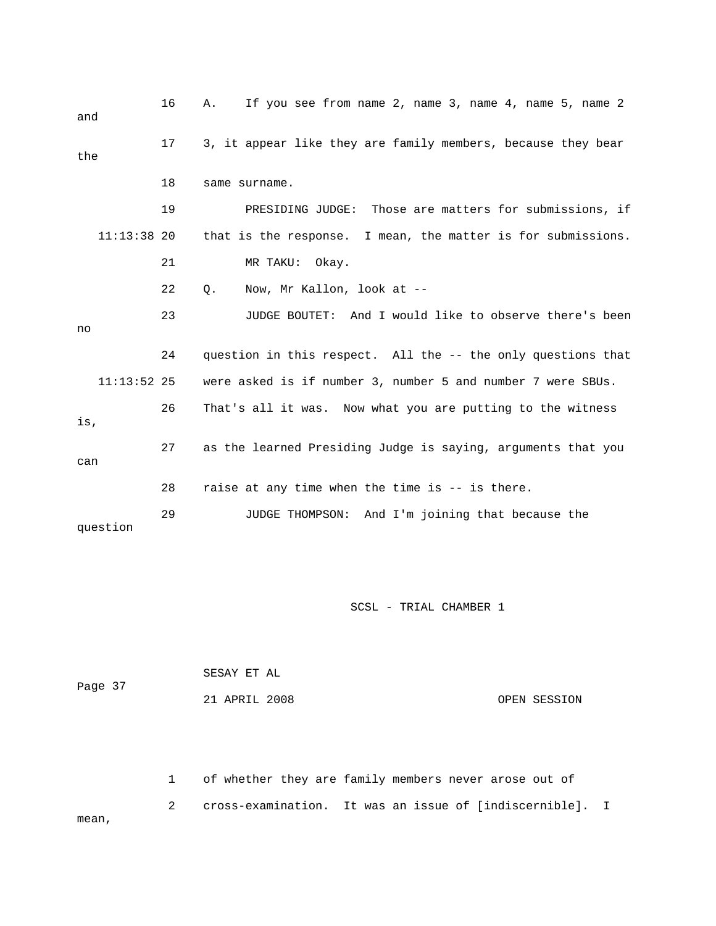| and           | 16 | If you see from name 2, name 3, name 4, name 5, name 2<br>Α. |
|---------------|----|--------------------------------------------------------------|
| the           | 17 | 3, it appear like they are family members, because they bear |
|               | 18 | same surname.                                                |
|               | 19 | PRESIDING JUDGE: Those are matters for submissions, if       |
| $11:13:38$ 20 |    | that is the response. I mean, the matter is for submissions. |
|               | 21 | MR TAKU:<br>Okay.                                            |
|               | 22 | Now, Mr Kallon, look at --<br>$Q$ .                          |
| no            | 23 | JUDGE BOUTET: And I would like to observe there's been       |
|               | 24 | question in this respect. All the -- the only questions that |
| $11:13:52$ 25 |    | were asked is if number 3, number 5 and number 7 were SBUs.  |
| is,           | 26 | That's all it was. Now what you are putting to the witness   |
| can           | 27 | as the learned Presiding Judge is saying, arguments that you |
|               | 28 | raise at any time when the time is -- is there.              |
| question      | 29 | And I'm joining that because the<br>JUDGE THOMPSON:          |

|         | SESAY ET AL   |  |              |
|---------|---------------|--|--------------|
| Page 37 |               |  |              |
|         | 21 APRIL 2008 |  | OPEN SESSION |

 2 cross-examination. It was an issue of [indiscernible]. I mean, 1 of whether they are family members never arose out of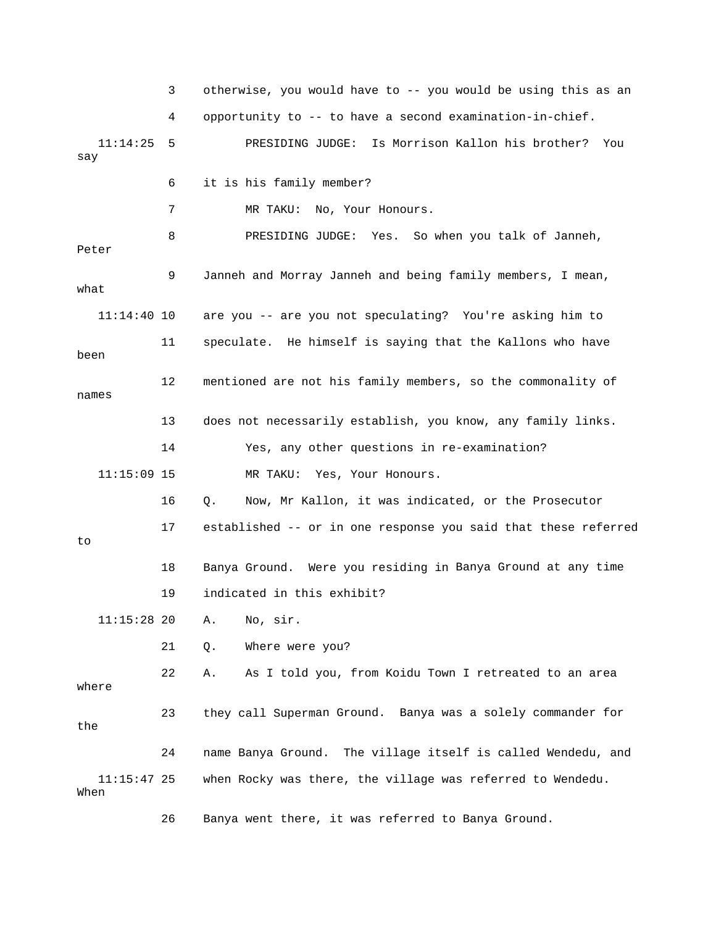3 otherwise, you would have to -- you would be using this as an . 4 opportunity to -- to have a second examination-in-chief 9 Janneh and Morray Janneh and being family members, I mean, what 11:14:40 10 are you -- are you not speculating? You're asking him to 11 speculate. He himself is saying that the Kallons who have been 12 mentioned are not his family members, so the commonality of names 14 Yes, any other questions in re-examination? 16 Q. Now, Mr Kallon, it was indicated, or the Prosecutor 17 established -- or in one response you said that these referred 18 Banya Ground. Were you residing in Banya Ground at any time 21 Q. Where were you? 22 A. As I told you, from Koidu Town I retreated to an area 23 they call Superman Ground. Banya was a solely commander for the 24 name Banya Ground. The village itself is called Wendedu, and 11:14:25 5 PRESIDING JUDGE: Is Morrison Kallon his brother? You say 6 it is his family member? 7 MR TAKU: No, Your Honours. 8 PRESIDING JUDGE: Yes. So when you talk of Janneh, Peter 13 does not necessarily establish, you know, any family links. 11:15:09 15 MR TAKU: Yes, Your Honours. to 19 indicated in this exhibit? 11:15:28 20 A. No, sir. where 11:15:47 25 when Rocky was there, the village was referred to Wendedu. When

26 Banya went there, it was referred to Banya Ground.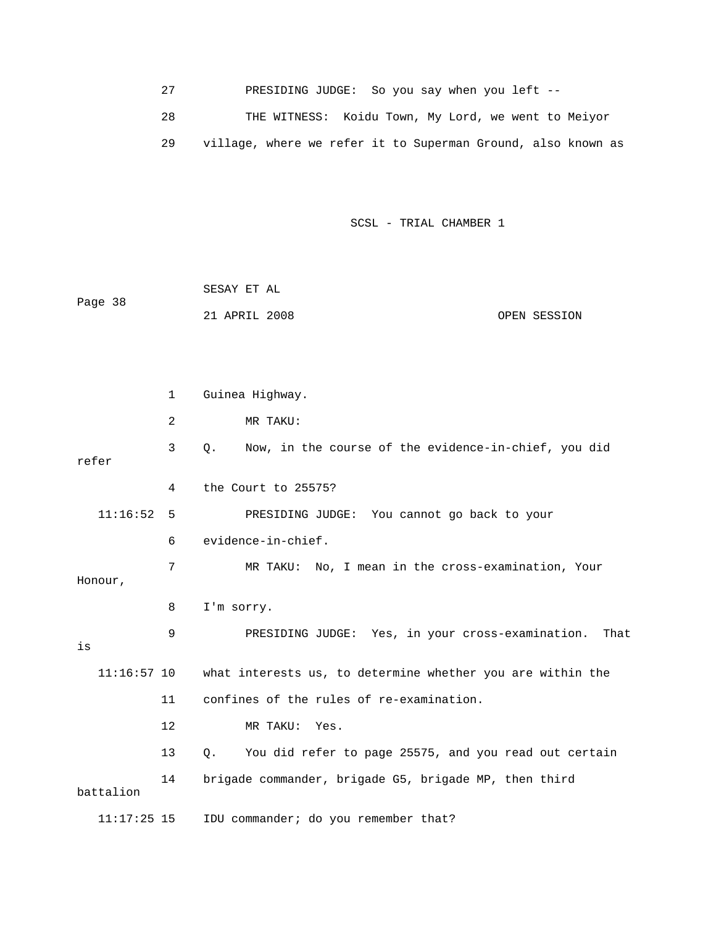27 PRESIDING JUDGE: So you say when you left -- 28 THE WITNESS: Koidu Town, My Lord, we went to Meiyor 29 village, where we refer it to Superman Ground, also known as

SCSL - TRIAL CHAMBER 1

| Page 38 | SESAY ET AL   |              |
|---------|---------------|--------------|
|         | 21 APRIL 2008 | OPEN SESSION |
|         |               |              |

 1 Guinea Highway. 2 MR TAKU: 3 Q. Now, in the course of the evidence-in-chief, you did refer 4 the Court to 25575? PRESIDING JUDGE: You cannot go back to your 7 MR TAKU: No, I mean in the cross-examination, Your E: Yes, in your cross-examination. That 9 PRESIDING JUDG what interests us, to determine whether you are within the 11 confines of the rules of re-examination. 13 Q. You did refer to page 25575, and you read out certain 11:17:25 15 IDU commander; do you remember that?  $11:16:52$  5 6 evidence-in-chief. Honour, 8 I'm sorry. is 11:16: 12 MR TAKU: Yes. 14 brigade commander, brigade G5, brigade MP, then third battalion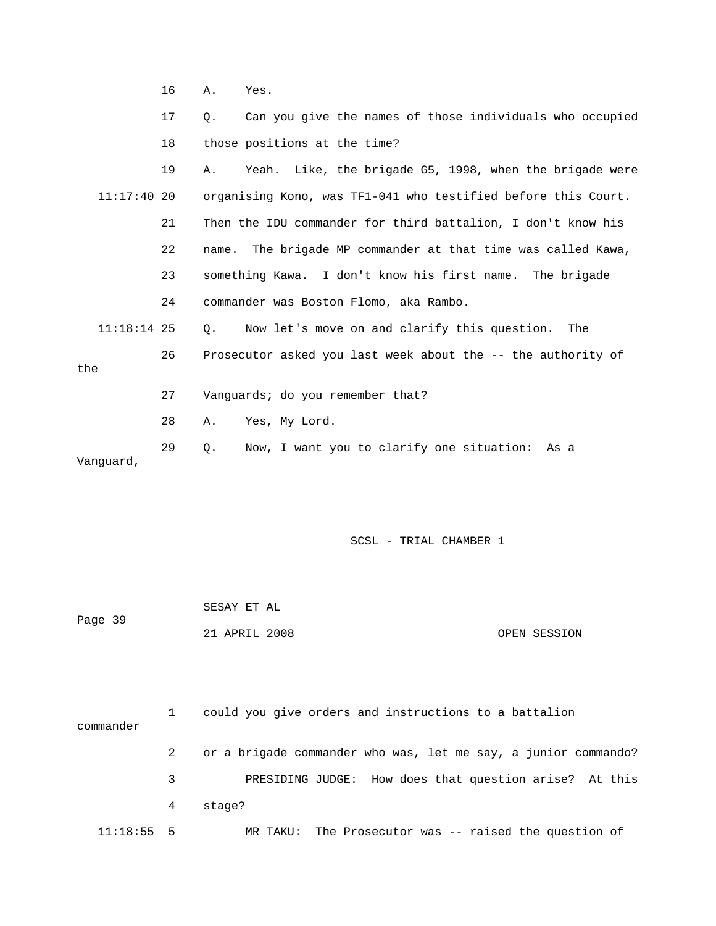16 A. Yes.

 17 Q. Can you give the names of those individuals who occupied 19 A. Yeah. Like, the brigade G5, 1998, when the brigade were 11:17:40 20 organising Kono, was TF1-041 who testified before this Court. 21 Then the IDU commander for third battalion, I don't know his 22 name. The brigade MP commander at that time was called Kawa, 23 something Kawa. I don't know his first name. The brigade 11:18:14 25 Q. Now let's move on and clarify this question. The 26 Prosecutor asked you last week about the -- the authority of 18 those positions at the time? 24 commander was Boston Flomo, aka Rambo. the 27 Vanguards; do you remember that? 28 A. Yes, My Lord. 29 Q. Now, I want you to clarify one situation: As a Vanguard,

|         | SESAY ET AL   |              |
|---------|---------------|--------------|
| Page 39 |               |              |
|         | 21 APRIL 2008 | OPEN SESSION |

| commander    |   | could you give orders and instructions to a battalion          |
|--------------|---|----------------------------------------------------------------|
|              |   | or a brigade commander who was, let me say, a junior commando? |
|              | 3 | PRESIDING JUDGE: How does that question arise? At this         |
|              | 4 | stage?                                                         |
| $11:18:55$ 5 |   | MR TAKU: The Prosecutor was $-$ - raised the question of       |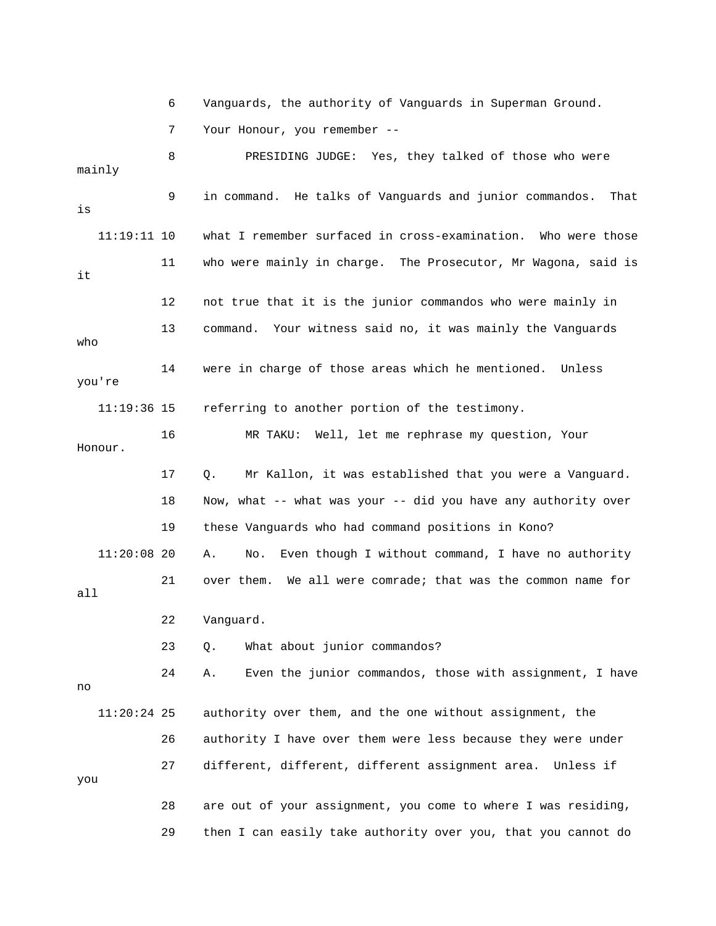6 Vanguards, the authority of Vanguards in Superman Ground.

7 Your Honour, you remember --

 8 PRESIDING JUDGE: Yes, they talked of those who were hat 11:19:11 10 what I remember surfaced in cross-examination. Who were those 11 who were mainly in charge. The Prosecutor, Mr Wagona, said is 12 not true that it is the junior commandos who were mainly in 14 were in charge of those areas which he mentioned. Unless 11:19:36 15 referring to another portion of the testimony. 16 MR TAKU: Well, let me rephrase my question, Your Honour. 17 Q. Mr Kallon, it was established that you were a Vanguard. 18 Now, what -- what was your -- did you have any authority over 11:20:08 20 A. No. Even though I without command, I have no authority  $11:20:24$  25 authority over them, and the one without assignment, the 26 authority I have over them were less because they were under 28 are out of your assignment, you come to where I was residing, mainly 9 in command. He talks of Vanguards and junior commandos. T is it 13 command. Your witness said no, it was mainly the Vanguards who you're 19 these Vanguards who had command positions in Kono? 21 over them. We all were comrade; that was the common name for all 22 Vanguard. 23 Q. What about junior commandos? 24 A. Even the junior commandos, those with assignment, I have no 27 different, different, different assignment area. Unless if you 29 then I can easily take authority over you, that you cannot do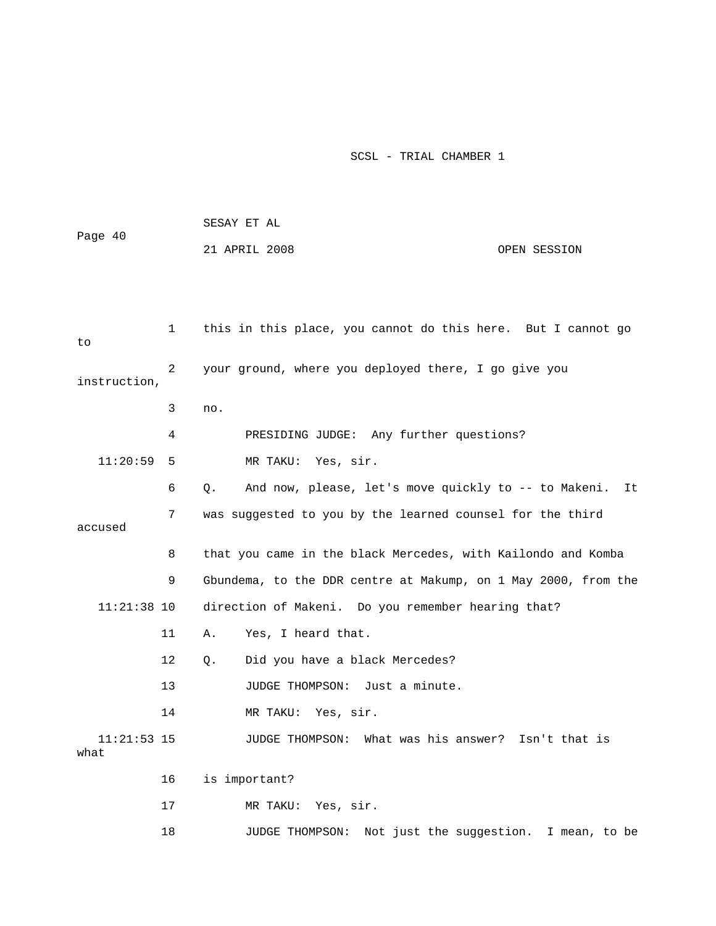| Page 40               |    | SESAY ET AL                                                      |  |  |
|-----------------------|----|------------------------------------------------------------------|--|--|
|                       |    | 21 APRIL 2008<br>OPEN SESSION                                    |  |  |
|                       |    |                                                                  |  |  |
|                       |    |                                                                  |  |  |
|                       |    |                                                                  |  |  |
| to                    | 1  | this in this place, you cannot do this here. But I cannot go     |  |  |
|                       | 2  |                                                                  |  |  |
| instruction,          |    | your ground, where you deployed there, I go give you             |  |  |
|                       | 3  | no.                                                              |  |  |
|                       | 4  | PRESIDING JUDGE: Any further questions?                          |  |  |
| 11:20:59              | 5  | MR TAKU: Yes, sir.                                               |  |  |
|                       | 6  | And now, please, let's move quickly to -- to Makeni.<br>Q.<br>It |  |  |
|                       | 7  | was suggested to you by the learned counsel for the third        |  |  |
| accused               |    |                                                                  |  |  |
|                       | 8  | that you came in the black Mercedes, with Kailondo and Komba     |  |  |
|                       | 9  | Gbundema, to the DDR centre at Makump, on 1 May 2000, from the   |  |  |
| $11:21:38$ 10         |    | direction of Makeni. Do you remember hearing that?               |  |  |
|                       | 11 | Yes, I heard that.<br>Α.                                         |  |  |
|                       | 12 | Did you have a black Mercedes?<br>О.                             |  |  |
|                       | 13 | JUDGE THOMPSON: Just a minute.                                   |  |  |
|                       | 14 | MR TAKU:<br>Yes, sir.                                            |  |  |
| $11:21:53$ 15<br>what |    | JUDGE THOMPSON:<br>What was his answer?<br>Isn't that is         |  |  |
|                       | 16 | is important?                                                    |  |  |
|                       | 17 | Yes, sir.<br>MR TAKU:                                            |  |  |
|                       | 18 | Not just the suggestion. I mean, to be<br>JUDGE THOMPSON:        |  |  |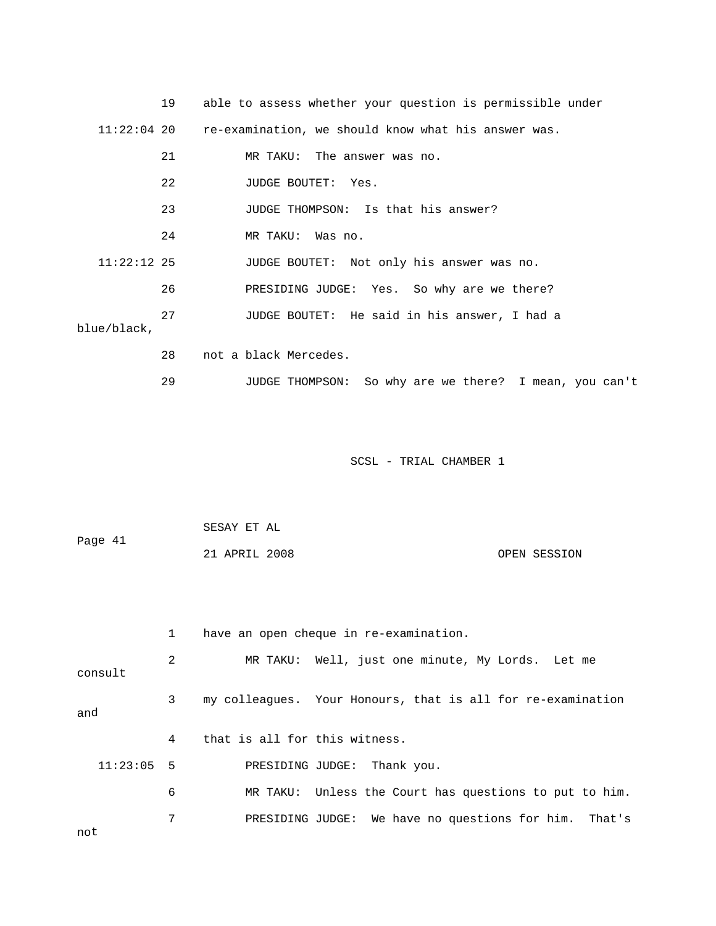|               | 19 | able to assess whether your question is permissible under       |
|---------------|----|-----------------------------------------------------------------|
|               |    | 11:22:04 20 re-examination, we should know what his answer was. |
|               | 21 | MR TAKU: The answer was no.                                     |
|               | 22 | JUDGE BOUTET: Yes.                                              |
|               | 23 | JUDGE THOMPSON: Is that his answer?                             |
|               | 24 | MR TAKU: Was no.                                                |
| $11:22:12$ 25 |    | JUDGE BOUTET: Not only his answer was no.                       |
|               | 26 | PRESIDING JUDGE: Yes. So why are we there?                      |
| blue/black,   | 27 | JUDGE BOUTET: He said in his answer, I had a                    |
|               |    |                                                                 |
|               | 28 | not a black Mercedes.                                           |
|               | 29 | JUDGE THOMPSON: So why are we there? I mean, you can't          |

SCSL - TRIAL CHAMBER 1 SC

| Page 41 | SESAY ET AL   |              |
|---------|---------------|--------------|
|         | 21 APRIL 2008 | OPEN SESSION |

|              | $\mathbf{1}$ | have an open cheque in re-examination.                      |
|--------------|--------------|-------------------------------------------------------------|
| consult      | 2            | MR TAKU: Well, just one minute, My Lords. Let me            |
| and          | 3            | my colleagues. Your Honours, that is all for re-examination |
|              | 4            | that is all for this witness.                               |
| $11:23:05$ 5 |              | PRESIDING JUDGE: Thank you.                                 |
|              | 6            | MR TAKU: Unless the Court has questions to put to him.      |
| not          | 7            | PRESIDING JUDGE: We have no questions for him. That's       |
|              |              |                                                             |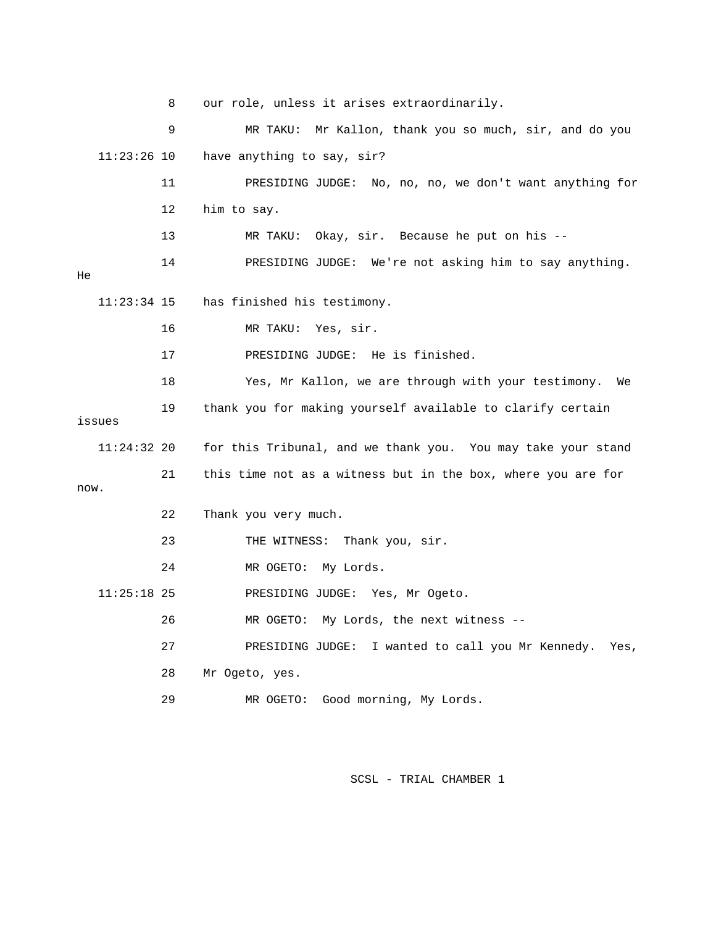8 our role, unless it arises extraord inarily. 9 MR TAKU: Mr Kallon, thank yo u so much, sir, and do you 11:23:26 10 have anything to say, sir? 11 PRESIDING JUDGE: No, no, no, we don't want anything for 14 PRESIDING JUDGE: We're not asking him to say anything. 16 MR TAKU: Yes, sir. 19 thank you for making yourself available to clarify certain 11:24:32 20 for this Tribunal, and we thank you. You may take your stand 21 this time not as a witness but in the box, where you are for w. no 22 Thank you very much. 26 MR OGETO: My Lords, the next witness -- 27 PRESIDING JUDGE: I wanted to call you Mr Kennedy. Yes, 28 Mr Ogeto, yes. 29 MR OGETO: Good morning, My Lords. 12 him to say. 13 MR TAKU: Okay, sir. Because he put on his -- He 11:23:34 15 has finished his testimony. 17 PRESIDING JUDGE: He is finished. 18 Yes, Mr Kallon, we are through with your testimony. We issues 23 THE WITNESS: Thank you, sir. 24 MR OGETO: My Lords. 11:25:18 25 PRESIDING JUDGE: Yes, Mr Ogeto.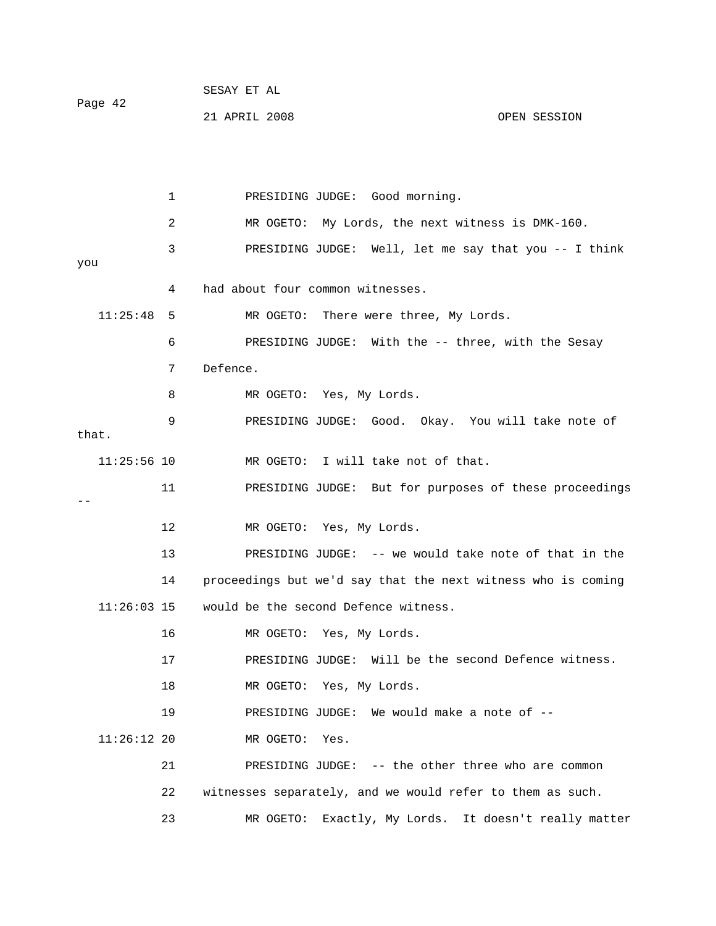|         |  |  | SESAY ET AL |  |  |
|---------|--|--|-------------|--|--|
| Page 42 |  |  |             |  |  |

21 APRIL 2008 OPEN SESSION

 1 PRESIDING JUDGE: Good morning. 3 PRESIDING JUDGE: Well, let me say that you -- I think you 4 had about four common witnesses. 11:25:48 5 MR OGETO: There were three, My Lords. 8 MR OGETO: Yes, My Lords. l take note of 9 PRESIDING JUDGE: Good. Okay. You wil 11 PRESIDING JUDGE: But for purposes of these proceedings 12 MR OGETO: Yes, My Lords. 13 PRESIDING JUDGE: -- we would take note of that in the 14 proceedings but we'd say that the next witness who is coming 2 MR OGETO: My Lords, the next witness is DMK-160. 6 PRESIDING JUDGE: With the -- three, with the Sesay 7 Defence. that. 11:25:56 10 MR OGETO: I will take not of that. -- 11:26:03 15 would be the second Defence witness.

16 MR OGETO: Yes, My Lords.

17 PRESIDING JUDGE: Will be the second Defence witness.

18 MR OGETO: Yes, My Lords.

19 PRESIDING JUDGE: We would make a note of --

11:26:12 20 MR OGETO: Yes.

 21 PRESIDING JUDGE: -- the other three who are common 22 witnesses separately, and we would refer to them as such. 23 MR OGETO: Exactly, My Lords. It doesn't really matter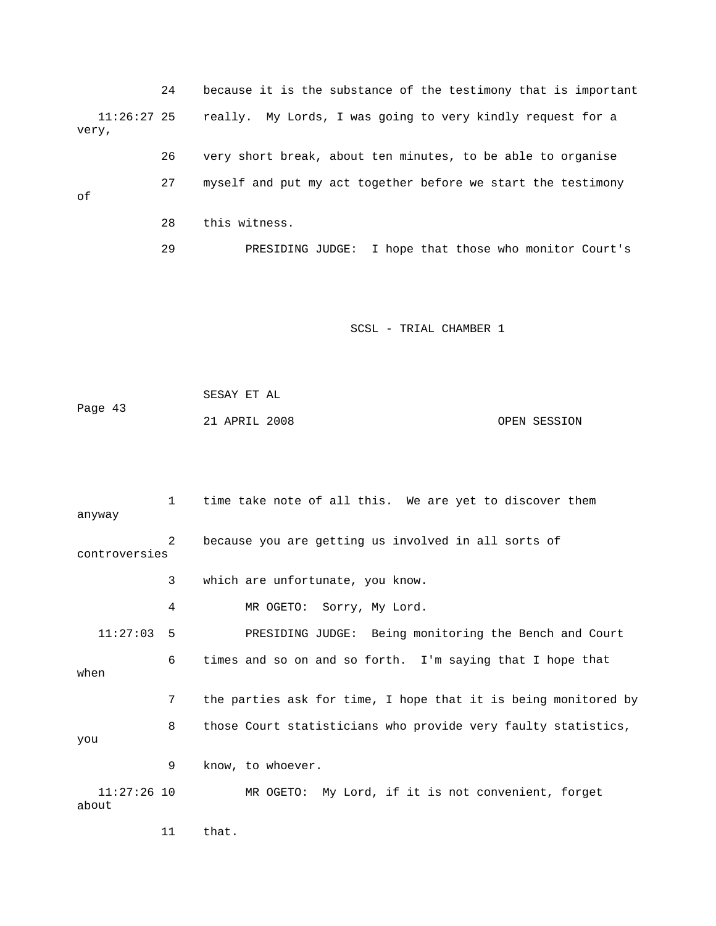24 because it is the substance of the testimony that is important 11:26:27 25 really. My Lords, I was going to very kindly request for a 29 PRESIDING JUDGE: I hope that those who monitor Court's very, 26 very short break, about ten minutes, to be able to organise 27 myself and put my act together before we start the testimony of 28 this witness.

SCSL - TRIAL CHAMBER 1

 SESAY ET AL Page 43 21 APRIL 2008 OPEN SESSION

 1 time take note of all this. We are yet to discover them controversies 3 which are unfortunate, you know. 4 MR OGETO: Sorry, My Lord. PRESIDING JUDGE: Being monitoring the Bench and Court 6 times and so on and so forth. I'm saying that I hope that 7 the parties ask for time, I hope that it is being monitored by 8 those Court statisticians who provide very faulty statistics, 9 know, to whoever. MR OGETO: My Lord, if it is not convenient, forget about anyway 2 because you are getting us involved in all sorts of  $11:27:03$  5 when you 11:27:26 10

11 that.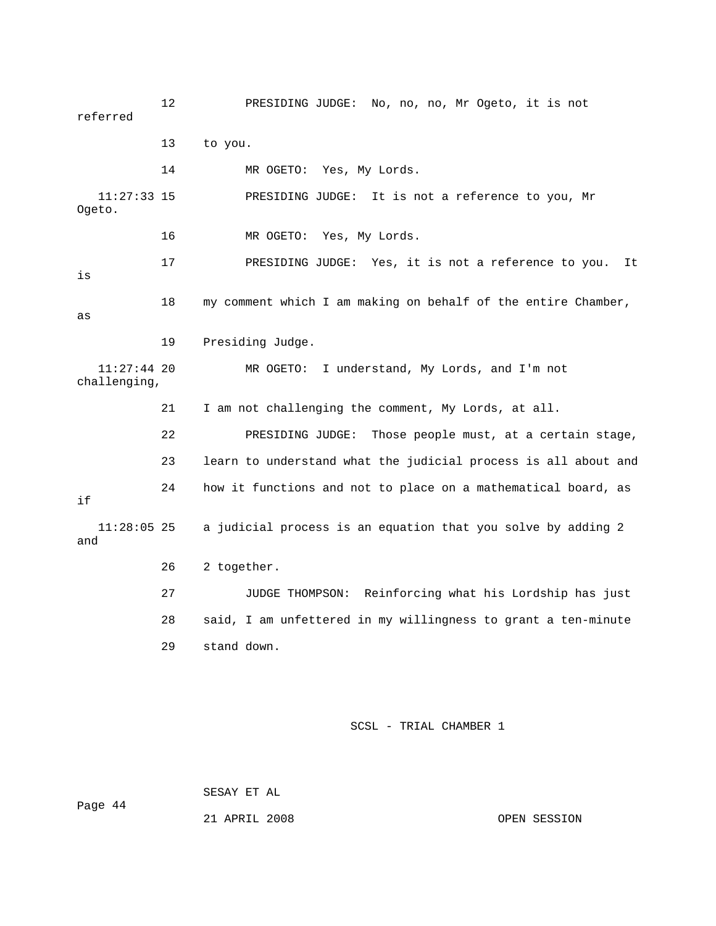12 PRESIDING JUDGE: No, no, no, Mr Ogeto, it is not referred 14 MR OGETO: Yes, My Lords. RESIDING JUDGE: It is not a reference to you, Mr Ogeto. 16 MR OGETO: Yes, My Lords. 17 PRESIDING JUDGE: Yes, it is not a reference to you. It 18 my comment which I am making on behalf of the entire Chamber, 11:27:44 20 MR OGETO: I understand, My Lords, and I'm not 21 I am not challenging the comment, My Lords, at all. 22 PRESIDING JUDGE: Those people must, at a certain stage, 23 learn to understand what the judicial process is all about and 24 how it functions and not to place on a mathematical board, as  $11:28:05$  25 a judicial process is an equation that you solve by adding 2 26 2 together. 27 JUDGE THOMPSON: Reinforcing what his Lordship has just 13 to you.  $11:27:33$  15 is as 19 Presiding Judge. challenging, if and 28 said, I am unfettered in my willingness to grant a ten-minute 29 stand down.

SCSL - TRIAL CHAMBER 1

Page 44

SESAY ET AL

21 APRIL 2008 OPEN SESSION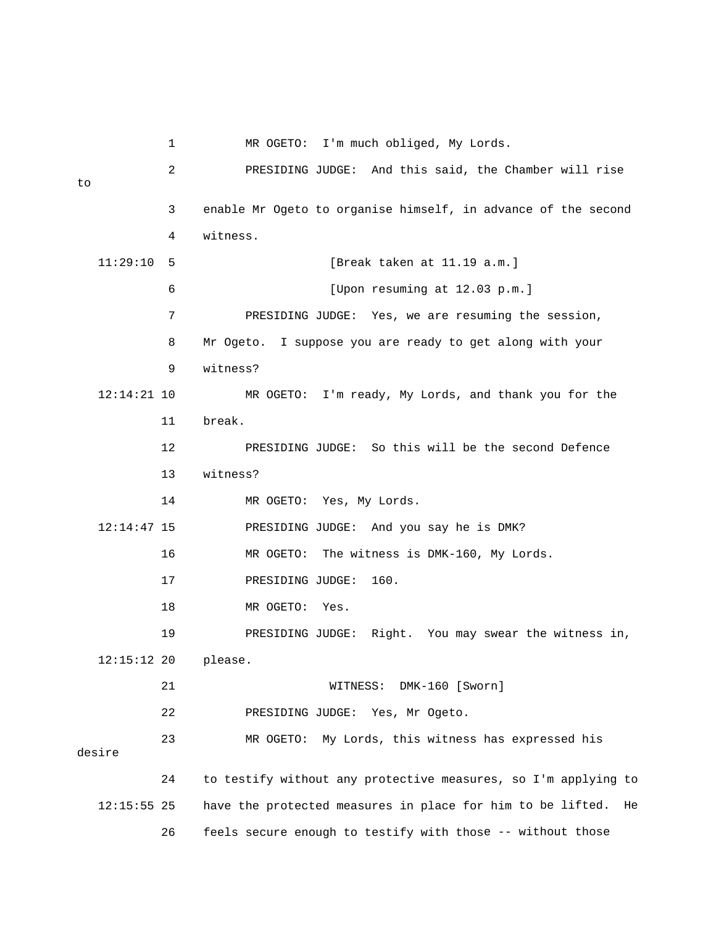1 MR OGETO: I'm much obliged, My Lords. 2 PRESIDING JUDGE: And this said, the Chamber will rise 3 enable Mr Ogeto to organise himself, in advance of the second 4 witness. 7 PRESIDING JUDGE: Yes, we are resuming the session, 8 Mr Ogeto. I suppose you are ready to get along with your 9 witness? 12:14:21 10 MR OGETO: I'm ready, My Lords, and thank you for the 12 PRESIDING JUDGE: So this will be the second Defence 13 witness? 14 MR OGETO: Yes, My Lords. 12:14:47 15 PRESIDING JUDGE: And you say he is DMK? 16 MR OGETO: The witness is DMK-160, My Lords. 18 MR OGETO: Yes. 19 PRESIDING JUDGE: Right. You may swear the witness in, 21 WITNESS: DMK-160 [Sworn] 22 PRESIDING JUDGE: Yes, Mr Ogeto. 23 MR OGETO: My Lords, this witness has expressed his 24 to testify without any protective measures, so I'm applying to  $12:15:55$   $25$  have the protected measures in place for him to be lifted. He 26 feels secure enough to testify with those -- without those to 11:29:10 5 [Break taken at 11.19 a.m.] 6 [Upon resuming at 12.03 p.m.] 11 break. 17 PRESIDING JUDGE: 160. 12:15:12 20 please. desire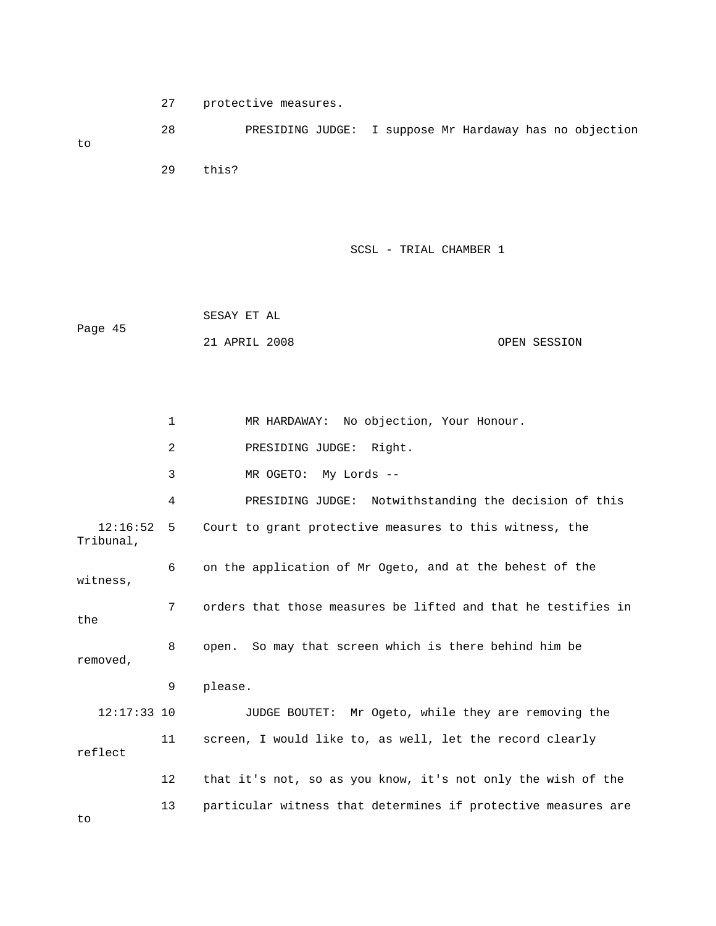27 protective measures.

 28 PRESIDING JUDGE: I suppose Mr Hardaway has no objection to 29 this?

SCSL - TRIAL CHAMBER 1

 SESAY ET AL Page 45 21 APRIL 2008 OPEN SESSION

 2 PRESIDING JUDGE: Right. 3 MR OGETO: My Lords -- 4 PRESIDING JUDGE: Notwithstanding the decision of this 12:16:52 5 Court to grant protective measures to this witness, the 6 on the application of Mr Ogeto, and at the behest of the 7 orders that those measures be lifted and that he testifies in 12:17:33 10 JUDGE BOUTET: Mr Ogeto, while they are removing the reflect 12 that it's not, so as you know, it's not only the wish of the 13 particular witness that determines if protective measures are 1 MR HARDAWAY: No objection, Your Honour. Tribunal, witness, the 8 open. So may that screen which is there behind him be removed, 9 please. 11 screen, I would like to, as well, let the record clearly

to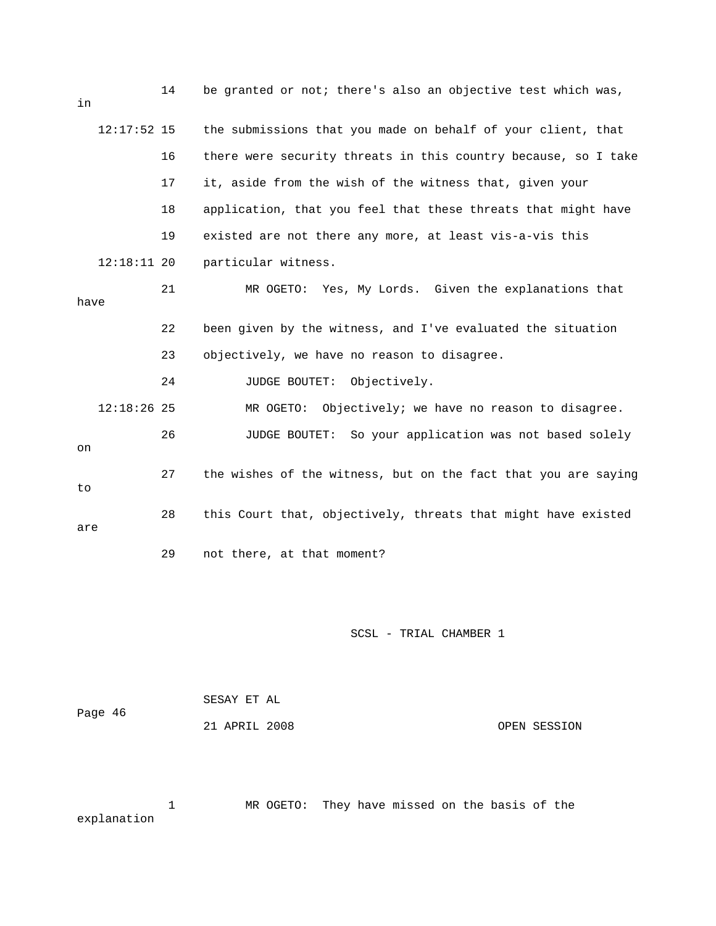| in   |               | 14 | be granted or not; there's also an objective test which was,   |
|------|---------------|----|----------------------------------------------------------------|
|      | $12:17:52$ 15 |    | the submissions that you made on behalf of your client, that   |
|      |               | 16 | there were security threats in this country because, so I take |
|      |               | 17 | it, aside from the wish of the witness that, given your        |
|      |               | 18 | application, that you feel that these threats that might have  |
|      |               | 19 | existed are not there any more, at least vis-a-vis this        |
|      | $12:18:11$ 20 |    | particular witness.                                            |
| have |               | 21 | MR OGETO: Yes, My Lords. Given the explanations that           |
|      |               | 22 | been given by the witness, and I've evaluated the situation    |
|      |               | 23 | objectively, we have no reason to disagree.                    |
|      |               | 24 | JUDGE BOUTET: Objectively.                                     |
|      | $12:18:26$ 25 |    | Objectively; we have no reason to disagree.<br>MR OGETO:       |
| on   |               | 26 | So your application was not based solely<br>JUDGE BOUTET:      |
| to   |               | 27 | the wishes of the witness, but on the fact that you are saying |
| are  |               | 28 | this Court that, objectively, threats that might have existed  |
|      |               | 29 | not there, at that moment?                                     |

| Page 46 | SESAY ET AL   |              |
|---------|---------------|--------------|
|         | 21 APRIL 2008 | OPEN SESSION |

 1 MR OGETO: They have missed on the basis of the explanation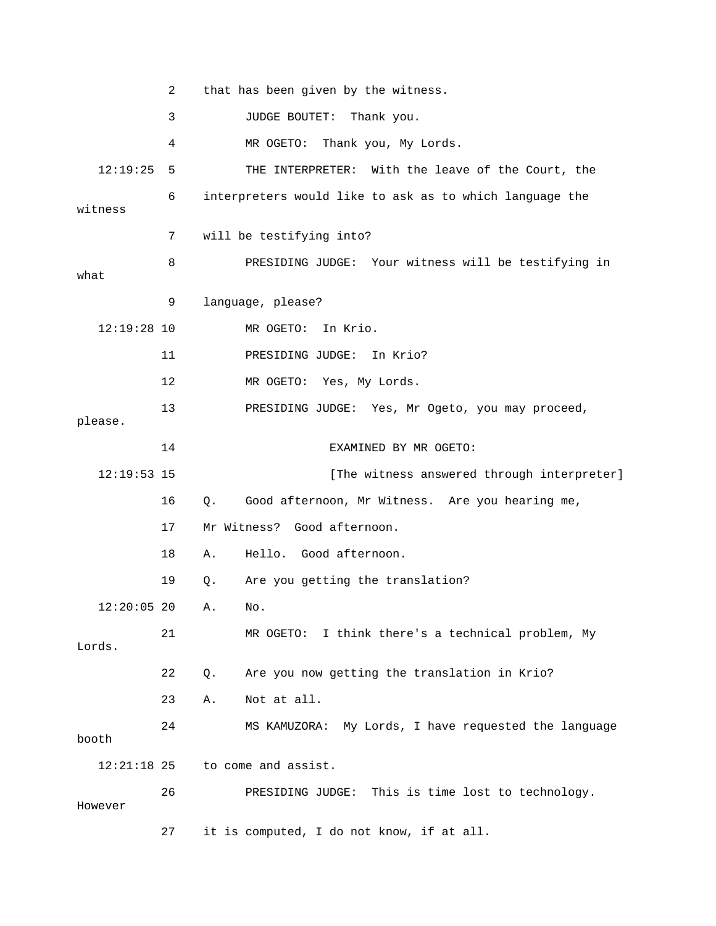|               | 2  | that has been given by the witness.                     |
|---------------|----|---------------------------------------------------------|
|               | 3  | JUDGE BOUTET: Thank you.                                |
|               | 4  | MR OGETO: Thank you, My Lords.                          |
| 12:19:25      | 5  | THE INTERPRETER: With the leave of the Court, the       |
| witness       | 6  | interpreters would like to ask as to which language the |
|               | 7  | will be testifying into?                                |
| what          | 8  | PRESIDING JUDGE: Your witness will be testifying in     |
|               | 9  | language, please?                                       |
| $12:19:28$ 10 |    | MR OGETO: In Krio.                                      |
|               | 11 | PRESIDING JUDGE:<br>In Krio?                            |
|               | 12 | MR OGETO: Yes, My Lords.                                |
| please.       | 13 | PRESIDING JUDGE: Yes, Mr Ogeto, you may proceed,        |
|               | 14 | EXAMINED BY MR OGETO:                                   |
| $12:19:53$ 15 |    | [The witness answered through interpreter]              |
|               | 16 | Good afternoon, Mr Witness. Are you hearing me,<br>Q.   |
|               | 17 | Mr Witness? Good afternoon.                             |
|               | 18 | Hello. Good afternoon.<br>Α.                            |
|               | 19 | Are you getting the translation?<br>Q.                  |
| $12:20:05$ 20 |    | Α.<br>No.                                               |
| Lords.        | 21 | MR OGETO: I think there's a technical problem, My       |
|               | 22 | Are you now getting the translation in Krio?<br>Q.      |
|               | 23 | Not at all.<br>Α.                                       |
| booth         | 24 | MS KAMUZORA: My Lords, I have requested the language    |
| $12:21:18$ 25 |    | to come and assist.                                     |
| However       | 26 | PRESIDING JUDGE: This is time lost to technology.       |
|               | 27 | it is computed, I do not know, if at all.               |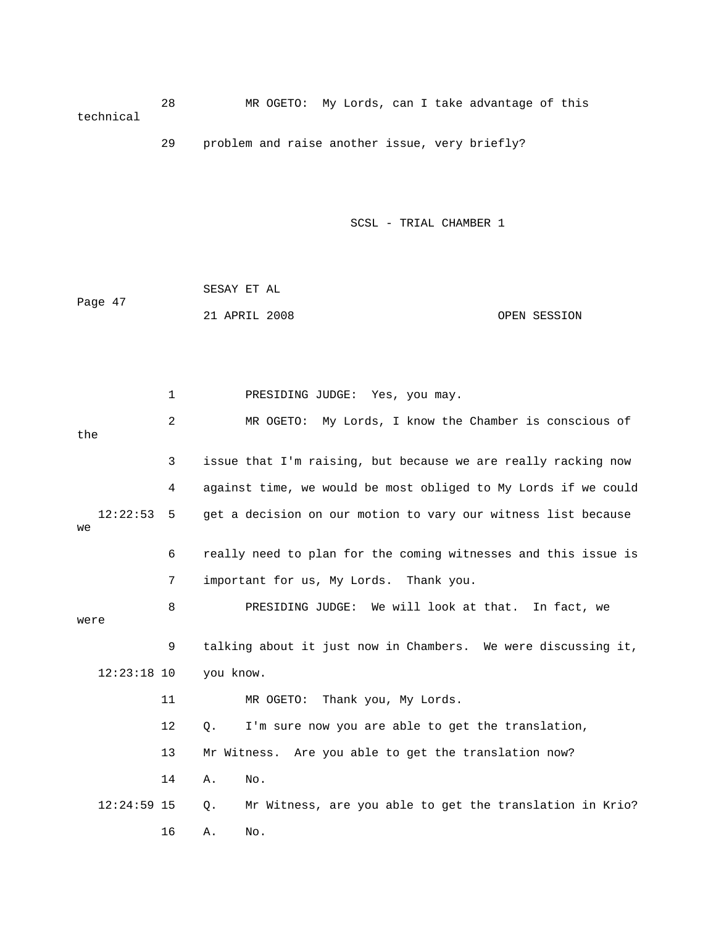28 MR OGETO: My Lords, can I take advantage of this technical

29 problem and raise another issue, very briefly?

SCSL - TRIAL CHAMBER 1

|         | SESAY ET AL   |  |              |
|---------|---------------|--|--------------|
| Page 47 |               |  |              |
|         | 21 APRIL 2008 |  | OPEN SESSION |

 1 PRESIDING JUDGE: Yes, you may. 2 MR OGETO: My Lords, I know the Chamber is conscious of 3 issue that I'm raising, but because we are really racking now 4 against time, we would be most obliged to My Lords if we could 12:22:53 5 get a decision on our motion to vary our witness list because 6 really need to plan for the coming witnesses and this issue is 9 talking about it just now in Chambers. We were discussing it, 13 Mr Witness. Are you able to get the translation now? 12:24:59 15 Q. Mr Witness, are you able to get the translation in Krio? 16 A. No. the we 7 important for us, My Lords. Thank you. 8 PRESIDING JUDGE: We will look at that. In fact, we were 12:23:18 10 you know. 11 MR OGETO: Thank you, My Lords. 12 Q. I'm sure now you are able to get the translation, 14 A. No.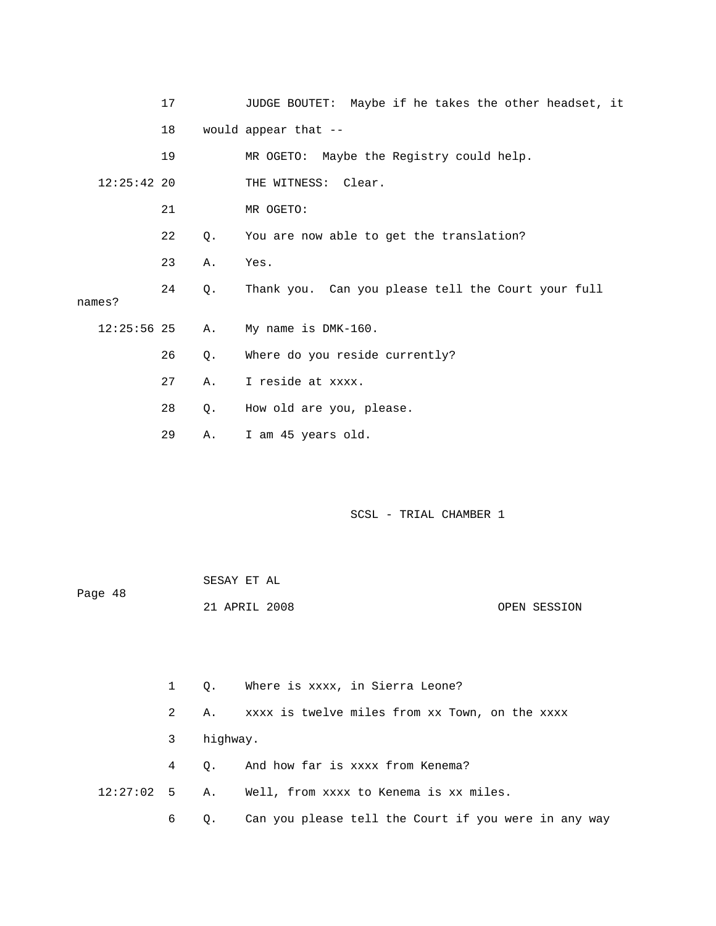|               | 17 |       | JUDGE BOUTET: Maybe if he takes the other headset, it |
|---------------|----|-------|-------------------------------------------------------|
|               | 18 |       | would appear that --                                  |
|               | 19 |       | MR OGETO: Maybe the Registry could help.              |
| $12:25:42$ 20 |    |       | THE WITNESS: Clear.                                   |
|               | 21 |       | MR OGETO:                                             |
|               | 22 | Q.    | You are now able to get the translation?              |
|               | 23 | Α.    | Yes.                                                  |
| names?        | 24 | Q.    | Thank you. Can you please tell the Court your full    |
|               |    |       |                                                       |
| $12:25:56$ 25 |    | Α.    | My name is DMK-160.                                   |
|               | 26 | Q.    | Where do you reside currently?                        |
|               | 27 | Α.    | I reside at xxxx.                                     |
|               | 28 | $Q$ . | How old are you, please.                              |
|               | 29 | Α.    | I am 45 years old.                                    |

| Page 48 | SESAY ET AL   |  |              |
|---------|---------------|--|--------------|
|         | 21 APRIL 2008 |  | OPEN SESSION |

|            |          | 1 Q. Where is xxxx, in Sierra Leone?                    |
|------------|----------|---------------------------------------------------------|
| 2          | A.,      | xxxx is twelve miles from xx Town, on the xxxx          |
| 3          | highway. |                                                         |
| $4\degree$ |          | 0. And how far is xxxx from Kenema?                     |
|            |          | $12:27:02$ 5 A. Well, from xxxx to Kenema is xx miles.  |
| 6          |          | Q. Can you please tell the Court if you were in any way |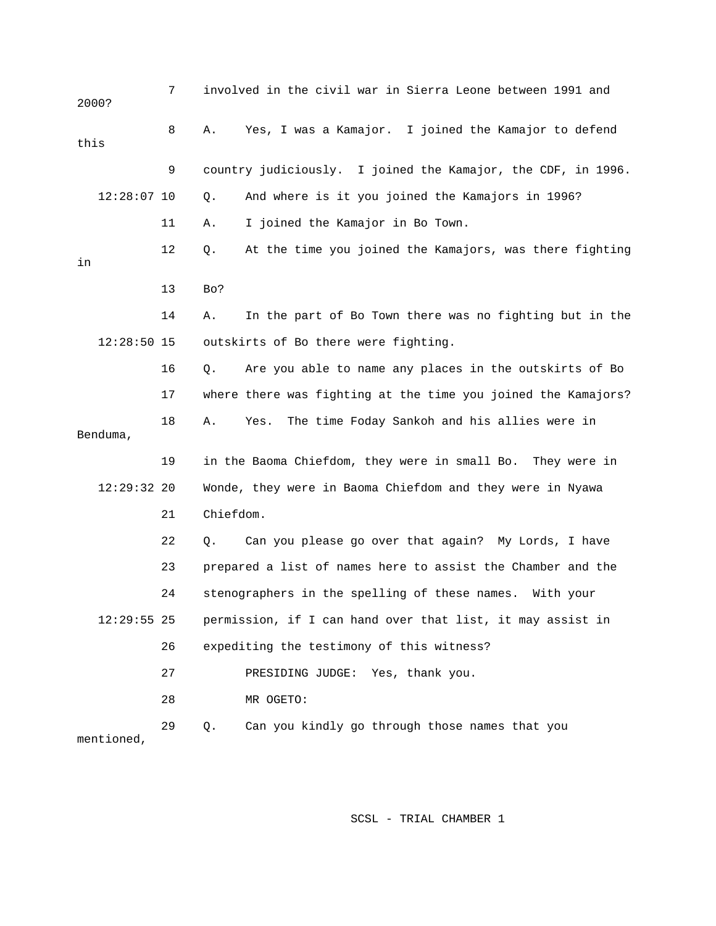| 2000? |               | 7  |           | involved in the civil war in Sierra Leone between 1991 and    |
|-------|---------------|----|-----------|---------------------------------------------------------------|
| this  |               | 8  | Α.        | Yes, I was a Kamajor. I joined the Kamajor to defend          |
|       |               | 9  |           | country judiciously. I joined the Kamajor, the CDF, in 1996.  |
|       | $12:28:07$ 10 |    | Q.        | And where is it you joined the Kamajors in 1996?              |
|       |               | 11 | Α.        | I joined the Kamajor in Bo Town.                              |
| in    |               | 12 | Q.        | At the time you joined the Kamajors, was there fighting       |
|       |               | 13 | Bo?       |                                                               |
|       |               | 14 | Α.        | In the part of Bo Town there was no fighting but in the       |
|       | $12:28:50$ 15 |    |           | outskirts of Bo there were fighting.                          |
|       |               | 16 | Q.        | Are you able to name any places in the outskirts of Bo        |
|       |               | 17 |           | where there was fighting at the time you joined the Kamajors? |
|       | Benduma,      | 18 | Α.        | The time Foday Sankoh and his allies were in<br>Yes.          |
|       |               | 19 |           | in the Baoma Chiefdom, they were in small Bo. They were in    |
|       | $12:29:32$ 20 |    |           | Wonde, they were in Baoma Chiefdom and they were in Nyawa     |
|       |               | 21 | Chiefdom. |                                                               |
|       |               | 22 | Q.        | Can you please go over that again? My Lords, I have           |
|       |               | 23 |           | prepared a list of names here to assist the Chamber and the   |
|       |               | 24 |           | stenographers in the spelling of these names. With your       |
|       | $12:29:55$ 25 |    |           | permission, if I can hand over that list, it may assist in    |
|       |               | 26 |           | expediting the testimony of this witness?                     |
|       |               | 27 |           | PRESIDING JUDGE:<br>Yes, thank you.                           |
|       |               | 28 |           | MR OGETO:                                                     |
|       | mentioned,    | 29 | Q.        | Can you kindly go through those names that you                |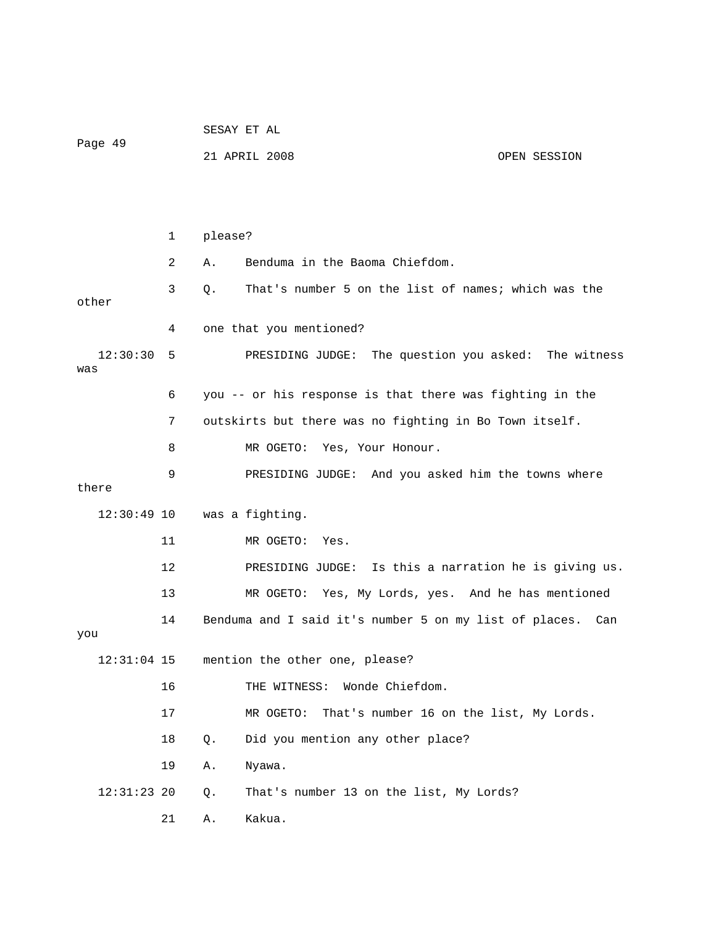|                 |    |         | SESAY ET AL                                              |  |              |  |  |  |
|-----------------|----|---------|----------------------------------------------------------|--|--------------|--|--|--|
| Page 49         |    |         | 21 APRIL 2008                                            |  | OPEN SESSION |  |  |  |
|                 |    |         |                                                          |  |              |  |  |  |
|                 |    |         |                                                          |  |              |  |  |  |
|                 | 1  | please? |                                                          |  |              |  |  |  |
|                 | 2  | Α.      | Benduma in the Baoma Chiefdom.                           |  |              |  |  |  |
| other           | 3  | Q.      | That's number 5 on the list of names; which was the      |  |              |  |  |  |
|                 | 4  |         | one that you mentioned?                                  |  |              |  |  |  |
| 12:30:30<br>was | 5  |         | PRESIDING JUDGE:<br>The question you asked:              |  | The witness  |  |  |  |
|                 | 6  |         | you -- or his response is that there was fighting in the |  |              |  |  |  |
|                 | 7  |         | outskirts but there was no fighting in Bo Town itself.   |  |              |  |  |  |
|                 | 8  |         | Yes, Your Honour.<br>MR OGETO:                           |  |              |  |  |  |
|                 | 9  |         | And you asked him the towns where<br>PRESIDING JUDGE:    |  |              |  |  |  |
| there           |    |         |                                                          |  |              |  |  |  |
| $12:30:49$ 10   |    |         | was a fighting.                                          |  |              |  |  |  |
|                 | 11 |         | MR OGETO:<br>Yes.                                        |  |              |  |  |  |
|                 | 12 |         | Is this a narration he is giving us.<br>PRESIDING JUDGE: |  |              |  |  |  |
|                 | 13 |         | MR OGETO:<br>Yes, My Lords, yes. And he has mentioned    |  |              |  |  |  |
|                 | 14 |         | Benduma and I said it's number 5 on my list of places.   |  | Can          |  |  |  |
| you             |    |         |                                                          |  |              |  |  |  |
| $12:31:04$ 15   |    |         | mention the other one, please?                           |  |              |  |  |  |
|                 | 16 |         | Wonde Chiefdom.<br>THE WITNESS:                          |  |              |  |  |  |
|                 | 17 |         | MR OGETO:<br>That's number 16 on the list, My Lords.     |  |              |  |  |  |
|                 | 18 | Q.      | Did you mention any other place?                         |  |              |  |  |  |
|                 | 19 | Α.      | Nyawa.                                                   |  |              |  |  |  |
| $12:31:23$ 20   |    | Q.      | That's number 13 on the list, My Lords?                  |  |              |  |  |  |
|                 | 21 | Α.      | Kakua.                                                   |  |              |  |  |  |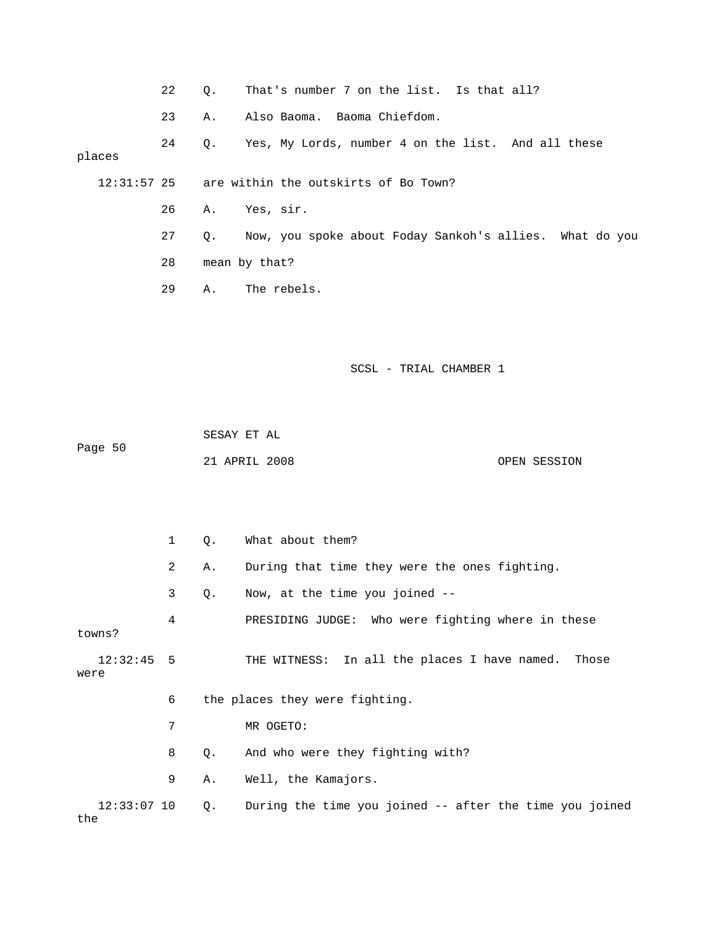- 22 Q. That's number 7 on the list. Is that all? 23 A. Also Baoma. Baoma Chiefdom. 24 Q. Yes, My Lords, number 4 on the list. And all these 12:31:57 25 are within the outskirts of Bo Town? 27 Q. Now, you spoke about Foday Sankoh's allies. What do you 29 A. The rebels. places 26 A. Yes, sir. 28 mean by that?
	- SCSL TRIAL CHAMBER 1

 SESAY ET AL Page 50 21 APRIL 2008 OPEN SESSION

|      |               | $\mathbf{1}$ | Q. | What about them?                                        |
|------|---------------|--------------|----|---------------------------------------------------------|
|      |               | 2            | Α. | During that time they were the ones fighting.           |
|      |               | 3            | Q. | Now, at the time you joined --                          |
|      | towns?        | 4            |    | PRESIDING JUDGE: Who were fighting where in these       |
| were | $12:32:45$ 5  |              |    | THE WITNESS: In all the places I have named. Those      |
|      |               | 6            |    | the places they were fighting.                          |
|      |               | 7            |    | MR OGETO:                                               |
|      |               | 8            | Q. | And who were they fighting with?                        |
|      |               | 9            | Α. | Well, the Kamajors.                                     |
| the  | $12:33:07$ 10 |              | Q. | During the time you joined -- after the time you joined |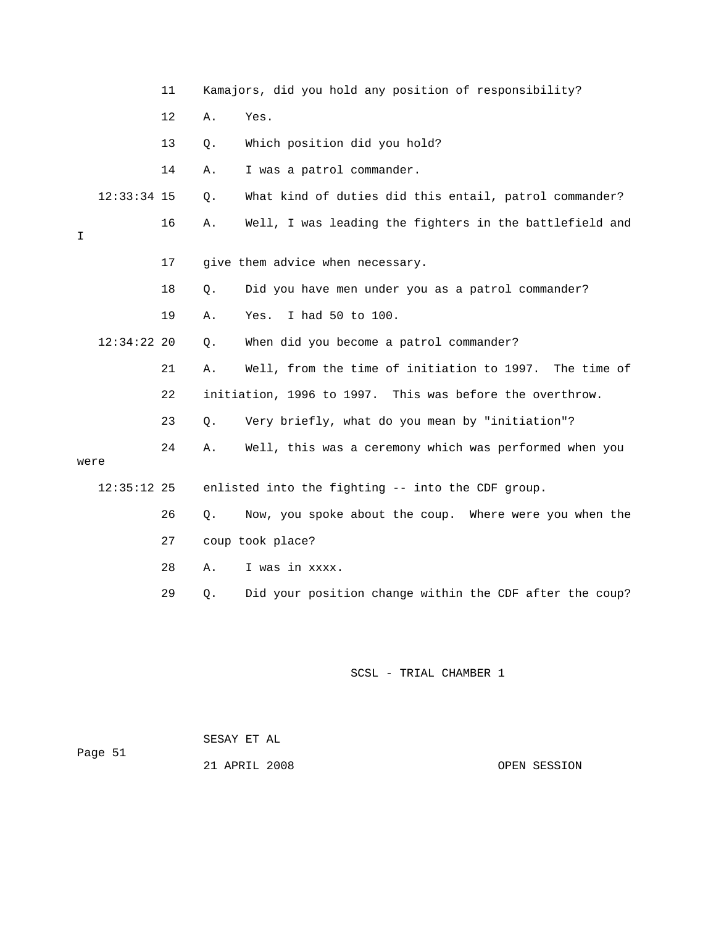|      |               | 11 |    | Kamajors, did you hold any position of responsibility?    |
|------|---------------|----|----|-----------------------------------------------------------|
|      |               | 12 | Α. | Yes.                                                      |
|      |               | 13 | Q. | Which position did you hold?                              |
|      |               | 14 | Α. | I was a patrol commander.                                 |
|      | $12:33:34$ 15 |    | Q. | What kind of duties did this entail, patrol commander?    |
| Ι    |               | 16 | Α. | Well, I was leading the fighters in the battlefield and   |
|      |               | 17 |    | give them advice when necessary.                          |
|      |               | 18 | Q. | Did you have men under you as a patrol commander?         |
|      |               | 19 | Α. | I had 50 to 100.<br>Yes.                                  |
|      | $12:34:22$ 20 |    | Q. | When did you become a patrol commander?                   |
|      |               | 21 | Α. | Well, from the time of initiation to 1997.<br>The time of |
|      |               | 22 |    | initiation, 1996 to 1997. This was before the overthrow.  |
|      |               | 23 | Q. | Very briefly, what do you mean by "initiation"?           |
| were |               | 24 | Α. | Well, this was a ceremony which was performed when you    |
|      | $12:35:12$ 25 |    |    | enlisted into the fighting -- into the CDF group.         |
|      |               | 26 | Q. | Now, you spoke about the coup. Where were you when the    |
|      |               | 27 |    | coup took place?                                          |
|      |               | 28 | Α. | I was in xxxx.                                            |
|      |               | 29 | Q. | Did your position change within the CDF after the coup?   |
|      |               |    |    |                                                           |
|      |               |    |    |                                                           |

 SESAY ET AL ge 51 Pa

21 APRIL 2008 OPEN SESSION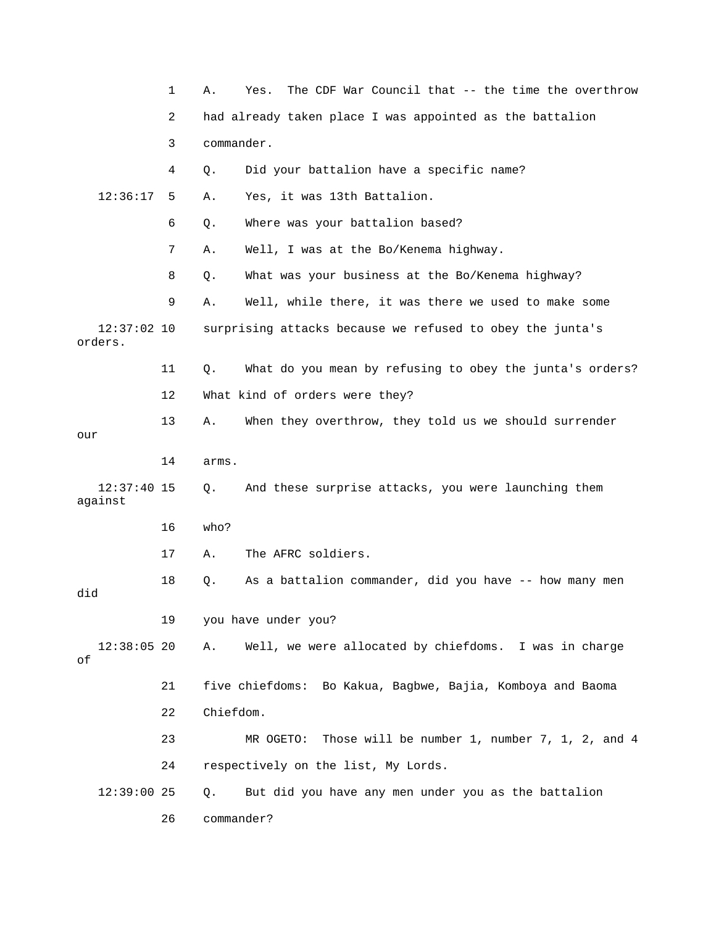|                          | 1  | The CDF War Council that -- the time the overthrow<br>Α.<br>Yes. |
|--------------------------|----|------------------------------------------------------------------|
|                          | 2  | had already taken place I was appointed as the battalion         |
|                          | 3  | commander.                                                       |
|                          | 4  | Did your battalion have a specific name?<br>Q.                   |
| 12:36:17                 | 5  | Yes, it was 13th Battalion.<br>Α.                                |
|                          | 6  | Where was your battalion based?<br>Q.                            |
|                          | 7  | Well, I was at the Bo/Kenema highway.<br>Α.                      |
|                          | 8  | What was your business at the Bo/Kenema highway?<br>Q.           |
|                          | 9  | Well, while there, it was there we used to make some<br>Α.       |
| $12:37:02$ 10<br>orders. |    | surprising attacks because we refused to obey the junta's        |
|                          | 11 | What do you mean by refusing to obey the junta's orders?<br>Q.   |
|                          | 12 | What kind of orders were they?                                   |
| our                      | 13 | When they overthrow, they told us we should surrender<br>Α.      |
|                          | 14 | arms.                                                            |
| $12:37:40$ 15<br>against |    | And these surprise attacks, you were launching them<br>Q.        |
|                          | 16 | who?                                                             |
|                          | 17 | The AFRC soldiers.<br>Α.                                         |
| did                      | 18 | As a battalion commander, did you have -- how many men<br>Q.     |
|                          | 19 | you have under you?                                              |
| $12:38:05$ 20<br>оf      |    | Well, we were allocated by chiefdoms. I was in charge<br>Α.      |
|                          | 21 | five chiefdoms: Bo Kakua, Bagbwe, Bajia, Komboya and Baoma       |
|                          | 22 | Chiefdom.                                                        |
|                          | 23 | Those will be number 1, number 7, 1, 2, and 4<br>MR OGETO:       |
|                          | 24 | respectively on the list, My Lords.                              |
| $12:39:00$ 25            |    | But did you have any men under you as the battalion<br>Q.        |
|                          | 26 | commander?                                                       |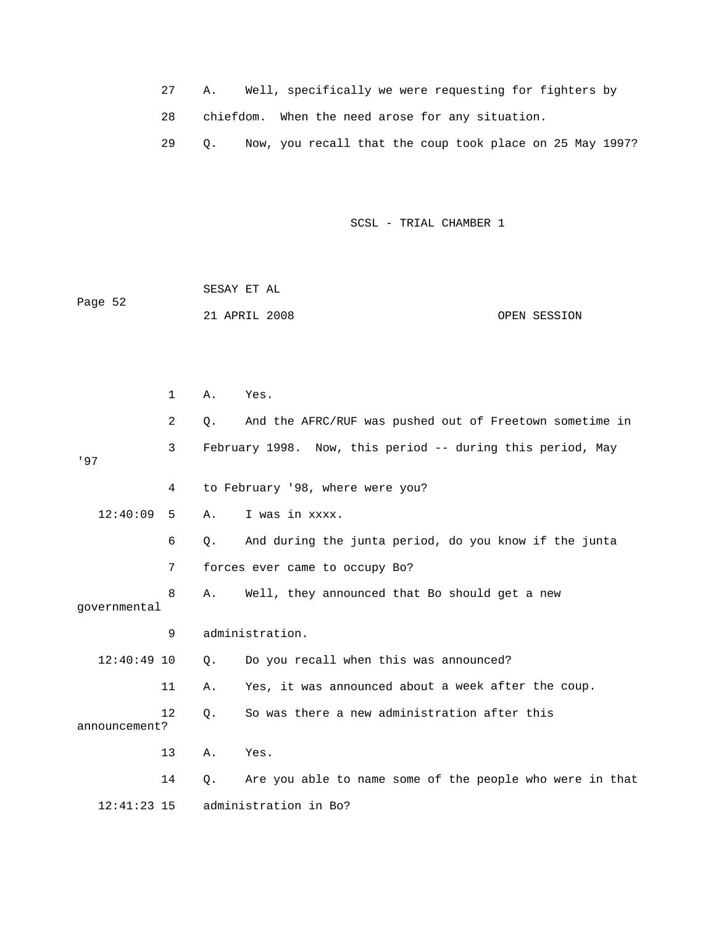- 27 A. Well, specifically we were requesting for fighters by 28 chiefdom. When the need arose for any situation.
- 29 Q. Now, you recall that the coup took place on 25 May 1997?

|     |               |    | SESAY ET AL |                                                            |              |  |
|-----|---------------|----|-------------|------------------------------------------------------------|--------------|--|
|     | Page 52       |    |             | 21 APRIL 2008                                              | OPEN SESSION |  |
|     |               |    |             |                                                            |              |  |
|     |               |    |             |                                                            |              |  |
|     |               | 1  | Α.          | Yes.                                                       |              |  |
|     |               | 2  | Q.          | And the AFRC/RUF was pushed out of Freetown sometime in    |              |  |
| '97 |               | 3  |             | February 1998. Now, this period -- during this period, May |              |  |
|     |               | 4  |             | to February '98, where were you?                           |              |  |
|     | 12:40:09      | 5  | Α.          | I was in xxxx.                                             |              |  |
|     |               | 6  | О.          | And during the junta period, do you know if the junta      |              |  |
|     |               | 7  |             | forces ever came to occupy Bo?                             |              |  |
|     | governmental  | 8  | Α.          | Well, they announced that Bo should get a new              |              |  |
|     |               | 9  |             | administration.                                            |              |  |
|     | $12:40:49$ 10 |    | Ο.          | Do you recall when this was announced?                     |              |  |
|     |               | 11 | Α.          | Yes, it was announced about a week after the coup.         |              |  |
|     | announcement? | 12 | О.          | So was there a new administration after this               |              |  |
|     |               | 13 | Α.          | Yes.                                                       |              |  |
|     |               | 14 | Q.          | Are you able to name some of the people who were in that   |              |  |
|     | $12:41:23$ 15 |    |             | administration in Bo?                                      |              |  |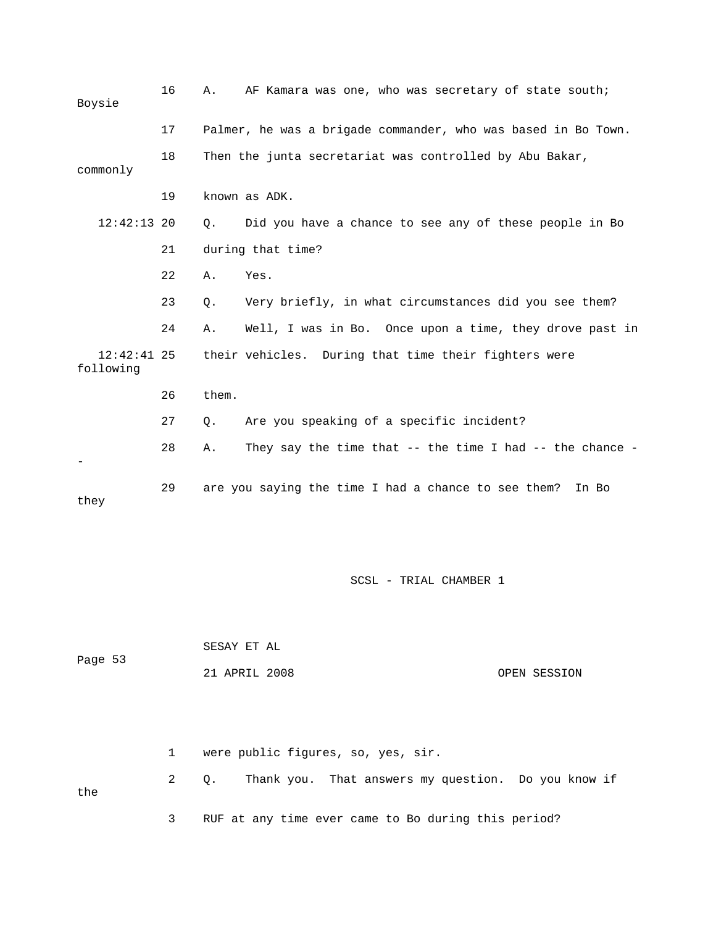| Boysie                     | 16 | AF Kamara was one, who was secretary of state south;<br>Α.             |
|----------------------------|----|------------------------------------------------------------------------|
|                            | 17 | Palmer, he was a brigade commander, who was based in Bo Town.          |
| commonly                   | 18 | Then the junta secretariat was controlled by Abu Bakar,                |
|                            | 19 | known as ADK.                                                          |
| $12:42:13$ 20              |    | Did you have a chance to see any of these people in Bo<br>О.           |
|                            | 21 | during that time?                                                      |
|                            | 22 | Yes.<br>Α.                                                             |
|                            | 23 | Very briefly, in what circumstances did you see them?<br>Q.            |
|                            | 24 | Well, I was in Bo. Once upon a time, they drove past in<br>Α.          |
| $12:42:41$ 25<br>following |    | their vehicles. During that time their fighters were                   |
|                            | 26 | them.                                                                  |
|                            | 27 | Are you speaking of a specific incident?<br>Q.                         |
|                            | 28 | They say the time that $-$ - the time I had $-$ - the chance $-$<br>Α. |
| they                       | 29 | are you saying the time I had a chance to see them?<br>In Bo           |

|         | SESAY ET AL   |              |
|---------|---------------|--------------|
| Page 53 |               |              |
|         | 21 APRIL 2008 | OPEN SESSION |

 1 were public figures, so, yes, sir. 2 Q. Thank you. That answers my question. Do you know if the 3 RUF at any time ever came to Bo during this period?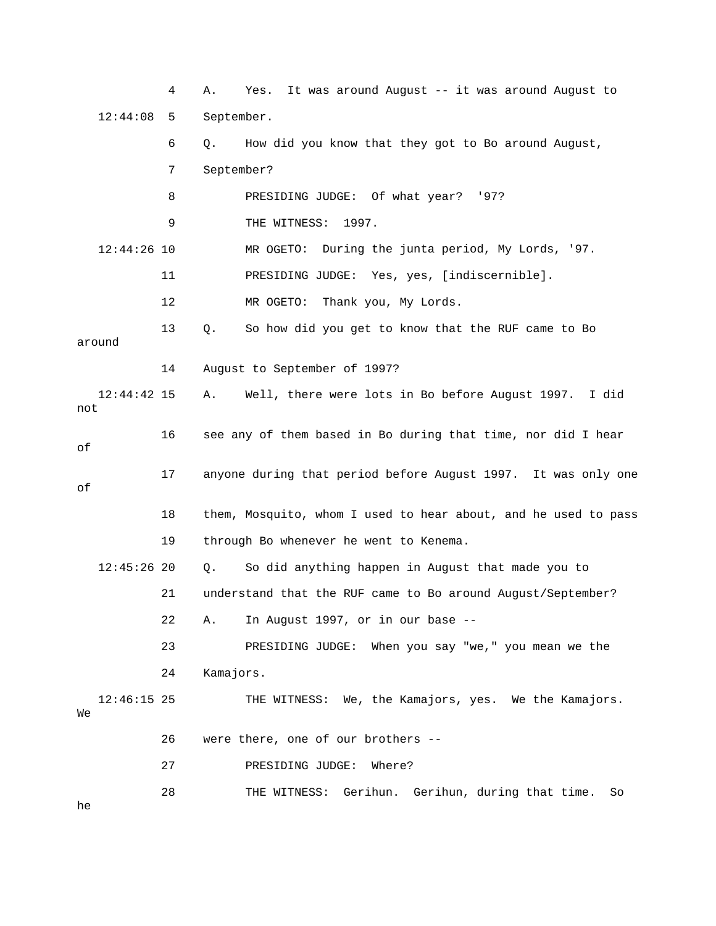4 A. Yes. It was around August -- it was around August to 12:44:08 5 September. 7 September? MR OGETO: During the junta period, My Lords, '97. 12 MR OGETO: Thank you, My Lords. 13 Q. So how did you get to know that the RUF came to Bo 14 August to September of 1997? 12:44:42 15 A. Well, there were lots in Bo before August 1997. I did 16 see any of them based in Bo during that time, nor did I hear 17 anyone during that period before August 1997. It was only one 18 them, Mosquito, whom I used to hear about, and he used to pass 21 understand that the RUF came to Bo around August/September? 12:46:15 25 THE WITNESS: We, the Kamajors, yes. We the Kamajors. 6 Q. How did you know that they got to Bo around August, 8 PRESIDING JUDGE: Of what year? '97? 9 THE WITNESS: 1997.  $12:44:26$  10 11 PRESIDING JUDGE: Yes, yes, [indiscernible]. around not of of 19 through Bo whenever he went to Kenema. 12:45:26 20 Q. So did anything happen in August that made you to 22 A. In August 1997, or in our base -- 23 PRESIDING JUDGE: When you say "we," you mean we the 24 Kamajors. We 26 were there, one of our brothers -- 27 PRESIDING JUDGE: Where? 28 THE WITNESS: Gerihun. Gerihun, during that time. So he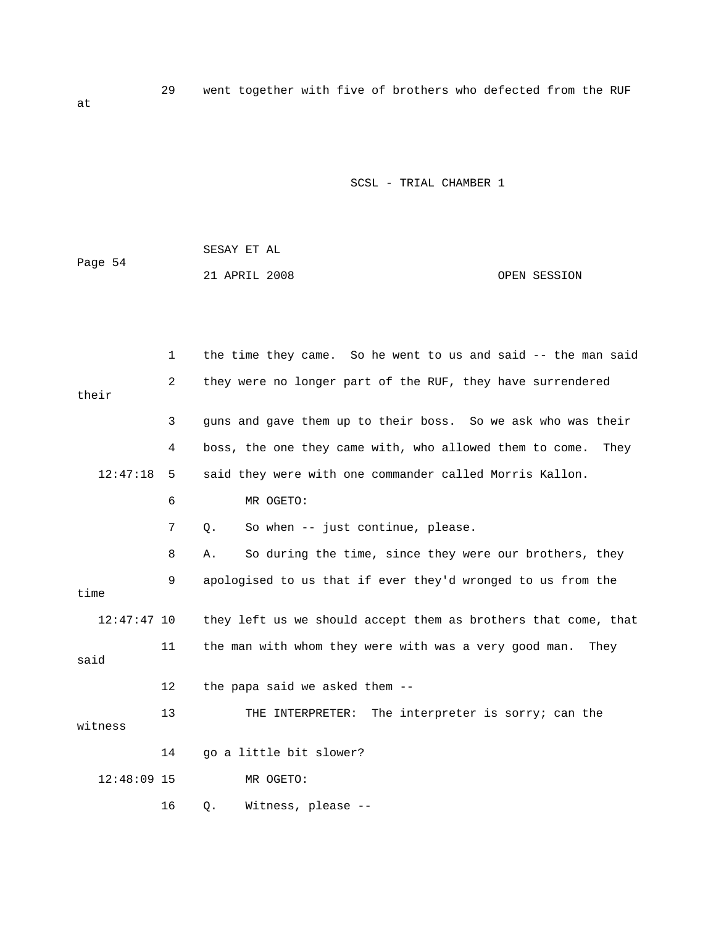29 went together with five of brothers who defected from the RUF

| Page 54 | SESAY ET AL   |              |
|---------|---------------|--------------|
|         | 21 APRIL 2008 | OPEN SESSION |

|               | $\mathbf{1}$ | the time they came. So he went to us and said -- the man said   |
|---------------|--------------|-----------------------------------------------------------------|
| their         | 2            | they were no longer part of the RUF, they have surrendered      |
|               | 3            | guns and gave them up to their boss. So we ask who was their    |
|               | 4            | boss, the one they came with, who allowed them to come.<br>They |
| 12:47:18      | 5            | said they were with one commander called Morris Kallon.         |
|               | 6            | MR OGETO:                                                       |
|               | 7            | So when -- just continue, please.<br>$Q$ .                      |
|               | 8            | So during the time, since they were our brothers, they<br>Α.    |
| time          | 9            | apologised to us that if ever they'd wronged to us from the     |
| $12:47:47$ 10 |              | they left us we should accept them as brothers that come, that  |
| said          | 11           | the man with whom they were with was a very good man.<br>They   |
|               | 12           | the papa said we asked them --                                  |
| witness       | 13           | THE INTERPRETER: The interpreter is sorry; can the              |
|               | 14           | go a little bit slower?                                         |
| $12:48:09$ 15 |              | MR OGETO:                                                       |
|               | 16           | Witness, please --<br>$Q$ .                                     |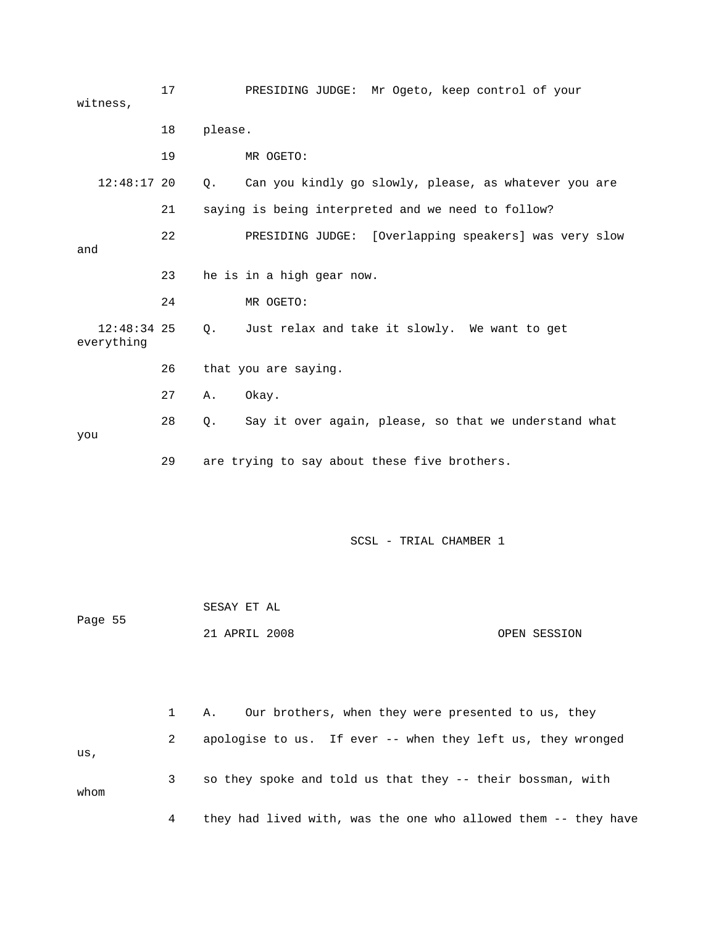17 PRESIDING JUDGE: Mr Ogeto, keep control of your witness, 18 please. 19 MR OGETO: 12:48:17 20 Q. Can you kindly go slowly, please, as whatever you are 22 PRESIDING JUDGE: [Overlapping speakers] was very slow 23 he is in a high gear now. 26 that you are saying. 28 Q. Say it over again, please, so that we understand what you SESAY ET AL Page 55 21 APRIL 2008 OPEN SESSION 21 saying is being interpreted and we need to follow? and 24 MR OGETO: 12:48:34 25 Q. Just relax and take it slowly. We want to get everything 27 A. Okay. 29 are trying to say about these five brothers. SCSL - TRIAL CHAMBER 1

|      |   | Our brothers, when they were presented to us, they<br>Α.       |
|------|---|----------------------------------------------------------------|
| us,  | 2 | apologise to us. If ever -- when they left us, they wronged    |
| whom |   | so they spoke and told us that they -- their bossman, with     |
|      | 4 | they had lived with, was the one who allowed them -- they have |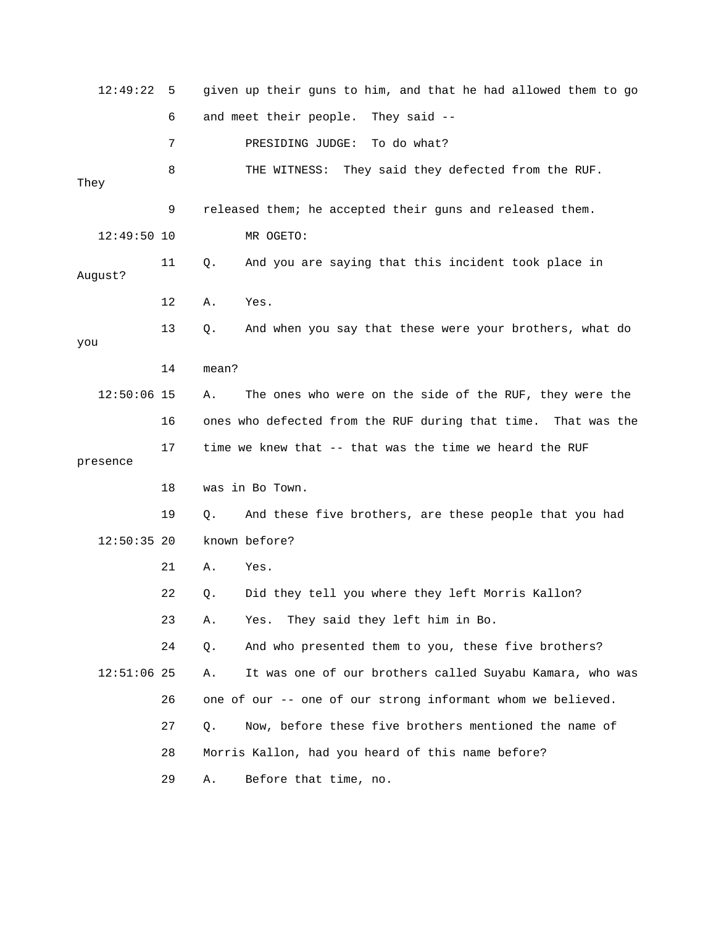| 12:49:22      | 5  |       | given up their guns to him, and that he had allowed them to go |
|---------------|----|-------|----------------------------------------------------------------|
|               | 6  |       | and meet their people. They said --                            |
|               | 7  |       | To do what?<br>PRESIDING JUDGE:                                |
| They          | 8  |       | THE WITNESS:<br>They said they defected from the RUF.          |
|               | 9  |       | released them; he accepted their guns and released them.       |
| $12:49:50$ 10 |    |       | MR OGETO:                                                      |
| August?       | 11 | Q.    | And you are saying that this incident took place in            |
|               | 12 | Α.    | Yes.                                                           |
| you           | 13 | Q.    | And when you say that these were your brothers, what do        |
|               | 14 | mean? |                                                                |
| $12:50:06$ 15 |    | Α.    | The ones who were on the side of the RUF, they were the        |
|               | 16 |       | ones who defected from the RUF during that time. That was the  |
|               |    |       |                                                                |
| presence      | 17 |       | time we knew that -- that was the time we heard the RUF        |
|               | 18 |       | was in Bo Town.                                                |
|               | 19 | Q.    | And these five brothers, are these people that you had         |
| $12:50:35$ 20 |    |       | known before?                                                  |
|               | 21 | Α.    | Yes.                                                           |
|               | 22 | Q.    | Did they tell you where they left Morris Kallon?               |
|               | 23 | Α.    | They said they left him in Bo.<br>Yes.                         |
|               | 24 | Q.    | And who presented them to you, these five brothers?            |
| $12:51:06$ 25 |    | Α.    | It was one of our brothers called Suyabu Kamara, who was       |
|               | 26 |       | one of our -- one of our strong informant whom we believed.    |
|               | 27 | Q.    | Now, before these five brothers mentioned the name of          |
|               | 28 |       | Morris Kallon, had you heard of this name before?              |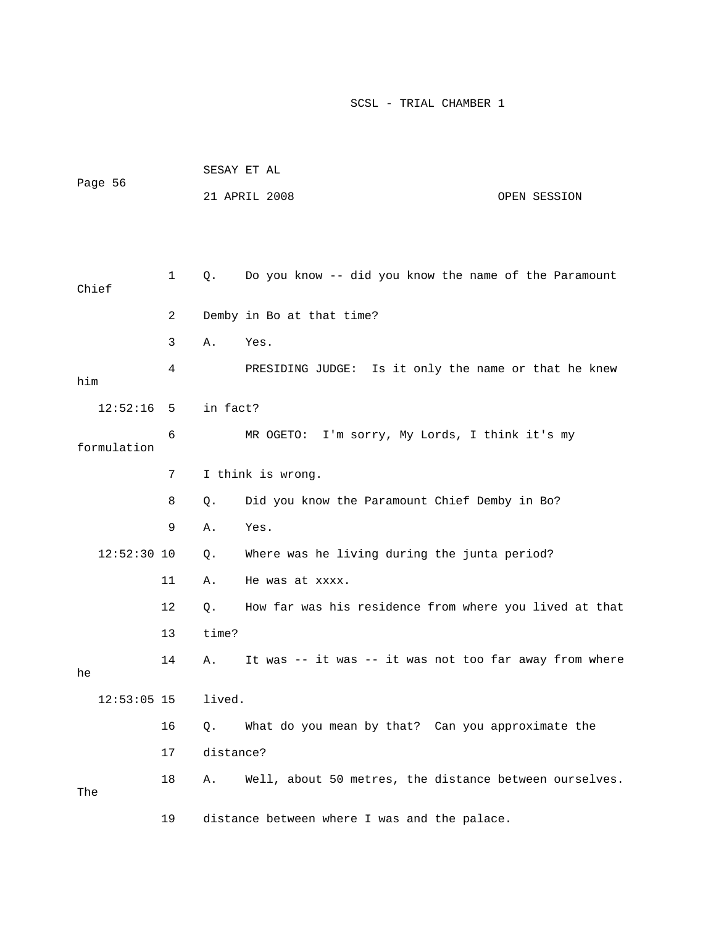|                     |    |           | SESAY ET AL                                            |              |
|---------------------|----|-----------|--------------------------------------------------------|--------------|
| Page 56             |    |           | 21 APRIL 2008                                          | OPEN SESSION |
|                     |    |           |                                                        |              |
|                     |    |           |                                                        |              |
| Chief               | 1  | Q.        | Do you know -- did you know the name of the Paramount  |              |
|                     | 2  |           | Demby in Bo at that time?                              |              |
|                     | 3  | Α.        | Yes.                                                   |              |
| him                 | 4  |           | PRESIDING JUDGE: Is it only the name or that he knew   |              |
|                     |    |           |                                                        |              |
| $12:52:16$ 5        |    | in fact?  |                                                        |              |
| formulation         | 6  |           | MR OGETO: I'm sorry, My Lords, I think it's my         |              |
|                     | 7  |           | I think is wrong.                                      |              |
|                     | 8  | Q.        | Did you know the Paramount Chief Demby in Bo?          |              |
|                     | 9  | Α.        | Yes.                                                   |              |
| $12:52:30$ 10       |    | Q.        | Where was he living during the junta period?           |              |
|                     | 11 | Α.        | He was at xxxx.                                        |              |
|                     | 12 | Q.        | How far was his residence from where you lived at that |              |
|                     | 13 | time?     |                                                        |              |
|                     | 14 | Α.        | It was -- it was -- it was not too far away from where |              |
| he<br>$12:53:05$ 15 |    | lived.    |                                                        |              |
|                     |    |           |                                                        |              |
|                     | 16 | Q.        | What do you mean by that? Can you approximate the      |              |
|                     | 17 | distance? |                                                        |              |
| The                 | 18 | Α.        | Well, about 50 metres, the distance between ourselves. |              |
|                     | 19 |           | distance between where I was and the palace.           |              |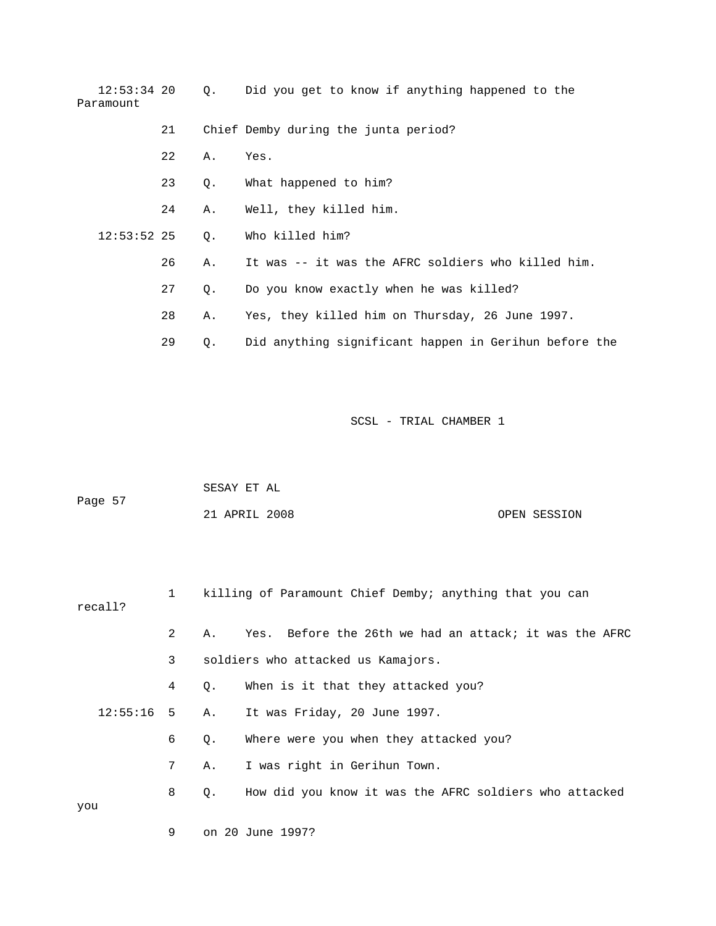12:53:34 20 Q. Did you get to know if anything happened to the Paramount

- 21 Chief Demby during the junta period?
	- 22 A. Yes.
	- 23 Q. What happened to him?
	- 24 A. Well, they killed him.
	- Q. Who killed him? 12:53:52
- 26 A. It was -- it was the AFRC soldiers who killed him.
- 27 Q. Do you know exactly when he was killed?
- 28 A. Yes, they killed him on Thursday, 26 June 1997.
- 29 Q. Did anything significant happen in Gerihun before the

|         | SESAY ET AL   |  |              |
|---------|---------------|--|--------------|
| Page 57 |               |  |              |
|         | 21 APRIL 2008 |  | OPEN SESSION |

| recall? |                |           | killing of Paramount Chief Demby; anything that you can |
|---------|----------------|-----------|---------------------------------------------------------|
|         | $2^{\circ}$    | Α.        | Yes. Before the 26th we had an attack; it was the AFRC  |
|         | $3^{\circ}$    |           | soldiers who attacked us Kamajors.                      |
|         | 4              | $\circ$ . | When is it that they attacked you?                      |
|         |                |           | 12:55:16 5 A. It was Friday, 20 June 1997.              |
|         | 6              | Q.        | Where were you when they attacked you?                  |
|         | 7 <sup>7</sup> | Α.        | I was right in Gerihun Town.                            |
|         | 8              | $\circ$ . | How did you know it was the AFRC soldiers who attacked  |
| you     |                |           |                                                         |
|         | 9              |           | on 20 June 1997?                                        |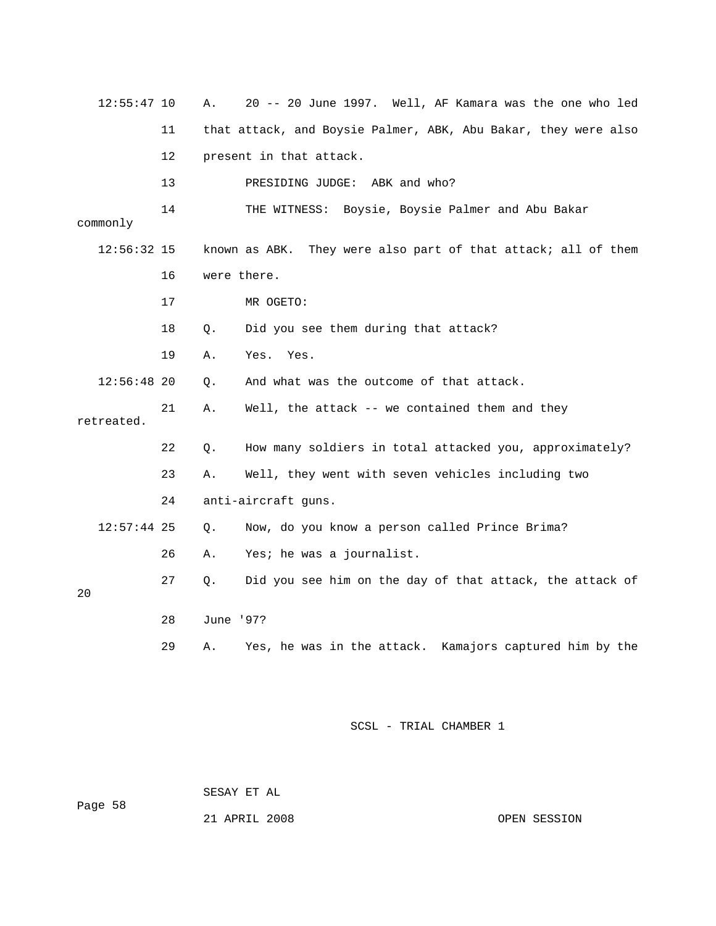| 12:55:47 10   |          | Α.              | 20 -- 20 June 1997. Well, AF Kamara was the one who led        |
|---------------|----------|-----------------|----------------------------------------------------------------|
|               | 11       |                 | that attack, and Boysie Palmer, ABK, Abu Bakar, they were also |
|               | 12       |                 | present in that attack.                                        |
|               | 13       |                 | ABK and who?<br>PRESIDING JUDGE:                               |
| commonly      | 14       |                 | THE WITNESS: Boysie, Boysie Palmer and Abu Bakar               |
| 12:56:32 15   |          |                 | known as ABK. They were also part of that attack; all of them  |
|               | 16       |                 | were there.                                                    |
|               | 17       |                 | MR OGETO:                                                      |
|               | 18       | Q.              | Did you see them during that attack?                           |
|               | 19       | Α.              | Yes.<br>Yes.                                                   |
| $12:56:48$ 20 |          | Q.              | And what was the outcome of that attack.                       |
| retreated.    | 21       | Α.              | Well, the attack -- we contained them and they                 |
|               | 22       | Q.              | How many soldiers in total attacked you, approximately?        |
|               | 23       | Α.              | Well, they went with seven vehicles including two              |
|               | 24       |                 | anti-aircraft guns.                                            |
| $12:57:44$ 25 |          | О.              | Now, do you know a person called Prince Brima?                 |
|               | 26       | Α.              | Yes; he was a journalist.                                      |
|               | 27       | О.              | Did you see him on the day of that attack, the attack of       |
|               |          |                 |                                                                |
|               |          |                 |                                                                |
| 20            | 28<br>29 | June '97?<br>Α. | Yes, he was in the attack. Kamajors captured him by the        |

ge 58 SESAY ET AL Pa

21 APRIL 2008 OPEN SESSION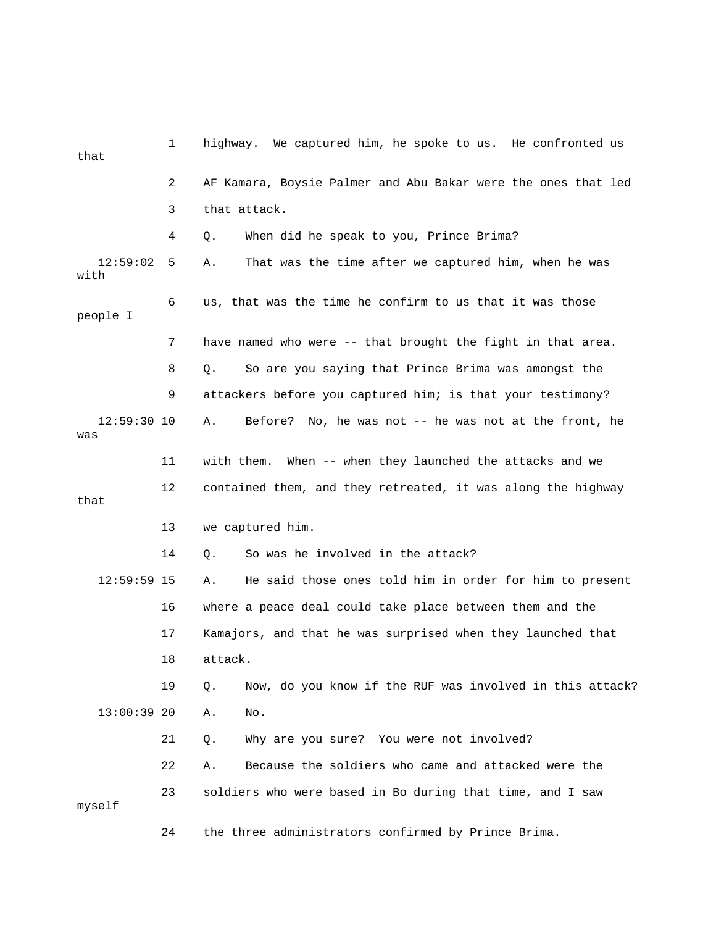| that                 | 1  | highway. We captured him, he spoke to us. He confronted us        |
|----------------------|----|-------------------------------------------------------------------|
|                      | 2  | AF Kamara, Boysie Palmer and Abu Bakar were the ones that led     |
|                      | 3  | that attack.                                                      |
|                      | 4  | When did he speak to you, Prince Brima?<br>Q.                     |
| 12:59:02<br>with     | 5  | That was the time after we captured him, when he was<br>Α.        |
| people I             | 6  | us, that was the time he confirm to us that it was those          |
|                      | 7  | have named who were -- that brought the fight in that area.       |
|                      | 8  | So are you saying that Prince Brima was amongst the<br>Q.         |
|                      | 9  | attackers before you captured him; is that your testimony?        |
| $12:59:30$ 10<br>was |    | Before? No, he was not -- he was not at the front, he<br>Α.       |
|                      | 11 | with them.<br>When -- when they launched the attacks and we       |
| that                 | 12 | contained them, and they retreated, it was along the highway      |
|                      | 13 | we captured him.                                                  |
|                      | 14 | So was he involved in the attack?<br>Q.                           |
| $12:59:59$ 15        |    | He said those ones told him in order for him to present<br>Α.     |
|                      | 16 | where a peace deal could take place between them and the          |
|                      | 17 | Kamajors, and that he was surprised when they launched that       |
|                      | 18 | attack.                                                           |
|                      | 19 | Now, do you know if the RUF was involved in this attack?<br>$Q$ . |
| $13:00:39$ 20        |    | Α.<br>No.                                                         |
|                      | 21 | Why are you sure? You were not involved?<br>Q.                    |
|                      | 22 | Because the soldiers who came and attacked were the<br>Α.         |
| myself               | 23 | soldiers who were based in Bo during that time, and I saw         |
|                      | 24 | the three administrators confirmed by Prince Brima.               |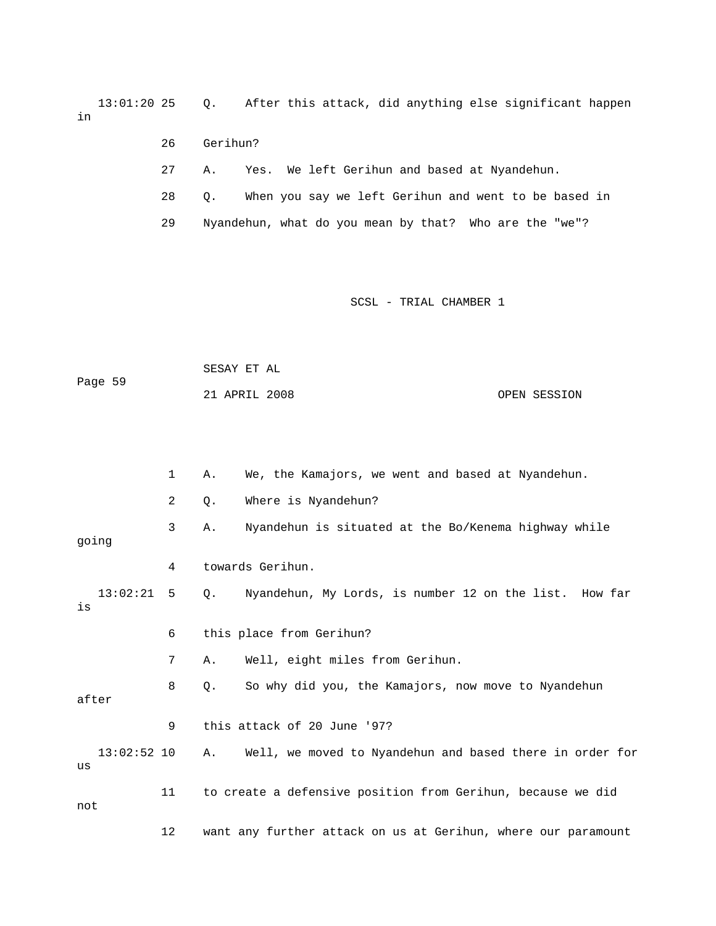13:01:20 25 Q. After this attack, did anything else significant happen in

- 26 Gerihun?
- 27 A. Yes. We left Gerihun and based at Nyandehun.
- 28 Q. When you say we left Gerihun and went to be based in
- 29 Nyandehun, what do you mean by that? Who are the "we"?

```
Page 59
21 APRIL 2008 OPEN SESSION 
SESAY ET AL
```

|       |               | 1              | Α. | We, the Kamajors, we went and based at Nyandehun.             |
|-------|---------------|----------------|----|---------------------------------------------------------------|
|       |               | $\overline{2}$ | Q. | Where is Nyandehun?                                           |
| going |               | 3              | Α. | Nyandehun is situated at the Bo/Kenema highway while          |
|       |               | 4              |    | towards Gerihun.                                              |
| is    | $13:02:21$ 5  |                | 0. | Nyandehun, My Lords, is number 12 on the list. How far        |
|       |               | 6              |    | this place from Gerihun?                                      |
|       |               | 7              | Α. | Well, eight miles from Gerihun.                               |
| after |               | 8              | Q. | So why did you, the Kamajors, now move to Nyandehun           |
|       |               | 9              |    | this attack of 20 June '97?                                   |
| us    | $13:02:52$ 10 |                | Α. | Well, we moved to Nyandehun and based there in order for      |
| not   |               | 11             |    | to create a defensive position from Gerihun, because we did   |
|       |               | 12             |    | want any further attack on us at Gerihun, where our paramount |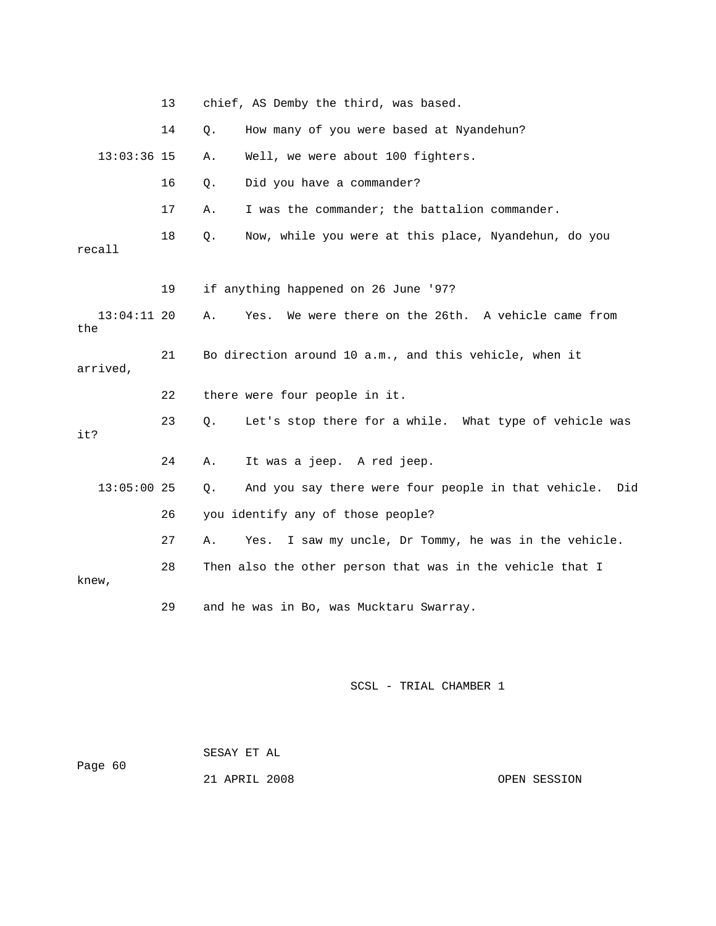|                      | 13 | chief, AS Demby the third, was based.                            |
|----------------------|----|------------------------------------------------------------------|
|                      | 14 | How many of you were based at Nyandehun?<br>Q.                   |
| $13:03:36$ 15        |    | Well, we were about 100 fighters.<br>Α.                          |
|                      | 16 | Did you have a commander?<br>Q.                                  |
|                      | 17 | I was the commander; the battalion commander.<br>Α.              |
| recall               | 18 | Now, while you were at this place, Nyandehun, do you<br>$Q$ .    |
|                      | 19 | if anything happened on 26 June '97?                             |
| $13:04:11$ 20<br>the |    | We were there on the 26th. A vehicle came from<br>Α.<br>Yes.     |
| arrived,             | 21 | Bo direction around 10 a.m., and this vehicle, when it           |
|                      | 22 | there were four people in it.                                    |
| it?                  | 23 | Let's stop there for a while. What type of vehicle was<br>Q.     |
|                      | 24 | It was a jeep. A red jeep.<br>Α.                                 |
| $13:05:00$ 25        |    | And you say there were four people in that vehicle.<br>Q.<br>Did |
|                      | 26 | you identify any of those people?                                |
|                      | 27 | I saw my uncle, Dr Tommy, he was in the vehicle.<br>Α.<br>Yes.   |
| knew,                | 28 | Then also the other person that was in the vehicle that I        |
|                      | 29 | and he was in Bo, was Mucktaru Swarray.                          |

|         | SESAY ET AL   |              |
|---------|---------------|--------------|
| Page 60 |               |              |
|         | 21 APRIL 2008 | OPEN SESSION |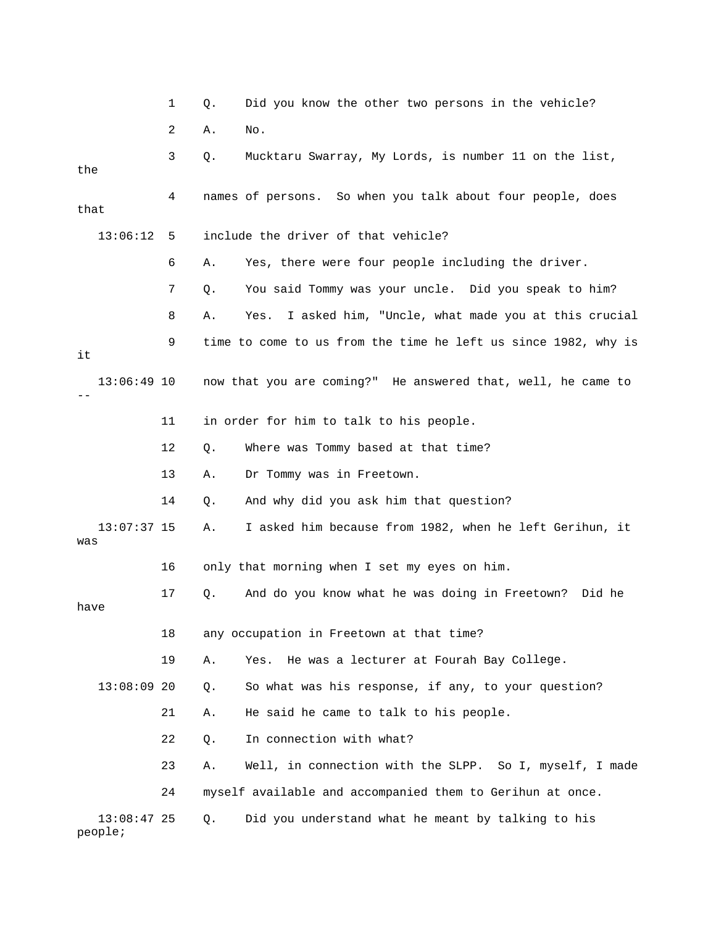|                          | 1  | Q.    | Did you know the other two persons in the vehicle?             |
|--------------------------|----|-------|----------------------------------------------------------------|
|                          | 2  | Α.    | No.                                                            |
| the                      | 3  | Q.    | Mucktaru Swarray, My Lords, is number 11 on the list,          |
| that                     | 4  |       | names of persons. So when you talk about four people, does     |
| 13:06:12                 | 5  |       | include the driver of that vehicle?                            |
|                          | 6  | Α.    | Yes, there were four people including the driver.              |
|                          | 7  | Q.    | You said Tommy was your uncle. Did you speak to him?           |
|                          | 8  | Α.    | I asked him, "Uncle, what made you at this crucial<br>Yes.     |
| it                       | 9  |       | time to come to us from the time he left us since 1982, why is |
| $13:06:49$ 10            |    |       | now that you are coming?" He answered that, well, he came to   |
|                          | 11 |       | in order for him to talk to his people.                        |
|                          | 12 | Q.    | Where was Tommy based at that time?                            |
|                          | 13 | Α.    | Dr Tommy was in Freetown.                                      |
|                          | 14 | Q.    | And why did you ask him that question?                         |
| $13:07:37$ 15<br>was     |    | Α.    | I asked him because from 1982, when he left Gerihun, it        |
|                          | 16 |       | only that morning when I set my eyes on him.                   |
| have                     | 17 | Q.    | And do you know what he was doing in Freetown?<br>Did he       |
|                          | 18 |       | any occupation in Freetown at that time?                       |
|                          | 19 | Α.    | He was a lecturer at Fourah Bay College.<br>Yes.               |
| $13:08:09$ 20            |    | Q.    | So what was his response, if any, to your question?            |
|                          | 21 | Α.    | He said he came to talk to his people.                         |
|                          | 22 | $Q$ . | In connection with what?                                       |
|                          | 23 | Α.    | Well, in connection with the SLPP. So I, myself, I made        |
|                          | 24 |       | myself available and accompanied them to Gerihun at once.      |
| $13:08:47$ 25<br>people; |    | Q.    | Did you understand what he meant by talking to his             |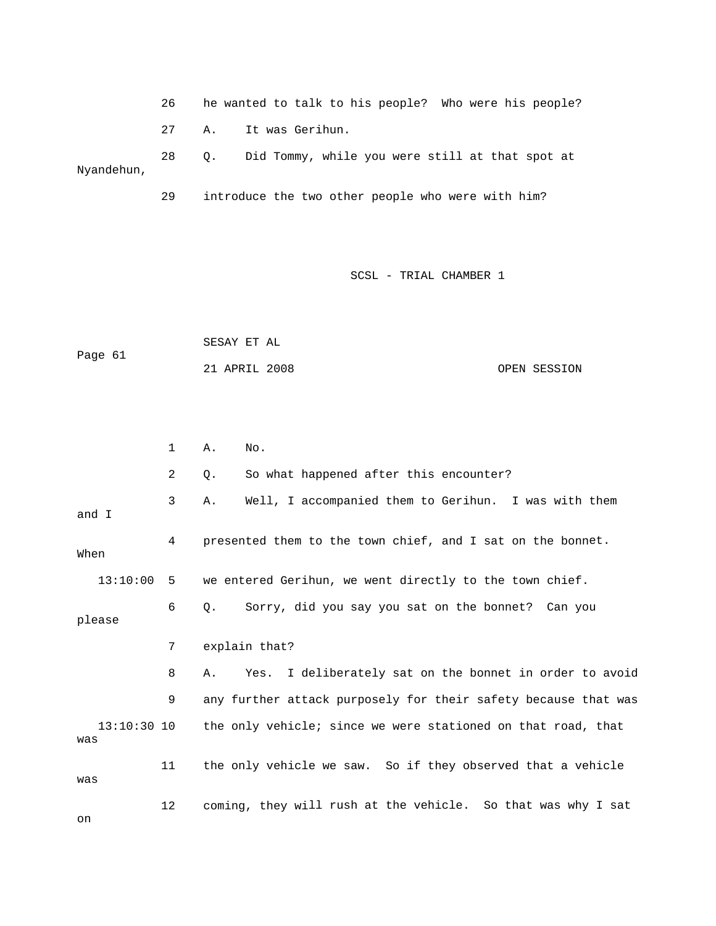26 he wanted to talk to his people? Who were hi s people? 27 A. It was Gerihun. 28 Q. Did Tommy, while you were still at that spot at Nyandehun,

29 introduce the two other people who were with him?

SCSL - TRIAL CHAMBER 1

|         | SESAY ET AL   |  |              |
|---------|---------------|--|--------------|
| Page 61 |               |  |              |
|         | 21 APRIL 2008 |  | OPEN SESSION |

 1 A. No. 2 Q. So what happened after this encounter? 4 presented them to the town chief, and I sat on the bonnet. When 13:10:00 5 we entered Gerihun, we went directly to the town chief. , did you say you sat on the bonnet? Can you 6 Q. Sorry 7 explain that? 8 A. Yes. I deliberately sat on the bonnet in order to avoid 9 any further attack purposely for their safety because that was 13:10:30 10 the only vehicle; since we were stationed on that road, that 11 the only vehicle we saw. So if they observed that a vehicle 12 coming, they will rush at the vehicle. So that was why I sat 3 A. Well, I accompanied them to Gerihun. I was with them and I please was was on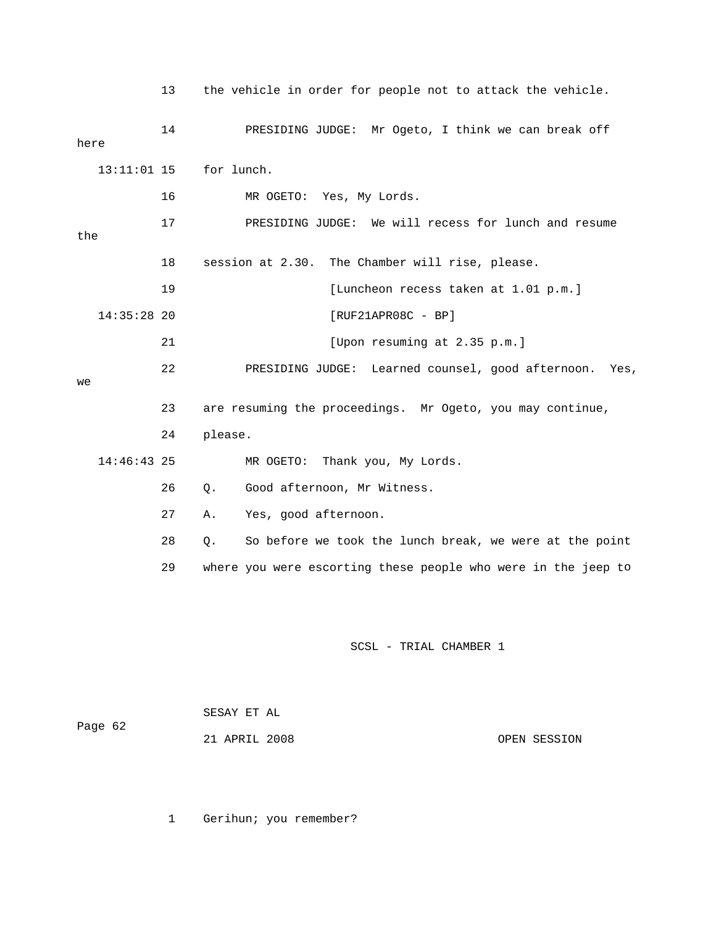|               | 13 | the vehicle in order for people not to attack the vehicle.    |
|---------------|----|---------------------------------------------------------------|
| here          | 14 | PRESIDING JUDGE: Mr Ogeto, I think we can break off           |
| $13:11:01$ 15 |    | for lunch.                                                    |
|               | 16 | MR OGETO: Yes, My Lords.                                      |
| the           | 17 | PRESIDING JUDGE: We will recess for lunch and resume          |
|               | 18 | session at 2.30. The Chamber will rise, please.               |
|               | 19 | [Luncheon recess taken at 1.01 p.m.]                          |
| $14:35:28$ 20 |    | $[RUF21APR08C - BP]$                                          |
|               | 21 | [Upon resuming at 2.35 p.m.]                                  |
| we            | 22 | PRESIDING JUDGE:<br>Learned counsel, good afternoon.<br>Yes,  |
|               | 23 | are resuming the proceedings. Mr Ogeto, you may continue,     |
|               | 24 | please.                                                       |
| $14:46:43$ 25 |    | MR OGETO:<br>Thank you, My Lords.                             |
|               | 26 | Good afternoon, Mr Witness.<br>Q.                             |
|               | 27 | Α.<br>Yes, good afternoon.                                    |
|               | 28 | So before we took the lunch break, we were at the point<br>Q. |
|               | 29 | where you were escorting these people who were in the jeep to |
|               |    |                                                               |
|               |    |                                                               |
|               |    | SCSL - TRIAL CHAMBER 1                                        |

|         | SESAY ET AL   |              |
|---------|---------------|--------------|
| Page 62 |               |              |
|         | 21 APRIL 2008 | OPEN SESSION |

1 Gerihun; you remember?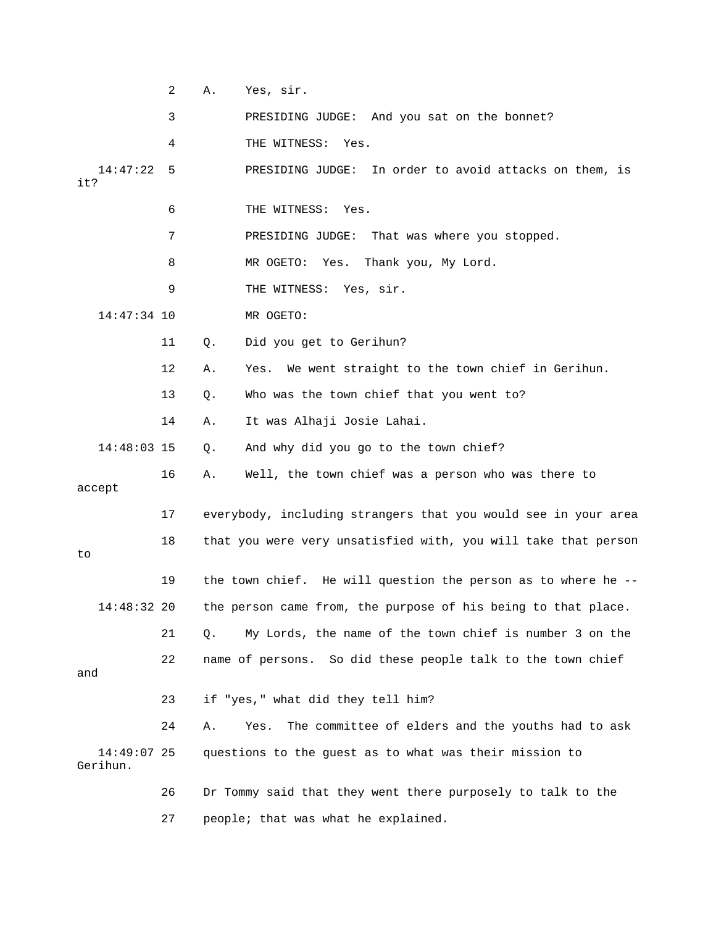|                         | 2  | Α. | Yes, sir.                                                        |
|-------------------------|----|----|------------------------------------------------------------------|
|                         | 3  |    | PRESIDING JUDGE: And you sat on the bonnet?                      |
|                         | 4  |    | THE WITNESS: Yes.                                                |
| 14:47:22<br>it?         | 5  |    | PRESIDING JUDGE: In order to avoid attacks on them, is           |
|                         | 6  |    | THE WITNESS: Yes.                                                |
|                         | 7  |    | PRESIDING JUDGE:<br>That was where you stopped.                  |
|                         | 8  |    | MR OGETO: Yes.<br>Thank you, My Lord.                            |
|                         | 9  |    | THE WITNESS: Yes, sir.                                           |
| $14:47:34$ 10           |    |    | MR OGETO:                                                        |
|                         | 11 | Q. | Did you get to Gerihun?                                          |
|                         | 12 | Α. | We went straight to the town chief in Gerihun.<br>Yes.           |
|                         | 13 | Q. | Who was the town chief that you went to?                         |
|                         | 14 | Α. | It was Alhaji Josie Lahai.                                       |
| 14:48:03 15             |    | Q. | And why did you go to the town chief?                            |
| accept                  | 16 | Α. | Well, the town chief was a person who was there to               |
|                         | 17 |    | everybody, including strangers that you would see in your area   |
| to                      | 18 |    | that you were very unsatisfied with, you will take that person   |
|                         | 19 |    | the town chief. He will question the person as to where he $-$ - |
| 14:48:32 20             |    |    | the person came from, the purpose of his being to that place.    |
|                         | 21 | Q. | My Lords, the name of the town chief is number 3 on the          |
| and                     | 22 |    | name of persons. So did these people talk to the town chief      |
|                         | 23 |    | if "yes," what did they tell him?                                |
|                         | 24 | Α. | The committee of elders and the youths had to ask<br>Yes.        |
| 14:49:07 25<br>Gerihun. |    |    | questions to the guest as to what was their mission to           |
|                         | 26 |    | Dr Tommy said that they went there purposely to talk to the      |
|                         | 27 |    | people; that was what he explained.                              |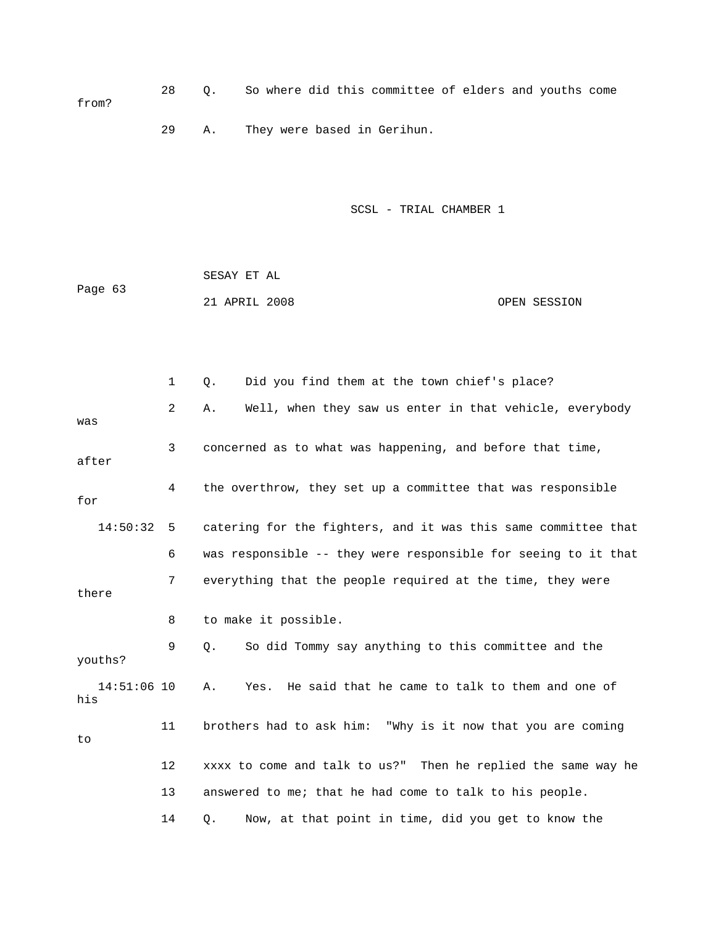28 Q. So where did this committee of elders and youths come from? 29 A. They were based in Gerihun.

SCSL - TRIAL CHAMBER 1

 SESAY ET AL 21 APRIL 2008 OPEN SESSION Page 63

 1 Q. Did you find them at the town chief's place? 2 A. Well, when they saw us enter in that vehicle, everybody was 3 concerned as to what was happening, and before that time, after 4 the overthrow, they set up a committee that was responsible 14:50:32 5 catering for the fighters, and it was this same committee that 6 was responsible -- they were responsible for seeing to it that 7 everything that the people required at the time, they were there 12 xxxx to come and talk to us?" Then he replied the same way he 13 answered to me; that he had come to talk to his people. 14 Q. Now, at that point in time, did you get to know the for 8 to make it possible. 9 Q. So did Tommy say anything to this committee and the youths? 14:51:06 10 A. Yes. He said that he came to talk to them and one of his 11 brothers had to ask him: "Why is it now that you are coming to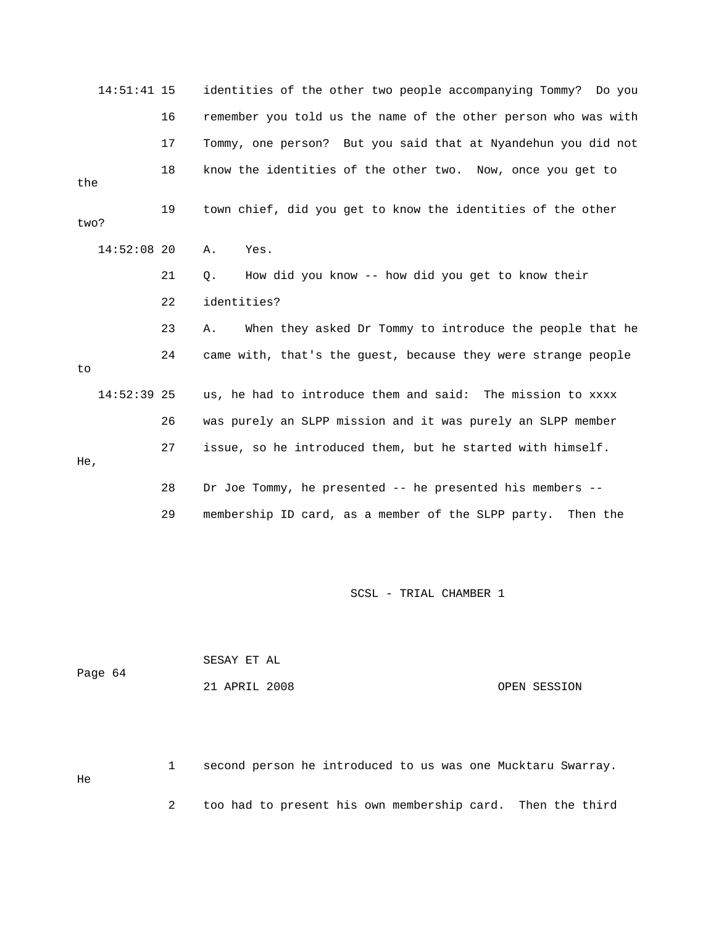| $14:51:41$ 15 |    | identities of the other two people accompanying Tommy? Do you  |
|---------------|----|----------------------------------------------------------------|
|               | 16 | remember you told us the name of the other person who was with |
|               | 17 | Tommy, one person? But you said that at Nyandehun you did not  |
| the           | 18 | know the identities of the other two. Now, once you get to     |
| two?          | 19 | town chief, did you get to know the identities of the other    |
| $14:52:08$ 20 |    | Yes.<br>Α.                                                     |
|               | 21 | How did you know -- how did you get to know their<br>Q.        |
|               | 22 | identities?                                                    |
|               | 23 | When they asked Dr Tommy to introduce the people that he<br>Α. |
| to            | 24 | came with, that's the guest, because they were strange people  |
| $14:52:39$ 25 |    | us, he had to introduce them and said: The mission to xxxx     |
|               | 26 | was purely an SLPP mission and it was purely an SLPP member    |
| He,           | 27 | issue, so he introduced them, but he started with himself.     |
|               | 28 | Dr Joe Tommy, he presented -- he presented his members --      |
|               | 29 | membership ID card, as a member of the SLPP party. Then the    |

|         | SESAY ET AL   |              |
|---------|---------------|--------------|
| Page 64 |               |              |
|         | 21 APRIL 2008 | OPEN SESSION |

 1 second person he introduced to us was one Mucktaru Swarray. 2 too had to present his own membership card. Then the third He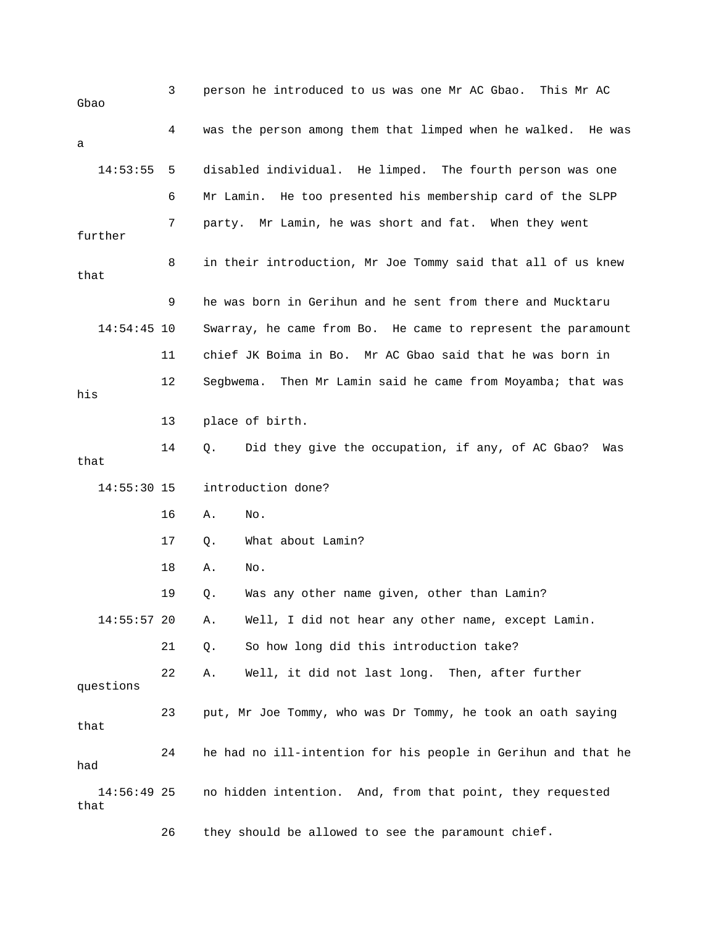| Gbao                  | 3  | person he introduced to us was one Mr AC Gbao.<br>This Mr AC   |
|-----------------------|----|----------------------------------------------------------------|
| а                     | 4  | was the person among them that limped when he walked. He was   |
| 14:53:55              | 5  | disabled individual. He limped. The fourth person was one      |
|                       | 6  | Mr Lamin. He too presented his membership card of the SLPP     |
| further               | 7  | party. Mr Lamin, he was short and fat. When they went          |
| that                  | 8  | in their introduction, Mr Joe Tommy said that all of us knew   |
|                       | 9  | he was born in Gerihun and he sent from there and Mucktaru     |
| $14:54:45$ 10         |    | Swarray, he came from Bo. He came to represent the paramount   |
|                       | 11 | chief JK Boima in Bo. Mr AC Gbao said that he was born in      |
| his                   | 12 | Then Mr Lamin said he came from Moyamba; that was<br>Segbwema. |
|                       | 13 | place of birth.                                                |
| that                  | 14 | Did they give the occupation, if any, of AC Gbao?<br>Q.<br>Was |
| $14:55:30$ 15         |    | introduction done?                                             |
|                       | 16 | Α.<br>No.                                                      |
|                       | 17 | What about Lamin?<br>Q.                                        |
|                       | 18 | Α.<br>No.                                                      |
|                       | 19 | Was any other name given, other than Lamin?<br>Q.              |
| $14:55:57$ 20         |    | Well, I did not hear any other name, except Lamin.<br>Α.       |
|                       | 21 | So how long did this introduction take?<br>Q.                  |
| questions             | 22 | Well, it did not last long. Then, after further<br>Α.          |
| that                  | 23 | put, Mr Joe Tommy, who was Dr Tommy, he took an oath saying    |
| had                   | 24 | he had no ill-intention for his people in Gerihun and that he  |
| $14:56:49$ 25<br>that |    | no hidden intention. And, from that point, they requested      |
|                       | 26 | they should be allowed to see the paramount chief.             |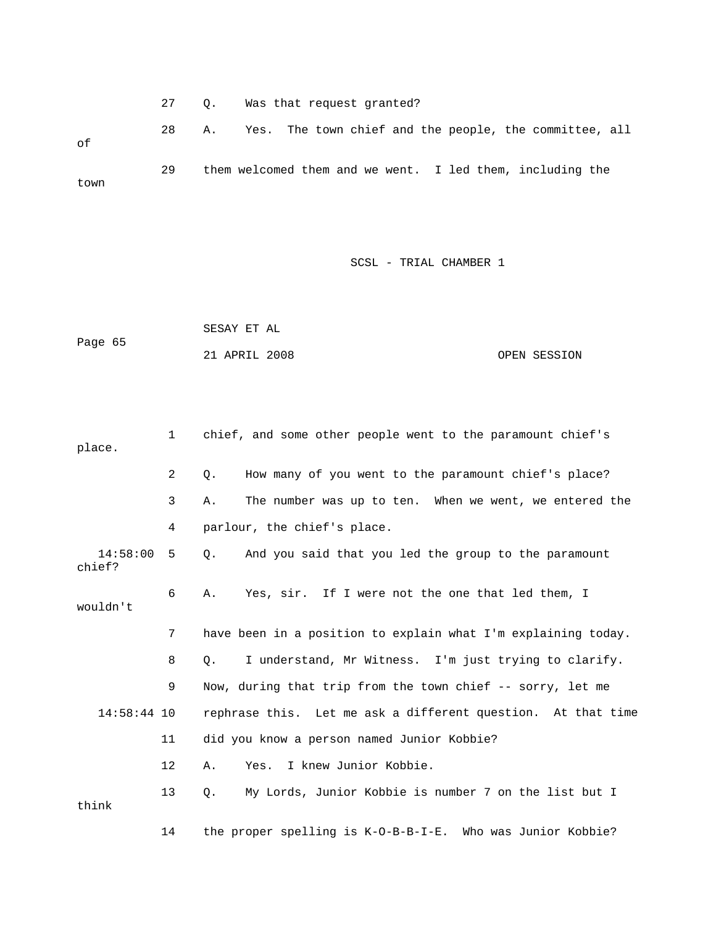27 Q. Was that request granted? 28 A. Yes. The town chief and the people, the committee, all 29 them welcomed them and we went. I led them, including the of town

| Page 65 | SESAY ET AL   |  |              |
|---------|---------------|--|--------------|
|         | 21 APRIL 2008 |  | OPEN SESSION |

| place.             | 1  | chief, and some other people went to the paramount chief's         |
|--------------------|----|--------------------------------------------------------------------|
|                    | 2  | How many of you went to the paramount chief's place?<br>Q.         |
|                    | 3  | The number was up to ten. When we went, we entered the<br>Α.       |
|                    | 4  | parlour, the chief's place.                                        |
| 14:58:00<br>chief? | -5 | And you said that you led the group to the paramount<br>$\circ$ .  |
| wouldn't           | 6  | Yes, sir. If I were not the one that led them, I<br>Α.             |
|                    | 7  | have been in a position to explain what I'm explaining today.      |
|                    | 8  | I understand, Mr Witness. I'm just trying to clarify.<br>О.        |
|                    | 9  | Now, during that trip from the town chief -- sorry, let me         |
| $14:58:44$ 10      |    | rephrase this. Let me ask a different question. At that time       |
|                    | 11 | did you know a person named Junior Kobbie?                         |
|                    | 12 | Yes. I knew Junior Kobbie.<br>Α.                                   |
| think              | 13 | My Lords, Junior Kobbie is number 7 on the list but I<br>$\circ$ . |
|                    | 14 | the proper spelling is K-O-B-B-I-E. Who was Junior Kobbie?         |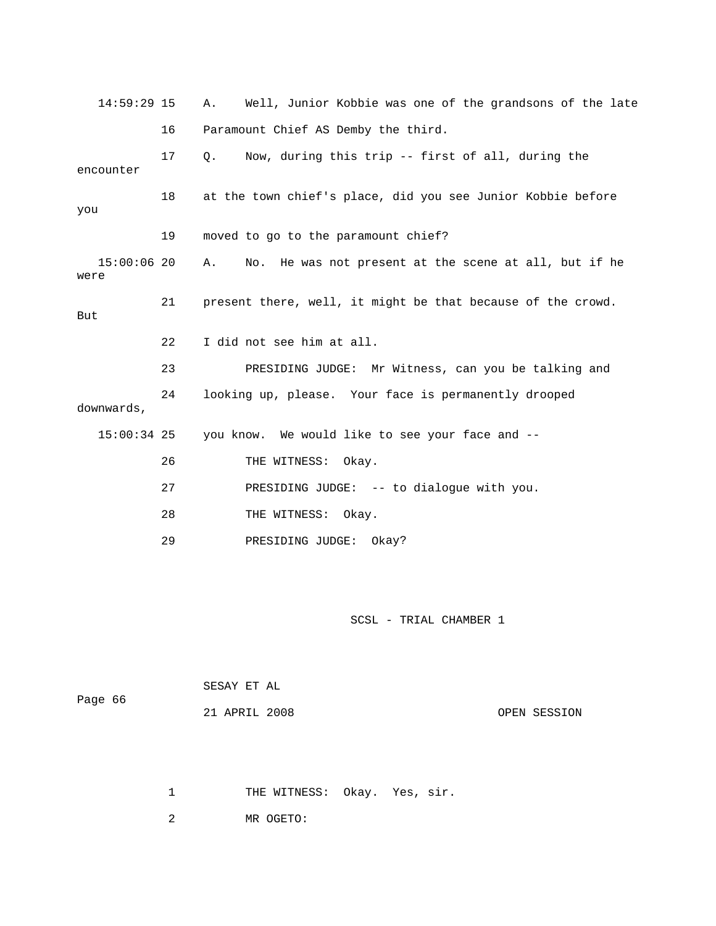| $14:59:29$ 15         |    | Well, Junior Kobbie was one of the grandsons of the late<br>Α. |
|-----------------------|----|----------------------------------------------------------------|
|                       | 16 | Paramount Chief AS Demby the third.                            |
| encounter             | 17 | Now, during this trip -- first of all, during the<br>$\circ$ . |
| you                   | 18 | at the town chief's place, did you see Junior Kobbie before    |
|                       | 19 | moved to go to the paramount chief?                            |
| $15:00:06$ 20<br>were |    | No. He was not present at the scene at all, but if he<br>Α.    |
| But                   | 21 | present there, well, it might be that because of the crowd.    |
|                       | 22 | I did not see him at all.                                      |
|                       | 23 | PRESIDING JUDGE: Mr Witness, can you be talking and            |
| downwards,            | 24 | looking up, please. Your face is permanently drooped           |
| $15:00:34$ 25         |    | you know. We would like to see your face and --                |
|                       | 26 | THE WITNESS: Okay.                                             |
|                       | 27 | PRESIDING JUDGE: -- to dialogue with you.                      |
|                       | 28 | THE WITNESS: Okay.                                             |
|                       | 29 | PRESIDING JUDGE: Okay?                                         |

|         | SESAY ET AL   |              |
|---------|---------------|--------------|
| Page 66 | 21 APRIL 2008 | OPEN SESSION |

1 THE WITNESS: Okay. Yes, sir.

2 MR OGETO: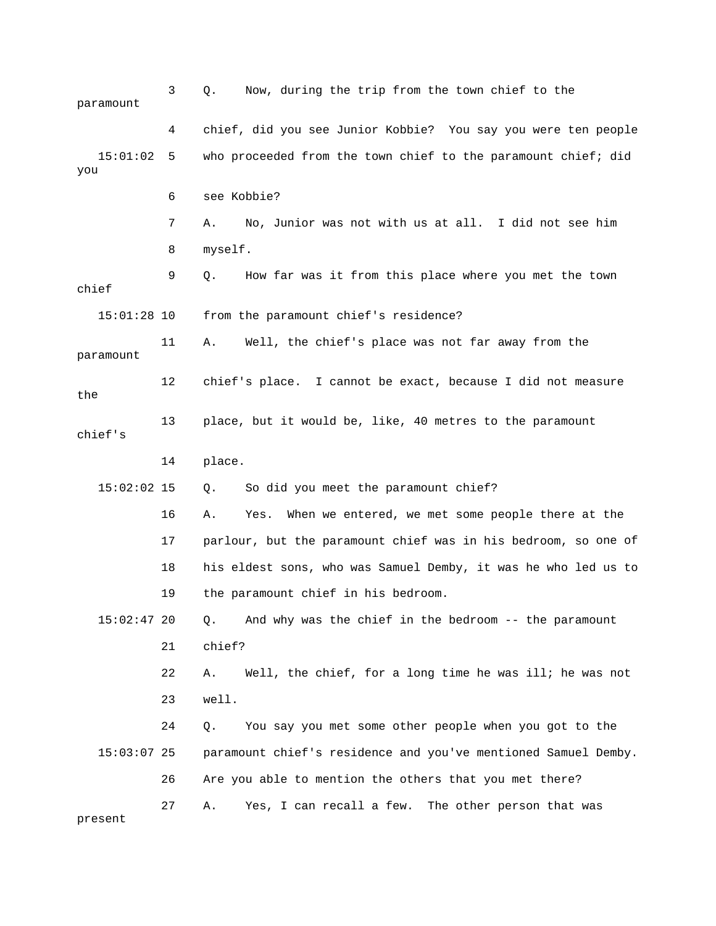| paramount       | 3  | Now, during the trip from the town chief to the<br>Q.          |
|-----------------|----|----------------------------------------------------------------|
|                 | 4  | chief, did you see Junior Kobbie? You say you were ten people  |
| 15:01:02<br>you | 5  | who proceeded from the town chief to the paramount chief; did  |
|                 | 6  | see Kobbie?                                                    |
|                 | 7  | No, Junior was not with us at all. I did not see him<br>Α.     |
|                 | 8  | myself.                                                        |
| chief           | 9  | How far was it from this place where you met the town<br>О.    |
| $15:01:28$ 10   |    | from the paramount chief's residence?                          |
| paramount       | 11 | Α.<br>Well, the chief's place was not far away from the        |
| the             | 12 | chief's place. I cannot be exact, because I did not measure    |
| chief's         | 13 | place, but it would be, like, 40 metres to the paramount       |
|                 | 14 | place.                                                         |
| $15:02:02$ 15   |    | So did you meet the paramount chief?<br>Q.                     |
|                 | 16 | When we entered, we met some people there at the<br>Α.<br>Yes. |
|                 | 17 | parlour, but the paramount chief was in his bedroom, so one of |
|                 | 18 | his eldest sons, who was Samuel Demby, it was he who led us to |
|                 | 19 | the paramount chief in his bedroom.                            |
| $15:02:47$ 20   |    | And why was the chief in the bedroom -- the paramount<br>Q.    |
|                 | 21 | chief?                                                         |
|                 | 22 | Well, the chief, for a long time he was ill; he was not<br>Α.  |
|                 | 23 | well.                                                          |
|                 | 24 | You say you met some other people when you got to the<br>Q.    |
| $15:03:07$ 25   |    | paramount chief's residence and you've mentioned Samuel Demby. |
|                 | 26 | Are you able to mention the others that you met there?         |
| present         | 27 | Yes, I can recall a few. The other person that was<br>Α.       |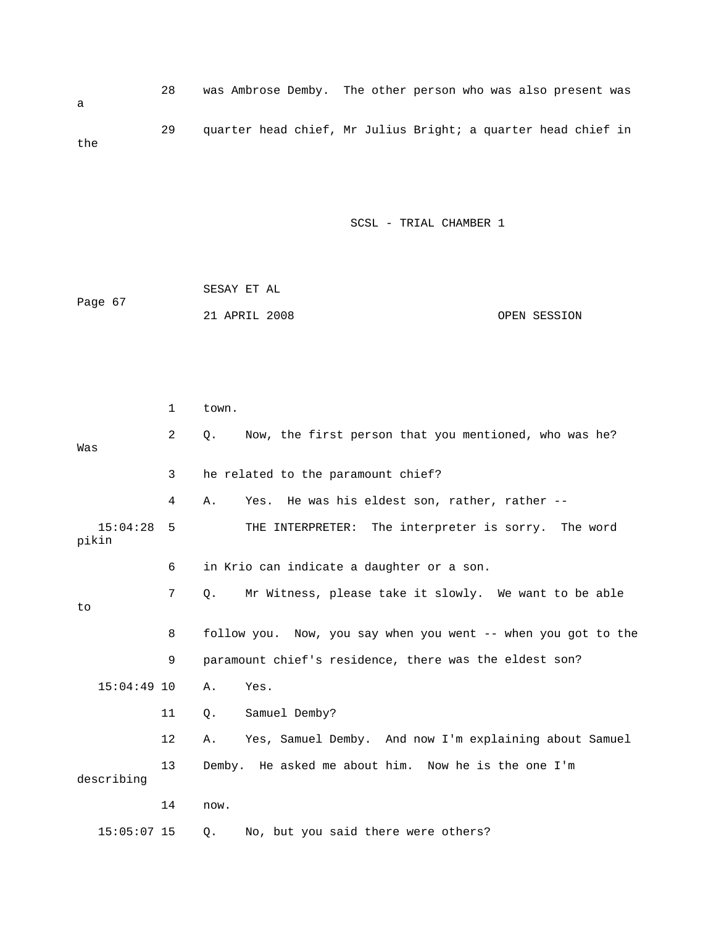28 was Ambrose Demby. The other person who was also present was 29 quarter head chief, Mr Julius Bright; a quarter head chief in a the

|         | SESAY ET AL   |              |
|---------|---------------|--------------|
| Page 67 |               |              |
|         | 21 APRIL 2008 | OPEN SESSION |

|                   | 1              | town.                                                              |
|-------------------|----------------|--------------------------------------------------------------------|
| Was               | $\overline{2}$ | Now, the first person that you mentioned, who was he?<br>О.        |
|                   | 3              | he related to the paramount chief?                                 |
|                   | 4              | Yes. He was his eldest son, rather, rather --<br>Α.                |
| 15:04:28<br>pikin | 5              | THE INTERPRETER: The interpreter is sorry. The word                |
|                   | 6              | in Krio can indicate a daughter or a son.                          |
| to                | 7              | Mr Witness, please take it slowly. We want to be able<br>$\circ$ . |
|                   | 8              | follow you. Now, you say when you went -- when you got to the      |
|                   | 9              | paramount chief's residence, there was the eldest son?             |
| $15:04:49$ 10     |                | Yes.<br>Α.                                                         |
|                   | 11             | Samuel Demby?<br>Ο.                                                |
|                   | 12             | Yes, Samuel Demby. And now I'm explaining about Samuel<br>Α.       |
| describing        | 13             | Demby. He asked me about him. Now he is the one I'm                |
|                   | 14             | now.                                                               |
| $15:05:07$ 15     |                | No, but you said there were others?<br>О.                          |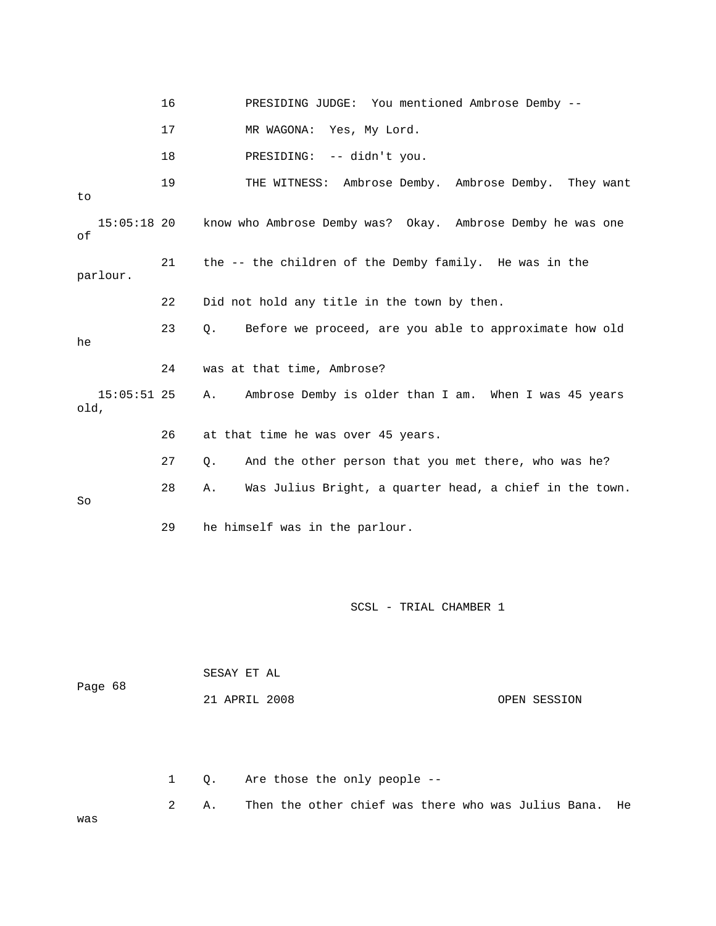|                       | 16 | PRESIDING JUDGE: You mentioned Ambrose Demby --                 |
|-----------------------|----|-----------------------------------------------------------------|
|                       | 17 | Yes, My Lord.<br>MR WAGONA:                                     |
|                       | 18 | -- didn't you.<br>PRESIDING:                                    |
| to                    | 19 | THE WITNESS: Ambrose Demby. Ambrose Demby. They want            |
| $15:05:18$ 20<br>οf   |    | know who Ambrose Demby was? Okay. Ambrose Demby he was one      |
| parlour.              | 21 | the -- the children of the Demby family. He was in the          |
|                       | 22 | Did not hold any title in the town by then.                     |
| he                    | 23 | Before we proceed, are you able to approximate how old<br>Q.    |
|                       | 24 | was at that time, Ambrose?                                      |
| $15:05:51$ 25<br>old, |    | Ambrose Demby is older than I am. When I was 45 years<br>Α.     |
|                       | 26 | at that time he was over 45 years.                              |
|                       | 27 | And the other person that you met there, who was he?<br>Q.      |
| So                    | 28 | Was Julius Bright, a quarter head, a chief in the town.<br>Α.   |
|                       | 29 | he himself was in the parlour.                                  |
|                       |    | SCSL - TRIAL CHAMBER 1                                          |
|                       |    | SESAY ET AL                                                     |
| Page 68               |    | 21 APRIL 2008<br>OPEN SESSION                                   |
|                       | 1  | Are those the only people --<br>Q.                              |
| was                   | 2  | Then the other chief was there who was Julius Bana.<br>Α.<br>He |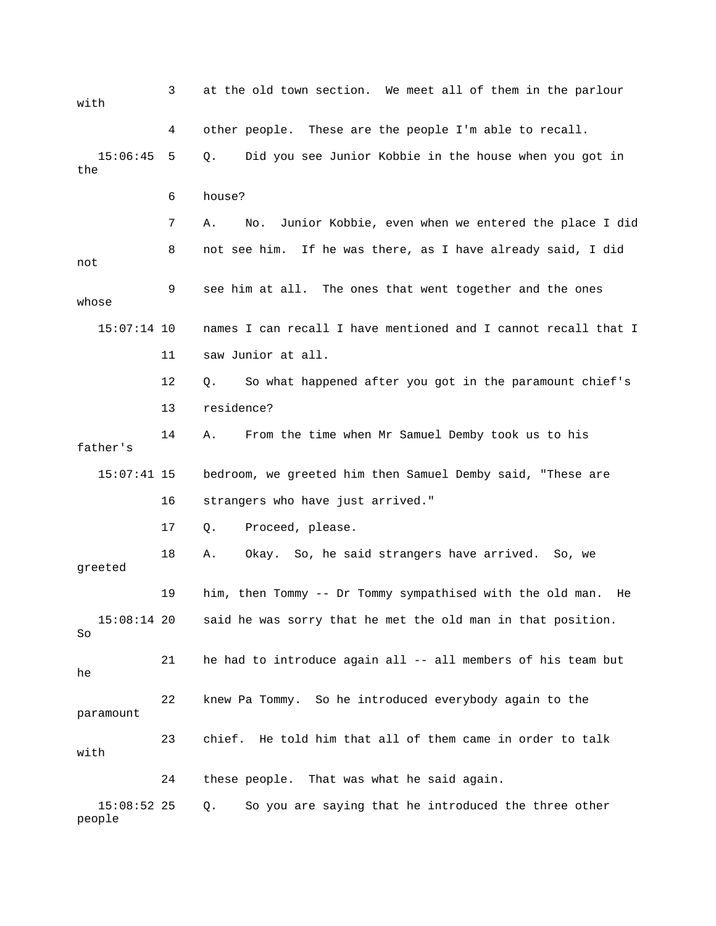3 at the old town section. We meet all of them in the parlour 15:06:45 5 Q. Did you see Junior Kobbie in the house when you got in the 6 house? 8 not see him. If he was there, as I have already said, I did 9 see him at all. The ones that went together and the ones 15:07:14 10 names I can recall I have mentioned and I cannot recall that I 11 saw Junior at all. So what happened after you got in the paramount chief's father's 16 strangers who have just arrived." 17 Q. Proceed, please. 18 A. Okay. So, he said strangers have arrived. So, we 19 him, then Tommy -- Dr Tommy sympathised with the old man. He 15:08:14 20 said he was sorry that he met the old man in that position. 22 knew Pa Tommy. So he introduced everybody again to the with 4 other people. These are the people I'm able to recall. 7 A. No. Junior Kobbie, even when we entered the place I did not whose 12 Q. So 13 residence? 14 A. From the time when Mr Samuel Demby took us to his 15:07:41 15 bedroom, we greeted him then Samuel Demby said, "These are greeted So 21 he had to introduce again all -- all members of his team but he paramount 23 chief. He told him that all of them came in order to talk with 24 these people. That was what he said again. 15:08:52 25 Q. So you are saying that he introduced the three other people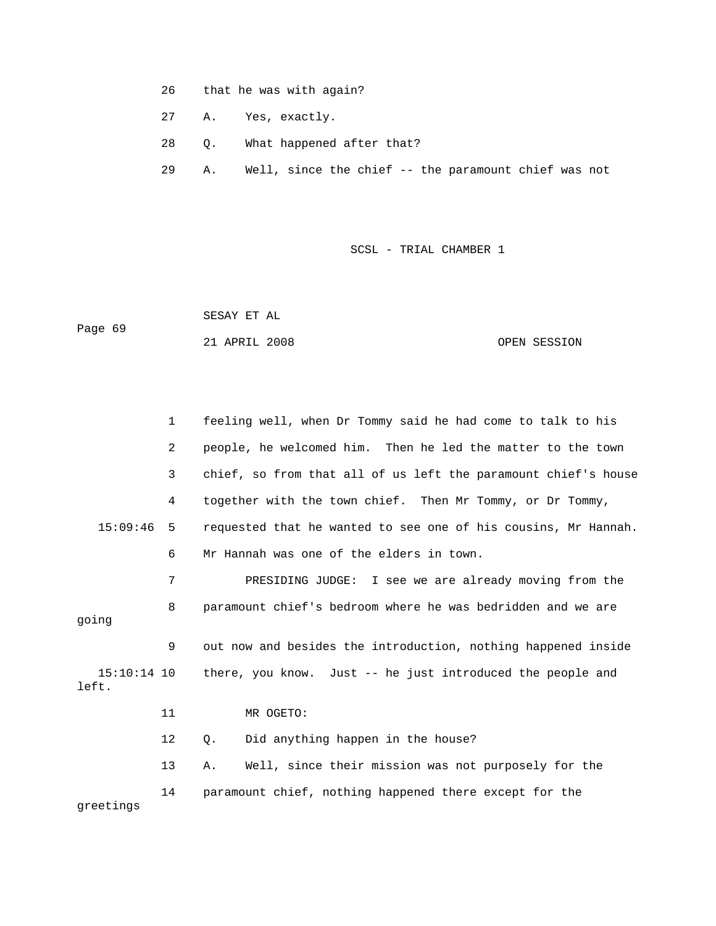- 26 that he was with again?
- 27 A. Yes, exactly.
- 28 Q. What happened after that?
- 29 A. Well, since the chief -- the paramount chief was not

 SESAY ET AL Page 69 21 APRIL 2008 OPEN SESSION

1 feeling well, when Dr Tommy said he had come to talk to his 2 people, he welcomed him. Then he led the matter to the town 3 chief, so from that all of us left the paramount chief's house 15:09:46 5 requested that he wanted to see one of his cousins, Mr Hannah. 6 Mr Hannah was one of the elders in town. 7 PRESIDING JUDGE: I see we are already moving from the 9 out now and besides the introduction, nothing happened inside 4 together with the town chief. Then Mr Tommy, or Dr Tommy, 8 paramount chief's bedroom where he was bedridden and we are going

 15:10:14 10 there, you know. Just -- he just introduced the people and left.

11 MR OGETO:

12 Q. Did anything happen in the house?

greetings 13 A. Well, since their mission was not purposely for the 14 paramount chief, nothing happened there except for the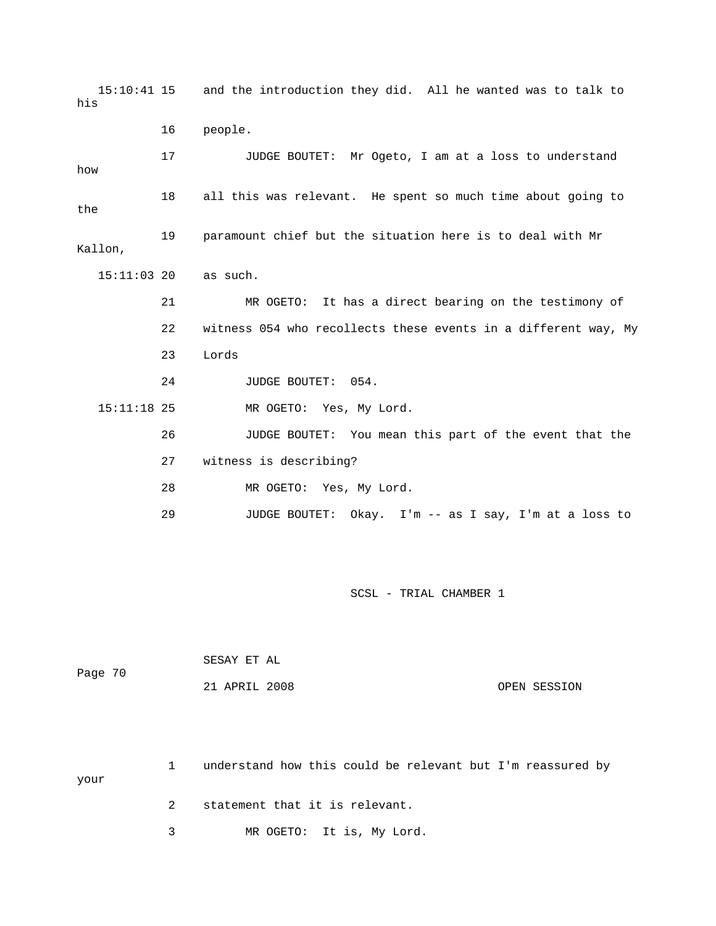15:10:41 15 and the introduction they did. All he wanted was to talk to 16 people. 17 JUDGE BOUTET: Mr Ogeto, I am at a loss to understand 18 all this was relevant. He spent so much time about going to the 19 paramount chief but the situation here is to deal with Mr Kallon, as such. 21 MR OGETO: It has a direct bearing on the testimony of 22 witness 054 who recollects these events in a different way, My 23 Lords 24 JUDGE BOUTET: 054. 26 JUDGE BOUTET: You mean this part of the event that the 27 witness is describing? 28 MR OGETO: Yes, My Lord. 29 JUDGE BOUTET: Okay. I'm -- as I say, I'm at a loss to his how  $15:11:03$  20 15:11:18 25 MR OGETO: Yes, My Lord.

SCSL - TRIAL CHAMBER 1

| Page 70 | SESAY ET AL   |              |
|---------|---------------|--------------|
|         | 21 APRIL 2008 | OPEN SESSION |

1 understand how this could be relevant but I'm reassured by 2 statement that it is relevant. your

3 MR OGETO: It is, My Lord.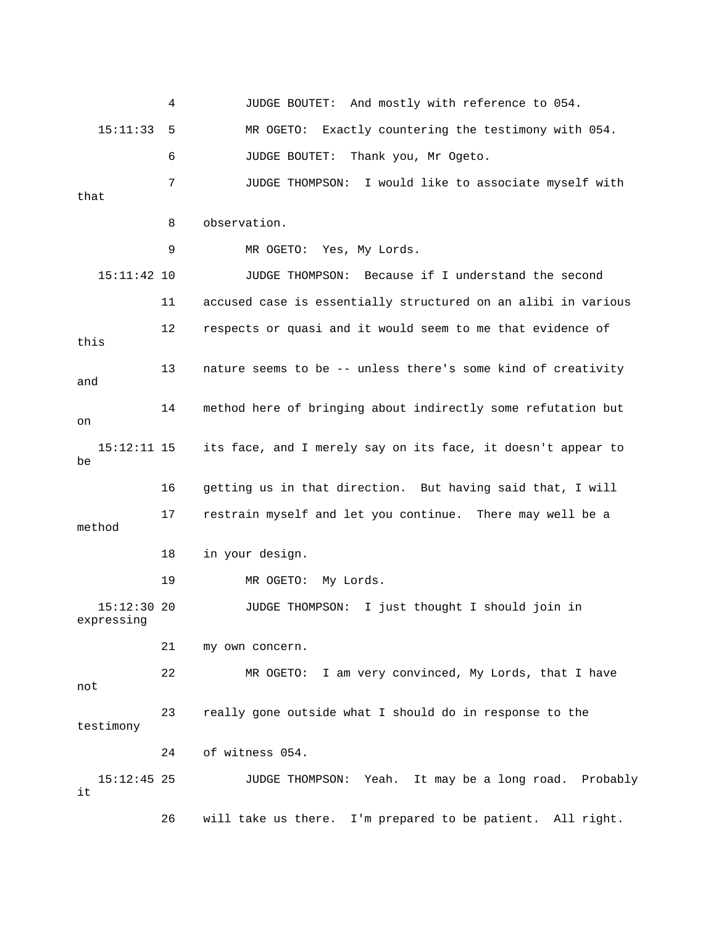4 JUDGE BOUTET: And mostly with reference to 054. 15:11:33 5 MR OGETO: Exactly countering the testimony with 054. 6 JUDGE BOUTET: Thank you, Mr Ogeto. 7 JUDGE THOMPSON: I would like to associate myself with 9 MR OGETO: Yes, My Lords. 15:11:42 10 JUDGE THOMPSON: Because if I understand the second 11 accused case is essentially structured on an alibi in various 12 respects or quasi and it would seem to me that evidence of 14 method here of bringing about indirectly some refutation but 15:12:11 15 its face, and I merely say on its face, it doesn't appear to 19 MR OGETO: My Lords. 5:12:30 20 JUDGE THOMPSON: I just thought I should join in expressing 21 my own concern. not 23 really gone outside what I should do in response to the testimony 24 of witness 054. 15:12:45 25 JUDGE THOMPSON: Yeah. It may be a long road. Probably 26 will take us there. I'm prepared to be patient. All right. that 8 observation. this 13 nature seems to be -- unless there's some kind of creativity and on  $ha$  16 getting us in that direction. But having said that, I will 17 restrain myself and let you continue. There may well be a method 18 in your design.  $15:12:30$  20 22 MR OGETO: I am very convinced, My Lords, that I have it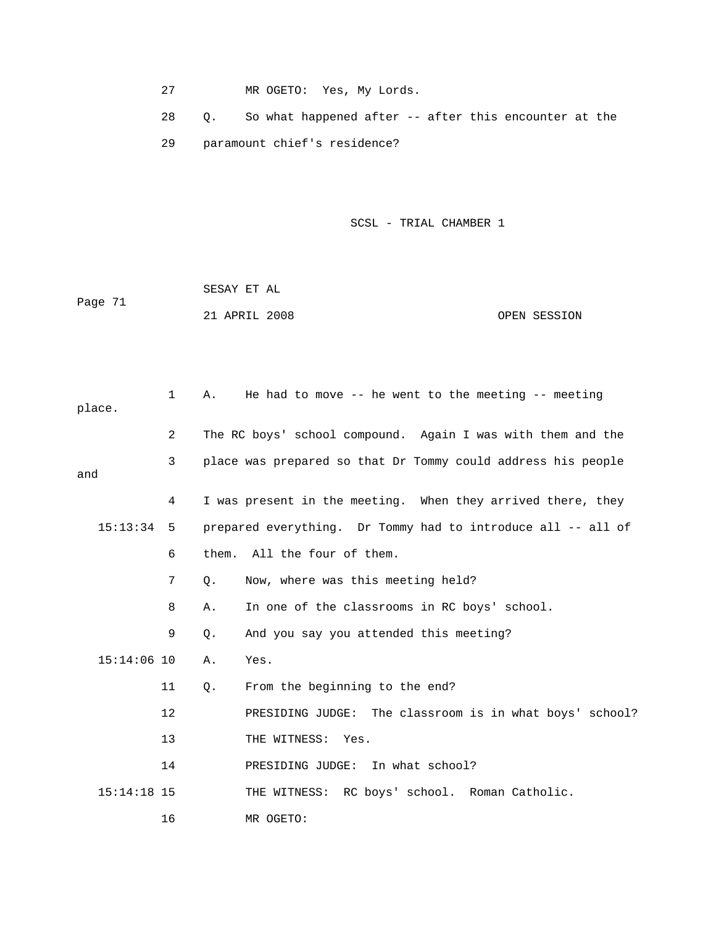27 MR OGETO: Yes, My Lords.

 28 Q. So what happened after -- after this encounter at the 29 paramount chief's residence?

|         | SESAY ET AL   |              |
|---------|---------------|--------------|
| Page 71 |               |              |
|         | 21 APRIL 2008 | OPEN SESSION |

| place. |               | $\mathbf{1}$   | Α. | He had to move $-$ - he went to the meeting $-$ - meeting    |
|--------|---------------|----------------|----|--------------------------------------------------------------|
|        |               | $\overline{2}$ |    | The RC boys' school compound. Again I was with them and the  |
| and    |               | 3              |    | place was prepared so that Dr Tommy could address his people |
|        |               | 4              |    | I was present in the meeting. When they arrived there, they  |
|        | $15:13:34$ 5  |                |    | prepared everything. Dr Tommy had to introduce all -- all of |
|        |               | 6              |    | them. All the four of them.                                  |
|        |               | 7              | Ο. | Now, where was this meeting held?                            |
|        |               | 8              | Α. | In one of the classrooms in RC boys' school.                 |
|        |               | 9              | Q. | And you say you attended this meeting?                       |
|        | $15:14:06$ 10 |                | Α. | Yes.                                                         |
|        |               | 11             | Q. | From the beginning to the end?                               |
|        |               | 12             |    | PRESIDING JUDGE: The classroom is in what boys' school?      |
|        |               | 13             |    | THE WITNESS: Yes.                                            |
|        |               | 14             |    | PRESIDING JUDGE: In what school?                             |
|        | $15:14:18$ 15 |                |    | THE WITNESS: RC boys' school. Roman Catholic.                |
|        |               | 16             |    | MR OGETO:                                                    |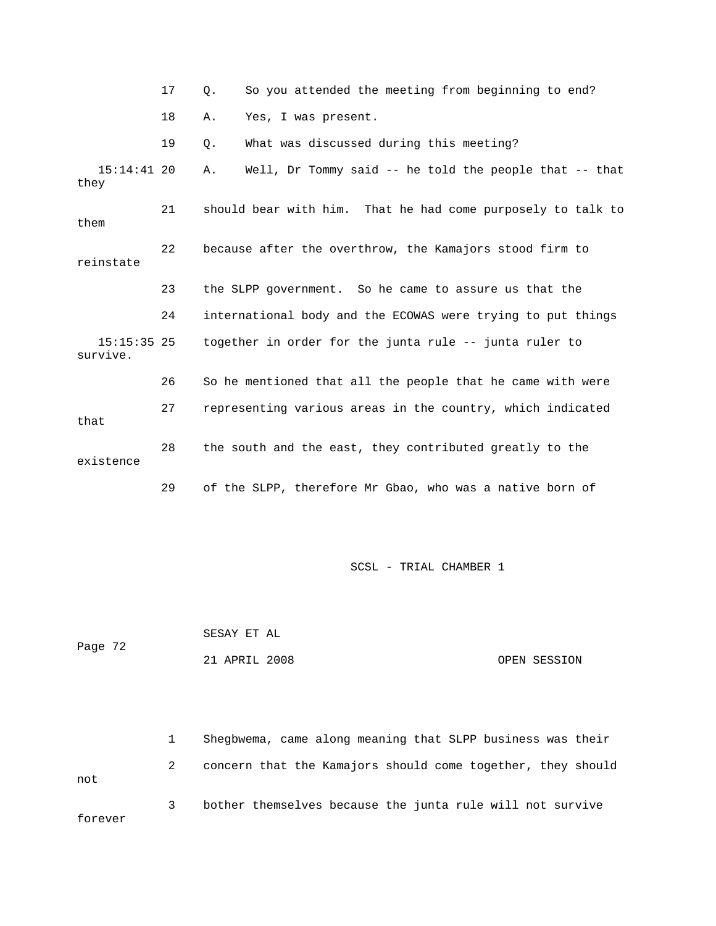17 Q. So you attended the meeting from beginning to end? 15:14:41 20 A. Well, Dr Tommy said -- he told the people that -- that 21 should bear with him. That he had come purposely to talk to 22 because after the overthrow, the Kamajors stood firm to 24 international body and the ECOWAS were trying to put things 15:15:35 25 together in order for the junta rule -- junta ruler to survive. 26 So he mentioned that all the people that he came with were 18 A. Yes, I was present. 19 Q. What was discussed during this meeting? they them reinstate 23 the SLPP government. So he came to assure us that the 27 representing various areas in the country, which indicated that 28 the south and the east, they contributed greatly to the existence 29 of the SLPP, therefore Mr Gbao, who was a native born of

SCSL - TRIAL CHAMBER 1

 SESAY ET AL Page 72 21 APRIL 2008 OPEN SESSION

 1 Shegbwema, came along meaning that SLPP business was their 2 concern that the Kamajors should come together, they should 3 bother themselves because the junta rule will not survive forever not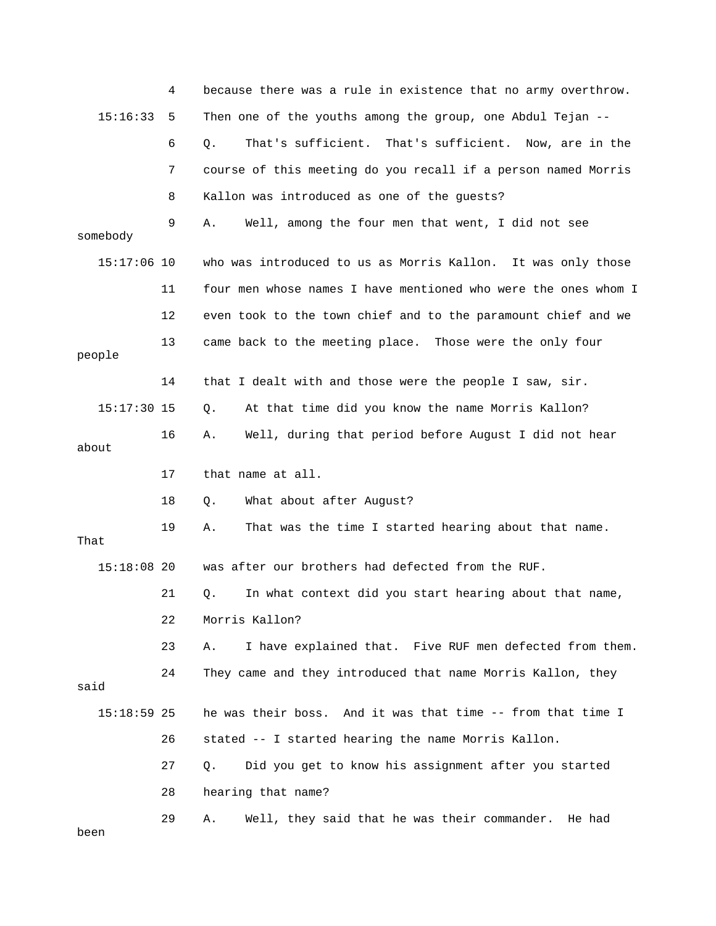|               | 4  | because there was a rule in existence that no army overthrow.  |
|---------------|----|----------------------------------------------------------------|
| 15:16:33      | 5  | Then one of the youths among the group, one Abdul Tejan --     |
|               | 6  | That's sufficient. That's sufficient. Now, are in the<br>$Q$ . |
|               | 7  | course of this meeting do you recall if a person named Morris  |
|               | 8  | Kallon was introduced as one of the guests?                    |
| somebody      | 9  | Well, among the four men that went, I did not see<br>Α.        |
| $15:17:06$ 10 |    | who was introduced to us as Morris Kallon. It was only those   |
|               | 11 | four men whose names I have mentioned who were the ones whom I |
|               | 12 | even took to the town chief and to the paramount chief and we  |
| people        | 13 | came back to the meeting place. Those were the only four       |
|               | 14 | that I dealt with and those were the people I saw, sir.        |
| $15:17:30$ 15 |    | At that time did you know the name Morris Kallon?<br>Q.        |
| about         | 16 | Well, during that period before August I did not hear<br>Α.    |
|               |    |                                                                |
|               | 17 | that name at all.                                              |
|               | 18 | What about after August?<br>Q.                                 |
| That          | 19 | That was the time I started hearing about that name.<br>Α.     |
| $15:18:08$ 20 |    | was after our brothers had defected from the RUF.              |
|               | 21 | In what context did you start hearing about that name,<br>Q.   |
|               | 22 | Morris Kallon?                                                 |
|               | 23 | I have explained that. Five RUF men defected from them.<br>Α.  |
| said          | 24 | They came and they introduced that name Morris Kallon, they    |
| $15:18:59$ 25 |    | he was their boss. And it was that time -- from that time I    |
|               | 26 | stated -- I started hearing the name Morris Kallon.            |
|               | 27 | Did you get to know his assignment after you started<br>Q.     |
|               | 28 | hearing that name?                                             |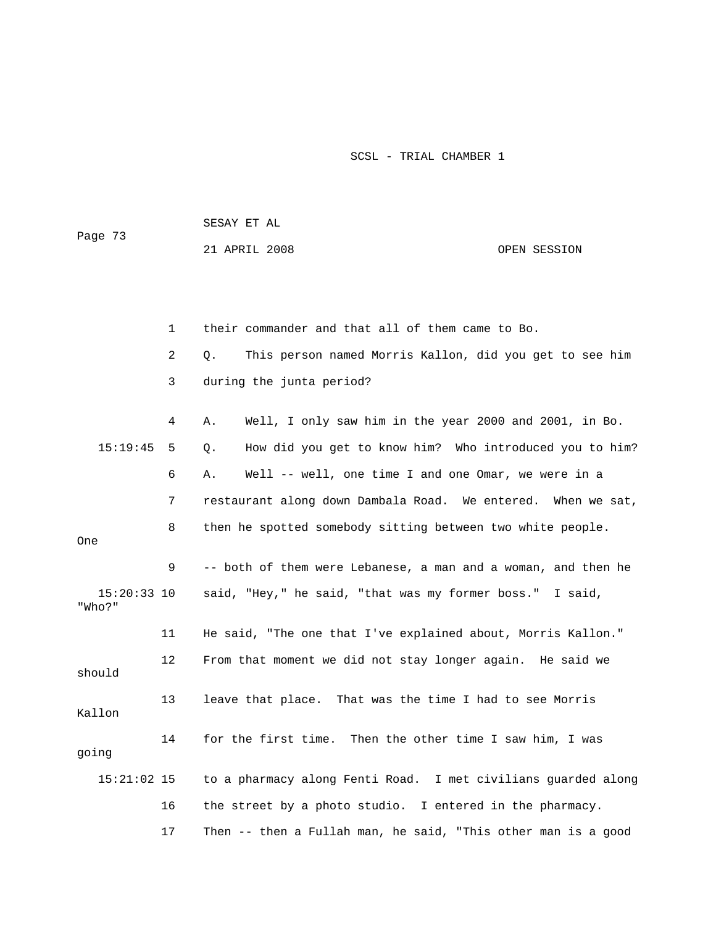|                         |    | SESAY ET AL                                                   |              |  |
|-------------------------|----|---------------------------------------------------------------|--------------|--|
| Page 73                 |    | 21 APRIL 2008                                                 | OPEN SESSION |  |
|                         |    |                                                               |              |  |
|                         |    |                                                               |              |  |
|                         | 1  | their commander and that all of them came to Bo.              |              |  |
|                         | 2  | This person named Morris Kallon, did you get to see him<br>Q. |              |  |
|                         | 3  | during the junta period?                                      |              |  |
|                         | 4  | Well, I only saw him in the year 2000 and 2001, in Bo.<br>Α.  |              |  |
| 15:19:45                | 5  | How did you get to know him? Who introduced you to him?<br>Q. |              |  |
|                         | 6  | Well -- well, one time I and one Omar, we were in a<br>Α.     |              |  |
|                         | 7  | restaurant along down Dambala Road. We entered. When we sat,  |              |  |
| One                     | 8  | then he spotted somebody sitting between two white people.    |              |  |
|                         | 9  | -- both of them were Lebanese, a man and a woman, and then he |              |  |
| $15:20:33$ 10<br>"Who?" |    | said, "Hey," he said, "that was my former boss." I said,      |              |  |
|                         | 11 | He said, "The one that I've explained about, Morris Kallon."  |              |  |
| should                  | 12 | From that moment we did not stay longer again. He said we     |              |  |
| Kallon                  | 13 | leave that place. That was the time I had to see Morris       |              |  |
| going                   | 14 | for the first time. Then the other time I saw him, I was      |              |  |
| $15:21:02$ 15           |    | to a pharmacy along Fenti Road. I met civilians guarded along |              |  |
|                         | 16 | the street by a photo studio. I entered in the pharmacy.      |              |  |
|                         | 17 | Then -- then a Fullah man, he said, "This other man is a good |              |  |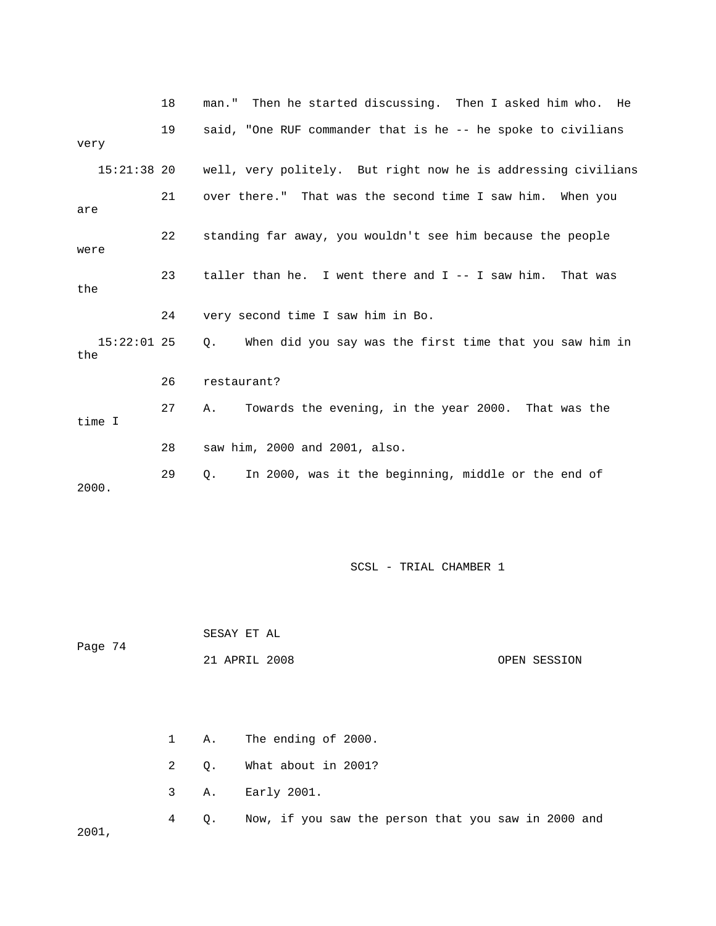|                      | 18 | man." Then he started discussing. Then I asked him who. He    |
|----------------------|----|---------------------------------------------------------------|
| very                 | 19 | said, "One RUF commander that is he -- he spoke to civilians  |
| $15:21:38$ 20        |    | well, very politely. But right now he is addressing civilians |
| are                  | 21 | over there." That was the second time I saw him. When you     |
| were                 | 22 | standing far away, you wouldn't see him because the people    |
| the                  | 23 | taller than he. I went there and $I - - I$ saw him. That was  |
|                      | 24 | very second time I saw him in Bo.                             |
| $15:22:01$ 25<br>the |    | When did you say was the first time that you saw him in<br>Q. |
|                      | 26 | restaurant?                                                   |
| time I               | 27 | Towards the evening, in the year 2000. That was the<br>Α.     |
|                      | 28 | saw him, 2000 and 2001, also.                                 |
| 2000.                | 29 | In 2000, was it the beginning, middle or the end of<br>О.     |

 SESAY ET AL ge 74 OPEN SESSION Pa 21 APRIL 2008

|       |  | 1 A. The ending of 2000.                                 |
|-------|--|----------------------------------------------------------|
|       |  | 2 Q. What about in 2001?                                 |
|       |  | 3 A. Early 2001.                                         |
| 2001, |  | 4 Q. Now, if you saw the person that you saw in 2000 and |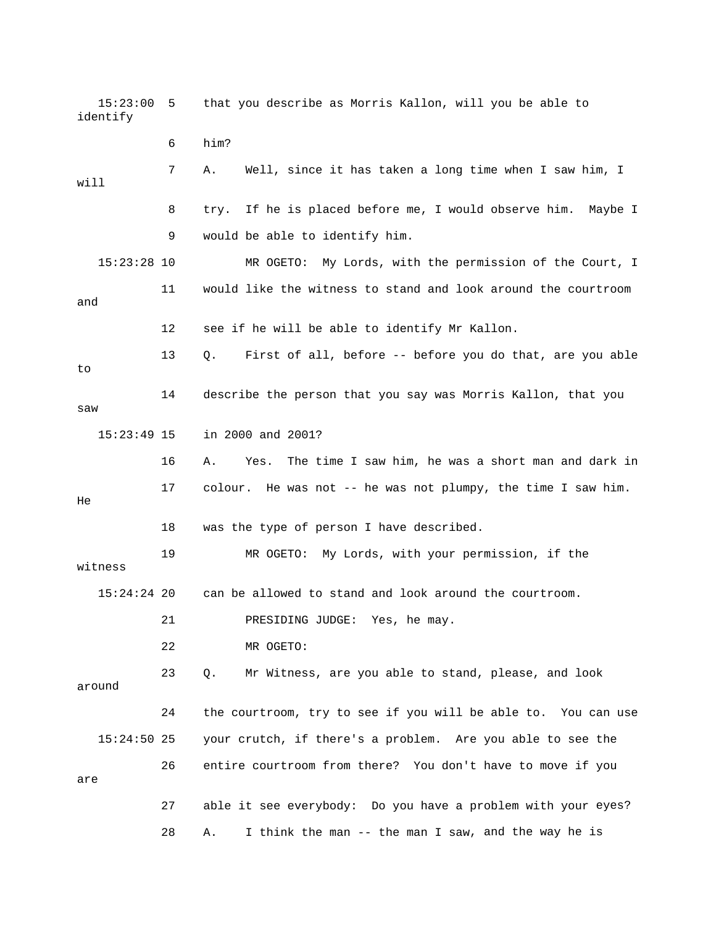15:23:00 5 that you describe as Morris Kallon, will you be able to identify 6 him? 7 A. Well, since it has taken a long time when I saw him, I 8 try. If he is placed before me, I would observe him. Maybe I 9 would be able to identify him. 15:23:28 10 MR OGETO: My Lords, with the permission of the Court, I 11 would like the witness to stand and look around the courtroom 12 see if he will be able to identify Mr Kallon. First of all, before -- before you do that, are you able 14 describe the person that you say was Morris Kallon, that you saw 15:23:49 15 in 2000 and 2001? 16 A. Yes. The time I saw him, he was a short man and dark in 17 colour. He was not -- he was not plumpy, the time I saw him. 18 was the type of person I have described. 19 MR OGETO: My Lords, with your permission, if the 15:24:24 20 can be allowed to stand and look around the courtroom. around 24 the courtroom, try to see if you will be able to. You can use 15:24:50 25 your crutch, if there's a problem. Are you able to see the 26 entire courtroom from there? You don't have to move if you 27 able it see everybody: Do you have a problem with your eyes? 28 A. I think the man -- the man I saw, and the way he is will and 13 Q. to He witness 21 PRESIDING JUDGE: Yes, he may. 22 MR OGETO: 23 Q. Mr Witness, are you able to stand, please, and look are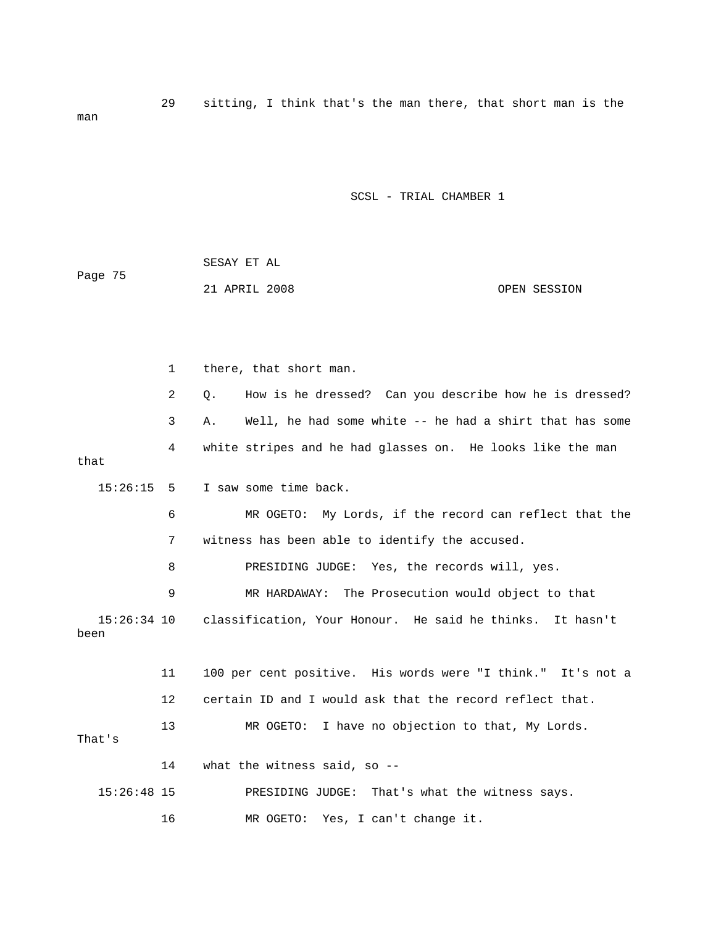|         | SESAY ET AL |               |              |
|---------|-------------|---------------|--------------|
| Page 75 |             |               |              |
|         |             | 21 APRIL 2008 | OPEN SESSION |

 1 there, that short man. 2 Q. How is he dressed? Can you describe how he is dressed? 3 A. Well, he had some white -- he had a shirt that has some 4 white stripes and he had glasses on. He looks like the man that I saw some time back. 6 MR OGETO: My Lords, if the record can reflect that the 7 witness has been able to identify the accused. 8 PRESIDING JUDGE: Yes, the records will, yes. 9 MR HARDAWAY: The Prosecution would object to that 11 100 per cent positive. His words were "I think." It's not a 12 certain ID and I would ask that the record reflect that. 14 what the witness said, so --  $15:26:15$  5 15:26:34 10 classification, Your Honour. He said he thinks. It hasn't been 13 MR OGETO: I have no objection to that, My Lords. That's 15:26:48 15 PRESIDING JUDGE: That's what the witness says. 16 MR OGETO: Yes, I can't change it.

man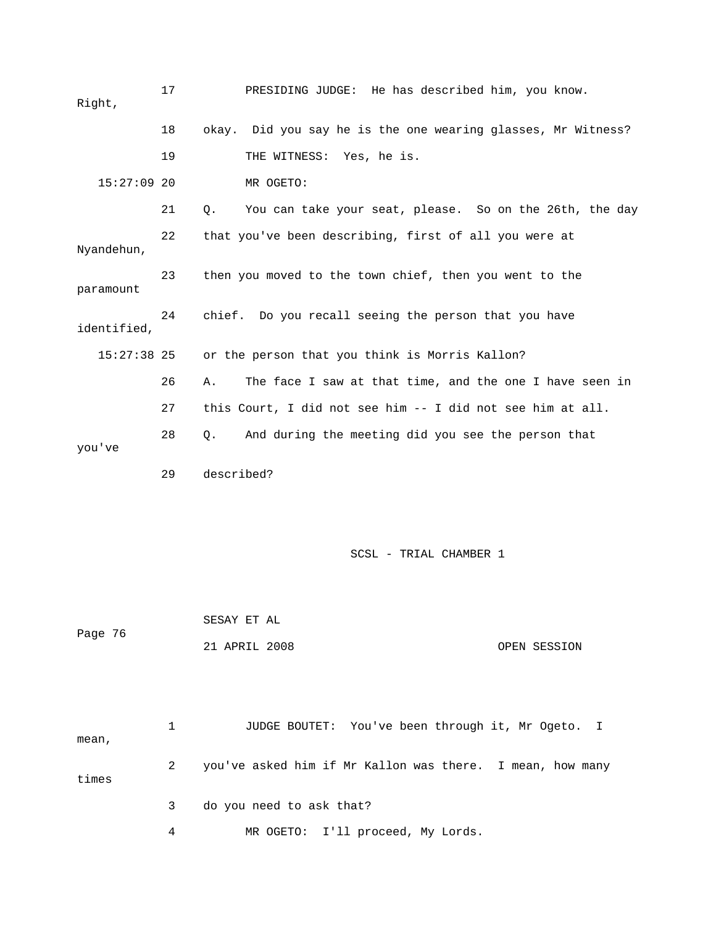| Right,        | 17 | PRESIDING JUDGE: He has described him, you know.              |
|---------------|----|---------------------------------------------------------------|
|               | 18 | okay. Did you say he is the one wearing glasses, Mr Witness?  |
|               | 19 | THE WITNESS: Yes, he is.                                      |
| $15:27:09$ 20 |    | MR OGETO:                                                     |
|               | 21 | You can take your seat, please. So on the 26th, the day<br>Q. |
| Nyandehun,    | 22 | that you've been describing, first of all you were at         |
| paramount     | 23 | then you moved to the town chief, then you went to the        |
| identified,   | 24 | chief. Do you recall seeing the person that you have          |
| $15:27:38$ 25 |    | or the person that you think is Morris Kallon?                |
|               | 26 | The face I saw at that time, and the one I have seen in<br>Α. |
|               | 27 | this Court, I did not see him -- I did not see him at all.    |
| you've        | 28 | And during the meeting did you see the person that<br>О.      |
|               | 29 | described?                                                    |
|               |    |                                                               |
|               |    |                                                               |

|         | SESAY ET AL   |              |
|---------|---------------|--------------|
| Page 76 |               |              |
|         | 21 APRIL 2008 | OPEN SESSION |

|       |   | JUDGE BOUTET: You've been through it, Mr Ogeto. I         |
|-------|---|-----------------------------------------------------------|
| mean, |   |                                                           |
| times | 2 | you've asked him if Mr Kallon was there. I mean, how many |
|       | 3 | do you need to ask that?                                  |
|       | 4 | MR OGETO: I'll proceed, My Lords.                         |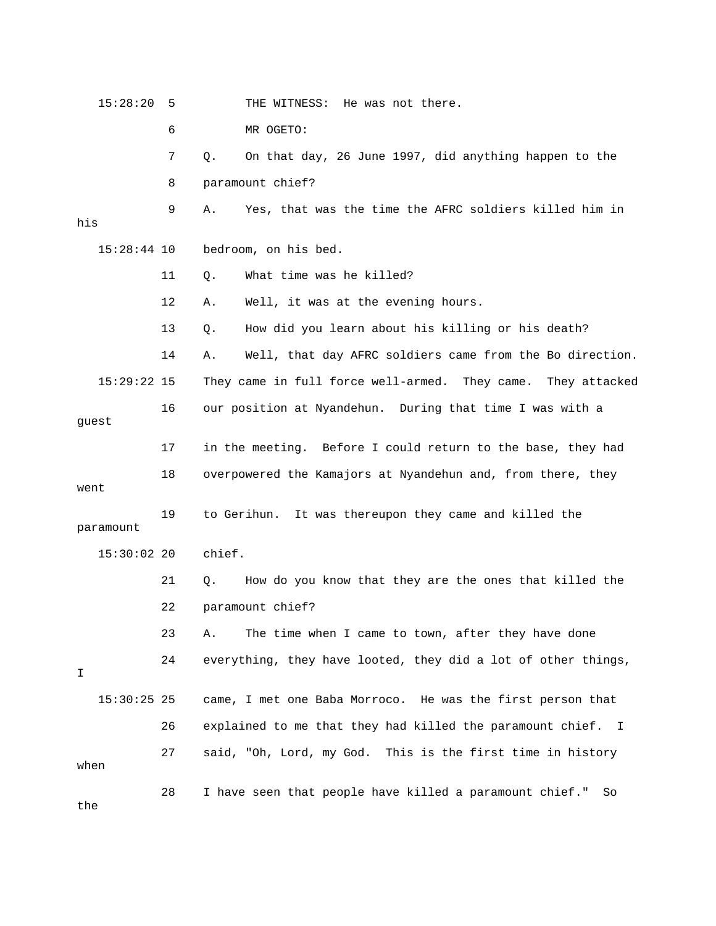15:28:20 5 THE WITNESS: He was not there. 6 MR OGETO: 7 Q. On that day, 26 June 1997, did anything happen to the 9 A. Yes, that was the time the AFRC soldiers killed him in bedroom, on his bed. 11 Q. What time was he killed? 13 Q. How did you learn about his killing or his death? 14 A. Well, that day AFRC soldiers came from the Bo direction. 15:29:22 15 They came in full force well-armed. They came. They attacked 16 our position at Nyandehun. During that time I was with a 17 in the meeting. Before I could return to the base, they had 18 overpowered the Kamajors at Nyandehun and, from there, they went 19 to Gerihun. It was thereupon they came and killed the 24 everything, they have looted, they did a lot of other things, 26 explained to me that they had killed the paramount chief. I 27 said, "Oh, Lord, my God. This is the first time in history when 8 paramount chief? his 15:28:44 10 12 A. Well, it was at the evening hours. guest paramount 15:30:02 20 chief. 21 Q. How do you know that they are the ones that killed the 22 paramount chief? 23 A. The time when I came to town, after they have done I 15:30:25 25 came, I met one Baba Morroco. He was the first person that 28 I have seen that people have killed a paramount chief." So the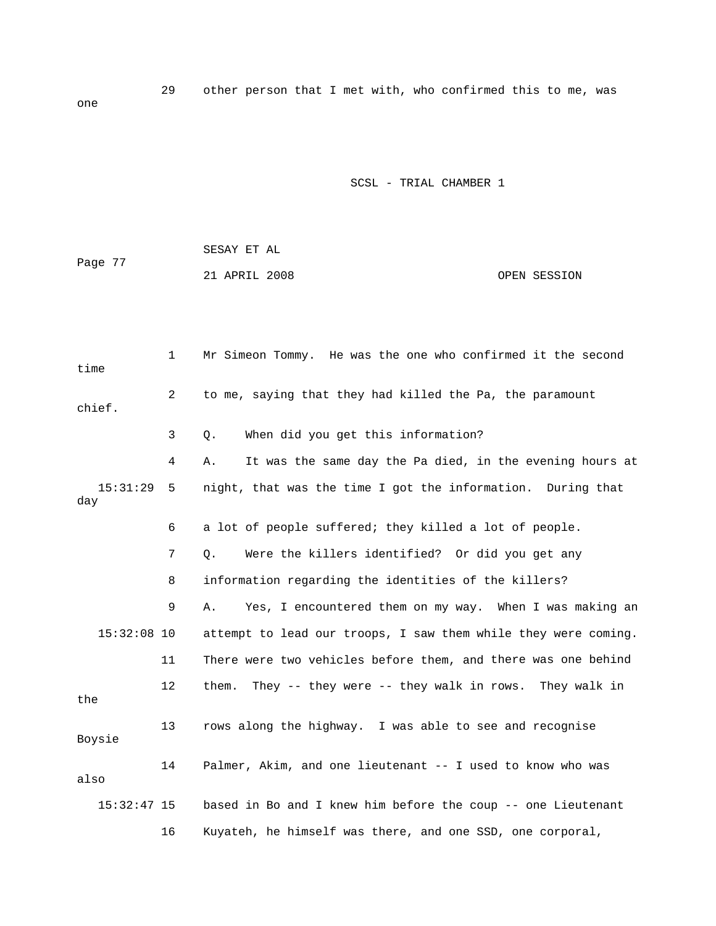29 other person that I met with, who confirmed this to me, was

one

|         | SESAY ET AL   |  |              |
|---------|---------------|--|--------------|
| Page 77 |               |  |              |
|         | 21 APRIL 2008 |  | OPEN SESSION |

| time            | $\mathbf{1}$   | Mr Simeon Tommy. He was the one who confirmed it the second    |
|-----------------|----------------|----------------------------------------------------------------|
| chief.          | $\overline{a}$ | to me, saying that they had killed the Pa, the paramount       |
|                 | 3              | When did you get this information?<br>Q.                       |
|                 | 4              | It was the same day the Pa died, in the evening hours at<br>Α. |
| 15:31:29<br>day | 5              | night, that was the time I got the information. During that    |
|                 | 6              | a lot of people suffered; they killed a lot of people.         |
|                 | 7              | Were the killers identified? Or did you get any<br>Q.          |
|                 | 8              | information regarding the identities of the killers?           |
|                 | 9              | Yes, I encountered them on my way. When I was making an<br>Α.  |
| $15:32:08$ 10   |                | attempt to lead our troops, I saw them while they were coming. |
|                 | 11             | There were two vehicles before them, and there was one behind  |
| the             | 12             | them. They -- they were -- they walk in rows. They walk in     |
| Boysie          | 13             | rows along the highway. I was able to see and recognise        |
| also            | 14             | Palmer, Akim, and one lieutenant -- I used to know who was     |
| $15:32:47$ 15   |                | based in Bo and I knew him before the coup -- one Lieutenant   |
|                 | 16             | Kuyateh, he himself was there, and one SSD, one corporal,      |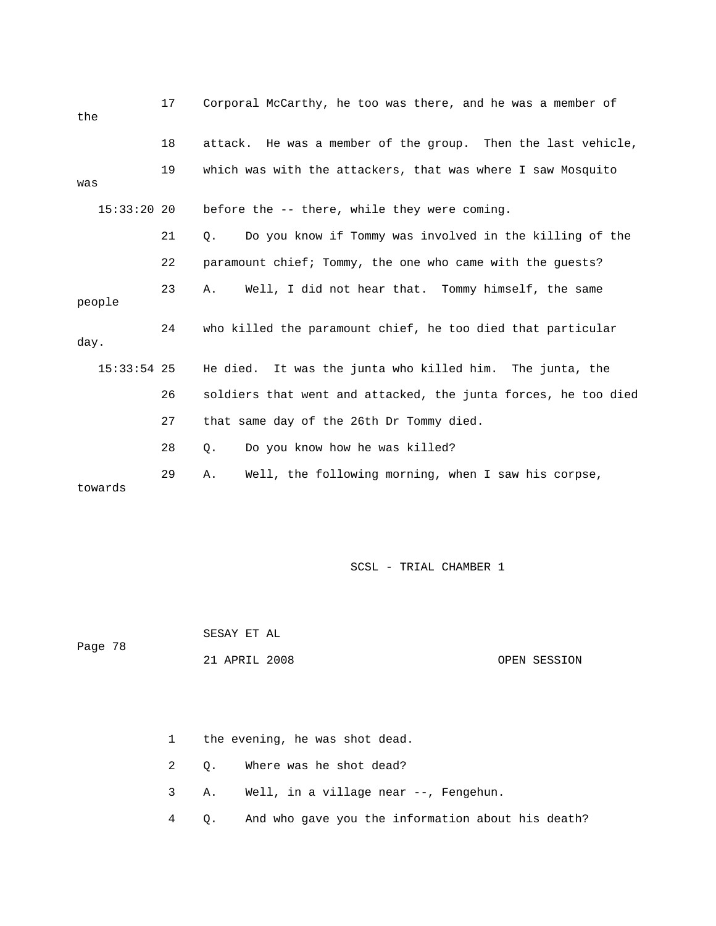| the           | 17 | Corporal McCarthy, he too was there, and he was a member of    |
|---------------|----|----------------------------------------------------------------|
|               | 18 | attack. He was a member of the group. Then the last vehicle,   |
| was           | 19 | which was with the attackers, that was where I saw Mosquito    |
| $15:33:20$ 20 |    | before the -- there, while they were coming.                   |
|               | 21 | Do you know if Tommy was involved in the killing of the<br>Q.  |
|               | 22 | paramount chief; Tommy, the one who came with the quests?      |
| people        | 23 | Well, I did not hear that. Tommy himself, the same<br>Α.       |
| day.          | 24 | who killed the paramount chief, he too died that particular    |
| $15:33:54$ 25 |    | He died. It was the junta who killed him. The junta, the       |
|               | 26 | soldiers that went and attacked, the junta forces, he too died |
|               | 27 | that same day of the 26th Dr Tommy died.                       |
|               | 28 | Do you know how he was killed?<br>Q.                           |
| towards       | 29 | Well, the following morning, when I saw his corpse,<br>Α.      |

Page 78

SESAY ET AL

 OPEN SESSION 21 APRIL 2008

1 the evening, he was shot dead.

2 Q. Where was he shot dead?

3 A. Well, in a village near --, Fengehun.

4 Q. And who gave you the information about his death?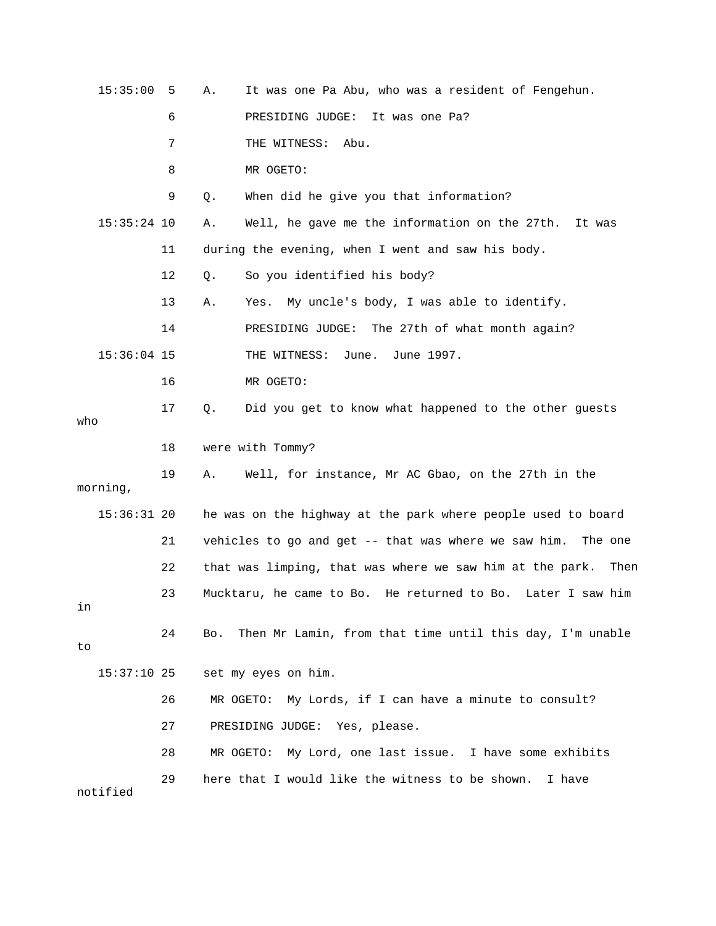| 15:35:00      | 5  | Α.        | It was one Pa Abu, who was a resident of Fengehun.               |
|---------------|----|-----------|------------------------------------------------------------------|
|               | 6  |           | PRESIDING JUDGE:<br>It was one Pa?                               |
|               | 7  |           | THE WITNESS:<br>Abu.                                             |
|               | 8  |           | MR OGETO:                                                        |
|               | 9  | Q.        | When did he give you that information?                           |
| $15:35:24$ 10 |    | Α.        | Well, he gave me the information on the 27th.<br>It was          |
|               | 11 |           | during the evening, when I went and saw his body.                |
|               | 12 | Q.        | So you identified his body?                                      |
|               | 13 | Α.        | My uncle's body, I was able to identify.<br>Yes.                 |
|               | 14 |           | PRESIDING JUDGE:<br>The 27th of what month again?                |
| $15:36:04$ 15 |    |           | THE WITNESS:<br>June.<br>June 1997.                              |
|               | 16 |           | MR OGETO:                                                        |
| who           | 17 | Q.        | Did you get to know what happened to the other guests            |
|               | 18 |           | were with Tommy?                                                 |
| morning,      | 19 | Α.        | Well, for instance, Mr AC Gbao, on the 27th in the               |
| $15:36:31$ 20 |    |           | he was on the highway at the park where people used to board     |
|               | 21 |           | vehicles to go and get -- that was where we saw him.<br>The one  |
|               | 22 |           | that was limping, that was where we saw him at the park.<br>Then |
| in            | 23 |           | Mucktaru, he came to Bo. He returned to Bo.<br>Later I saw him   |
| to            | 24 | Bo.       | Then Mr Lamin, from that time until this day, I'm unable         |
| $15:37:10$ 25 |    |           | set my eyes on him.                                              |
|               | 26 | MR OGETO: | My Lords, if I can have a minute to consult?                     |
|               | 27 |           | PRESIDING JUDGE: Yes, please.                                    |
|               | 28 | MR OGETO: | My Lord, one last issue. I have some exhibits                    |
| notified      | 29 |           | here that I would like the witness to be shown.<br>I have        |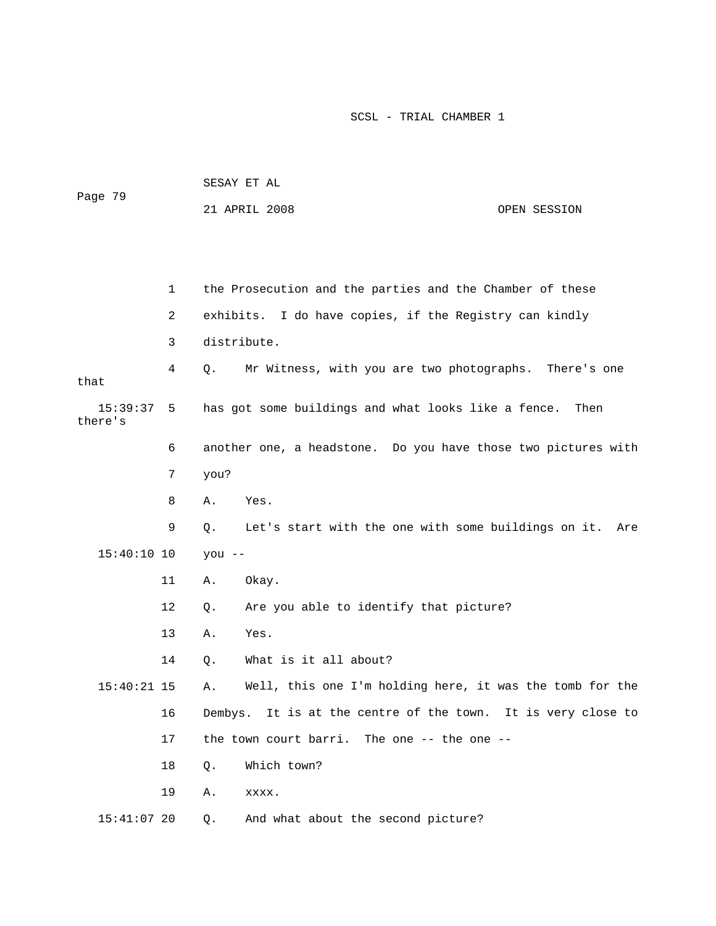| Page 79             |    | SESAY ET AL                                                    |              |
|---------------------|----|----------------------------------------------------------------|--------------|
|                     |    | 21 APRIL 2008                                                  | OPEN SESSION |
|                     |    |                                                                |              |
|                     |    |                                                                |              |
|                     | 1  | the Prosecution and the parties and the Chamber of these       |              |
|                     | 2  | exhibits. I do have copies, if the Registry can kindly         |              |
|                     | 3  | distribute.                                                    |              |
| that                | 4  | Mr Witness, with you are two photographs.<br>Q.                | There's one  |
| 15:39:37<br>there's | 5  | has got some buildings and what looks like a fence.            | Then         |
|                     | 6  | another one, a headstone. Do you have those two pictures with  |              |
|                     | 7  | you?                                                           |              |
|                     | 8  | Yes.<br>Α.                                                     |              |
|                     | 9  | Let's start with the one with some buildings on it.<br>Q.      | Are          |
| $15:40:10$ 10       |    | $you --$                                                       |              |
|                     | 11 | Okay.<br>Α.                                                    |              |
|                     | 12 | Are you able to identify that picture?<br>Q.                   |              |
|                     | 13 | Yes.<br>Α.                                                     |              |
|                     | 14 | What is it all about?<br>Q.                                    |              |
| $15:40:21$ 15       |    | Well, this one I'm holding here, it was the tomb for the<br>Α. |              |
|                     | 16 | Dembys. It is at the centre of the town. It is very close to   |              |
|                     | 17 | the town court barri. The one $-$ - the one $-$ -              |              |
|                     | 18 | Which town?<br>Q.                                              |              |
|                     | 19 | Α.<br>XXXX.                                                    |              |
| $15:41:07$ 20       |    | And what about the second picture?<br>Q.                       |              |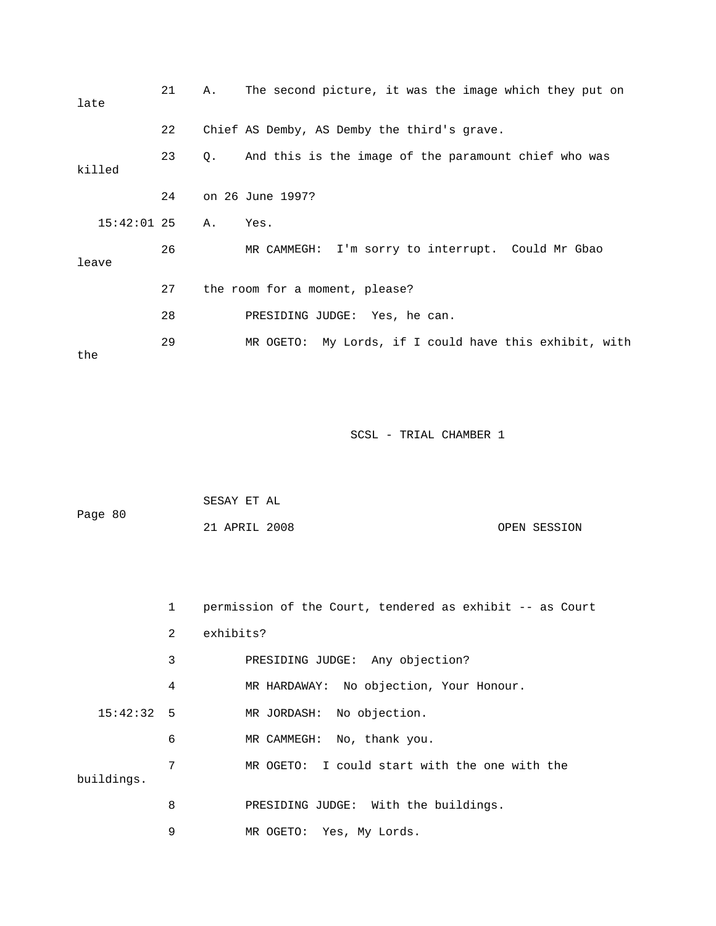| late             | 21 | The second picture, it was the image which they put on<br>Α.        |
|------------------|----|---------------------------------------------------------------------|
|                  | 22 | Chief AS Demby, AS Demby the third's grave.                         |
| killed           | 23 | And this is the image of the paramount chief who was<br>$Q_{\star}$ |
|                  | 24 | on 26 June 1997?                                                    |
| $15:42:01$ 25 A. |    | Yes.                                                                |
| leave            | 26 | MR CAMMEGH: I'm sorry to interrupt. Could Mr Gbao                   |
|                  | 27 | the room for a moment, please?                                      |
|                  | 28 | PRESIDING JUDGE: Yes, he can.                                       |
| the              | 29 | MR OGETO: My Lords, if I could have this exhibit, with              |

| Page 80 | SESAY ET AL   |  |              |
|---------|---------------|--|--------------|
|         | 21 APRIL 2008 |  | OPEN SESSION |

|            | $\mathbf{1}$ | permission of the Court, tendered as exhibit -- as Court |
|------------|--------------|----------------------------------------------------------|
|            | 2            | exhibits?                                                |
|            | 3            | PRESIDING JUDGE: Any objection?                          |
|            | 4            | MR HARDAWAY: No objection, Your Honour.                  |
| 15:42:32:5 |              | MR JORDASH: No objection.                                |
|            | 6            | MR CAMMEGH: No, thank you.                               |
| buildings. | 7            | MR OGETO: I could start with the one with the            |
|            | 8            | PRESIDING JUDGE: With the buildings.                     |
|            | 9            | Yes, My Lords.<br>MR OGETO:                              |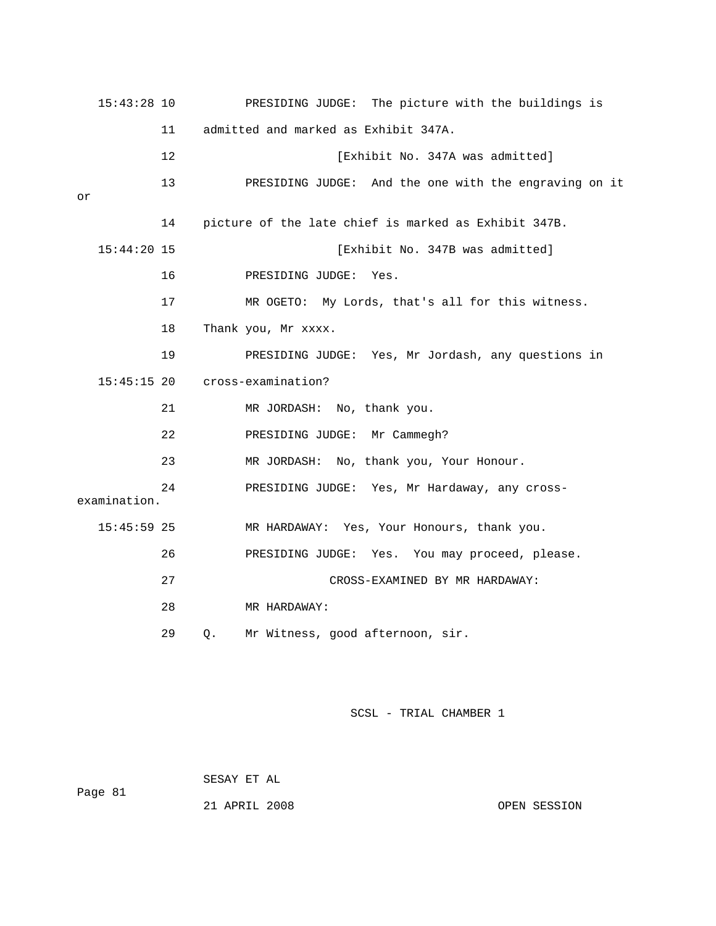|    | $15:43:28$ 10 |    | PRESIDING JUDGE: The picture with the buildings is    |
|----|---------------|----|-------------------------------------------------------|
|    |               | 11 | admitted and marked as Exhibit 347A.                  |
|    |               | 12 | [Exhibit No. 347A was admitted]                       |
|    |               | 13 | PRESIDING JUDGE: And the one with the engraving on it |
| or |               | 14 | picture of the late chief is marked as Exhibit 347B.  |
|    | 15:44:20 15   |    | [Exhibit No. 347B was admitted]                       |
|    |               | 16 | PRESIDING JUDGE:<br>Yes.                              |
|    |               | 17 | MR OGETO: My Lords, that's all for this witness.      |
|    |               | 18 | Thank you, Mr xxxx.                                   |
|    |               | 19 | PRESIDING JUDGE: Yes, Mr Jordash, any questions in    |
|    | $15:45:15$ 20 |    | cross-examination?                                    |
|    |               | 21 | MR JORDASH: No, thank you.                            |
|    |               | 22 | PRESIDING JUDGE: Mr Cammegh?                          |
|    |               | 23 | MR JORDASH: No, thank you, Your Honour.               |
|    | examination.  | 24 | PRESIDING JUDGE: Yes, Mr Hardaway, any cross-         |
|    | $15:45:59$ 25 |    | MR HARDAWAY: Yes, Your Honours, thank you.            |
|    |               | 26 | PRESIDING JUDGE: Yes. You may proceed, please.        |
|    |               | 27 | CROSS-EXAMINED BY MR HARDAWAY:                        |
|    |               | 28 | MR HARDAWAY:                                          |
|    |               | 29 | Mr Witness, good afternoon, sir.<br>О.                |

SESAY ET AL

Page 81

21 APRIL 2008

OPEN SESSION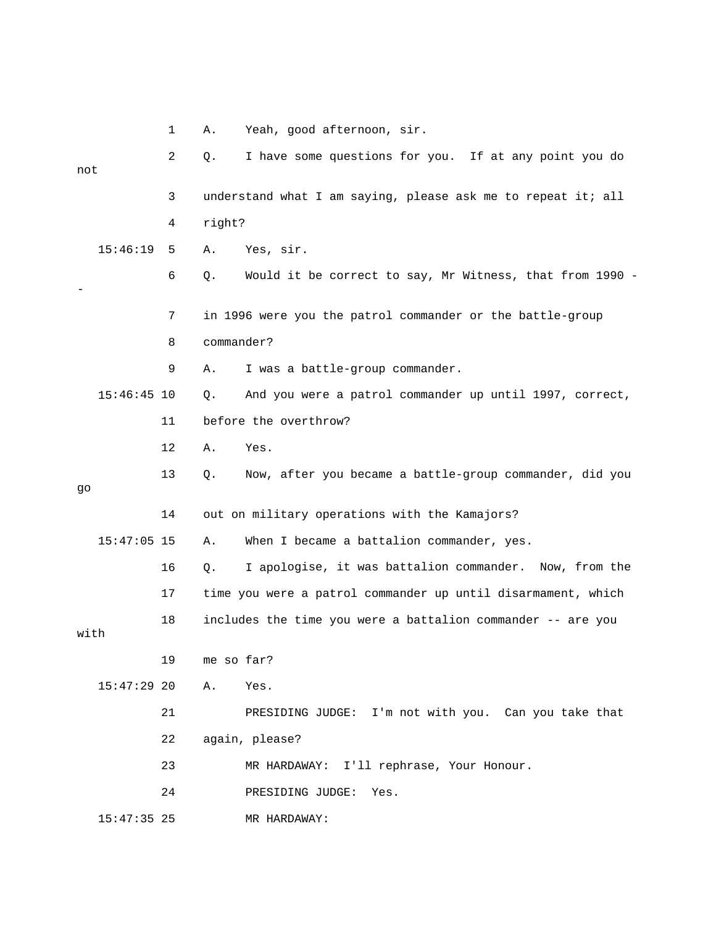|      |               | 1  | Α.         | Yeah, good afternoon, sir.                                   |
|------|---------------|----|------------|--------------------------------------------------------------|
| not  |               | 2  | Q.         | I have some questions for you. If at any point you do        |
|      |               | 3  |            | understand what I am saying, please ask me to repeat it; all |
|      |               | 4  | right?     |                                                              |
|      | 15:46:19      | 5  | Α.         | Yes, sir.                                                    |
|      |               | 6  | Q.         | Would it be correct to say, Mr Witness, that from 1990 -     |
|      |               | 7  |            | in 1996 were you the patrol commander or the battle-group    |
|      |               | 8  | commander? |                                                              |
|      |               | 9  | Α.         | I was a battle-group commander.                              |
|      | $15:46:45$ 10 |    | О.         | And you were a patrol commander up until 1997, correct,      |
|      |               | 11 |            | before the overthrow?                                        |
|      |               | 12 | Α.         | Yes.                                                         |
| go   |               | 13 | Q.         | Now, after you became a battle-group commander, did you      |
|      |               | 14 |            | out on military operations with the Kamajors?                |
|      | $15:47:05$ 15 |    | Α.         | When I became a battalion commander, yes.                    |
|      |               | 16 | Q.         | I apologise, it was battalion commander. Now, from the       |
|      |               | 17 |            | time you were a patrol commander up until disarmament, which |
| with |               | 18 |            | includes the time you were a battalion commander -- are you  |
|      |               | 19 | me so far? |                                                              |
|      | $15:47:29$ 20 |    | Α.         | Yes.                                                         |
|      |               | 21 |            | I'm not with you. Can you take that<br>PRESIDING JUDGE:      |
|      |               | 22 |            | again, please?                                               |
|      |               | 23 |            | I'll rephrase, Your Honour.<br>MR HARDAWAY:                  |
|      |               | 24 |            | PRESIDING JUDGE:<br>Yes.                                     |
|      | $15:47:35$ 25 |    |            | MR HARDAWAY:                                                 |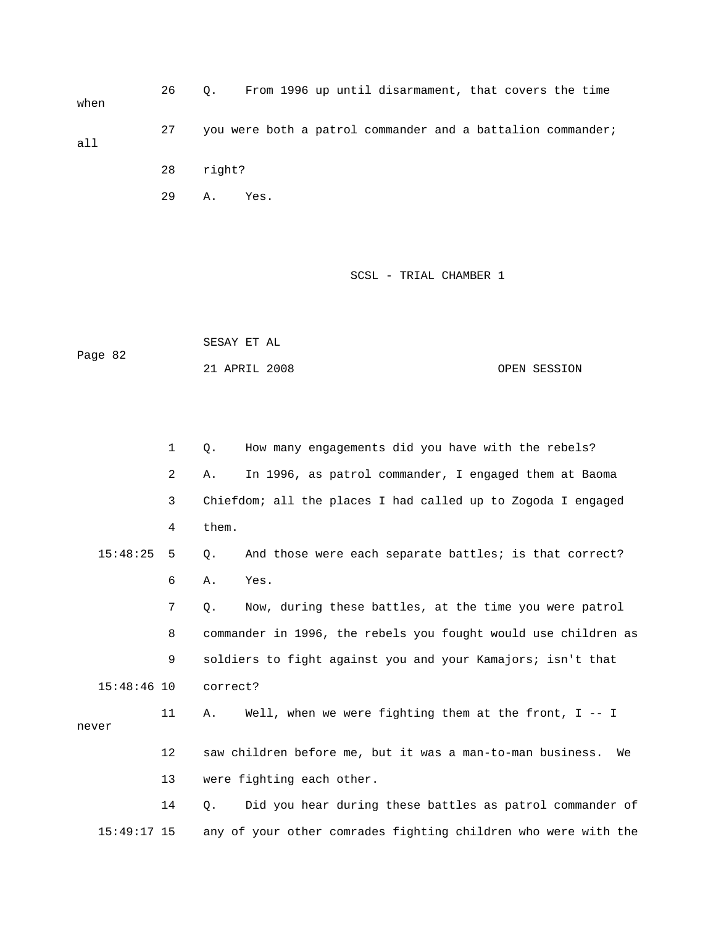26 Q. From 1996 up until disarmament, that covers the time when 27 you were both a patrol commander and a battalion commander; 28 right? 29 A. Yes. all

SCSL - TRIAL CHAMBER 1

| Page 82 | SESAY ET AL   |  |              |
|---------|---------------|--|--------------|
|         | 21 APRIL 2008 |  | OPEN SESSION |

|               | 1              | How many engagements did you have with the rebels?<br>Q.        |
|---------------|----------------|-----------------------------------------------------------------|
|               | $\overline{2}$ | In 1996, as patrol commander, I engaged them at Baoma<br>Α.     |
|               | 3              | Chiefdom; all the places I had called up to Zogoda I engaged    |
|               | 4              | them.                                                           |
| 15:48:25      | 5              | And those were each separate battles; is that correct?<br>О.    |
|               | 6              | Yes.<br>Α.                                                      |
|               | 7              | Now, during these battles, at the time you were patrol<br>Q.    |
|               | 8              | commander in 1996, the rebels you fought would use children as  |
|               | 9              | soldiers to fight against you and your Kamajors; isn't that     |
| $15:48:46$ 10 |                | correct?                                                        |
| never         | 11             | Well, when we were fighting them at the front, $I$ -- I<br>Α.   |
|               | 12             | saw children before me, but it was a man-to-man business.<br>We |
|               | 13             | were fighting each other.                                       |
|               | 14             | Did you hear during these battles as patrol commander of<br>О.  |

15:49:17 15 any of your other comrades fighting children who were with the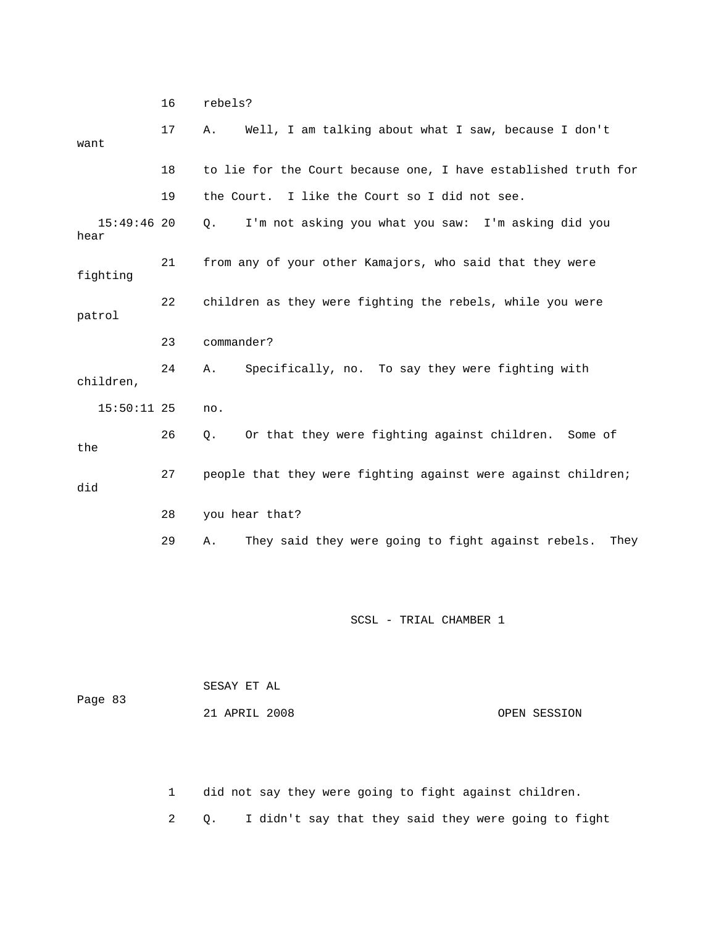16 rebels?

| want                  | 17 | Well, I am talking about what I saw, because I don't<br>Α.       |
|-----------------------|----|------------------------------------------------------------------|
|                       | 18 | to lie for the Court because one, I have established truth for   |
|                       | 19 | the Court. I like the Court so I did not see.                    |
| $15:49:46$ 20<br>hear |    | I'm not asking you what you saw: I'm asking did you<br>Q.        |
| fighting              | 21 | from any of your other Kamajors, who said that they were         |
| patrol                | 22 | children as they were fighting the rebels, while you were        |
|                       | 23 | commander?                                                       |
| children,             | 24 | Specifically, no. To say they were fighting with<br>A.           |
| $15:50:11$ 25         |    | no.                                                              |
| the                   | 26 | Or that they were fighting against children. Some of<br>Q.       |
| did                   | 27 | people that they were fighting against were against children;    |
|                       | 28 | you hear that?                                                   |
|                       | 29 | They said they were going to fight against rebels.<br>Α.<br>They |

SCSL - TRIAL CHAMBER 1

| Page 83 | SESAY ET AL   |              |
|---------|---------------|--------------|
|         | 21 APRIL 2008 | OPEN SESSION |

1 did not say they were going to fight against children.

2 Q. I didn't say that they said they were going to fight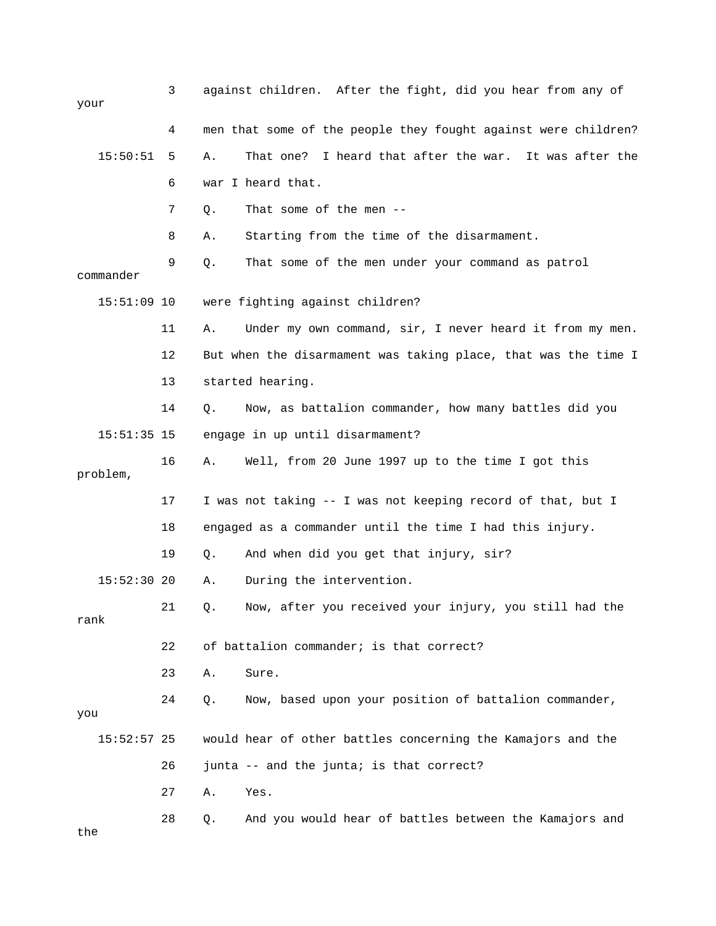| your          | 3  |    | against children. After the fight, did you hear from any of    |
|---------------|----|----|----------------------------------------------------------------|
|               | 4  |    | men that some of the people they fought against were children? |
| 15:50:51      | 5  | Α. | That one? I heard that after the war. It was after the         |
|               | 6  |    | war I heard that.                                              |
|               | 7  | Q. | That some of the men --                                        |
|               | 8  | Α. | Starting from the time of the disarmament.                     |
| commander     | 9  | Q. | That some of the men under your command as patrol              |
| $15:51:09$ 10 |    |    | were fighting against children?                                |
|               | 11 | Α. | Under my own command, sir, I never heard it from my men.       |
|               | 12 |    | But when the disarmament was taking place, that was the time I |
|               | 13 |    | started hearing.                                               |
|               | 14 | Q. | Now, as battalion commander, how many battles did you          |
| $15:51:35$ 15 |    |    | engage in up until disarmament?                                |
| problem,      | 16 | Α. | Well, from 20 June 1997 up to the time I got this              |
|               | 17 |    | I was not taking -- I was not keeping record of that, but I    |
|               | 18 |    | engaged as a commander until the time I had this injury.       |
|               | 19 | Q. | And when did you get that injury, sir?                         |
| $15:52:30$ 20 |    | Α. | During the intervention.                                       |
| rank          | 21 | Q. | Now, after you received your injury, you still had the         |
|               | 22 |    | of battalion commander; is that correct?                       |
|               | 23 | Α. | Sure.                                                          |
| you           | 24 | Q. | Now, based upon your position of battalion commander,          |
| $15:52:57$ 25 |    |    | would hear of other battles concerning the Kamajors and the    |
|               | 26 |    | junta -- and the junta; is that correct?                       |
|               | 27 | Α. | Yes.                                                           |
| the           | 28 | Q. | And you would hear of battles between the Kamajors and         |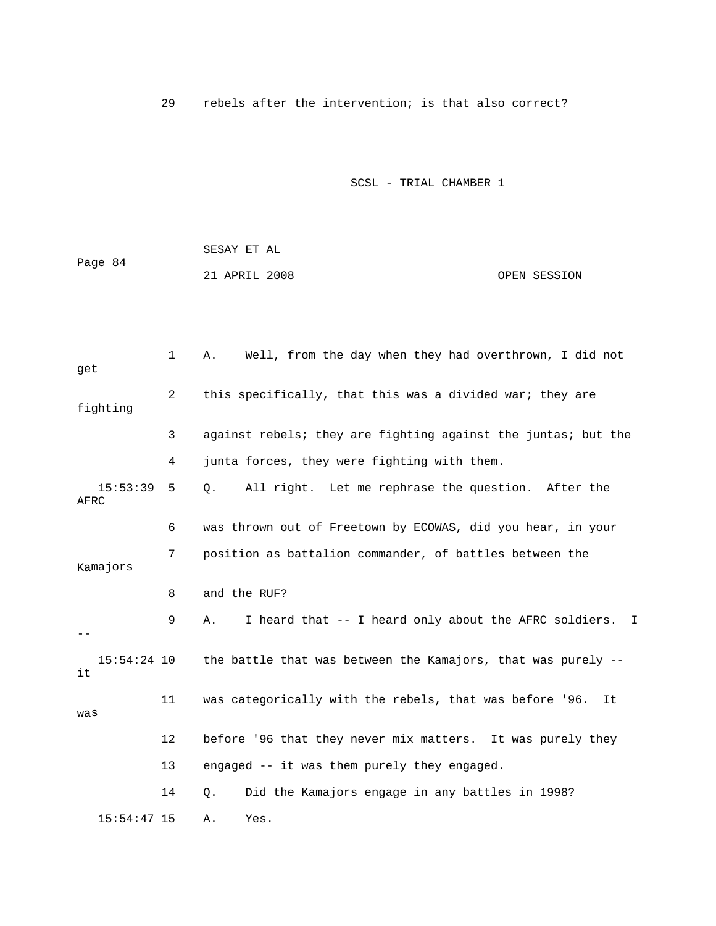29 rebels after the intervention; is that also correct?

|         | SESAY ET AL   |              |
|---------|---------------|--------------|
| Page 84 |               |              |
|         | 21 APRIL 2008 | OPEN SESSION |

| get                 | $\mathbf{1}$      | Well, from the day when they had overthrown, I did not<br>Α.    |
|---------------------|-------------------|-----------------------------------------------------------------|
| fighting            | 2                 | this specifically, that this was a divided war; they are        |
|                     | 3                 | against rebels; they are fighting against the juntas; but the   |
|                     | 4                 | junta forces, they were fighting with them.                     |
| 15:53:39<br>AFRC    | 5                 | All right. Let me rephrase the question. After the<br>Q.        |
|                     | 6                 | was thrown out of Freetown by ECOWAS, did you hear, in your     |
| Kamajors            | 7                 | position as battalion commander, of battles between the         |
|                     | 8                 | and the RUF?                                                    |
|                     | 9                 | I heard that -- I heard only about the AFRC soldiers. I<br>Α.   |
| $15:54:24$ 10<br>it |                   | the battle that was between the Kamajors, that was purely $-$ - |
| was                 | 11                | was categorically with the rebels, that was before '96.<br>It   |
|                     | $12 \overline{ }$ | before '96 that they never mix matters. It was purely they      |
|                     | 13                | engaged -- it was them purely they engaged.                     |
|                     | 14                | Did the Kamajors engage in any battles in 1998?<br>Q.           |
| $15:54:47$ 15       |                   | Α.<br>Yes.                                                      |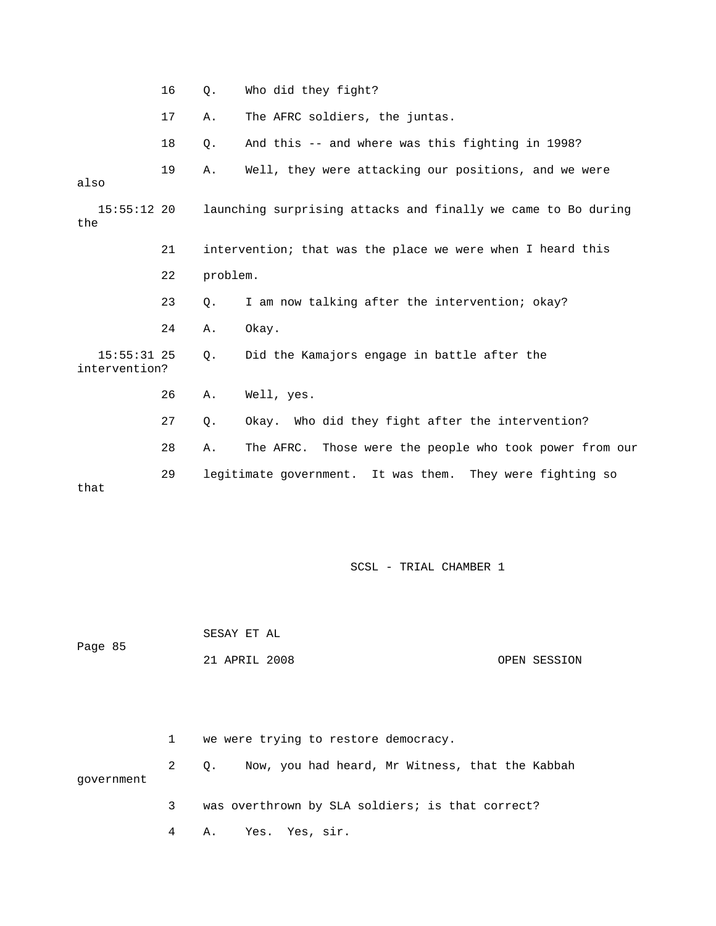|  | Who did they fight? |
|--|---------------------|
|--|---------------------|

17 A. The AFRC soldiers, the juntas.

18 Q. And this -- and where was this fighting in 1998?

19 A. Well, they were attacking our positions, and we were

also

 15:55:12 20 launching surprising attacks and finally we came to Bo during 21 intervention; that was the place we were when I heard this 23 Q. I am now talking after the intervention; okay? 15:55:31 25 Q. Did the Kamajors engage in battle after the intervention? 26 A. Well, yes. 27 Q. Okay. Who did they fight after the intervention? 29 legitimate government. It was them. They were fighting so the 22 problem. 24 A. Okay. 28 A. The AFRC. Those were the people who took power from our that

SCSL - TRIAL CHAMBER 1

Page 85 SESAY ET AL 21 APRIL 2008 OPEN SESSION

 1 we were trying to restore democracy. 2 Q. Now, you had heard, Mr Witness, that the Kabbah government 3 was overthrown by SLA soldiers; is that correct?

4 A. Yes. Yes, sir.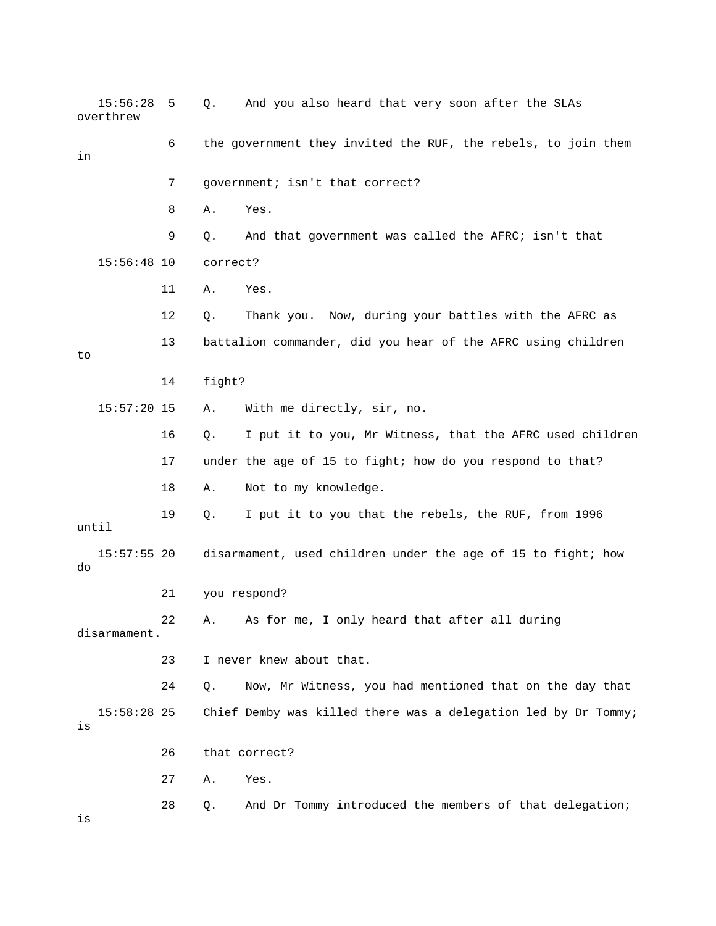|    | 15:56:28<br>overthrew | 5  | Q.       | And you also heard that very soon after the SLAs               |
|----|-----------------------|----|----------|----------------------------------------------------------------|
| in |                       | 6  |          | the government they invited the RUF, the rebels, to join them  |
|    |                       | 7  |          | government; isn't that correct?                                |
|    |                       | 8  | Α.       | Yes.                                                           |
|    |                       | 9  | Q.       | And that government was called the AFRC; isn't that            |
|    | $15:56:48$ 10         |    | correct? |                                                                |
|    |                       | 11 | Α.       | Yes.                                                           |
|    |                       | 12 | Q.       | Thank you. Now, during your battles with the AFRC as           |
| to |                       | 13 |          | battalion commander, did you hear of the AFRC using children   |
|    |                       | 14 | fight?   |                                                                |
|    | $15:57:20$ 15         |    | Α.       | With me directly, sir, no.                                     |
|    |                       | 16 | Q.       | I put it to you, Mr Witness, that the AFRC used children       |
|    |                       | 17 |          | under the age of 15 to fight; how do you respond to that?      |
|    |                       | 18 | Α.       | Not to my knowledge.                                           |
|    | until                 | 19 | Q.       | I put it to you that the rebels, the RUF, from 1996            |
| do | $15:57:55$ 20         |    |          | disarmament, used children under the age of 15 to fight; how   |
|    |                       | 21 |          | you respond?                                                   |
|    | disarmament.          | 22 | Α.       | As for me, I only heard that after all during                  |
|    |                       | 23 |          | I never knew about that.                                       |
|    |                       | 24 | $Q$ .    | Now, Mr Witness, you had mentioned that on the day that        |
| is | $15:58:28$ 25         |    |          | Chief Demby was killed there was a delegation led by Dr Tommy; |
|    |                       | 26 |          | that correct?                                                  |
|    |                       | 27 | Α.       | Yes.                                                           |
| is |                       | 28 | Q.       | And Dr Tommy introduced the members of that delegation;        |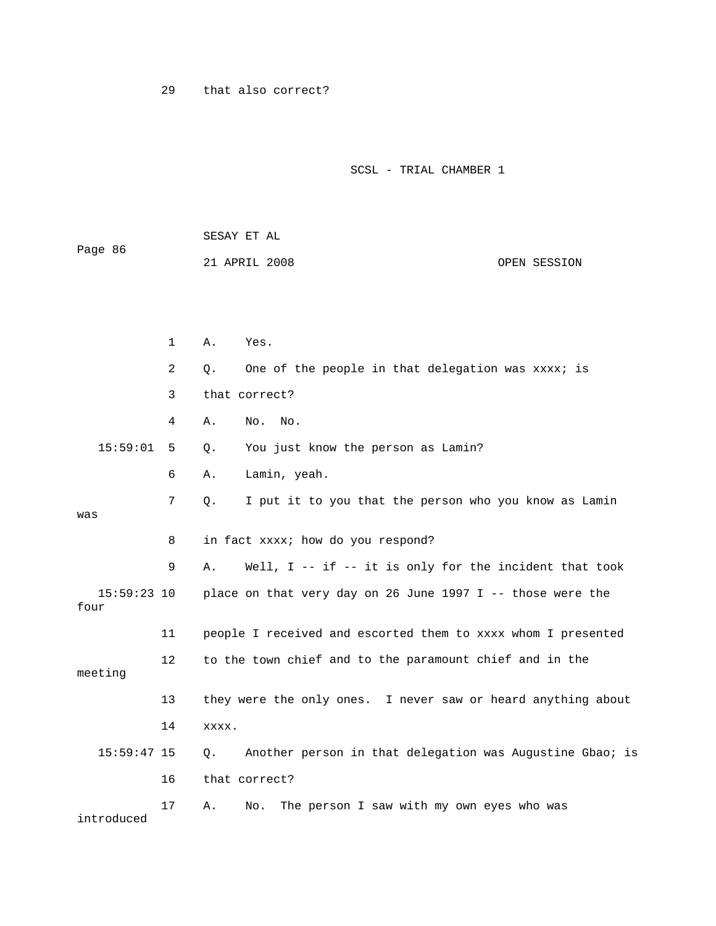29 that also correct?

| Page 86               |              | SESAY ET AL                                                    |  |  |  |  |
|-----------------------|--------------|----------------------------------------------------------------|--|--|--|--|
|                       |              | 21 APRIL 2008<br>OPEN SESSION                                  |  |  |  |  |
|                       |              |                                                                |  |  |  |  |
|                       |              |                                                                |  |  |  |  |
|                       | $\mathbf{1}$ | Α.<br>Yes.                                                     |  |  |  |  |
|                       | 2            | One of the people in that delegation was xxxx; is<br>Q.        |  |  |  |  |
|                       | 3            | that correct?                                                  |  |  |  |  |
|                       | 4            | Α.<br>No.<br>No.                                               |  |  |  |  |
| 15:59:01              | 5            | You just know the person as Lamin?<br>О.                       |  |  |  |  |
|                       | 6            | Lamin, yeah.<br>Α.                                             |  |  |  |  |
|                       | 7            | I put it to you that the person who you know as Lamin<br>Q.    |  |  |  |  |
| was                   |              |                                                                |  |  |  |  |
|                       | 8            | in fact xxxx; how do you respond?                              |  |  |  |  |
|                       | 9            | Well, I -- if -- it is only for the incident that took<br>Α.   |  |  |  |  |
| $15:59:23$ 10<br>four |              | place on that very day on 26 June 1997 I -- those were the     |  |  |  |  |
|                       | 11           | people I received and escorted them to xxxx whom I presented   |  |  |  |  |
| meeting               | 12           | to the town chief and to the paramount chief and in the        |  |  |  |  |
|                       | 13           | they were the only ones. I never saw or heard anything about   |  |  |  |  |
|                       | 14           | XXXX.                                                          |  |  |  |  |
| $15:59:47$ 15         |              | Another person in that delegation was Augustine Gbao; is<br>О. |  |  |  |  |
|                       | 16           | that correct?                                                  |  |  |  |  |
| introduced            | 17           | The person I saw with my own eyes who was<br>Α.<br>No.         |  |  |  |  |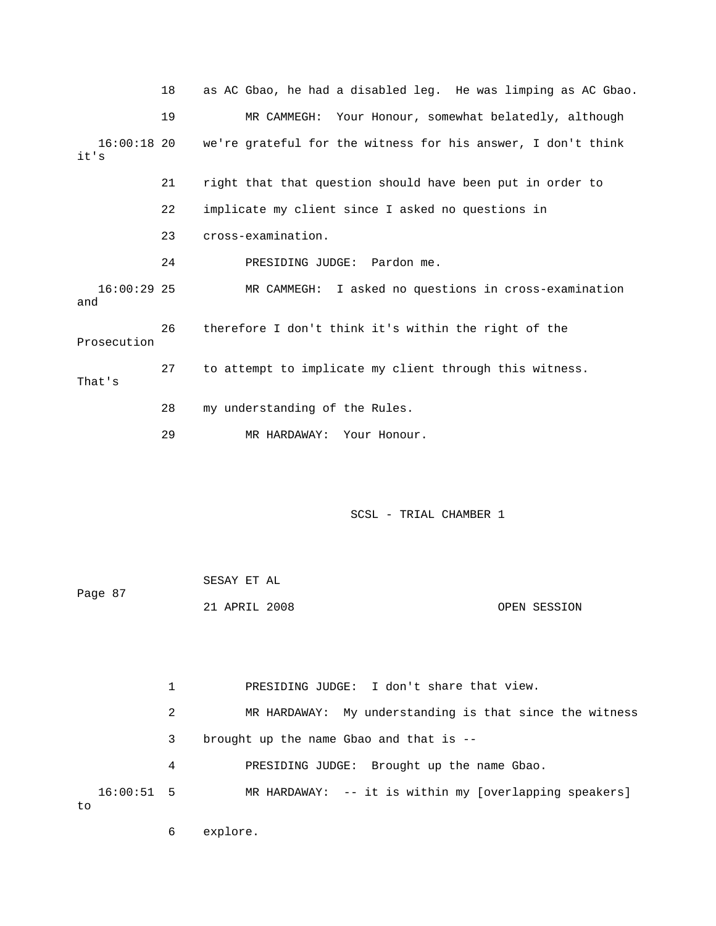|                       | 18 | as AC Gbao, he had a disabled leg. He was limping as AC Gbao. |
|-----------------------|----|---------------------------------------------------------------|
|                       | 19 | MR CAMMEGH: Your Honour, somewhat belatedly, although         |
| $16:00:18$ 20<br>it's |    | we're grateful for the witness for his answer, I don't think  |
|                       | 21 | right that that question should have been put in order to     |
|                       | 22 | implicate my client since I asked no questions in             |
|                       | 23 | cross-examination.                                            |
|                       | 24 | PRESIDING JUDGE: Pardon me.                                   |
| $16:00:29$ 25<br>and  |    | MR CAMMEGH: I asked no questions in cross-examination         |
| Prosecution           | 26 | therefore I don't think it's within the right of the          |
| That's                | 27 | to attempt to implicate my client through this witness.       |
|                       | 28 | my understanding of the Rules.                                |
|                       | 29 | MR HARDAWAY: Your Honour.                                     |

| Page 87 | SESAY ET AL   |  |              |
|---------|---------------|--|--------------|
|         | 21 APRIL 2008 |  | OPEN SESSION |

1 PRESIDING JUDGE: I don't share that view. 2 MR HARDAWAY: My understanding is that since the witness 3 brought up the name Gbao and that is -- 4 PRESIDING JUDGE: Brought up the name Gbao. 16:00:51 5 MR HARDAWAY: -- it is within my [overlapping speakers] to

6 explore.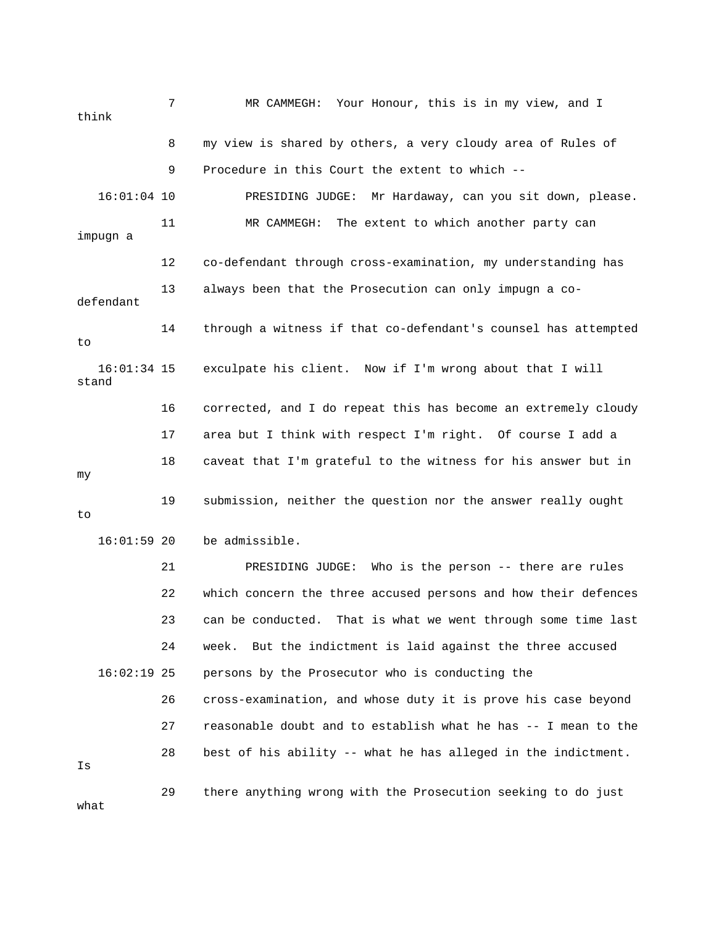7 MR CAMMEGH: Your Honour, this is in my view, and I think 8 my view is shared by others, a very cloudy area of Rules of 9 Procedure in this Court the extent to which -- 16:01:04 10 PRESIDING JUDGE: Mr Hardaway, can you sit down, please. impugn a 12 co-defendant through cross-examination, my understanding has 13 always been that the Prosecution can only impugn a co- 14 through a witness if that co-defendant's counsel has attempted 16 corrected, and I do repeat this has become an extremely cloudy 17 area but I think with respect I'm right. Of course I add a 19 submission, neither the question nor the answer really ought 21 PRESIDING JUDGE: Who is the person -- there are rules 23 can be conducted. That is what we went through some time last 24 week. But the indictment is laid against the three accused 28 best of his ability -- what he has alleged in the indictment. 29 there anything wrong with the Prosecution seeking to do just 11 MR CAMMEGH: The extent to which another party can defendant to 16:01:34 15 exculpate his client. Now if I'm wrong about that I will stand 18 caveat that I'm grateful to the witness for his answer but in my to 16:01:59 20 be admissible. 22 which concern the three accused persons and how their defences 16:02:19 25 persons by the Prosecutor who is conducting the 26 cross-examination, and whose duty it is prove his case beyond 27 reasonable doubt and to establish what he has -- I mean to the Is what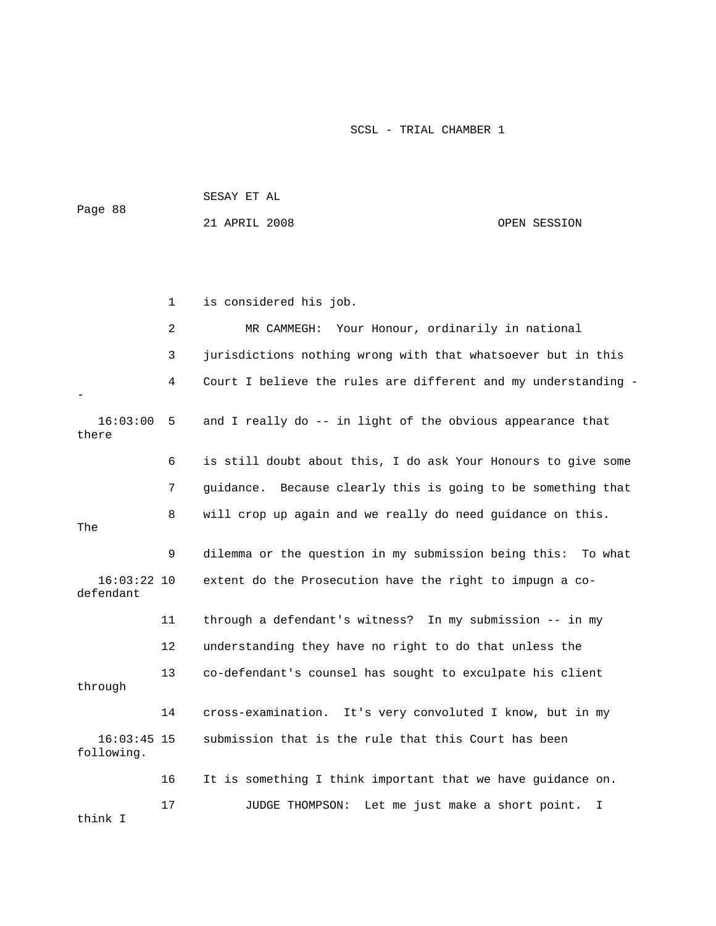|                             |             | 21 APRIL 2008                                                  | OPEN SESSION |
|-----------------------------|-------------|----------------------------------------------------------------|--------------|
|                             |             |                                                                |              |
|                             | $\mathbf 1$ | is considered his job.                                         |              |
|                             | 2           | Your Honour, ordinarily in national<br>MR CAMMEGH:             |              |
|                             | 3           | jurisdictions nothing wrong with that whatsoever but in this   |              |
|                             | 4           | Court I believe the rules are different and my understanding - |              |
| 16:03:00<br>there           | 5           | and I really do -- in light of the obvious appearance that     |              |
|                             | 6           | is still doubt about this, I do ask Your Honours to give some  |              |
|                             | 7           | guidance. Because clearly this is going to be something that   |              |
| The                         | 8           | will crop up again and we really do need guidance on this.     |              |
|                             | 9           | dilemma or the question in my submission being this: To what   |              |
| $16:03:22$ 10<br>defendant  |             | extent do the Prosecution have the right to impugn a co-       |              |
|                             | 11          | through a defendant's witness? In my submission -- in my       |              |
|                             | 12          | understanding they have no right to do that unless the         |              |
| through                     | 13          | co-defendant's counsel has sought to exculpate his client      |              |
|                             | 14          | cross-examination.<br>It's very convoluted I know, but in my   |              |
| $16:03:45$ 15<br>following. |             | submission that is the rule that this Court has been           |              |
|                             | 16          | It is something I think important that we have guidance on.    |              |
| think I                     | 17          | JUDGE THOMPSON:<br>Let me just make a short point.             | I.           |

Page 88

SESAY ET AL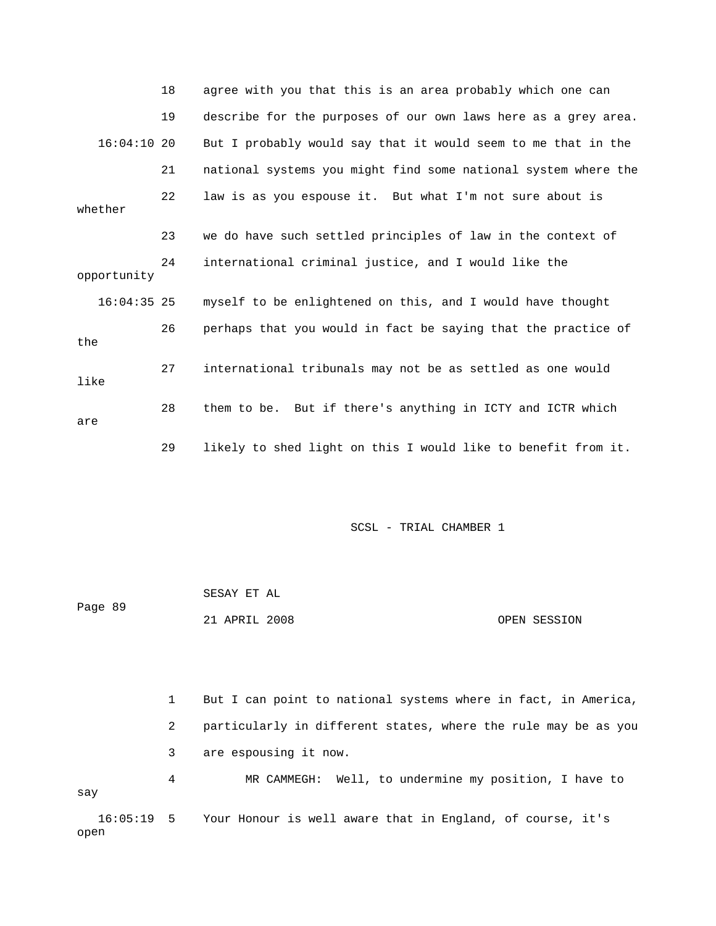|               | 18 | agree with you that this is an area probably which one can     |
|---------------|----|----------------------------------------------------------------|
|               | 19 | describe for the purposes of our own laws here as a grey area. |
| $16:04:10$ 20 |    | But I probably would say that it would seem to me that in the  |
|               | 21 | national systems you might find some national system where the |
| whether       | 22 | law is as you espouse it. But what I'm not sure about is       |
|               | 23 | we do have such settled principles of law in the context of    |
| opportunity   | 24 | international criminal justice, and I would like the           |
| $16:04:35$ 25 |    | myself to be enlightened on this, and I would have thought     |
| the           | 26 | perhaps that you would in fact be saying that the practice of  |
| like          | 27 | international tribunals may not be as settled as one would     |
| are           | 28 | them to be. But if there's anything in ICTY and ICTR which     |
|               | 29 | likely to shed light on this I would like to benefit from it.  |

| Page 89 | SESAY ET AL   |              |
|---------|---------------|--------------|
|         | 21 APRIL 2008 | OPEN SESSION |

 1 But I can point to national systems where in fact, in America, 2 particularly in different states, where the rule may be as you 3 are espousing it now. 4 MR CAMMEGH: Well, to undermine my position, I have to 16:05:19 5 Your Honour is well aware that in England, of course, it's say

open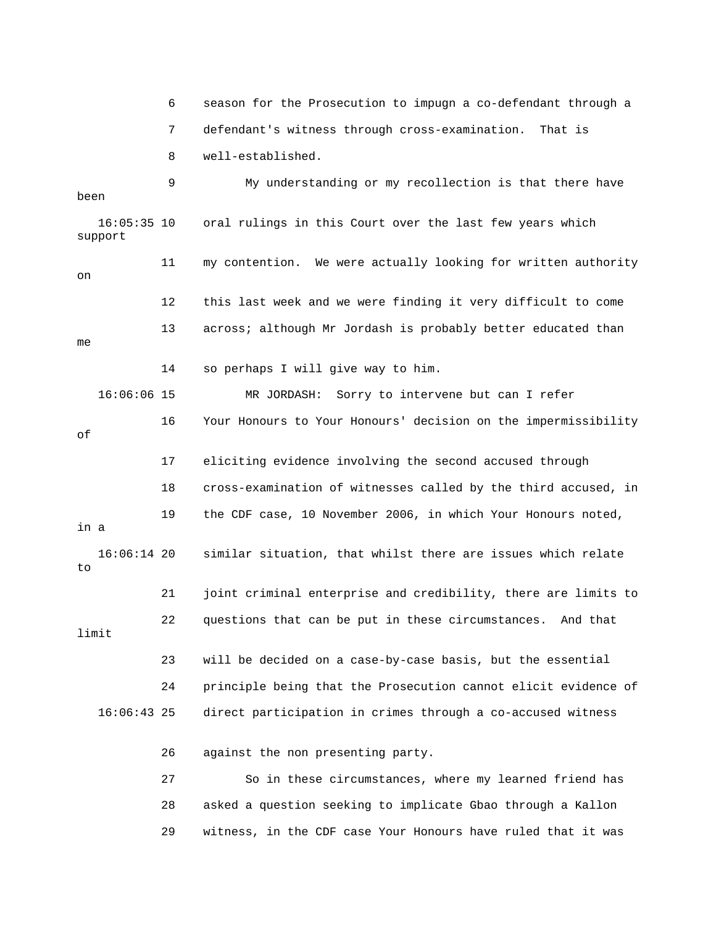6 season for the Prosecution to impugn a co-defendant through a 8 well-established. 9 My understanding or my recollection is that there have been 11 my contention. We were actually looking for written authority 12 this last week and we were finding it very difficult to come 16 Your Honours to Your Honours' decision on the impermissibility 18 cross-examination of witnesses called by the third accused, in 19 the CDF case, 10 November 2006, in which Your Honours noted, 16:06:14 20 similar situation, that whilst there are issues which relate 22 questions that can be put in these circumstances. And that 23 will be decided on a case-by-case basis, but the essential 16:06:43 25 direct participation in crimes through a co-accused witness 28 asked a question seeking to implicate Gbao through a Kallon 29 witness, in the CDF case Your Honours have ruled that it was 7 defendant's witness through cross-examination. That is 16:05:35 10 oral rulings in this Court over the last few years which support on 13 across; although Mr Jordash is probably better educated than me 14 so perhaps I will give way to him. 16:06:06 15 MR JORDASH: Sorry to intervene but can I refer of 17 eliciting evidence involving the second accused through in a to 21 joint criminal enterprise and credibility, there are limits to limit 24 principle being that the Prosecution cannot elicit evidence of 26 against the non presenting party. 27 So in these circumstances, where my learned friend has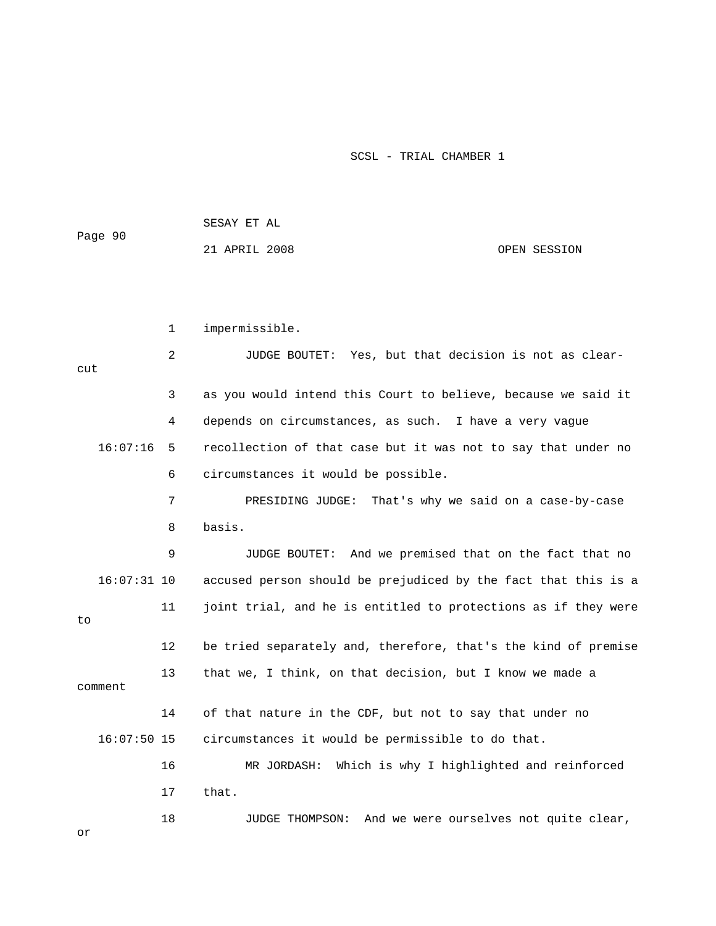|         | SESAY ET AL   |              |
|---------|---------------|--------------|
| Page 90 | 21 APRIL 2008 | OPEN SESSION |
|         |               |              |
|         |               |              |
|         |               |              |

1 impermissible.

| cut           | 2  | JUDGE BOUTET: Yes, but that decision is not as clear-          |
|---------------|----|----------------------------------------------------------------|
|               | 3  | as you would intend this Court to believe, because we said it  |
|               | 4  | depends on circumstances, as such. I have a very vague         |
| 16:07:16      | 5  | recollection of that case but it was not to say that under no  |
|               | 6  | circumstances it would be possible.                            |
|               | 7  | PRESIDING JUDGE: That's why we said on a case-by-case          |
|               | 8  | basis.                                                         |
|               | 9  | JUDGE BOUTET: And we premised that on the fact that no         |
| $16:07:31$ 10 |    | accused person should be prejudiced by the fact that this is a |
| to.           | 11 | joint trial, and he is entitled to protections as if they were |
|               | 12 | be tried separately and, therefore, that's the kind of premise |
| comment       | 13 | that we, I think, on that decision, but I know we made a       |
|               | 14 | of that nature in the CDF, but not to say that under no        |
| $16:07:50$ 15 |    | circumstances it would be permissible to do that.              |
|               | 16 | Which is why I highlighted and reinforced<br>MR JORDASH:       |
|               | 17 | that.                                                          |
| or            | 18 | And we were ourselves not quite clear,<br>JUDGE THOMPSON:      |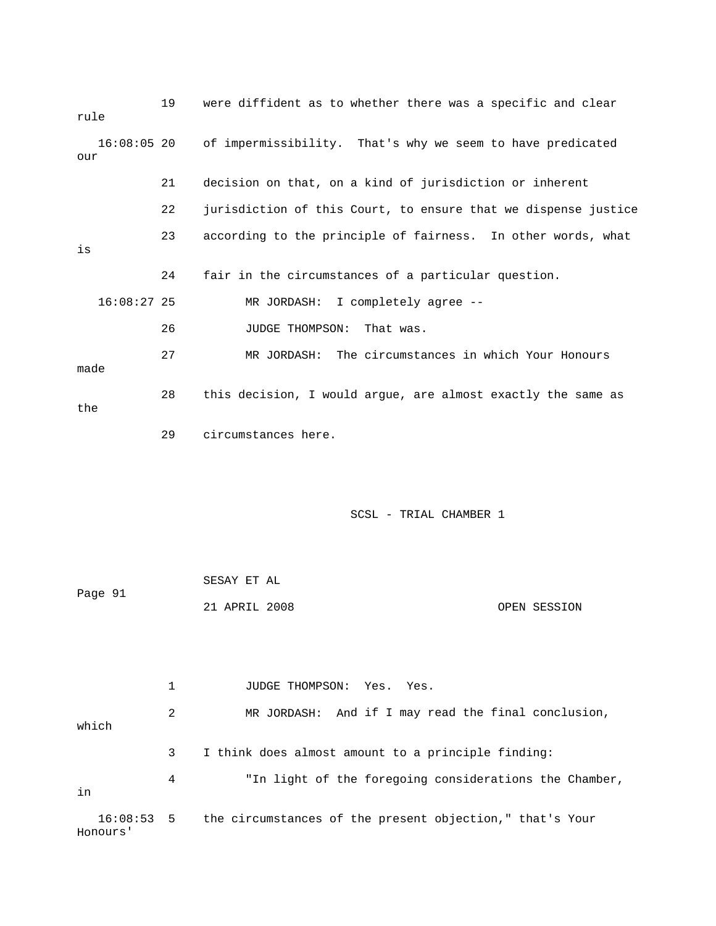| rule |               | 19 | were diffident as to whether there was a specific and clear    |
|------|---------------|----|----------------------------------------------------------------|
| our  | 16:08:05 20   |    | of impermissibility. That's why we seem to have predicated     |
|      |               | 21 | decision on that, on a kind of jurisdiction or inherent        |
|      |               | 22 | jurisdiction of this Court, to ensure that we dispense justice |
| is   |               | 23 | according to the principle of fairness. In other words, what   |
|      |               | 24 | fair in the circumstances of a particular question.            |
|      | $16:08:27$ 25 |    | MR JORDASH: I completely agree --                              |
|      |               | 26 | JUDGE THOMPSON:<br>That was.                                   |
| made |               | 27 | MR JORDASH: The circumstances in which Your Honours            |
| the  |               | 28 | this decision, I would argue, are almost exactly the same as   |
|      |               | 29 | circumstances here.                                            |
|      |               |    |                                                                |

| Page 91 | SESAY ET AL   |              |
|---------|---------------|--------------|
|         | 21 APRIL 2008 | OPEN SESSION |

1 JUDGE THOMPSON: Yes. Yes. 2 MR JORDASH: And if I may read the final conclusion, which 3 I think does almost amount to a principle finding: 4 "In light of the foregoing considerations the Chamber, 16:08:53 5 the circumstances of the present objection," that's Your Honours' in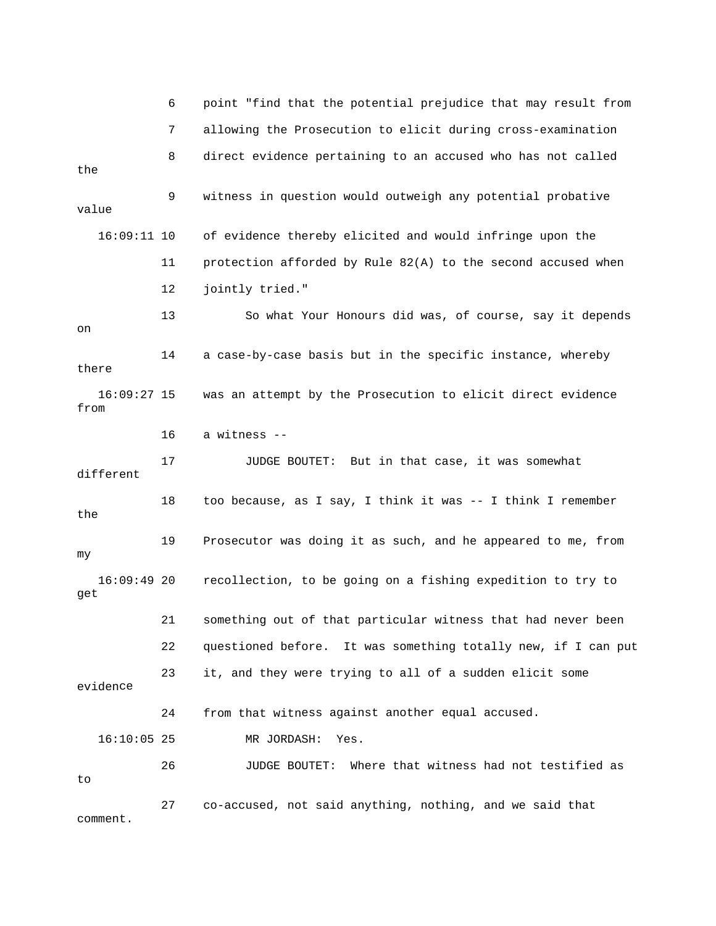|                       | 6  | point "find that the potential prejudice that may result from |
|-----------------------|----|---------------------------------------------------------------|
|                       | 7  | allowing the Prosecution to elicit during cross-examination   |
| the                   | 8  | direct evidence pertaining to an accused who has not called   |
| value                 | 9  | witness in question would outweigh any potential probative    |
| $16:09:11$ 10         |    | of evidence thereby elicited and would infringe upon the      |
|                       | 11 | protection afforded by Rule 82(A) to the second accused when  |
|                       | 12 | jointly tried."                                               |
| on                    | 13 | So what Your Honours did was, of course, say it depends       |
| there                 | 14 | a case-by-case basis but in the specific instance, whereby    |
| $16:09:27$ 15<br>from |    | was an attempt by the Prosecution to elicit direct evidence   |
|                       | 16 | a witness --                                                  |
| different             | 17 | JUDGE BOUTET: But in that case, it was somewhat               |
| the                   | 18 | too because, as I say, I think it was -- I think I remember   |
| my                    | 19 | Prosecutor was doing it as such, and he appeared to me, from  |
| 16:09:4920<br>get     |    | recollection, to be going on a fishing expedition to try to   |
|                       | 21 | something out of that particular witness that had never been  |
|                       | 22 | questioned before. It was something totally new, if I can put |
| evidence              | 23 | it, and they were trying to all of a sudden elicit some       |
|                       | 24 | from that witness against another equal accused.              |
| $16:10:05$ 25         |    | MR JORDASH:<br>Yes.                                           |
| to                    | 26 | Where that witness had not testified as<br>JUDGE BOUTET:      |
| comment.              | 27 | co-accused, not said anything, nothing, and we said that      |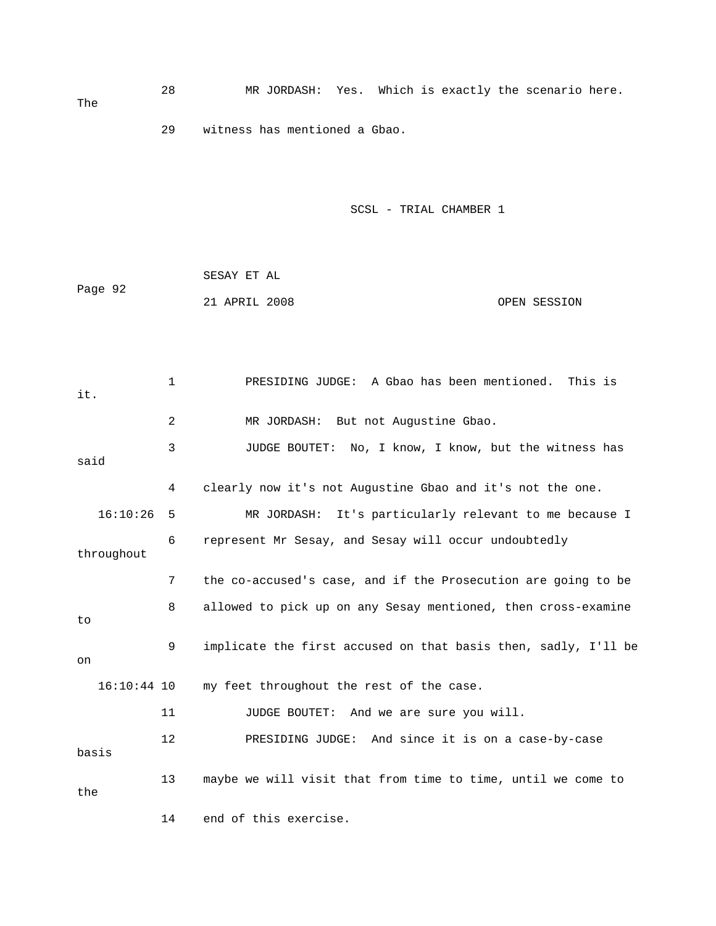28 MR JORDASH: Yes. Which is exactly the scenario here. 29 witness has mentioned a Gbao. The

| Page 92 | SESAY ET AL   |              |
|---------|---------------|--------------|
|         | 21 APRIL 2008 | OPEN SESSION |

| it.           | $\mathbf{1}$ | PRESIDING JUDGE: A Gbao has been mentioned. This is            |
|---------------|--------------|----------------------------------------------------------------|
|               | 2            | MR JORDASH: But not Augustine Gbao.                            |
| said          | 3            | JUDGE BOUTET: No, I know, I know, but the witness has          |
|               | 4            | clearly now it's not Augustine Gbao and it's not the one.      |
| 16:10:26      | 5            | MR JORDASH: It's particularly relevant to me because I         |
| throughout    | 6            | represent Mr Sesay, and Sesay will occur undoubtedly           |
|               | 7            | the co-accused's case, and if the Prosecution are going to be  |
| to            | 8            | allowed to pick up on any Sesay mentioned, then cross-examine  |
| on            | 9            | implicate the first accused on that basis then, sadly, I'll be |
| $16:10:44$ 10 |              | my feet throughout the rest of the case.                       |
|               | 11           | JUDGE BOUTET: And we are sure you will.                        |
| basis         | $12 \,$      | PRESIDING JUDGE: And since it is on a case-by-case             |
| the           | 13           | maybe we will visit that from time to time, until we come to   |
|               | 14           | end of this exercise.                                          |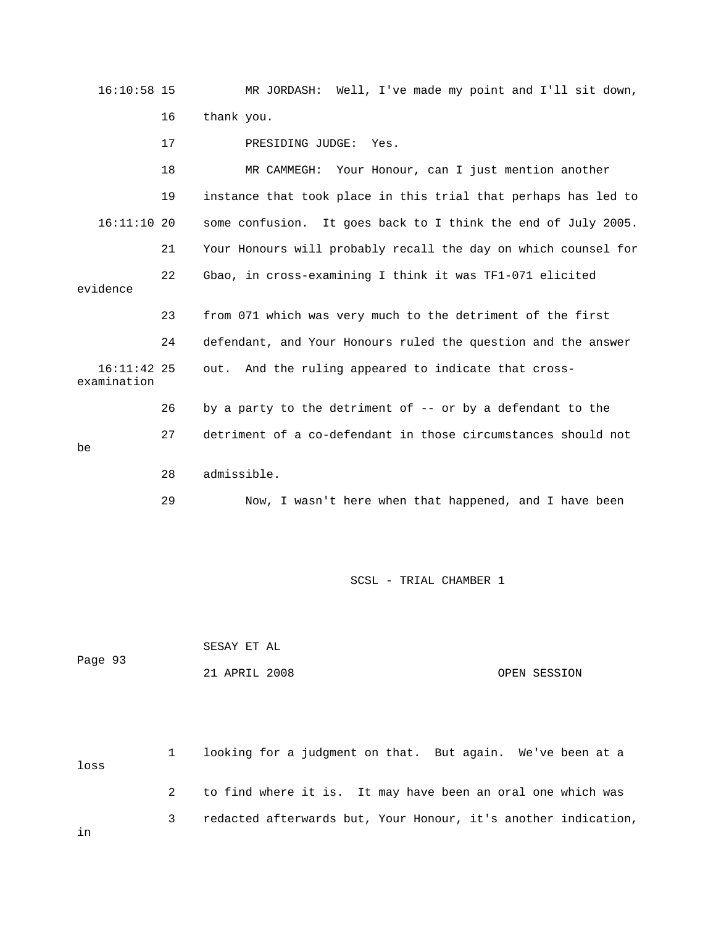16:10:58 15 MR JORDASH: Well, I've made my point and I'll sit down, 16 thank you. 17 PRESIDING JUDGE: Yes. 19 instance that took place in this trial that perhaps has led to 16:11:10 20 some confusion. It goes back to I think the end of July 2005. 21 Your Honours will probably recall the day on which counsel for 22 Gbao, in cross-examining I think it was TF1-071 elicited evidence 23 from 071 which was very much to the detriment of the first 24 defendant, and Your Honours ruled the question and the answer 26 by a party to the detriment of -- or by a defendant to the 27 detriment of a co-defendant in those circumstances should not 18 MR CAMMEGH: Your Honour, can I just mention another 16:11:42 25 out. And the ruling appeared to indicate that crossexamination be 28 admissible. 29 Now, I wasn't here when that happened, and I have been

SCSL - TRIAL CHAMBER 1

| Page 93 | SESAY ET AL   |              |
|---------|---------------|--------------|
|         | 21 APRIL 2008 | OPEN SESSION |

1 looking for a judgment on that. But again. We've been at a loss 2 to find where it is. It may have been an oral one which was 3 redacted afterwards but, Your Honour, it's another indication, in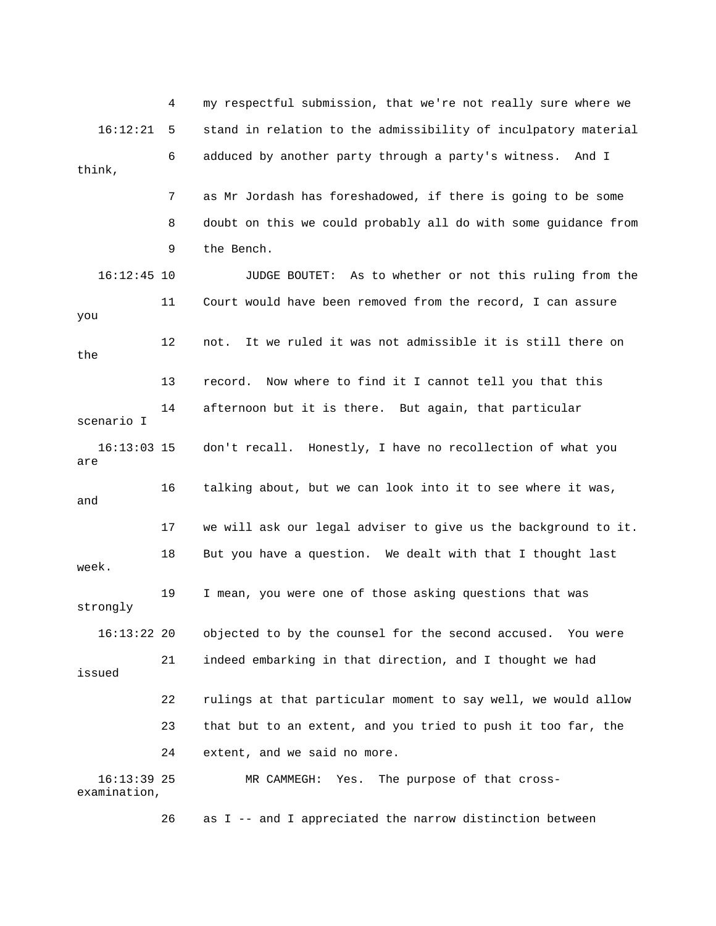4 my respectful submission, that we're not really sure where we 16:12:21 5 stand in relation to the admissibility of inculpatory material 6 adduced by another party through a party's witness. And I 7 as Mr Jordash has foreshadowed, if there is going to be some 8 doubt on this we could probably all do with some guidance from 9 the Bench. don't recall. Honestly, I have no recollection of what you 16 talking about, but we can look into it to see where it was, 17 we will ask our legal adviser to give us the background to it. week. 19 I mean, you were one of those asking questions that was strongly objected to by the counsel for the second accused. You were issued 22 rulings at that particular moment to say well, we would allow 24 extent, and we said no more. think, 16:12:45 10 JUDGE BOUTET: As to whether or not this ruling from the 11 Court would have been removed from the record, I can assure you 12 not. It we ruled it was not admissible it is still there on the 13 record. Now where to find it I cannot tell you that this 14 afternoon but it is there. But again, that particular scenario I 16:13 are and 18 But you have a question. We dealt with that I thought last  $16:13:22$  20 21 indeed embarking in that direction, and I thought we had 23 that but to an extent, and you tried to push it too far, the 16:13:39 25 MR CAMMEGH: Yes. The purpose of that crossexamination, 26 as I -- and I appreciated the narrow distinction between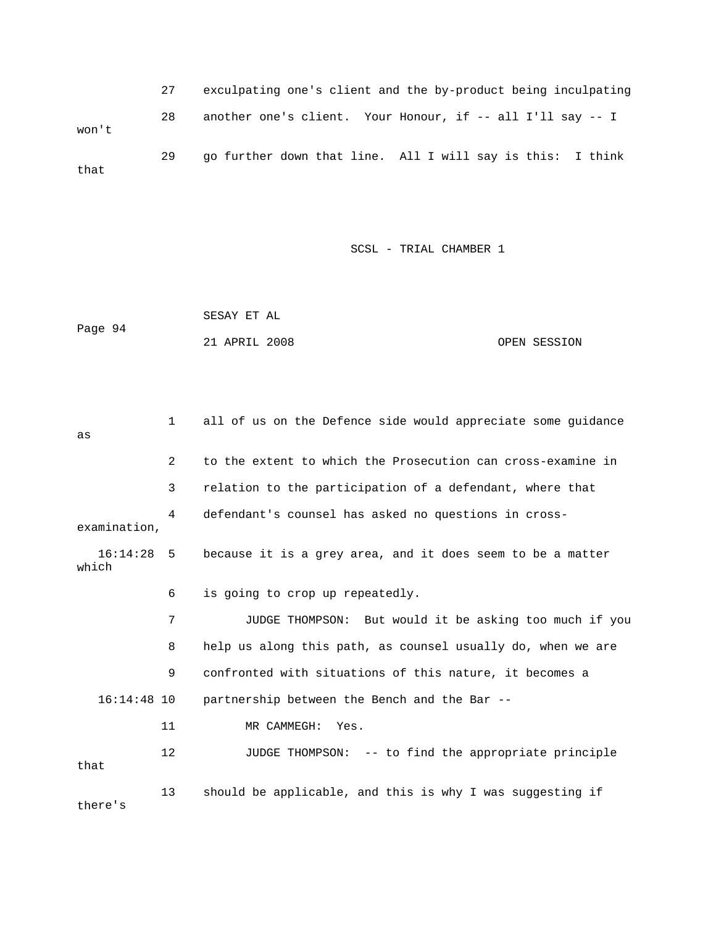27 exculpating one's client and the by-product being inculpating 28 another one's client. Your Honour, if -- all I'll say -- I 29 go further down that line. All I will say is this: I think won't that

SCSL - TRIAL CHAMBER 1

 SESAY ET AL Page 94 21 APRIL 2008 OPEN SESSION

 1 all of us on the Defence side would appreciate some guidance 3 relation to the participation of a defendant, where that 4 defendant's counsel has asked no questions in crossexamination, 16:14:28 5 because it is a grey area, and it does seem to be a matter which 6 is going to crop up repeatedly. 8 help us along this path, as counsel usually do, when we are 9 confronted with situations of this nature, it becomes a 16:14:48 10 partnership between the Bench and the Bar -- 12 JUDGE THOMPSON: -- to find the appropriate principle there's as 2 to the extent to which the Prosecution can cross-examine in 7 JUDGE THOMPSON: But would it be asking too much if you 11 MR CAMMEGH: Yes. that 13 should be applicable, and this is why I was suggesting if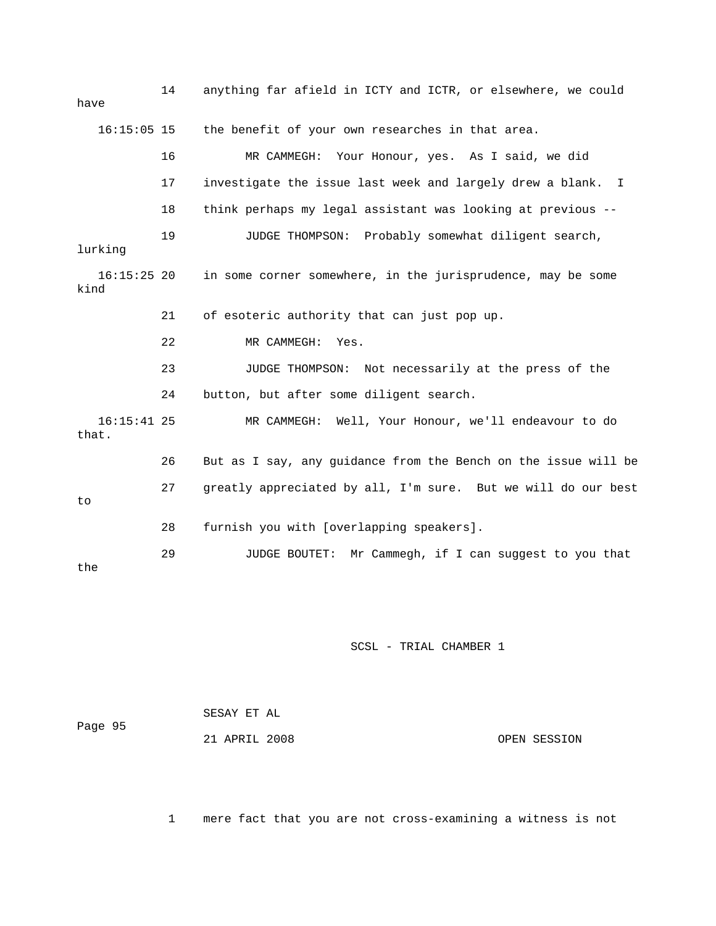| have                   | 14 | anything far afield in ICTY and ICTR, or elsewhere, we could     |
|------------------------|----|------------------------------------------------------------------|
| $16:15:05$ 15          |    | the benefit of your own researches in that area.                 |
|                        | 16 | MR CAMMEGH:<br>Your Honour, yes. As I said, we did               |
|                        | 17 | investigate the issue last week and largely drew a blank. I      |
|                        | 18 | think perhaps my legal assistant was looking at previous --      |
| lurking                | 19 | JUDGE THOMPSON: Probably somewhat diligent search,               |
| $16:15:25$ 20<br>kind  |    | in some corner somewhere, in the jurisprudence, may be some      |
|                        | 21 | of esoteric authority that can just pop up.                      |
|                        | 22 | MR CAMMEGH:<br>Yes.                                              |
|                        | 23 | JUDGE THOMPSON: Not necessarily at the press of the              |
|                        | 24 | button, but after some diligent search.                          |
| $16:15:41$ 25<br>that. |    | MR CAMMEGH: Well, Your Honour, we'll endeavour to do             |
|                        | 26 | But as I say, any guidance from the Bench on the issue will be   |
| to                     | 27 | greatly appreciated by all, I'm sure. But we will do our best    |
|                        | 28 | furnish you with [overlapping speakers].                         |
| the                    | 29 | Mr Cammegh, if I can suggest to you that<br><b>JUDGE BOUTET:</b> |

| Page 95 | SESAY ET AL   |              |
|---------|---------------|--------------|
|         | 21 APRIL 2008 | OPEN SESSION |

1 mere fact that you are not cross-examining a witness is not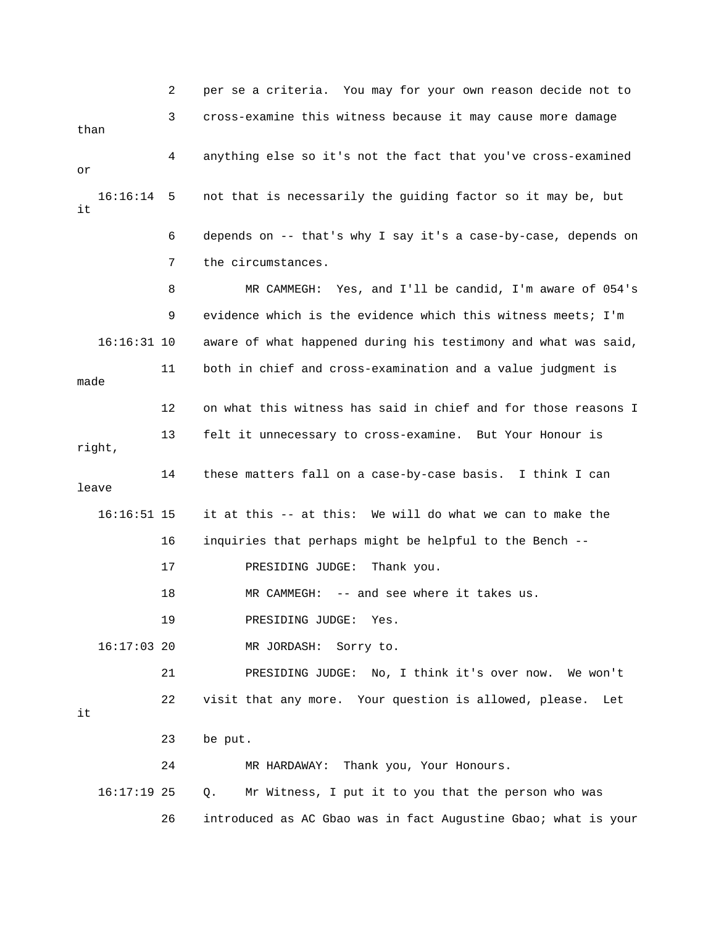2 per se a criteria. You may for your own reason decide not to 3 cross-examine this witness because it may cause more damage than 4 anything else so it's not the fact that you've cross-examined 16:16:14 5 not that is necessarily the guiding factor so it may be, but 6 depends on -- that's why I say it's a case-by-case, depends on 8 MR CAMMEGH: Yes, and I'll be candid, I'm aware of 054's 9 evidence which is the evidence which this witness meets; I'm 16:16:31 10 aware of what happened during his testimony and what was said, 11 both in chief and cross-examination and a value judgment is 12 on what this witness has said in chief and for those reasons I 13 felt it unnecessary to cross-examine. But Your Honour is 14 these matters fall on a case-by-case basis. I think I can 16:16:51 15 it at this -- at this: We will do what we can to make the 17 PRESIDING JUDGE: Thank you. 18 MR CAMMEGH: -- and see where it takes us. 16:17:03 20 MR JORDASH: Sorry to. 21 PRESIDING JUDGE: No, I think it's over now. We won't 26 introduced as AC Gbao was in fact Augustine Gbao; what is your or it 7 the circumstances. made right, leave 16 inquiries that perhaps might be helpful to the Bench -- 19 PRESIDING JUDGE: Yes. 22 visit that any more. Your question is allowed, please. Let it 23 be put. 24 MR HARDAWAY: Thank you, Your Honours. 16:17:19 25 Q. Mr Witness, I put it to you that the person who was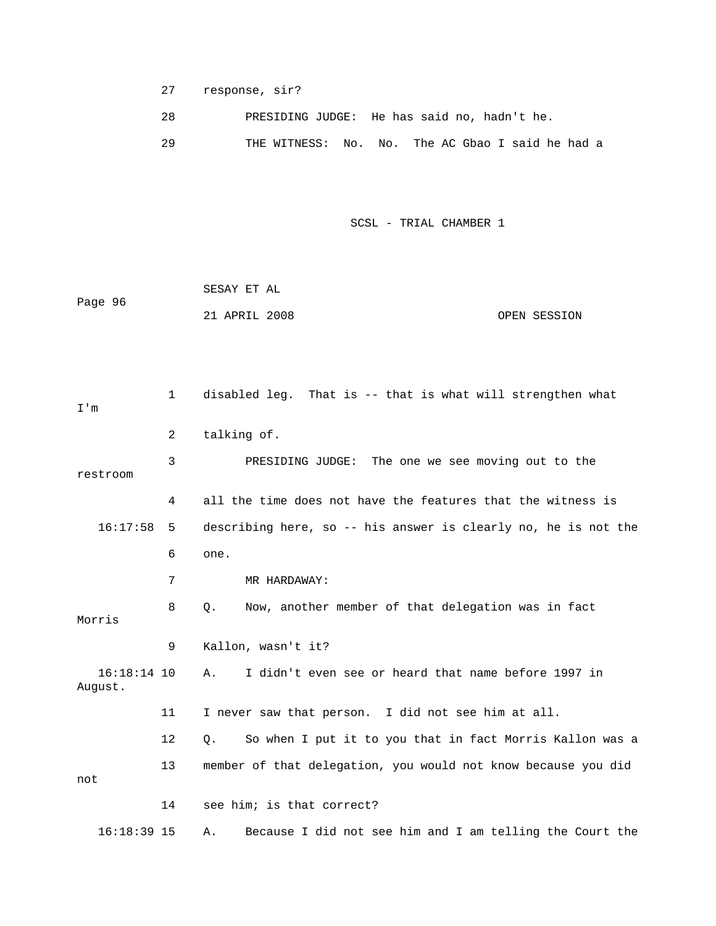27 response, sir?

28 PRESIDING JUDGE: He has said no, hadn't he.

The AC Gbao I said he had a 29 THE WITNESS: No. No.

SCSL - TRIAL CHAMBER 1

|         | SESAY ET AL   |              |
|---------|---------------|--------------|
| Page 96 |               |              |
|         | 21 APRIL 2008 | OPEN SESSION |

 1 disabled leg. That is -- that is what will strengthen what 3 PRESIDING JUDGE: The one we see moving out to the restroom 4 all the time does not have the features that the witness is 16:17:58 5 describing here, so -- his answer is clearly no, he is not the 6 one. 9 Kallon, wasn't it? 16:18:14 10 A. I didn't even see or heard that name before 1997 in 11 I never saw that person. I did not see him at all. 12 Q. So when I put it to you that in fact Morris Kallon was a 13 member of that delegation, you would not know because you did 14 see him; is that correct? 16:18:39 15 A. Because I did not see him and I am telling the Court the I'm 2 talking of. 7 MR HARDAWAY: 8 Q. Now, another member of that delegation was in fact Morris August. not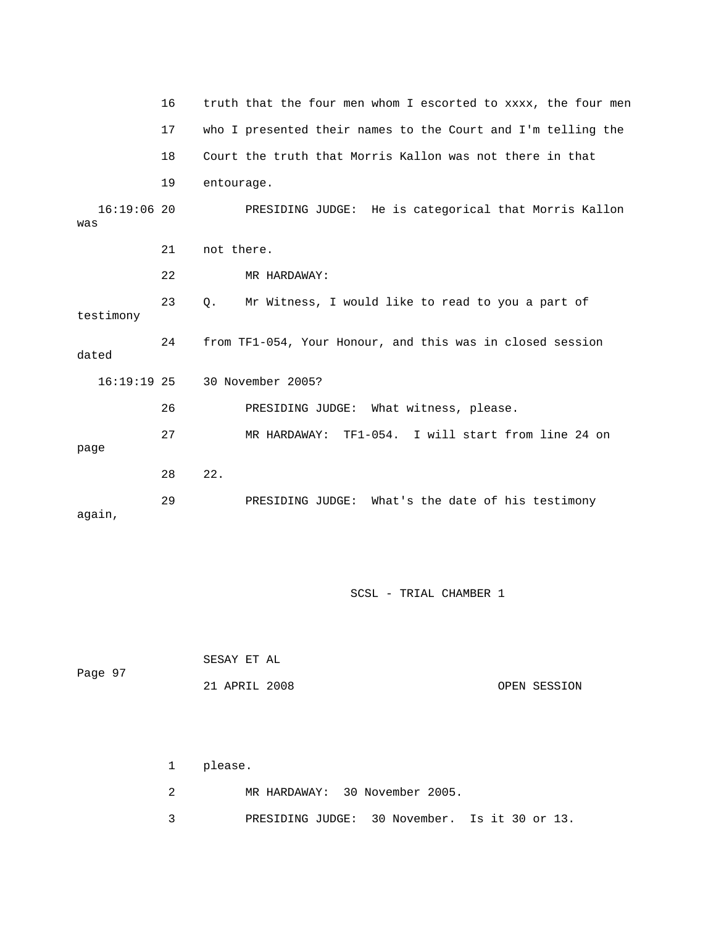|                      | 16 | truth that the four men whom I escorted to xxxx, the four men |
|----------------------|----|---------------------------------------------------------------|
|                      | 17 | who I presented their names to the Court and I'm telling the  |
|                      | 18 | Court the truth that Morris Kallon was not there in that      |
|                      | 19 | entourage.                                                    |
| $16:19:06$ 20<br>was |    | PRESIDING JUDGE: He is categorical that Morris Kallon         |
|                      | 21 | not there.                                                    |
|                      | 22 | MR HARDAWAY:                                                  |
| testimony            | 23 | Q.<br>Mr Witness, I would like to read to you a part of       |
| dated                | 24 | from TF1-054, Your Honour, and this was in closed session     |
| $16:19:19$ 25        |    | 30 November 2005?                                             |
|                      | 26 | PRESIDING JUDGE: What witness, please.                        |
| page                 | 27 | MR HARDAWAY: TF1-054. I will start from line 24 on            |
|                      | 28 | 22.                                                           |
| again,               | 29 | PRESIDING JUDGE: What's the date of his testimony             |

| Page 97 | SESAY ET AL   |              |
|---------|---------------|--------------|
|         | 21 APRIL 2008 | OPEN SESSION |

| 1 please.                                     |
|-----------------------------------------------|
| MR HARDAWAY: 30 November 2005.                |
| PRESIDING JUDGE: 30 November. Is it 30 or 13. |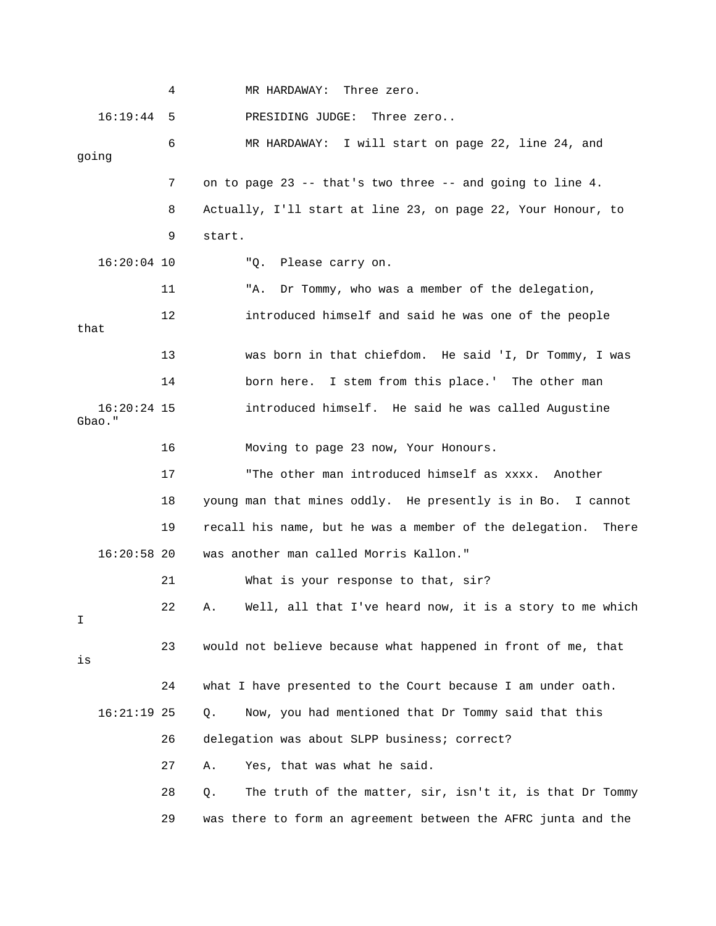|                         | 4  | MR HARDAWAY:<br>Three zero.                                      |
|-------------------------|----|------------------------------------------------------------------|
| 16:19:44                | 5  | PRESIDING JUDGE:<br>Three zero                                   |
| going                   | 6  | MR HARDAWAY: I will start on page 22, line 24, and               |
|                         | 7  | on to page 23 -- that's two three -- and going to line 4.        |
|                         | 8  | Actually, I'll start at line 23, on page 22, Your Honour, to     |
|                         | 9  | start.                                                           |
| $16:20:04$ 10           |    | "Q. Please carry on.                                             |
|                         | 11 | Dr Tommy, who was a member of the delegation,<br>"A.             |
| that                    | 12 | introduced himself and said he was one of the people             |
|                         | 13 | was born in that chiefdom. He said 'I, Dr Tommy, I was           |
|                         | 14 | born here. I stem from this place.' The other man                |
| $16:20:24$ 15<br>Gbao." |    | introduced himself. He said he was called Augustine              |
|                         | 16 | Moving to page 23 now, Your Honours.                             |
|                         | 17 | "The other man introduced himself as xxxx. Another               |
|                         | 18 | young man that mines oddly. He presently is in Bo. I cannot      |
|                         | 19 | recall his name, but he was a member of the delegation.<br>There |
| $16:20:58$ 20           |    | was another man called Morris Kallon."                           |
|                         | 21 | What is your response to that, sir?                              |
| Ι                       | 22 | Well, all that I've heard now, it is a story to me which         |
| is                      | 23 | would not believe because what happened in front of me, that     |
|                         | 24 | what I have presented to the Court because I am under oath.      |
| $16:21:19$ 25           |    | Now, you had mentioned that Dr Tommy said that this<br>$Q$ .     |
|                         | 26 | delegation was about SLPP business; correct?                     |
|                         | 27 | Yes, that was what he said.<br>Α.                                |
|                         | 28 | The truth of the matter, sir, isn't it, is that Dr Tommy<br>Q.   |
|                         | 29 | was there to form an agreement between the AFRC junta and the    |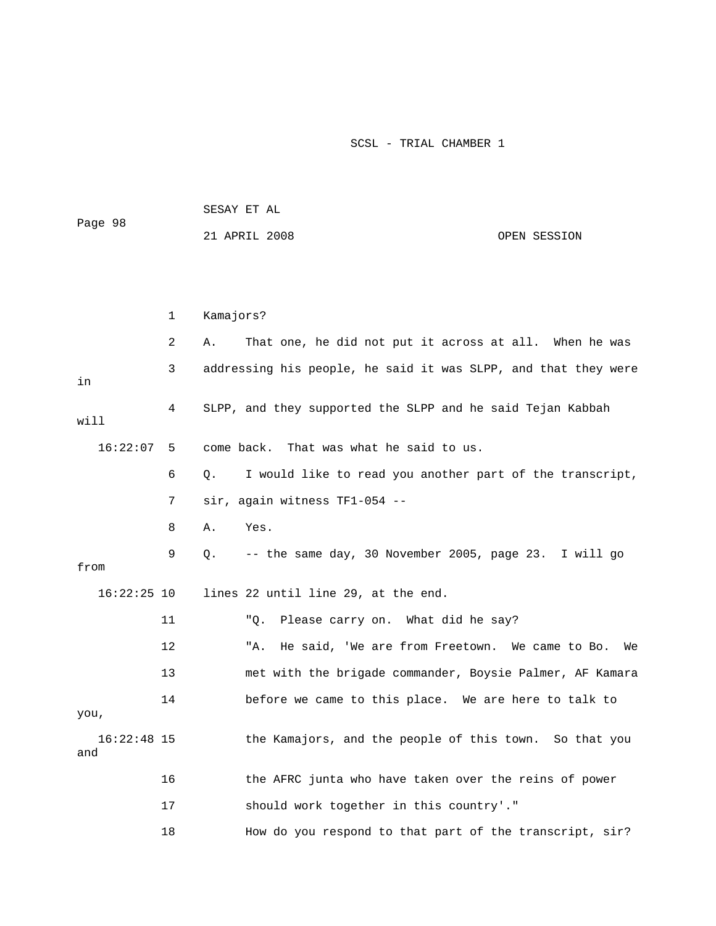| Page 98              |    | SESAY ET AL |                                                                |              |  |
|----------------------|----|-------------|----------------------------------------------------------------|--------------|--|
|                      |    |             | 21 APRIL 2008                                                  | OPEN SESSION |  |
|                      |    |             |                                                                |              |  |
|                      |    |             |                                                                |              |  |
|                      |    |             |                                                                |              |  |
|                      | 1  | Kamajors?   |                                                                |              |  |
|                      | 2  | Α.          | That one, he did not put it across at all. When he was         |              |  |
| in                   | 3  |             | addressing his people, he said it was SLPP, and that they were |              |  |
| will                 | 4  |             | SLPP, and they supported the SLPP and he said Tejan Kabbah     |              |  |
| 16:22:07             | 5  |             | That was what he said to us.<br>come back.                     |              |  |
|                      | 6  | Q.          | I would like to read you another part of the transcript,       |              |  |
|                      | 7  |             | sir, again witness TF1-054 --                                  |              |  |
|                      | 8  | Α.          | Yes.                                                           |              |  |
| from                 | 9  | Q.          | -- the same day, 30 November 2005, page 23. I will go          |              |  |
| $16:22:25$ 10        |    |             | lines 22 until line 29, at the end.                            |              |  |
|                      | 11 |             | Please carry on. What did he say?<br>"Q.                       |              |  |
|                      | 12 |             | He said, 'We are from Freetown. We came to Bo.<br>"A.          | We           |  |
|                      | 13 |             | met with the brigade commander, Boysie Palmer, AF Kamara       |              |  |
| you,                 | 14 |             | before we came to this place. We are here to talk to           |              |  |
| $16:22:48$ 15<br>and |    |             | the Kamajors, and the people of this town. So that you         |              |  |
|                      | 16 |             | the AFRC junta who have taken over the reins of power          |              |  |
|                      | 17 |             | should work together in this country'."                        |              |  |
|                      | 18 |             | How do you respond to that part of the transcript, sir?        |              |  |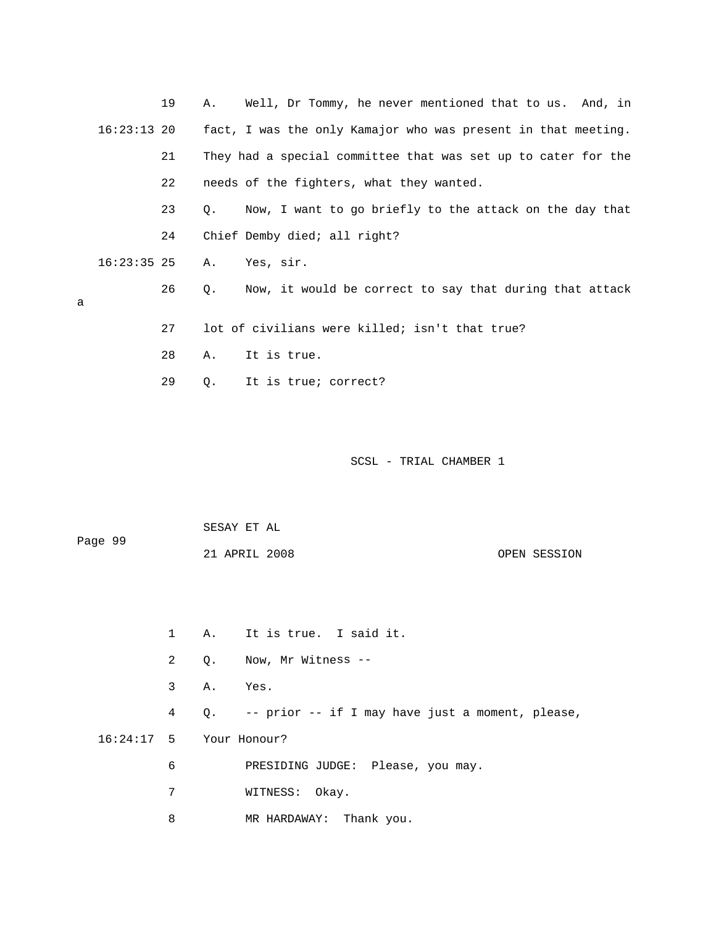|   |               | 19 |    | A. Well, Dr Tommy, he never mentioned that to us. And, in     |
|---|---------------|----|----|---------------------------------------------------------------|
|   | 16:23:13 20   |    |    | fact, I was the only Kamajor who was present in that meeting. |
|   |               | 21 |    | They had a special committee that was set up to cater for the |
|   |               | 22 |    | needs of the fighters, what they wanted.                      |
|   |               | 23 | О. | Now, I want to go briefly to the attack on the day that       |
|   |               | 24 |    | Chief Demby died; all right?                                  |
|   | $16:23:35$ 25 |    | Α. | Yes, sir.                                                     |
|   |               | 26 | О. | Now, it would be correct to say that during that attack       |
| a |               |    |    |                                                               |
|   |               | 27 |    | lot of civilians were killed; isn't that true?                |
|   |               | 28 | Α. | It is true.                                                   |
|   |               | 29 | Q. | It is true; correct?                                          |
|   |               |    |    |                                                               |

 SESAY ET AL Page 99

21 APRIL 2008

OPEN SESSION

 1 A. It is true. I said it. 2 Q. Now, Mr Witness -- 4 Q. -- prior -- if I may have just a moment, please, 16:24:17 5 Your Honour? 7 WITNESS: Okay. 8 MR HARDAWAY: Thank you. 3 A. Yes. 6 PRESIDING JUDGE: Please, you may.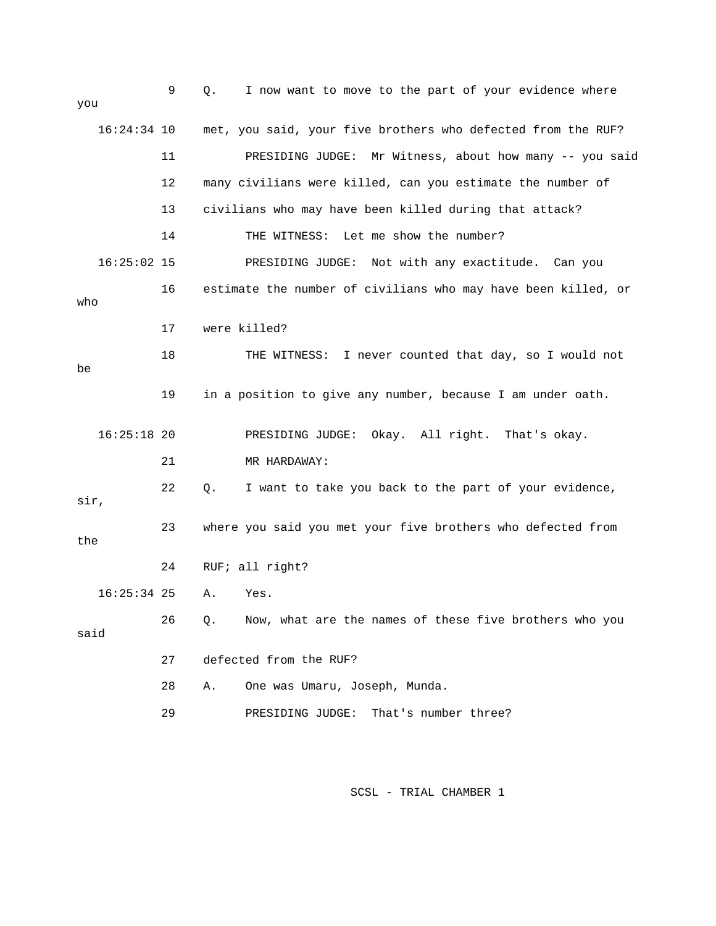| you           | 9  | I now want to move to the part of your evidence where<br>Q.   |
|---------------|----|---------------------------------------------------------------|
| $16:24:34$ 10 |    | met, you said, your five brothers who defected from the RUF?  |
|               | 11 | PRESIDING JUDGE: Mr Witness, about how many -- you said       |
|               | 12 | many civilians were killed, can you estimate the number of    |
|               | 13 | civilians who may have been killed during that attack?        |
|               | 14 | THE WITNESS: Let me show the number?                          |
| $16:25:02$ 15 |    | Not with any exactitude. Can you<br>PRESIDING JUDGE:          |
| who           | 16 | estimate the number of civilians who may have been killed, or |
|               | 17 | were killed?                                                  |
| be            | 18 | THE WITNESS: I never counted that day, so I would not         |
|               | 19 | in a position to give any number, because I am under oath.    |
| $16:25:18$ 20 |    | PRESIDING JUDGE: Okay. All right. That's okay.                |
|               | 21 | MR HARDAWAY:                                                  |
| sir,          | 22 | I want to take you back to the part of your evidence,<br>Q.   |
|               |    |                                                               |
| the           | 23 | where you said you met your five brothers who defected from   |
|               | 24 | RUF; all right?                                               |
| $16:25:34$ 25 |    | Α.<br>Yes.                                                    |
| said          | 26 | Now, what are the names of these five brothers who you<br>Q.  |
|               | 27 | defected from the RUF?                                        |
|               | 28 | One was Umaru, Joseph, Munda.<br>Α.                           |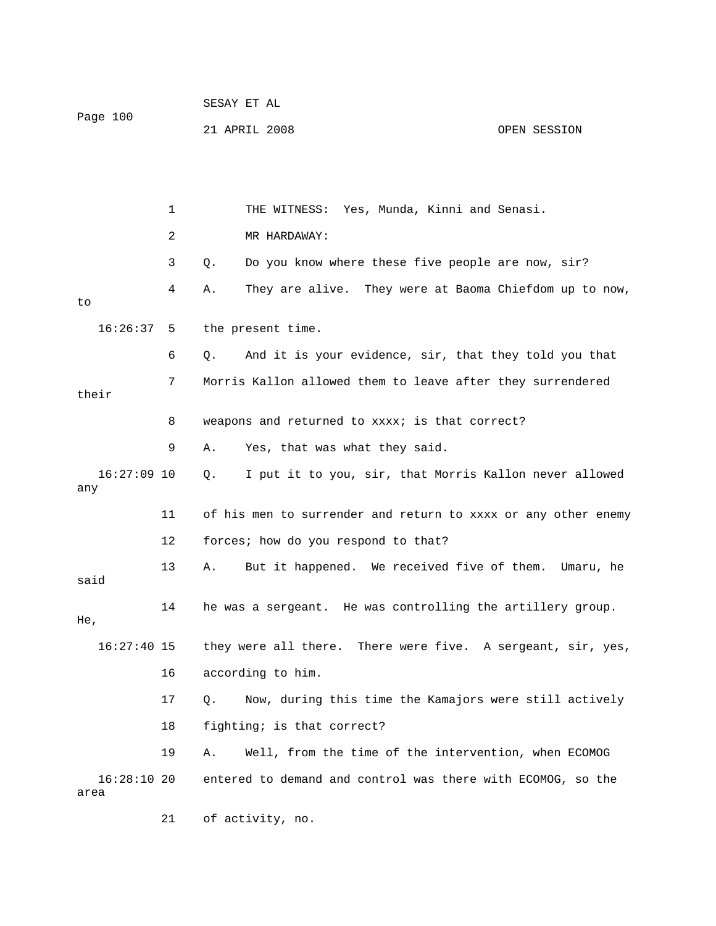| Page 100             |    |    | 21 APRIL 2008                                                 | OPEN SESSION |
|----------------------|----|----|---------------------------------------------------------------|--------------|
|                      |    |    |                                                               |              |
|                      | 1  |    | THE WITNESS: Yes, Munda, Kinni and Senasi.                    |              |
|                      | 2  |    | MR HARDAWAY:                                                  |              |
|                      | 3  | Q. | Do you know where these five people are now, sir?             |              |
| to                   | 4  | Α. | They are alive. They were at Baoma Chiefdom up to now,        |              |
| $16:26:37$ 5         |    |    | the present time.                                             |              |
|                      | 6  | Q. | And it is your evidence, sir, that they told you that         |              |
| their                | 7  |    | Morris Kallon allowed them to leave after they surrendered    |              |
|                      | 8  |    | weapons and returned to xxxx; is that correct?                |              |
|                      | 9  | Α. | Yes, that was what they said.                                 |              |
| $16:27:09$ 10<br>any |    | Q. | I put it to you, sir, that Morris Kallon never allowed        |              |
|                      | 11 |    | of his men to surrender and return to xxxx or any other enemy |              |
|                      | 12 |    | forces; how do you respond to that?                           |              |
| said                 | 13 | Α. | But it happened. We received five of them. Umaru, he          |              |
| He,                  | 14 |    | he was a sergeant. He was controlling the artillery group.    |              |
| $16:27:40$ 15        |    |    | they were all there. There were five. A sergeant, sir, yes,   |              |
|                      | 16 |    | according to him.                                             |              |
|                      | 17 | Q. | Now, during this time the Kamajors were still actively        |              |
|                      | 18 |    | fighting; is that correct?                                    |              |
|                      | 19 | Α. | Well, from the time of the intervention, when ECOMOG          |              |
| 16:28:1020<br>area   |    |    | entered to demand and control was there with ECOMOG, so the   |              |
|                      | 21 |    | of activity, no.                                              |              |

SESAY ET AL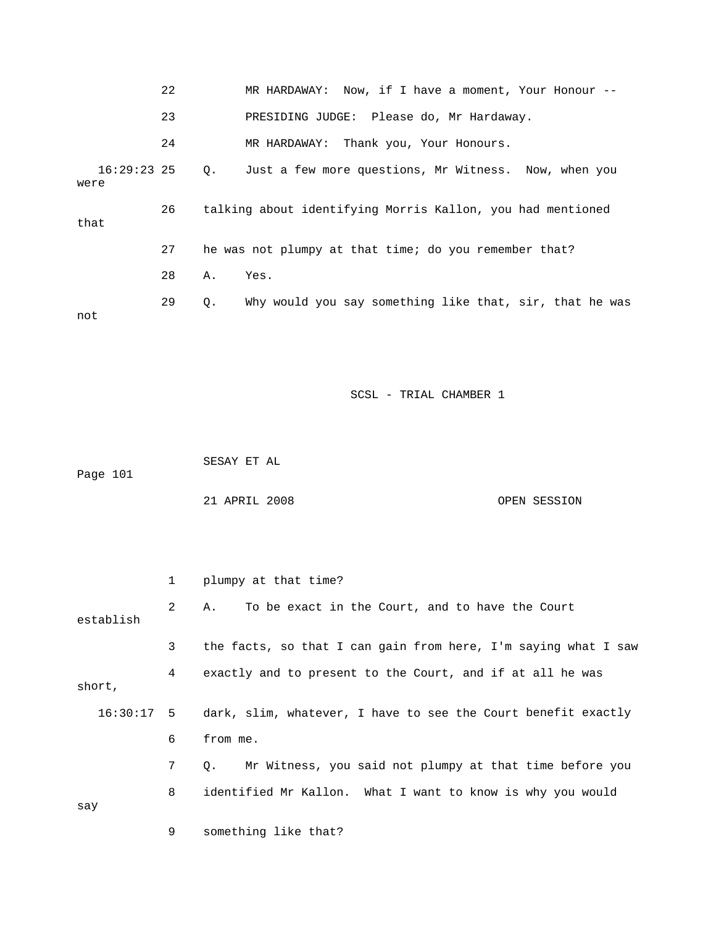|                       | 22 |    | MR HARDAWAY: Now, if I have a moment, Your Honour $--$     |
|-----------------------|----|----|------------------------------------------------------------|
|                       | 23 |    | PRESIDING JUDGE: Please do, Mr Hardaway.                   |
|                       | 24 |    | MR HARDAWAY: Thank you, Your Honours.                      |
| $16:29:23$ 25<br>were |    |    | Q. Just a few more questions, Mr Witness. Now, when you    |
| that                  | 26 |    | talking about identifying Morris Kallon, you had mentioned |
|                       | 27 |    | he was not plumpy at that time; do you remember that?      |
|                       | 28 | Α. | Yes.                                                       |
| not                   | 29 | Q. | Why would you say something like that, sir, that he was    |

SESAY ET AL

Page 101

21 APRIL 2008 OPEN SESSION

 2 A. To be exact in the Court, and to have the Court 3 the facts, so that I can gain from here, I'm saying what I saw 4 exactly and to present to the Court, and if at all he was short, 16:30:17 5 dark, slim, whatever, I have to see the Court benefit exactly 6 from me. 7 Q. Mr Witness, you said not plumpy at that time before you 8 identified Mr Kallon. What I want to know is why you would  $\operatorname*{say}% \operatorname*{supp}\left( X_{0},\mathcal{N}\right) =\operatorname*{supp}\left( X_{0},\mathcal{N}\right)$  9 something like that? 1 plumpy at that time? establish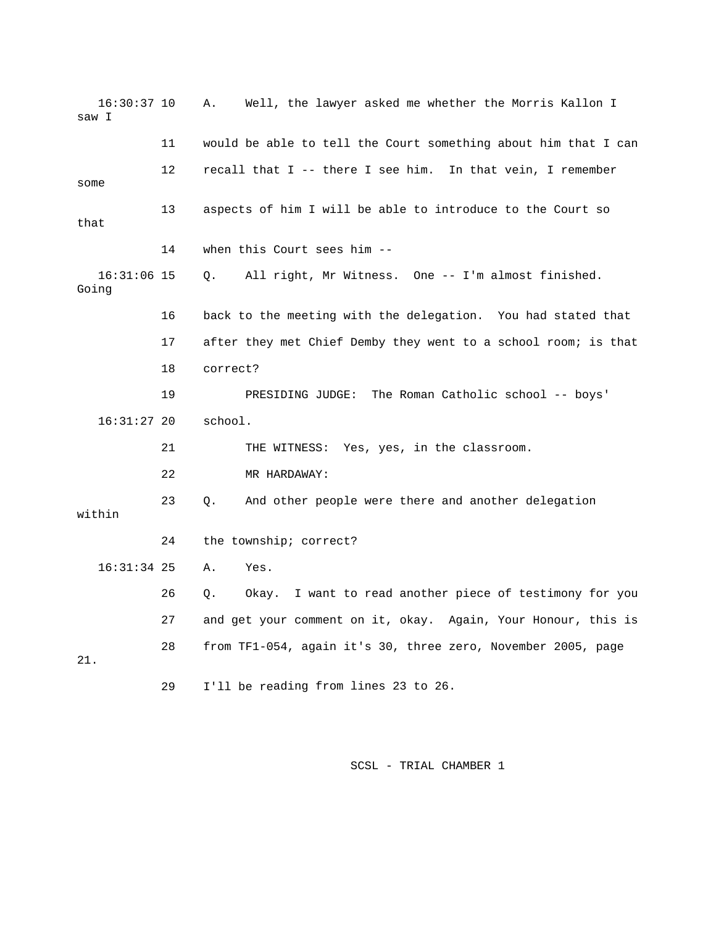| $16:30:37$ 10<br>saw I |    | Well, the lawyer asked me whether the Morris Kallon I<br>Α.    |
|------------------------|----|----------------------------------------------------------------|
|                        | 11 | would be able to tell the Court something about him that I can |
| some                   | 12 | recall that I -- there I see him. In that vein, I remember     |
| that                   | 13 | aspects of him I will be able to introduce to the Court so     |
|                        | 14 | when this Court sees him --                                    |
| $16:31:06$ 15<br>Going |    | All right, Mr Witness. One -- I'm almost finished.<br>Q.       |
|                        | 16 | back to the meeting with the delegation. You had stated that   |
|                        | 17 | after they met Chief Demby they went to a school room; is that |
|                        | 18 | correct?                                                       |
|                        | 19 | The Roman Catholic school -- boys'<br>PRESIDING JUDGE:         |
| $16:31:27$ 20          |    | school.                                                        |
|                        | 21 | THE WITNESS: Yes, yes, in the classroom.                       |
|                        | 22 | MR HARDAWAY:                                                   |
| within                 | 23 | And other people were there and another delegation<br>Ο.       |
|                        | 24 | the township; correct?                                         |
| $16:31:34$ 25          |    | Α.<br>Yes.                                                     |
|                        | 26 | Okay. I want to read another piece of testimony for you<br>Q.  |
|                        | 27 | and get your comment on it, okay. Again, Your Honour, this is  |
| 21.                    | 28 | from TF1-054, again it's 30, three zero, November 2005, page   |
|                        | 29 | I'll be reading from lines 23 to 26.                           |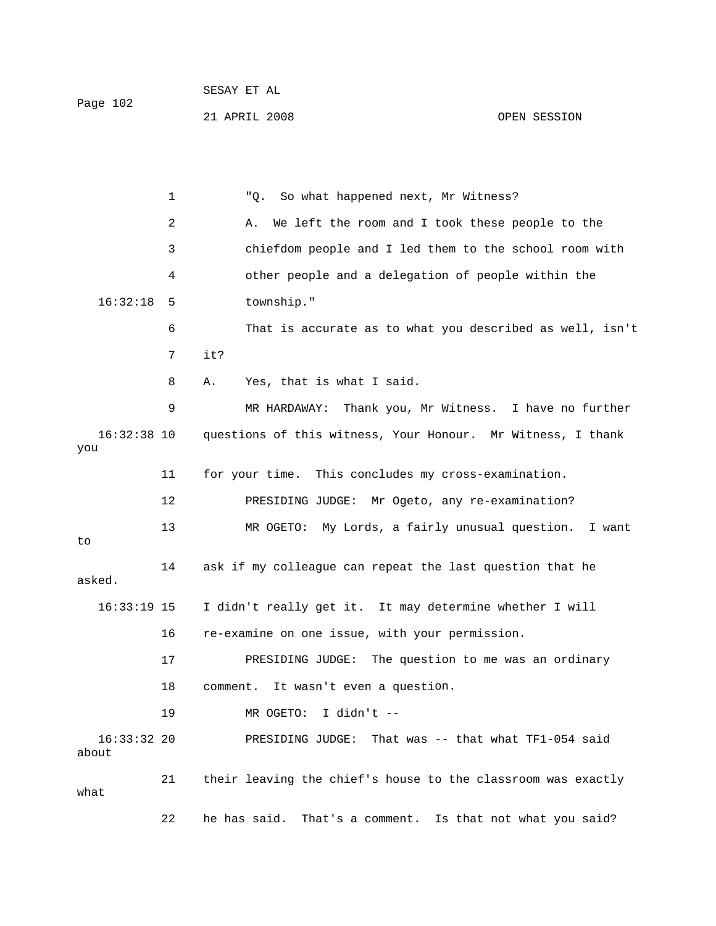|          | SESAY ET AL   |              |
|----------|---------------|--------------|
| Page 102 |               |              |
|          | 21 APRIL 2008 | OPEN SESSION |

 1 "Q. So what happened next, Mr Witness? 2 A. We left the room and I took these people to the 3 chiefdom people and I led them to the school room with 4 other people and a delegation of people within the 16:32:18 5 township." 6 That is accurate as to what you described as well, isn't 7 it? 9 MR HARDAWAY: Thank you, Mr Witness. I have no further 16:32:38 10 questions of this witness, Your Honour. Mr Witness, I thank you 11 for your time. This concludes my cross-examination. 12 PRESIDING JUDGE: Mr Ogeto, any re-examination? 13 MR OGETO: My Lords, a fairly unusual question. I want 14 ask if my colleague can repeat the last question that he 16:33:19 15 I didn't really get it. It may determine whether I will PRESIDING JUDGE: The question to me was an ordinary 18 comment. It wasn't even a question. 21 their leaving the chief's house to the classroom was exactly 22 he has said. That's a comment. Is that not what you said? 8 A. Yes, that is what I said. to asked. 16 re-examine on one issue, with your permission. 17 19 MR OGETO: I didn't -- 16:33:32 20 PRESIDING JUDGE: That was -- that what TF1-054 said about what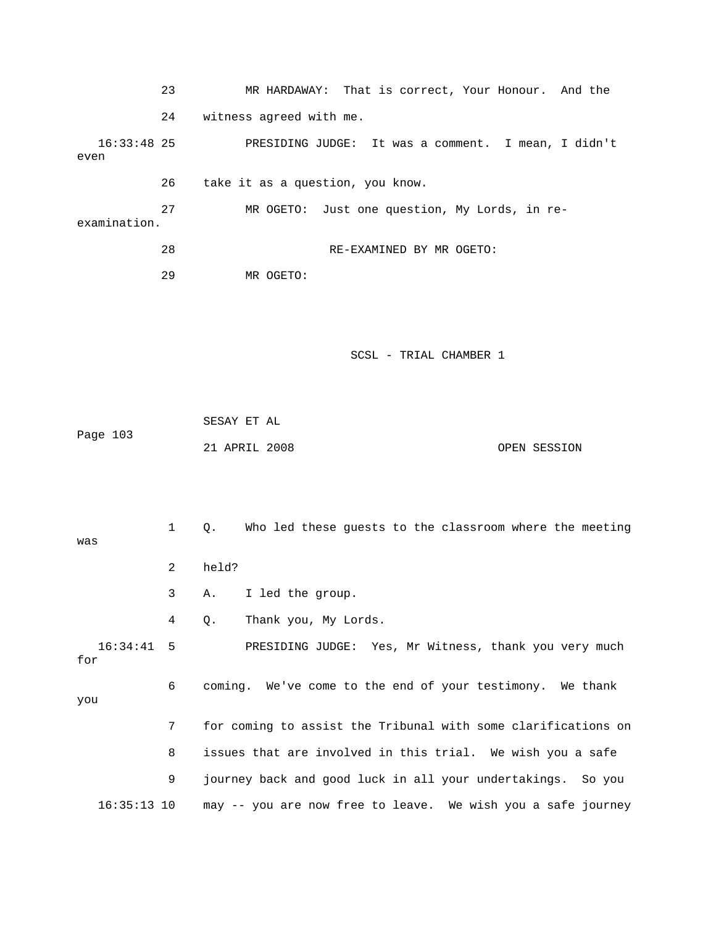23 MR HARDAWAY: That is correct, Your Honour. And the 24 witness agreed with me. PRESIDING JUDGE: It was a comment. I mean, I didn't even 27 MR OGETO: Just one question, My Lords, in re-28 RE-EXAMINED BY MR OGETO: SCSL - TRIAL CHAMBER 1 21 APRIL 2008 OPEN SESSION 1 Q. Who led these guests to the classroom where the meeting 3 A. I led the group. 4 Q. Thank you, My Lords. 16:34:41 5 PRESIDING JUDGE: Yes, Mr Witness, thank you very much for  $16:33:48$  25 26 take it as a question, you know. examination. 29 MR OGETO: SESAY ET AL Page 103 was 2 held?

you

 7 for coming to assist the Tribunal with some clarifications on 8 issues that are involved in this trial. We wish you a safe 9 journey back and good luck in all your undertakings. So you 16:35:13 10 may -- you are now free to leave. We wish you a safe journey

6 coming. We've come to the end of your testimony. We thank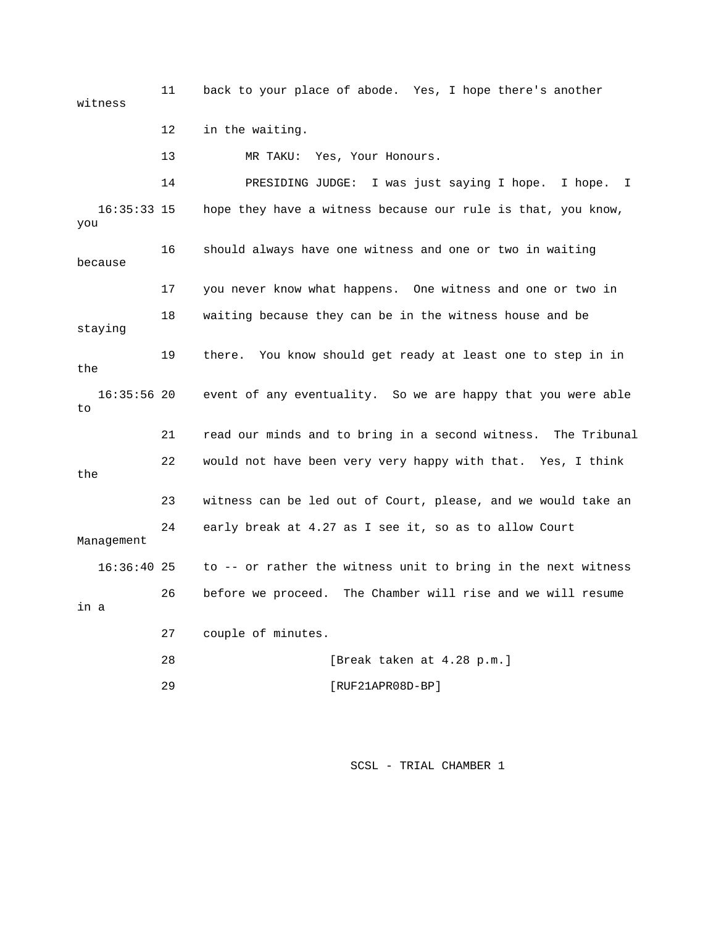11 back to your place of abode. Yes, I hope there's another witness 12 in the waiting. 13 MR TAKU: Yes, Your Honours. s just saying I hope. I hope. I 14 PRESIDING JUDGE: I wa because staying 19 there. You know should get ready at least one to step in in 16:35:56 20 event of any eventuality. So we are happy that you were able 21 read our minds and to bring in a second witness. The Tribunal 22 would not have been very very happy with that. Yes, I think the 24 early break at 4.27 as I see it, so as to allow Court Management to -- or rather the witness unit to bring in the next witness in a 27 couple of minutes. 29 [RUF21APR08D-BP] 16:35:33 15 hope they have a witness because our rule is that, you know, you 16 should always have one witness and one or two in waiting 17 you never know what happens. One witness and one or two in 18 waiting because they can be in the witness house and be the to 23 witness can be led out of Court, please, and we would take an 16:36: 26 before we proceed. The Chamber will rise and we will resume 28 [Break taken at 4.28 p.m.]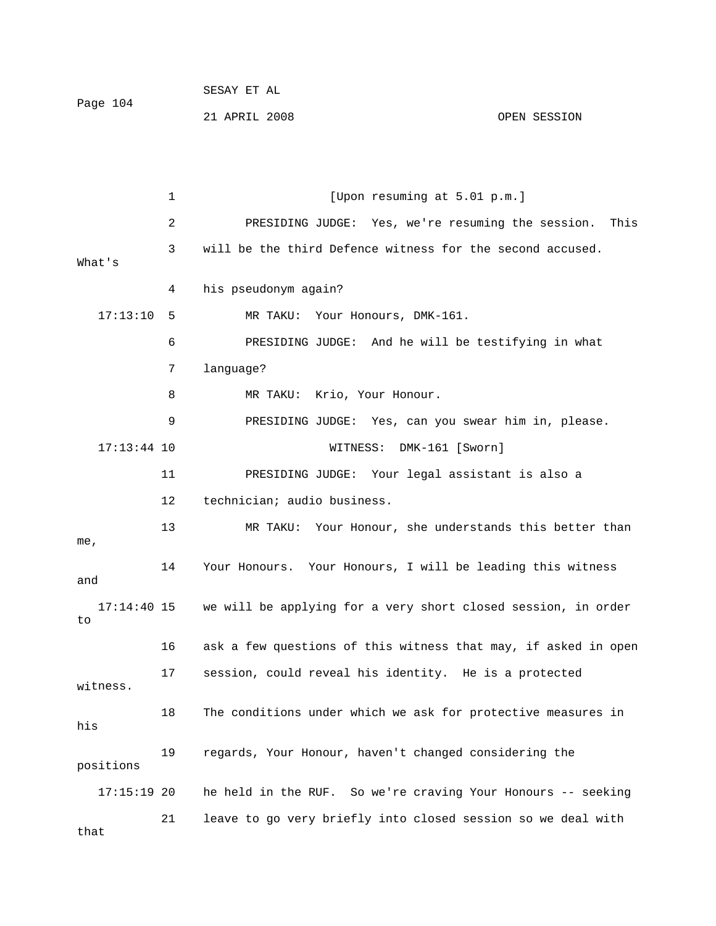[Upon resuming at 5.01 p.m.] e session. This 2 PRESIDING JUDGE: Yes, we're resuming th 3 will be the third Defence witness for the second accused. What's 4 his pseudonym again? 17:13:10 5 MR TAKU: Your Honours, DMK-161. 6 PRESIDING JUDGE: And he will be testifying in what 7 language? e. 9 PRESIDING JUDGE: Yes, can you swear him in, pleas 17:13:44 10 WITNESS: DMK-161 [Sworn] 11 PRESIDING JUDGE: Your legal assistant is also a 14 Your Honours. Your Honours, I will be leading this witness 17:14:40 15 we will be applying for a very short closed session, in order 16 ask a few questions of this witness that may, if asked in open 17 session, could reveal his identity. He is a protected witness. 18 The conditions under which we ask for protective measures in 19 regards, Your Honour, haven't changed considering the positions 17:15:19 20 he held in the RUF. So we're craving Your Honours -- seeking  $1$  [U 8 MR TAKU: Krio, Your Honour. 12 technician; audio business. 13 MR TAKU: Your Honour, she understands this better than me, and to his

21 APRIL 2008 OPEN SESSION

21 leave to go very briefly into closed session so we deal with

that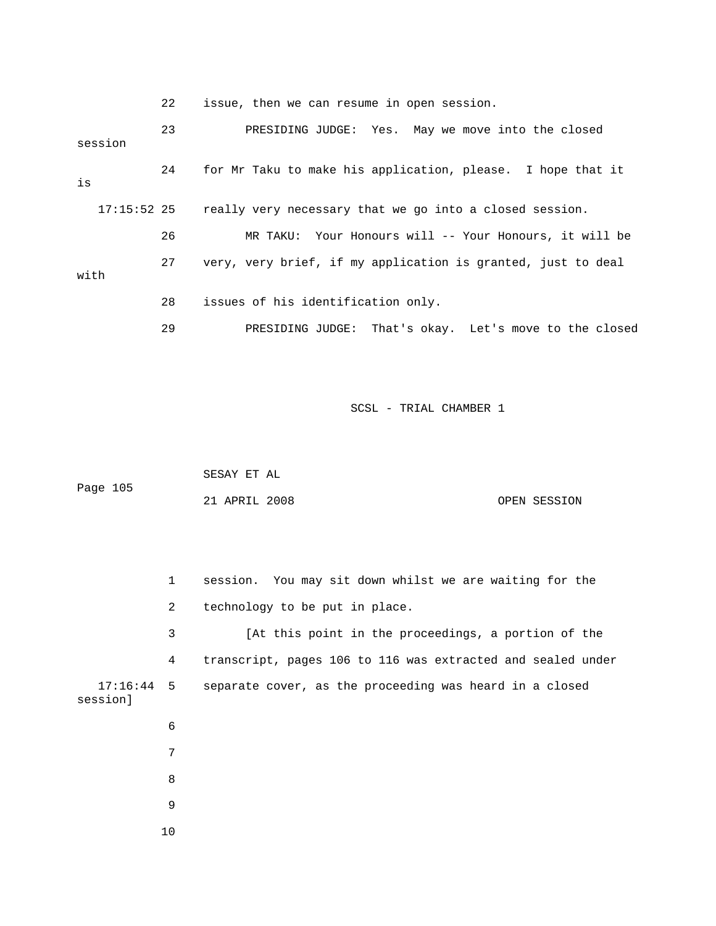22 issue, then we can resume in open session.

| session       | 23 | PRESIDING JUDGE: Yes. May we move into the closed            |
|---------------|----|--------------------------------------------------------------|
| is            | 24 | for Mr Taku to make his application, please. I hope that it  |
| $17:15:52$ 25 |    | really very necessary that we go into a closed session.      |
|               | 26 | MR TAKU: Your Honours will -- Your Honours, it will be       |
| with          | 27 | very, very brief, if my application is granted, just to deal |
|               | 28 | issues of his identification only.                           |
|               | 29 | PRESIDING JUDGE: That's okay. Let's move to the closed       |

SCSL - TRIAL CHAMBER 1

|          | SESAY ET AL   |  |              |
|----------|---------------|--|--------------|
| Page 105 |               |  |              |
|          | 21 APRIL 2008 |  | OPEN SESSION |

 2 technology to be put in place. 3 [At this point in the proceedings, a portion of the 17:16:44 5 separate cover, as the proceeding was heard in a closed session] 7 8 9 10 1 session. You may sit down whilst we are waiting for the 4 transcript, pages 106 to 116 was extracted and sealed under 6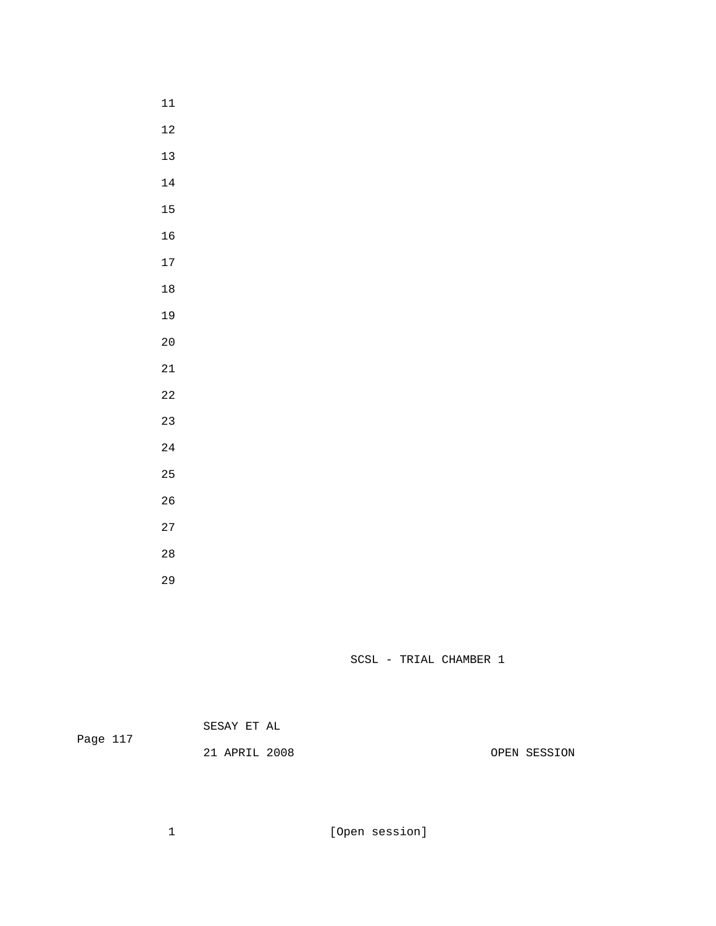- 
- 
- 
- 
- 
- 
- 
- 
- 
- 
- 
- 
- 
- 
- 
- 
- 
- 
- 
- 
- 
- 

| Page 117 | SESAY ET AL   |              |
|----------|---------------|--------------|
|          | 21 APRIL 2008 | OPEN SESSION |

1 [Open session]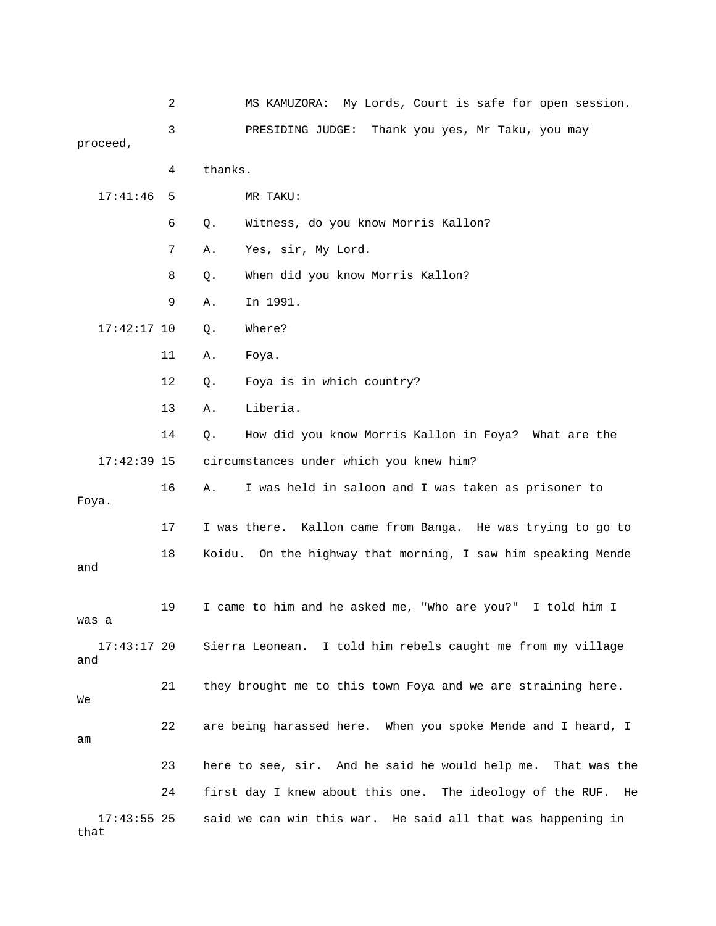|                       | 2  | MS KAMUZORA: My Lords, Court is safe for open session.          |
|-----------------------|----|-----------------------------------------------------------------|
| proceed,              | 3  | PRESIDING JUDGE:<br>Thank you yes, Mr Taku, you may             |
|                       |    |                                                                 |
|                       | 4  | thanks.                                                         |
| 17:41:46              | 5  | MR TAKU:                                                        |
|                       | 6  | Witness, do you know Morris Kallon?<br>Q.                       |
|                       | 7  | Yes, sir, My Lord.<br>Α.                                        |
|                       | 8  | When did you know Morris Kallon?<br>Q.                          |
|                       | 9  | Α.<br>In 1991.                                                  |
| $17:42:17$ 10         |    | Where?<br>Q.                                                    |
|                       | 11 | Α.<br>Foya.                                                     |
|                       | 12 | Foya is in which country?<br>Q.                                 |
|                       | 13 | Liberia.<br>Α.                                                  |
|                       | 14 | How did you know Morris Kallon in Foya? What are the<br>Q.      |
| $17:42:39$ 15         |    | circumstances under which you knew him?                         |
| Foya.                 | 16 | Α.<br>I was held in saloon and I was taken as prisoner to       |
|                       | 17 | I was there. Kallon came from Banga. He was trying to go to     |
| and                   | 18 | Koidu. On the highway that morning, I saw him speaking Mende    |
| was a                 | 19 | I came to him and he asked me, "Who are you?" I told him I      |
| $17:43:17$ 20<br>and  |    | Sierra Leonean. I told him rebels caught me from my village     |
| We                    | 21 | they brought me to this town Foya and we are straining here.    |
| am                    | 22 | are being harassed here. When you spoke Mende and I heard, I    |
|                       | 23 | here to see, sir. And he said he would help me. That was the    |
|                       | 24 | first day I knew about this one. The ideology of the RUF.<br>He |
| $17:43:55$ 25<br>that |    | said we can win this war. He said all that was happening in     |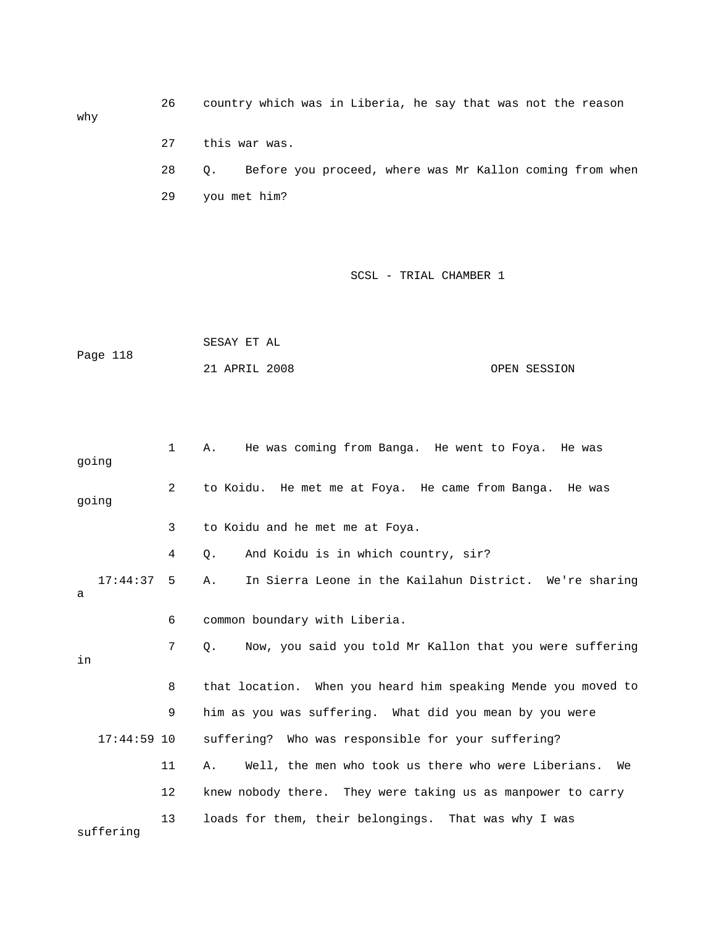26 country which was in Liberia, he say that was not the reason why 27 this war was. 28 Q. Before you proceed, where was Mr Kallon coming from when

29 you met him?

|          | SESAY ET AL   |              |
|----------|---------------|--------------|
| Page 118 |               |              |
|          | 21 APRIL 2008 | OPEN SESSION |

| going         | $\mathbf{1}$ | He was coming from Banga. He went to Foya. He was<br>Α.               |
|---------------|--------------|-----------------------------------------------------------------------|
| going         | 2            | to Koidu. He met me at Foya. He came from Banga. He was               |
|               | 3            | to Koidu and he met me at Foya.                                       |
|               | 4            | And Koidu is in which country, sir?<br>$\circ$ .                      |
| 17:44:37<br>а | 5            | In Sierra Leone in the Kailahun District. We're sharing<br>Α.         |
|               | 6            | common boundary with Liberia.                                         |
| in            | 7            | Now, you said you told Mr Kallon that you were suffering<br>$\circ$ . |
|               | 8            | that location. When you heard him speaking Mende you moved to         |
|               | 9            | him as you was suffering. What did you mean by you were               |
| $17:44:59$ 10 |              | suffering? Who was responsible for your suffering?                    |
|               | 11           | Well, the men who took us there who were Liberians. We<br>Α.          |
|               | 12           | knew nobody there. They were taking us as manpower to carry           |
| suffering     | 13           | loads for them, their belongings. That was why I was                  |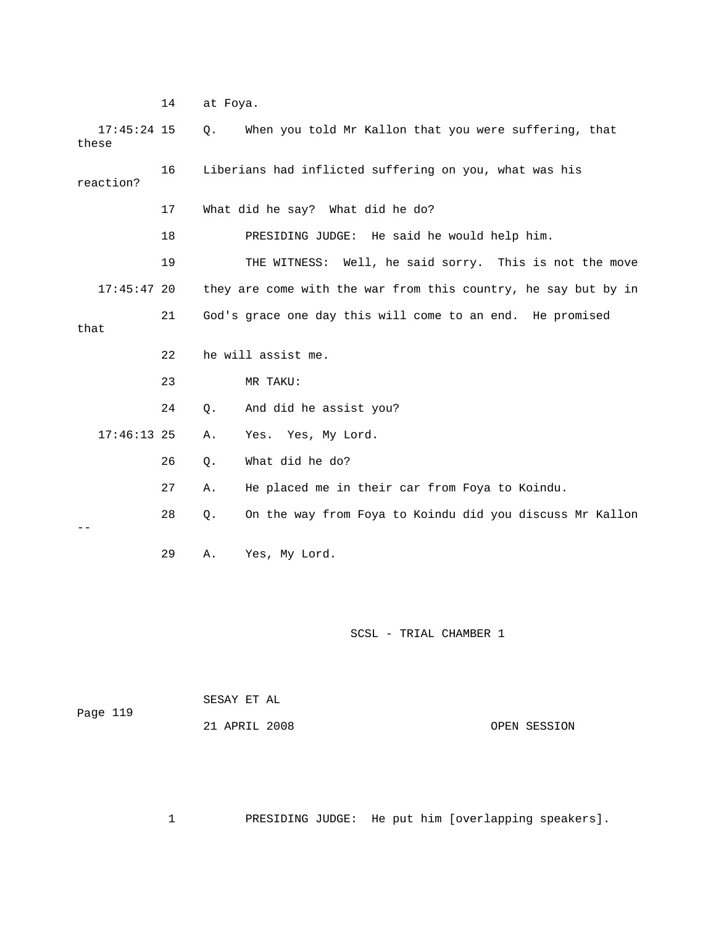14 at Foya.

| $17:45:24$ 15<br>these |    | Q. | When you told Mr Kallon that you were suffering, that          |
|------------------------|----|----|----------------------------------------------------------------|
| reaction?              | 16 |    | Liberians had inflicted suffering on you, what was his         |
|                        | 17 |    | What did he say? What did he do?                               |
|                        | 18 |    | PRESIDING JUDGE: He said he would help him.                    |
|                        | 19 |    | THE WITNESS: Well, he said sorry. This is not the move         |
| $17:45:47$ 20          |    |    | they are come with the war from this country, he say but by in |
| that                   | 21 |    | God's grace one day this will come to an end. He promised      |
|                        | 22 |    | he will assist me.                                             |
|                        | 23 |    | MR TAKU:                                                       |
|                        | 24 | Q. | And did he assist you?                                         |
| $17:46:13$ 25          |    | Α. | Yes. Yes, My Lord.                                             |
|                        | 26 | Q. | What did he do?                                                |
|                        | 27 | Α. | He placed me in their car from Foya to Koindu.                 |
|                        | 28 | Q. | On the way from Foya to Koindu did you discuss Mr Kallon       |
|                        | 29 | Α. | Yes, My Lord.                                                  |
|                        |    |    |                                                                |

SCSL - TRIAL CHAMBER 1

|          |  | SESAY ET AL |  |  |
|----------|--|-------------|--|--|
| Page 119 |  |             |  |  |

21 APRIL 2008

OPEN SESSION

ers]. 1 PRESIDING JUDGE: He put him [overlapping speak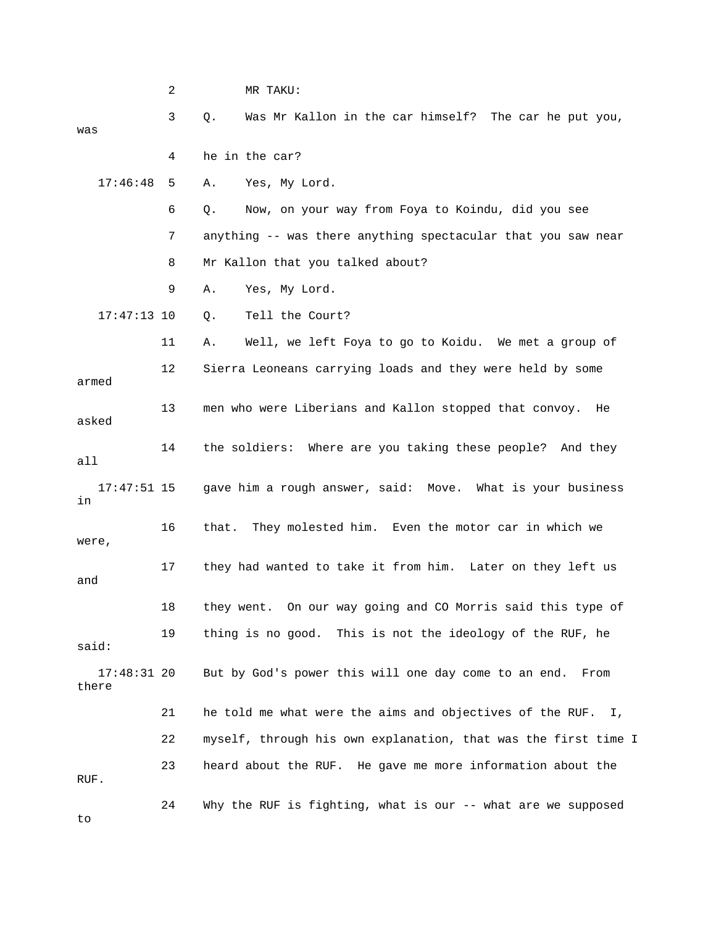|                        | 2  |       | MR TAKU:                                                       |
|------------------------|----|-------|----------------------------------------------------------------|
| was                    | 3  | Q.    | Was Mr Kallon in the car himself? The car he put you,          |
|                        | 4  |       | he in the car?                                                 |
| 17:46:48               | 5  | Α.    | Yes, My Lord.                                                  |
|                        | 6  | Q.    | Now, on your way from Foya to Koindu, did you see              |
|                        | 7  |       | anything -- was there anything spectacular that you saw near   |
|                        | 8  |       | Mr Kallon that you talked about?                               |
|                        | 9  | Α.    | Yes, My Lord.                                                  |
| $17:47:13$ 10          |    | Q.    | Tell the Court?                                                |
|                        | 11 | Α.    | Well, we left Foya to go to Koidu. We met a group of           |
| armed                  | 12 |       | Sierra Leoneans carrying loads and they were held by some      |
| asked                  | 13 |       | men who were Liberians and Kallon stopped that convoy.<br>He   |
| all                    | 14 |       | the soldiers: Where are you taking these people? And they      |
| $17:47:51$ 15<br>in    |    |       | gave him a rough answer, said: Move. What is your business     |
| were,                  | 16 | that. | They molested him. Even the motor car in which we              |
| and                    | 17 |       | they had wanted to take it from him. Later on they left us     |
|                        | 18 |       | they went. On our way going and CO Morris said this type of    |
| said:                  | 19 |       | thing is no good. This is not the ideology of the RUF, he      |
| $17:48:31$ 20<br>there |    |       | But by God's power this will one day come to an end.<br>From   |
|                        | 21 |       | he told me what were the aims and objectives of the RUF. I,    |
|                        | 22 |       | myself, through his own explanation, that was the first time I |
| RUF.                   | 23 |       | heard about the RUF. He gave me more information about the     |
| to                     | 24 |       | Why the RUF is fighting, what is our -- what are we supposed   |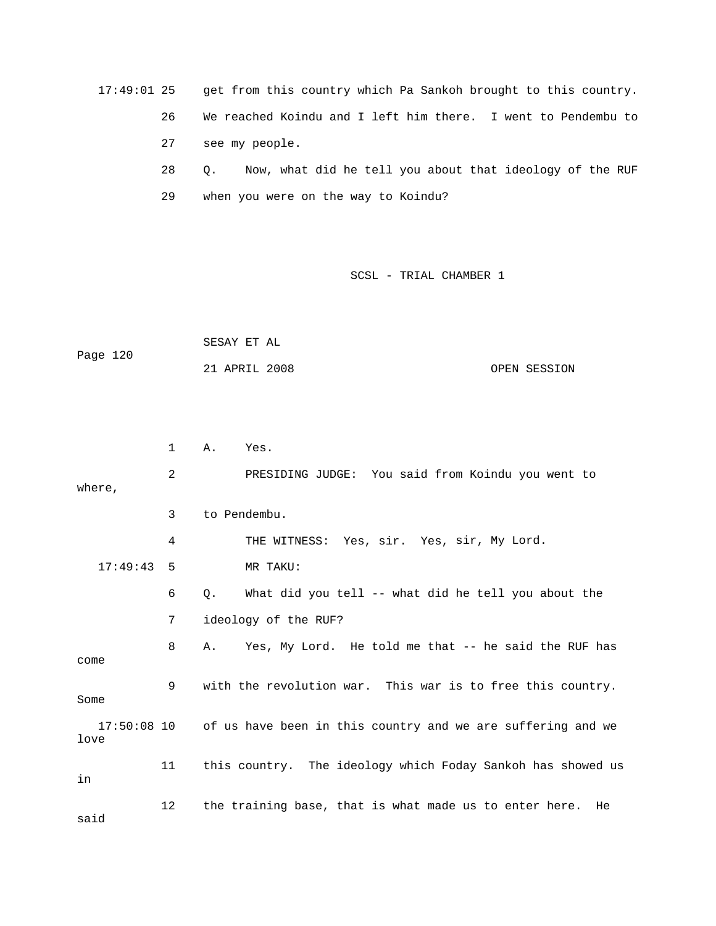17:49:01 25 get from this country which Pa Sankoh brought to this country.

26 We reached Koindu and I left him there. I went to Pendembu to

27 see my people.

 28 Q. Now, what did he tell you about that ideology of the RUF 29 when you were on the way to Koindu?

|          | SESAY ET AL   |              |
|----------|---------------|--------------|
| Page 120 |               |              |
|          | 21 APRIL 2008 | OPEN SESSION |

|          | 1              | Α. | Yes.                                                                    |
|----------|----------------|----|-------------------------------------------------------------------------|
| where,   | $\overline{2}$ |    | PRESIDING JUDGE: You said from Koindu you went to                       |
|          | 3              |    | to Pendembu.                                                            |
|          | 4              |    | THE WITNESS: Yes, sir. Yes, sir, My Lord.                               |
| 17:49:43 | 5              |    | MR TAKU:                                                                |
|          | 6              | Q. | What did you tell -- what did he tell you about the                     |
|          | 7              |    | ideology of the RUF?                                                    |
| come     | 8              |    | A. Yes, My Lord. He told me that -- he said the RUF has                 |
| Some     | 9              |    | with the revolution war. This war is to free this country.              |
| love     |                |    | 17:50:08 10 of us have been in this country and we are suffering and we |
| in       | 11             |    | this country. The ideology which Foday Sankoh has showed us             |
| said     | 12             |    | the training base, that is what made us to enter here.<br>He            |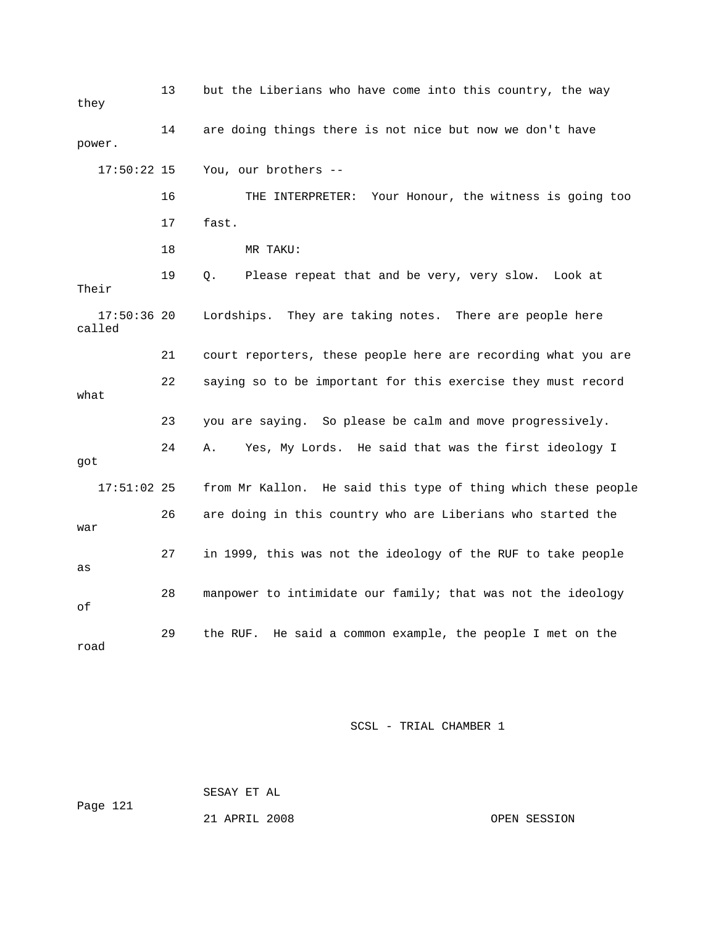13 but the Liberians who have come into this country, the way 14 are doing things there is not nice but now we don't have 16 THE INTERPRETER: Your Honour, the witness is going too 18 MR TAKU: 19 Q. Please repeat that and be very, very slow. Look at Their Lordships. They are taking notes. There are people here called 21 court reporters, these people here are recording what you are 24 A. Yes, My Lords. He said that was the first ideology I 17:51:02 25 from Mr Kallon. He said this type of thing which these people 26 are doing in this country who are Liberians who started the 27 in 1999, this was not the ideology of the RUF to take people 28 manpower to intimidate our family; that was not the ideology 29 the RUF. He said a common example, the people I met on the they power. 17:50:22 15 You, our brothers -- 17 fast.  $17:50:36$  20 22 saying so to be important for this exercise they must record what 23 you are saying. So please be calm and move progressively. got war as of road

SCSL - TRIAL CHAMBER 1

 SESAY ET AL Page 121

21 APRIL 2008 OPEN SESSION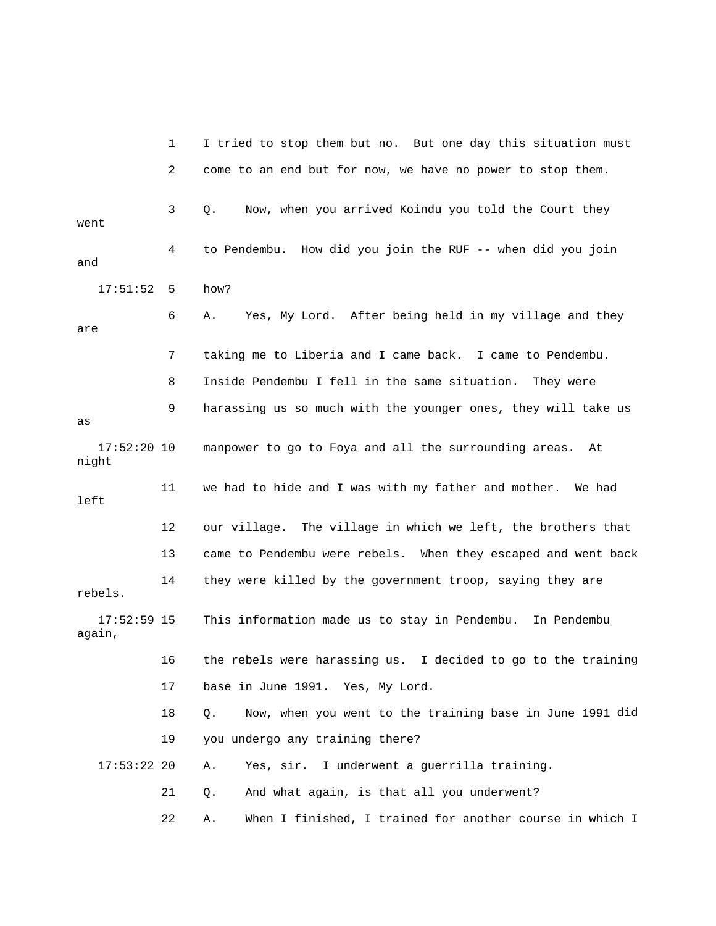1 I tried to stop them but no. But one day this situation must 4 to Pendembu. How did you join the RUF -- when did you join and 17:51:52 5 how? 6 A. Yes, My Lord. After being held in my village and they are 7 taking me to Liberia and I came back. I came to Pendembu. 8 Inside Pendembu I fell in the same situation. They were 9 harassing us so much with the younger ones, they will take us 17:52:20 10 manpower to go to Foya and all the surrounding areas. At night 11 we had to hide and I was with my father and mother. We had 12 our village. The village in which we left, the brothers that 13 came to Pendembu were rebels. When they escaped and went back rebels. This information made us to stay in Pendembu. In Pendembu again, g 16 the rebels were harassing us. I decided to go to the trainin 18 Q. Now, when you went to the training base in June 1991 did 17:53:22 20 A. Yes, sir. I underwent a guerrilla training. 21 Q. And what again, is that all you underwent? 22 A. When I finished, I trained for another course in which I 2 come to an end but for now, we have no power to stop them. 3 Q. Now, when you arrived Koindu you told the Court they went as left 14 they were killed by the government troop, saying they are  $17:52:59$  15 17 base in June 1991. Yes, My Lord. 19 you undergo any training there?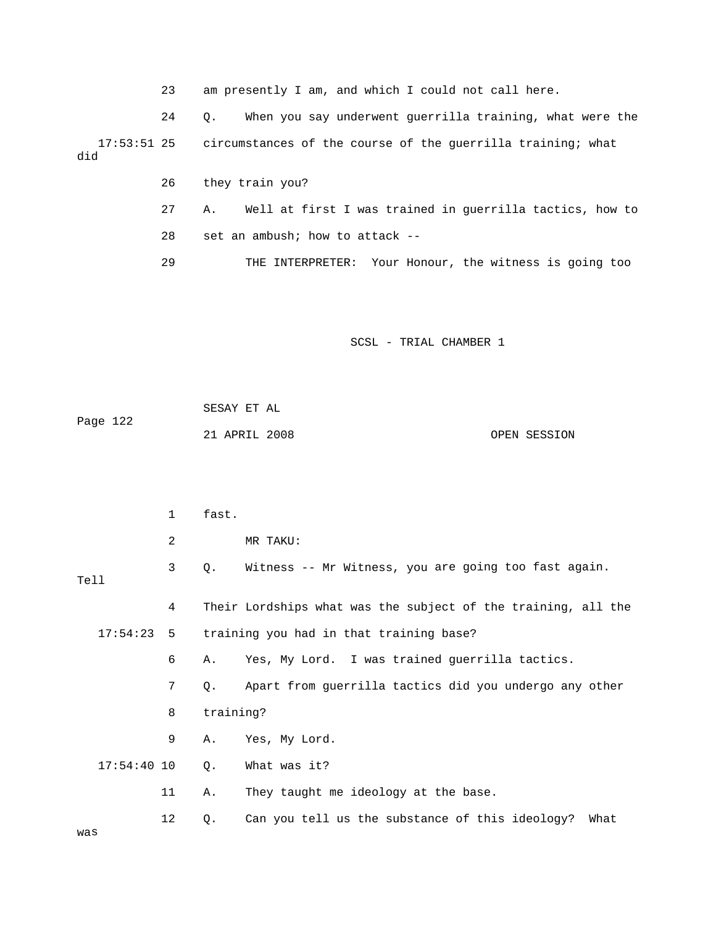23 am presently I am, and which I could not call here.

 24 Q. When you say underwent guerrilla training, what were the 17:53:51 25 circumstances of the course of the guerrilla training; what did

26 they train you?

was

27 A. Well at first I was trained in guerrilla tactics, how to

28 set an ambush; how to attack --

29 THE INTERPRETER: Your Honour, the witness is going too

|          | SESAY ET AL   |              |
|----------|---------------|--------------|
| Page 122 |               |              |
|          | 21 APRIL 2008 | OPEN SESSION |

|      |               | $\mathbf{1}$ | fast.       |                                                               |
|------|---------------|--------------|-------------|---------------------------------------------------------------|
|      |               | 2            |             | MR TAKU:                                                      |
| Tell |               | 3            | $Q_{\star}$ | Witness -- Mr Witness, you are going too fast again.          |
|      |               | 4            |             | Their Lordships what was the subject of the training, all the |
|      | $17:54:23$ 5  |              |             | training you had in that training base?                       |
|      |               | 6            | Α.          | Yes, My Lord. I was trained guerrilla tactics.                |
|      |               | 7            | $Q$ .       | Apart from guerrilla tactics did you undergo any other        |
|      |               | 8            | training?   |                                                               |
|      |               | 9            | Α.          | Yes, My Lord.                                                 |
|      | $17:54:40$ 10 |              | Q.          | What was it?                                                  |
|      |               | 11           | Α.          | They taught me ideology at the base.                          |
|      |               | 12           | Q.          | Can you tell us the substance of this ideology?<br>What       |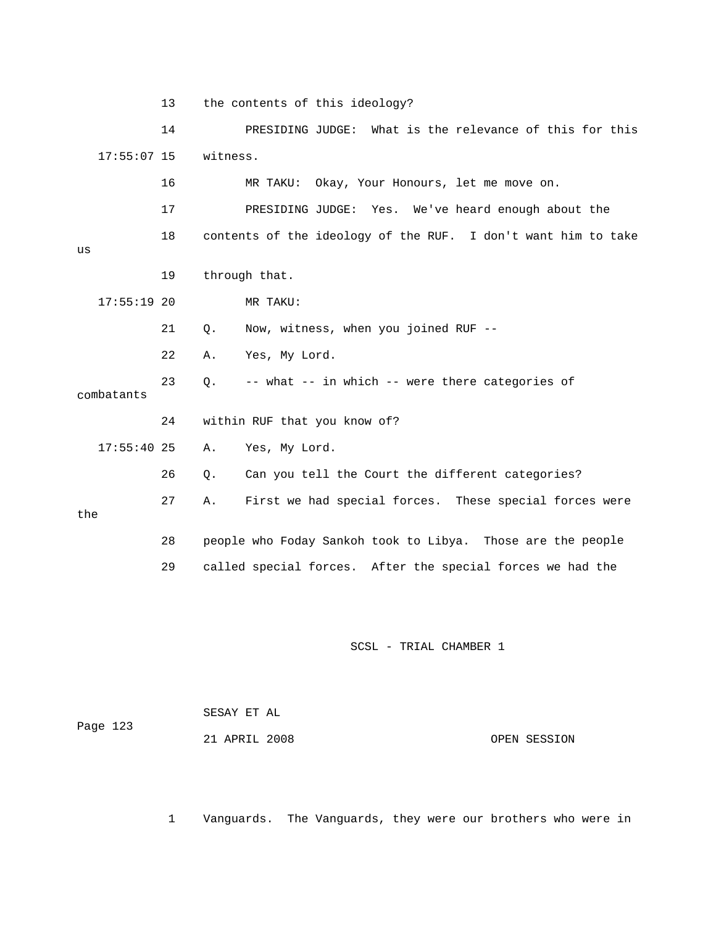13 the contents of this ideology?

 14 PRESIDING JUDGE: What is the relevance of this for this witness.  $17:55:07$  15

17 PRESIDING JUDGE: Yes. We've heard enough about the 18 contents of the ideology of the RUF. I don't want him to take 19 through that. 17:55:19 20 MR TAKU: 21 Q. Now, witness, when you joined RUF --23 Q. -- what -- in which -- were there categories of combatants 24 within RUF that you know of? 27 A. First we had special forces. These special forces were the 28 people who Foday Sankoh took to Libya. Those are the people 29 called special forces. After the special forces we had the 16 MR TAKU: Okay, Your Honours, let me move on. us 22 A. Yes, My Lord. 17:55:40 25 A. Yes, My Lord. 26 Q. Can you tell the Court the different categories?

SCSL - TRIAL CHAMBER 1

| Page 123 | SESAY ET AL   |              |
|----------|---------------|--------------|
|          | 21 APRIL 2008 | OPEN SESSION |

1 Vanguards. The Vanguards, they were our brothers who were in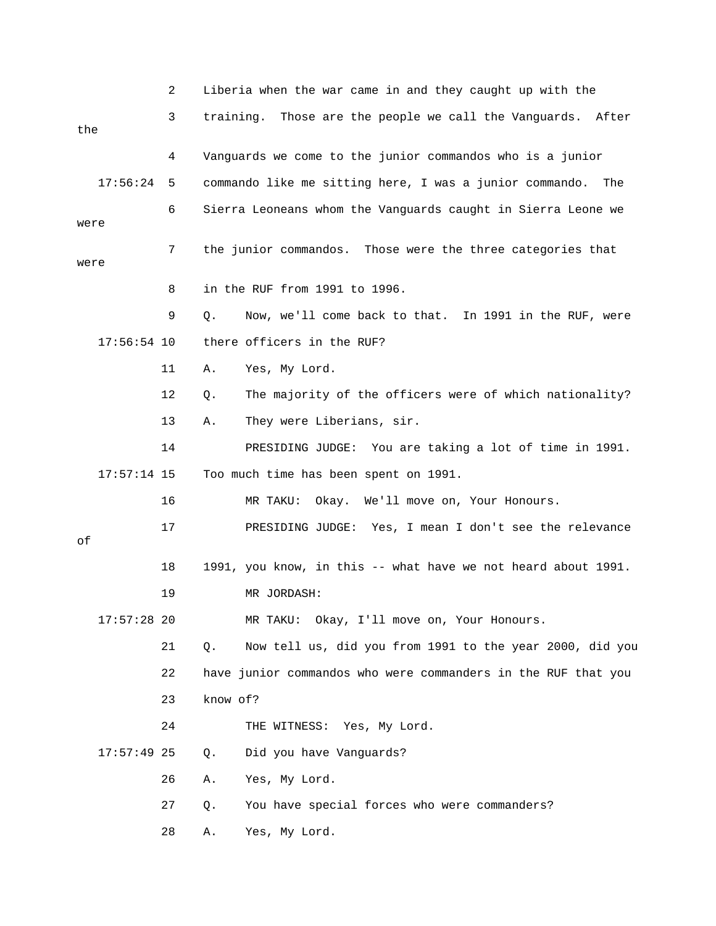|      |               | 2  | Liberia when the war came in and they caught up with the       |
|------|---------------|----|----------------------------------------------------------------|
| the  |               | 3  | training. Those are the people we call the Vanguards. After    |
|      |               | 4  | Vanguards we come to the junior commandos who is a junior      |
|      | 17:56:24      | 5  | commando like me sitting here, I was a junior commando. The    |
| were |               | 6  | Sierra Leoneans whom the Vanguards caught in Sierra Leone we   |
| were |               | 7  | the junior commandos. Those were the three categories that     |
|      |               | 8  | in the RUF from 1991 to 1996.                                  |
|      |               | 9  | Now, we'll come back to that. In 1991 in the RUF, were<br>Q.   |
|      | $17:56:54$ 10 |    | there officers in the RUF?                                     |
|      |               | 11 | Yes, My Lord.<br>Α.                                            |
|      |               | 12 | The majority of the officers were of which nationality?<br>Q.  |
|      |               | 13 | They were Liberians, sir.<br>Α.                                |
|      |               | 14 | PRESIDING JUDGE: You are taking a lot of time in 1991.         |
|      | $17:57:14$ 15 |    | Too much time has been spent on 1991.                          |
|      |               | 16 | MR TAKU:<br>Okay. We'll move on, Your Honours.                 |
| оf   |               | 17 | PRESIDING JUDGE: Yes, I mean I don't see the relevance         |
|      |               | 18 | 1991, you know, in this -- what have we not heard about 1991.  |
|      |               | 19 | MR JORDASH:                                                    |
|      | $17:57:28$ 20 |    | Okay, I'll move on, Your Honours.<br>MR TAKU:                  |
|      |               | 21 | Now tell us, did you from 1991 to the year 2000, did you<br>Q. |
|      |               | 22 | have junior commandos who were commanders in the RUF that you  |
|      |               | 23 | know of?                                                       |
|      |               | 24 | THE WITNESS: Yes, My Lord.                                     |
|      | $17:57:49$ 25 |    | Q.<br>Did you have Vanguards?                                  |
|      |               | 26 | Yes, My Lord.<br>Α.                                            |
|      |               | 27 | You have special forces who were commanders?<br>Q.             |
|      |               | 28 | Yes, My Lord.<br>Α.                                            |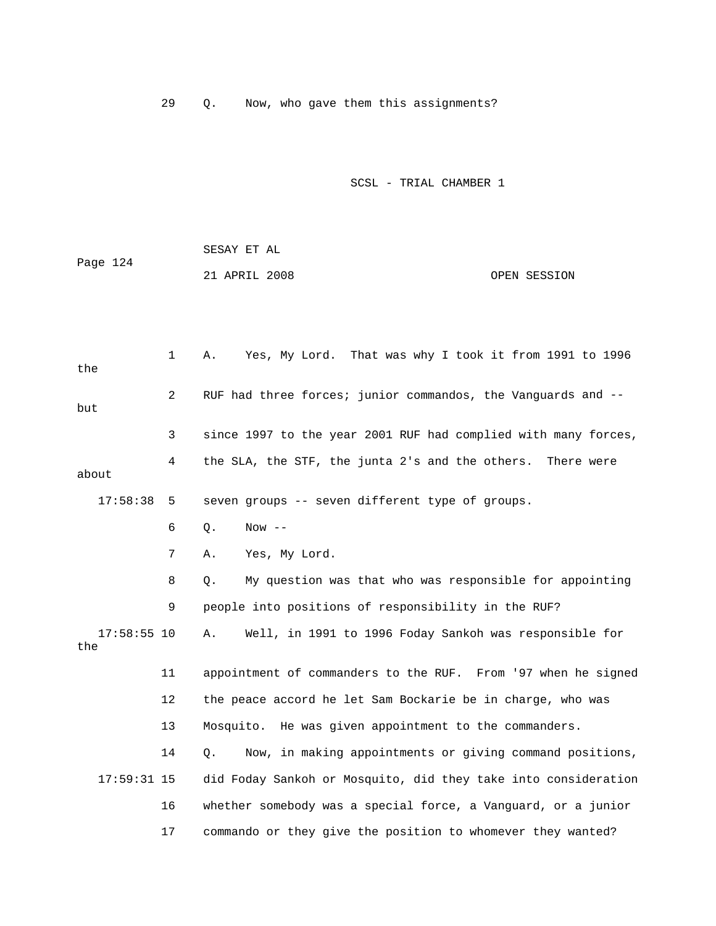29 Q. Now, who gave them this assignments?

|          | SESAY ET AL   |              |
|----------|---------------|--------------|
| Page 124 |               |              |
|          | 21 APRIL 2008 | OPEN SESSION |

| the                  | $\mathbf{1}$ | Yes, My Lord. That was why I took it from 1991 to 1996<br>Α.   |
|----------------------|--------------|----------------------------------------------------------------|
| but                  | 2            | RUF had three forces; junior commandos, the Vanguards and --   |
|                      | 3            | since 1997 to the year 2001 RUF had complied with many forces, |
| about                | 4            | the SLA, the STF, the junta 2's and the others. There were     |
| 17:58:38             | 5            | seven groups -- seven different type of groups.                |
|                      | 6            | Now $--$<br>Q.                                                 |
|                      | 7            | Yes, My Lord.<br>Α.                                            |
|                      | 8            | My question was that who was responsible for appointing<br>Q.  |
|                      | 9            | people into positions of responsibility in the RUF?            |
| $17:58:55$ 10<br>the |              | Well, in 1991 to 1996 Foday Sankoh was responsible for<br>Α.   |
|                      | 11           | appointment of commanders to the RUF. From '97 when he signed  |
|                      | 12           | the peace accord he let Sam Bockarie be in charge, who was     |
|                      | 13           | Mosquito. He was given appointment to the commanders.          |
|                      | 14           | Now, in making appointments or giving command positions,<br>Q. |
| $17:59:31$ 15        |              | did Foday Sankoh or Mosquito, did they take into consideration |
|                      | 16           | whether somebody was a special force, a Vanguard, or a junior  |
|                      | 17           | commando or they give the position to whomever they wanted?    |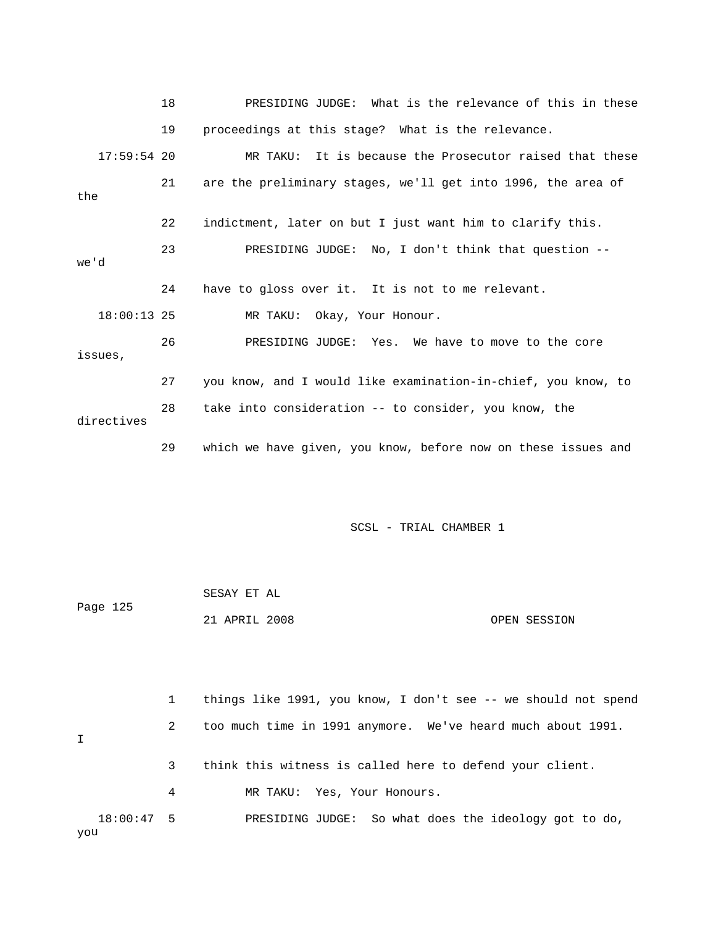|               | 18 | PRESIDING JUDGE: What is the relevance of this in these       |
|---------------|----|---------------------------------------------------------------|
|               | 19 | proceedings at this stage? What is the relevance.             |
| $17:59:54$ 20 |    | MR TAKU: It is because the Prosecutor raised that these       |
| the           | 21 | are the preliminary stages, we'll get into 1996, the area of  |
|               | 22 | indictment, later on but I just want him to clarify this.     |
| we'd          | 23 | PRESIDING JUDGE: No, I don't think that question --           |
|               | 24 | have to gloss over it. It is not to me relevant.              |
| $18:00:13$ 25 |    | MR TAKU: Okay, Your Honour.                                   |
| issues,       | 26 | PRESIDING JUDGE: Yes. We have to move to the core             |
|               | 27 | you know, and I would like examination-in-chief, you know, to |
| directives    | 28 | take into consideration -- to consider, you know, the         |
|               | 29 | which we have given, you know, before now on these issues and |

| Page 125 | SESAY ET AL   |              |
|----------|---------------|--------------|
|          | 21 APRIL 2008 | OPEN SESSION |

|             |              |   | things like 1991, you know, I don't see -- we should not spend |
|-------------|--------------|---|----------------------------------------------------------------|
| $\mathbf I$ |              | 2 | too much time in 1991 anymore. We've heard much about 1991.    |
|             |              | 3 | think this witness is called here to defend your client.       |
|             |              | 4 | MR TAKU: Yes, Your Honours.                                    |
|             | $18:00:47$ 5 |   | PRESIDING JUDGE: So what does the ideology got to do,          |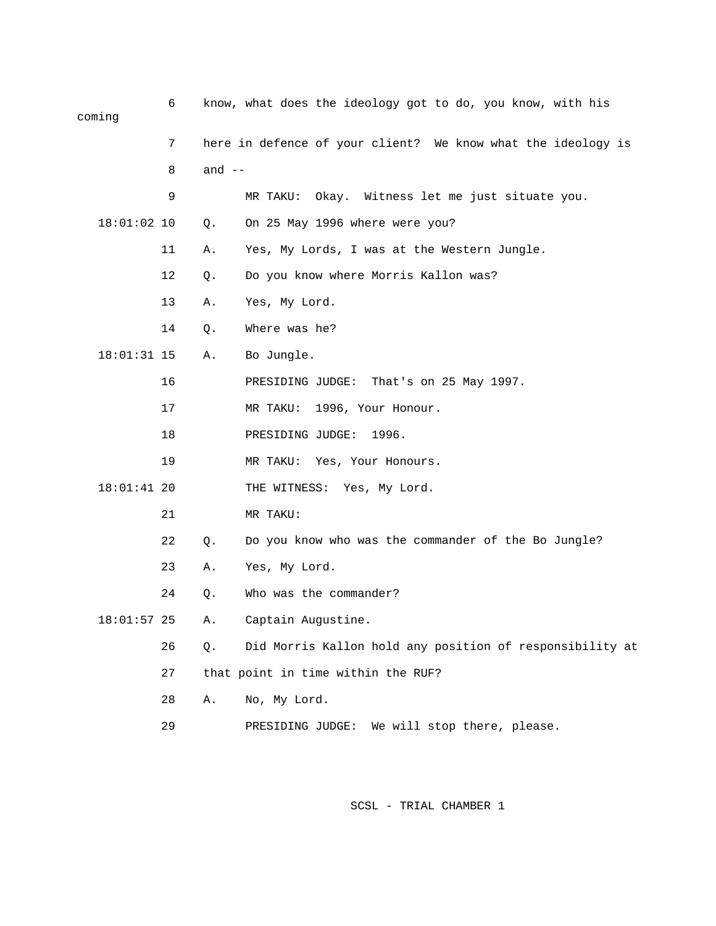| cominq        | 6  |          | know, what does the ideology got to do, you know, with his   |
|---------------|----|----------|--------------------------------------------------------------|
|               | 7  |          | here in defence of your client? We know what the ideology is |
|               | 8  | and $--$ |                                                              |
|               | 9  |          | MR TAKU: Okay. Witness let me just situate you.              |
| $18:01:02$ 10 |    | Q.       | On 25 May 1996 where were you?                               |
|               | 11 | Α.       | Yes, My Lords, I was at the Western Jungle.                  |
|               | 12 | Q.       | Do you know where Morris Kallon was?                         |
|               | 13 | Α.       | Yes, My Lord.                                                |
|               | 14 | Q.       | Where was he?                                                |
| $18:01:31$ 15 |    | Α.       | Bo Jungle.                                                   |
|               | 16 |          | PRESIDING JUDGE: That's on 25 May 1997.                      |
|               | 17 |          | MR TAKU: 1996, Your Honour.                                  |
|               | 18 |          | PRESIDING JUDGE:<br>1996.                                    |
|               | 19 |          | MR TAKU: Yes, Your Honours.                                  |
| $18:01:41$ 20 |    |          | THE WITNESS: Yes, My Lord.                                   |
|               | 21 |          | MR TAKU:                                                     |
|               | 22 | Q.       | Do you know who was the commander of the Bo Jungle?          |
|               | 23 | Α.       | Yes, My Lord.                                                |
|               | 24 | Q.       | Who was the commander?                                       |
| $18:01:57$ 25 |    | Α.       | Captain Augustine.                                           |
|               | 26 | Q.       | Did Morris Kallon hold any position of responsibility at     |
|               | 27 |          | that point in time within the RUF?                           |
|               | 28 | Α.       | No, My Lord.                                                 |
|               |    |          |                                                              |

29 PRESIDING JUDGE: We will stop there, please.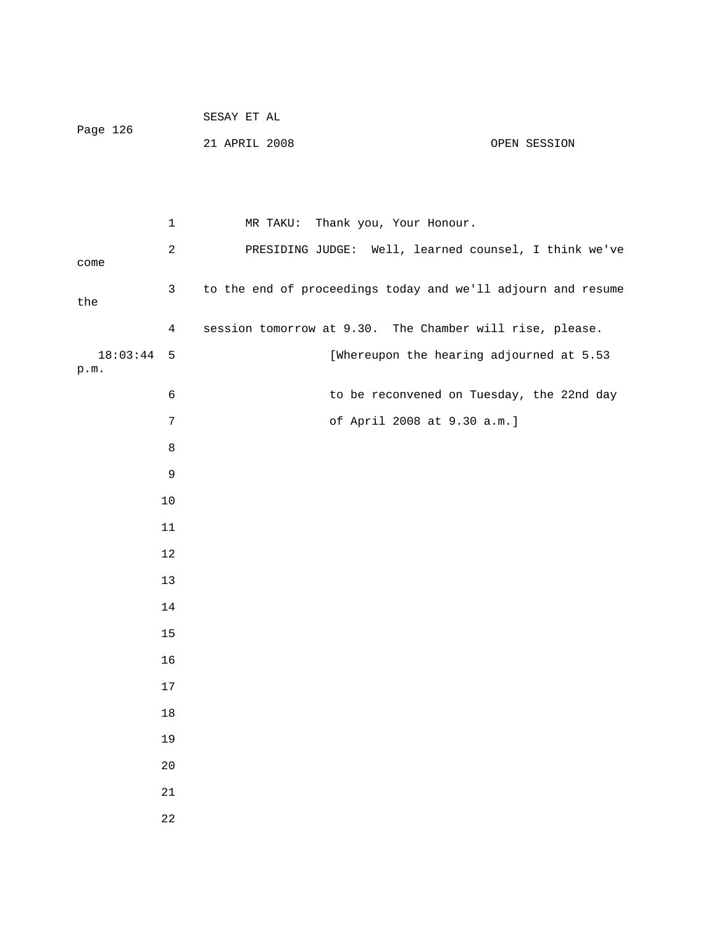|                      |                 | SESAY ET AL                                                  |
|----------------------|-----------------|--------------------------------------------------------------|
| Page 126             |                 | 21 APRIL 2008<br>OPEN SESSION                                |
|                      |                 |                                                              |
|                      |                 |                                                              |
|                      | $\mathbf 1$     | MR TAKU: Thank you, Your Honour.                             |
|                      | $\sqrt{2}$      | PRESIDING JUDGE: Well, learned counsel, I think we've        |
| come                 |                 |                                                              |
| the                  | $\mathsf 3$     | to the end of proceedings today and we'll adjourn and resume |
|                      | 4               | session tomorrow at 9.30. The Chamber will rise, please.     |
| $18:03:44$ 5<br>p.m. |                 | [Whereupon the hearing adjourned at 5.53                     |
|                      | $\epsilon$      | to be reconvened on Tuesday, the 22nd day                    |
|                      | $7\phantom{.0}$ | of April 2008 at 9.30 a.m.]                                  |
|                      | $\,8\,$         |                                                              |
|                      | $\mathsf 9$     |                                                              |
|                      | $10$            |                                                              |
|                      | 11              |                                                              |
|                      | 12              |                                                              |
|                      | 13              |                                                              |
|                      | 14              |                                                              |
|                      | 15              |                                                              |
|                      | 16              |                                                              |
|                      | $17$            |                                                              |
|                      | 18              |                                                              |
|                      | 19              |                                                              |
|                      | 20              |                                                              |
|                      | $2\sqrt{1}$     |                                                              |
|                      | 22              |                                                              |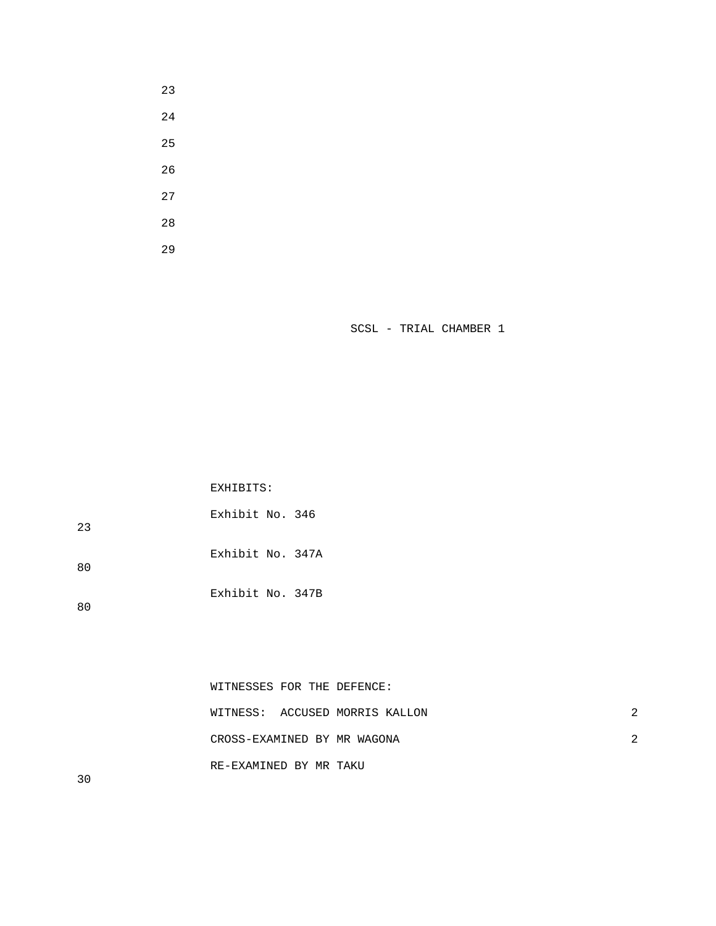|               | WITNESSES FOR THE DEFENCE:     |  |
|---------------|--------------------------------|--|
|               | WITNESS: ACCUSED MORRIS KALLON |  |
|               | CROSS-EXAMINED BY MR WAGONA    |  |
| $\sim$ $\sim$ | RE-EXAMINED BY MR TAKU         |  |

 Exhibit No. 347B 80 80

EXHIBITS:

 Exhibit No. 346 Exhibit No. 347A 23

30

SCSL - TRIAL CHAMBER 1

29

- 23
-